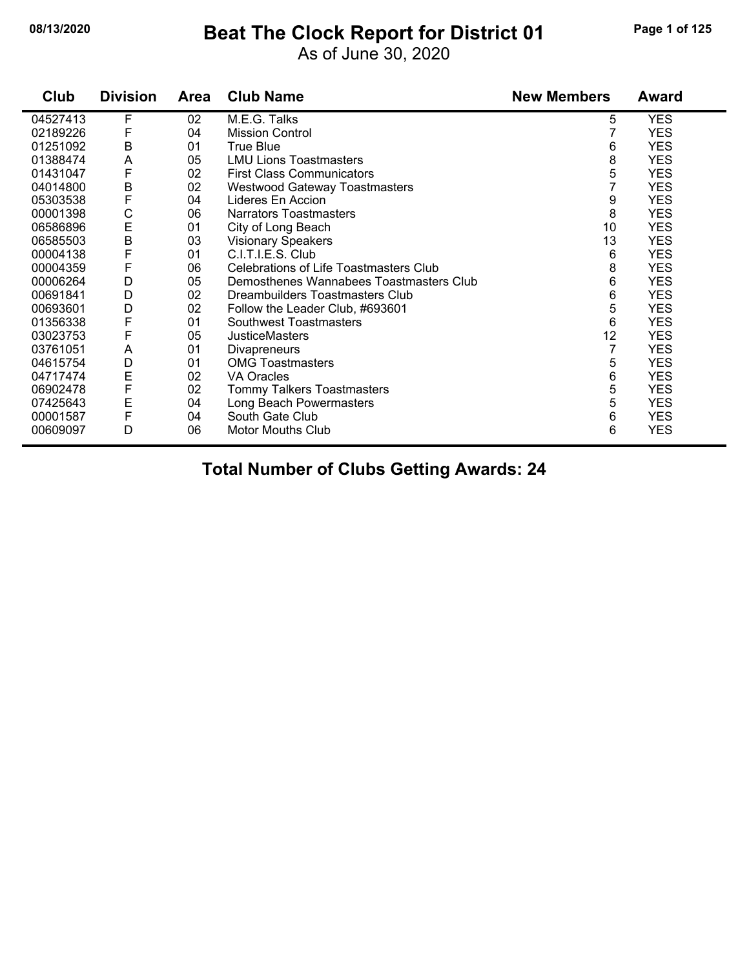#### **08/13/2020 Beat The Clock Report for District 01 Page 1 of 125**

As of June 30, 2020

| Club     | <b>Division</b> | Area | <b>Club Name</b>                        | <b>New Members</b> | Award      |
|----------|-----------------|------|-----------------------------------------|--------------------|------------|
| 04527413 | F               | 02   | M.E.G. Talks                            | 5                  | <b>YES</b> |
| 02189226 | F               | 04   | <b>Mission Control</b>                  | 7                  | <b>YES</b> |
| 01251092 | B               | 01   | True Blue                               | 6                  | <b>YES</b> |
| 01388474 | A               | 05   | <b>LMU Lions Toastmasters</b>           | 8                  | <b>YES</b> |
| 01431047 | F               | 02   | <b>First Class Communicators</b>        | 5                  | <b>YES</b> |
| 04014800 | B               | 02   | <b>Westwood Gateway Toastmasters</b>    | 7                  | <b>YES</b> |
| 05303538 | F               | 04   | Lideres En Accion                       | 9                  | <b>YES</b> |
| 00001398 | С               | 06   | <b>Narrators Toastmasters</b>           | 8                  | <b>YES</b> |
| 06586896 | $\mathsf E$     | 01   | City of Long Beach                      | 10                 | <b>YES</b> |
| 06585503 | B               | 03   | <b>Visionary Speakers</b>               | 13                 | <b>YES</b> |
| 00004138 | F               | 01   | C.I.T.I.E.S. Club                       | 6                  | <b>YES</b> |
| 00004359 | F               | 06   | Celebrations of Life Toastmasters Club  | 8                  | <b>YES</b> |
| 00006264 | D               | 05   | Demosthenes Wannabees Toastmasters Club | 6                  | <b>YES</b> |
| 00691841 | D               | 02   | Dreambuilders Toastmasters Club         | 6                  | <b>YES</b> |
| 00693601 | D               | 02   | Follow the Leader Club, #693601         | 5                  | <b>YES</b> |
| 01356338 | F               | 01   | Southwest Toastmasters                  | 6                  | <b>YES</b> |
| 03023753 | F               | 05   | <b>JusticeMasters</b>                   | 12                 | <b>YES</b> |
| 03761051 | A               | 01   | <b>Divapreneurs</b>                     | 7                  | <b>YES</b> |
| 04615754 | D               | 01   | <b>OMG Toastmasters</b>                 | 5                  | <b>YES</b> |
| 04717474 | E               | 02   | <b>VA Oracles</b>                       | 6                  | <b>YES</b> |
| 06902478 | F               | 02   | Tommy Talkers Toastmasters              | 5                  | <b>YES</b> |
| 07425643 | E               | 04   | Long Beach Powermasters                 | 5                  | <b>YES</b> |
| 00001587 | F               | 04   | South Gate Club                         | 6                  | <b>YES</b> |
| 00609097 | D               | 06   | <b>Motor Mouths Club</b>                | 6                  | <b>YES</b> |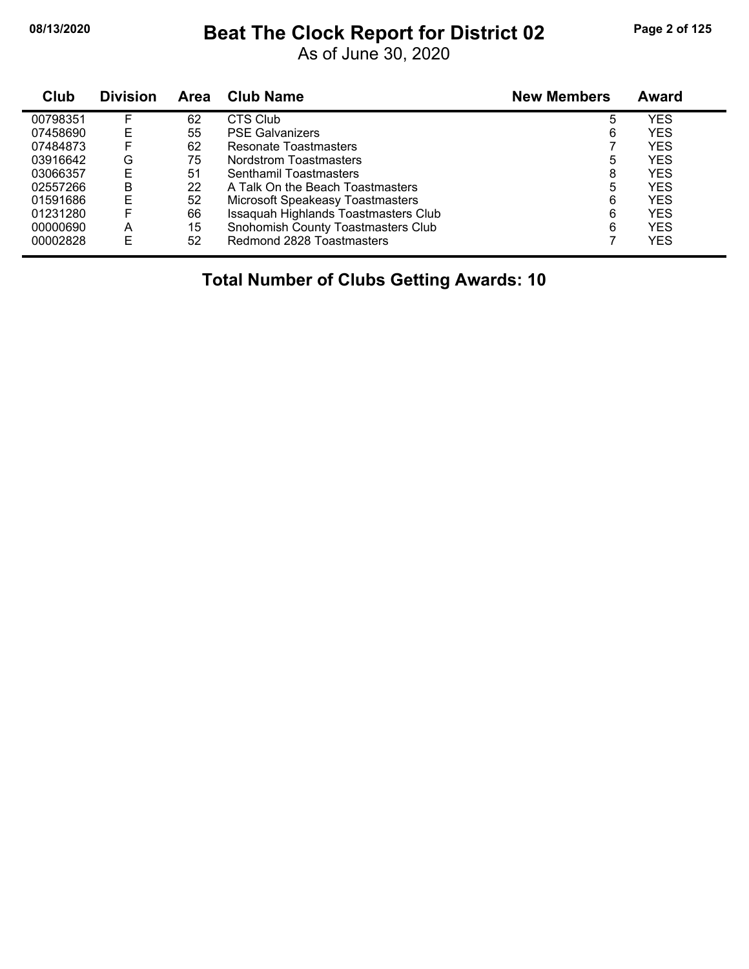#### **08/13/2020 Beat The Clock Report for District 02 Page 2 of 125**

As of June 30, 2020

| <b>Club</b> | <b>Division</b> | <b>Area</b> | <b>Club Name</b>                        | <b>New Members</b> | <b>Award</b> |
|-------------|-----------------|-------------|-----------------------------------------|--------------------|--------------|
| 00798351    |                 | 62          | CTS Club                                | 5                  | <b>YES</b>   |
| 07458690    | Е               | 55          | <b>PSE Galvanizers</b>                  | 6                  | <b>YES</b>   |
| 07484873    | F               | 62          | Resonate Toastmasters                   |                    | <b>YES</b>   |
| 03916642    | G               | 75          | Nordstrom Toastmasters                  | 5                  | <b>YES</b>   |
| 03066357    | Е               | 51          | Senthamil Toastmasters                  | 8                  | <b>YES</b>   |
| 02557266    | B               | 22          | A Talk On the Beach Toastmasters        | 5                  | <b>YES</b>   |
| 01591686    | E               | 52          | <b>Microsoft Speakeasy Toastmasters</b> | 6                  | <b>YES</b>   |
| 01231280    |                 | 66          | Issaquah Highlands Toastmasters Club    | 6                  | <b>YES</b>   |
| 00000690    | A               | 15          | Snohomish County Toastmasters Club      | 6                  | <b>YES</b>   |
| 00002828    | E               | 52          | Redmond 2828 Toastmasters               |                    | <b>YES</b>   |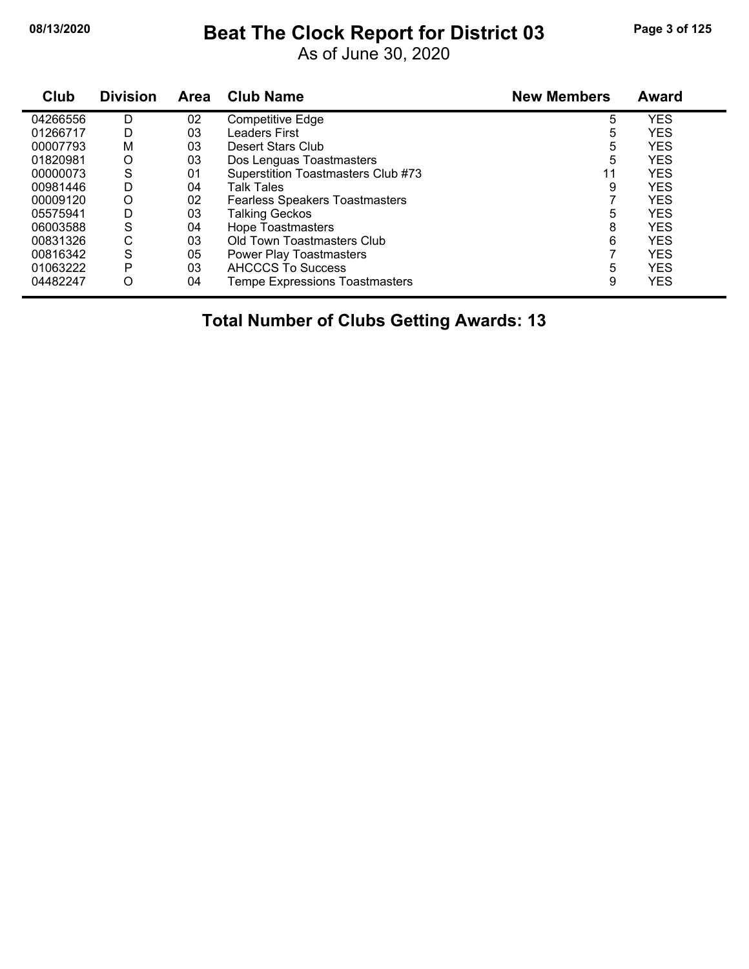# **08/13/2020 Beat The Clock Report for District 03 Page 3 of 125**

As of June 30, 2020

| Club     | <b>Division</b> | <b>Area</b> | <b>Club Name</b>                      | <b>New Members</b> | Award      |
|----------|-----------------|-------------|---------------------------------------|--------------------|------------|
| 04266556 | D               | 02          | Competitive Edge                      | 5                  | YES        |
| 01266717 | D               | 03          | Leaders First                         | 5                  | <b>YES</b> |
| 00007793 | M               | 03          | Desert Stars Club                     | 5                  | <b>YES</b> |
| 01820981 | O               | 03          | Dos Lenguas Toastmasters              | 5                  | <b>YES</b> |
| 00000073 | S               | 01          | Superstition Toastmasters Club #73    | 11                 | <b>YES</b> |
| 00981446 | D               | 04          | Talk Tales                            | 9                  | <b>YES</b> |
| 00009120 | O               | 02          | <b>Fearless Speakers Toastmasters</b> |                    | <b>YES</b> |
| 05575941 | D               | 03          | <b>Talking Geckos</b>                 | 5                  | <b>YES</b> |
| 06003588 | S               | 04          | Hope Toastmasters                     | 8                  | <b>YES</b> |
| 00831326 | С               | 03          | Old Town Toastmasters Club            | 6                  | <b>YES</b> |
| 00816342 | S               | 05          | <b>Power Play Toastmasters</b>        |                    | <b>YES</b> |
| 01063222 | P               | 03          | AHCCCS To Success                     | 5                  | <b>YES</b> |
| 04482247 | O               | 04          | <b>Tempe Expressions Toastmasters</b> | 9                  | <b>YES</b> |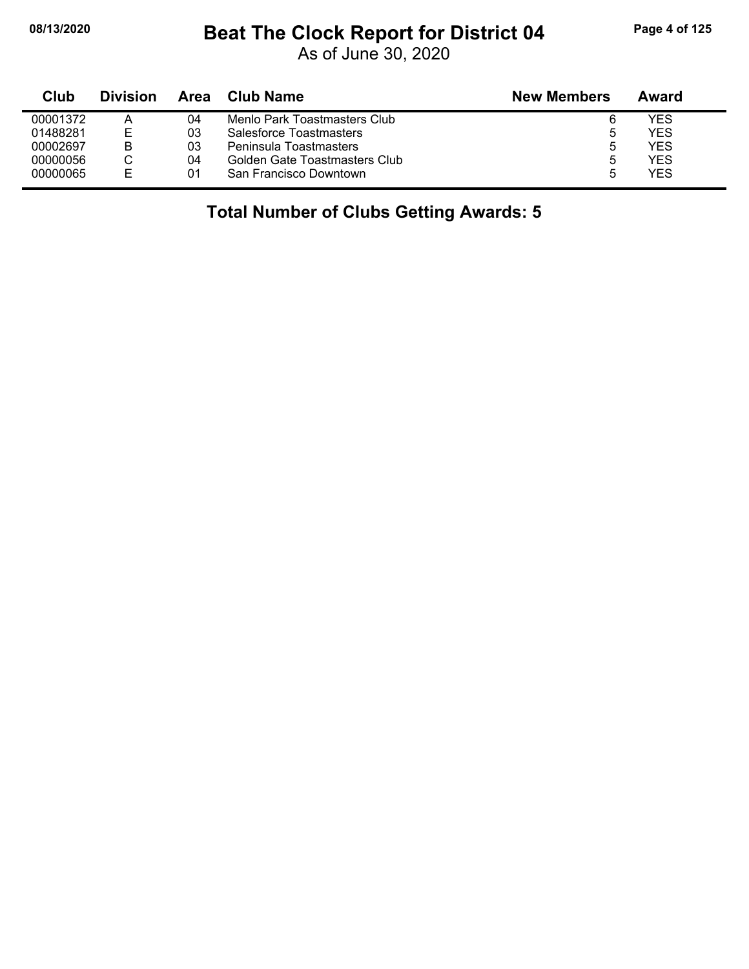# **08/13/2020 Beat The Clock Report for District 04 Page 4 of 125**

As of June 30, 2020

| Club     | <b>Division</b> | Area | Club Name                     | <b>New Members</b> | Award      |
|----------|-----------------|------|-------------------------------|--------------------|------------|
| 00001372 | Α               | 04   | Menlo Park Toastmasters Club  |                    | YFS        |
| 01488281 | Е               | 03   | Salesforce Toastmasters       |                    | YES        |
| 00002697 | В               | 03   | Peninsula Toastmasters        |                    | YES        |
| 00000056 | С               | 04   | Golden Gate Toastmasters Club |                    | YES        |
| 00000065 | F               | 01   | San Francisco Downtown        |                    | <b>YES</b> |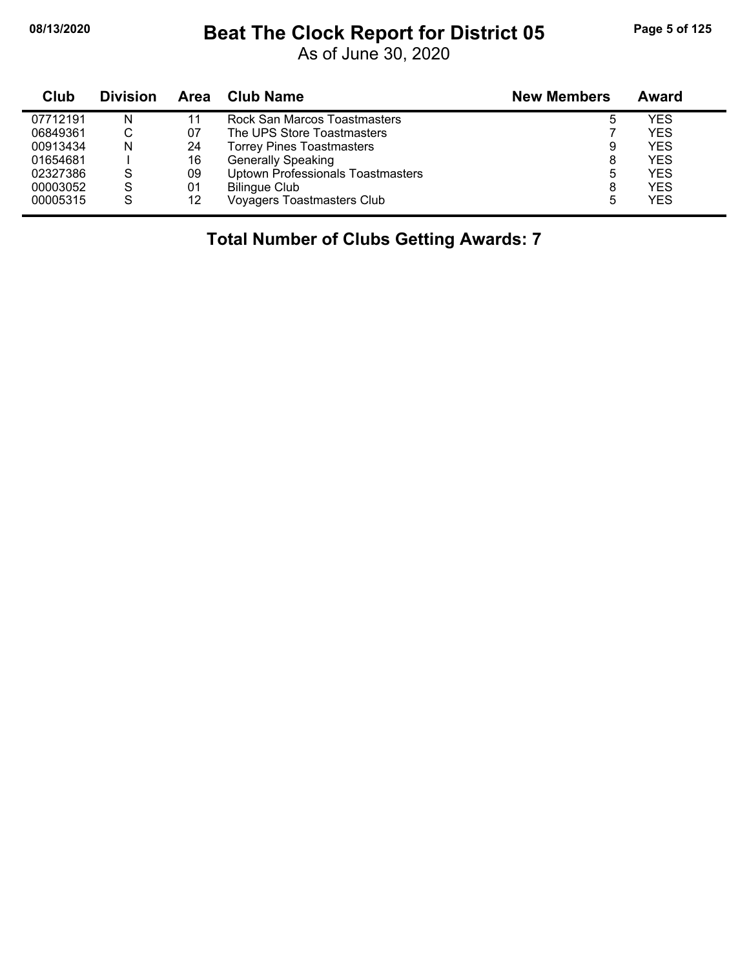# **08/13/2020 Beat The Clock Report for District 05 Page 5 of 125**

As of June 30, 2020

| Club     | <b>Division</b> | Area | <b>Club Name</b>                         | <b>New Members</b> | Award      |
|----------|-----------------|------|------------------------------------------|--------------------|------------|
| 07712191 | N               | 11   | Rock San Marcos Toastmasters             |                    | <b>YES</b> |
| 06849361 |                 | 07   | The UPS Store Toastmasters               |                    | <b>YES</b> |
| 00913434 | N               | 24   | <b>Torrey Pines Toastmasters</b>         | 9                  | <b>YES</b> |
| 01654681 |                 | 16   | <b>Generally Speaking</b>                | 8                  | <b>YES</b> |
| 02327386 | S               | 09   | <b>Uptown Professionals Toastmasters</b> | 5                  | <b>YES</b> |
| 00003052 | S               | 01   | <b>Bilingue Club</b>                     | 8                  | <b>YES</b> |
| 00005315 | S               | 12   | <b>Voyagers Toastmasters Club</b>        | 5                  | <b>YES</b> |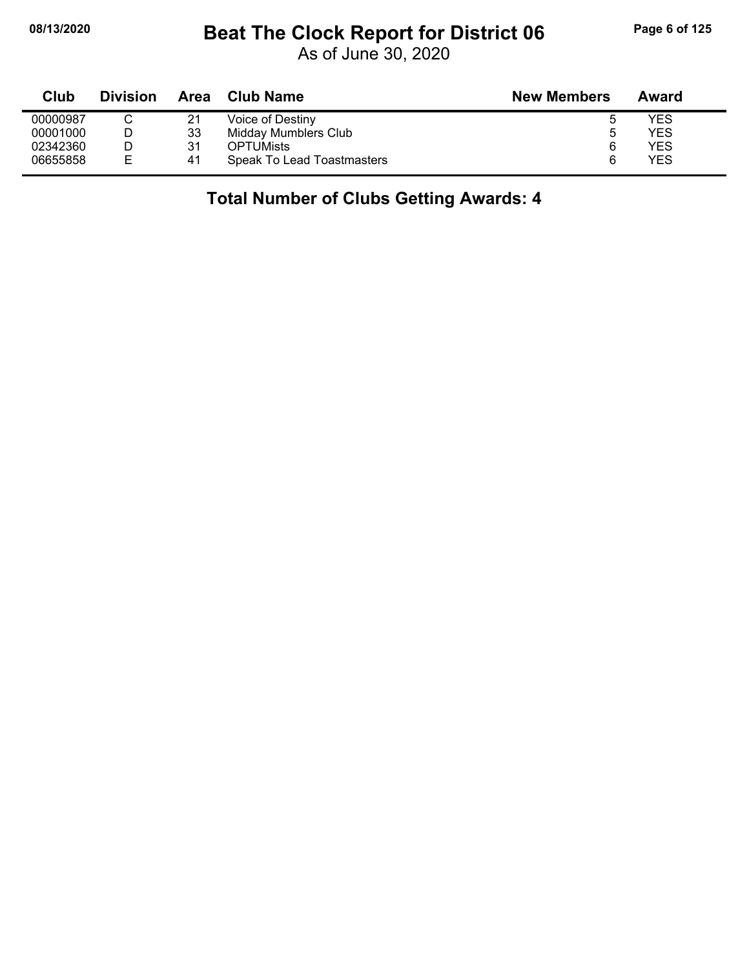### **08/13/2020 Beat The Clock Report for District 06 Page 6 of 125**

As of June 30, 2020

| Club     | <b>Division</b> | Area | Club Name                  | <b>New Members</b> | Award |
|----------|-----------------|------|----------------------------|--------------------|-------|
| 00000987 |                 | 21   | Voice of Destiny           |                    | YES   |
| 00001000 |                 | 33   | Midday Mumblers Club       | b                  | YES   |
| 02342360 |                 | 31   | <b>OPTUMists</b>           | 6                  | YES   |
| 06655858 | Е               | 41   | Speak To Lead Toastmasters |                    | YES   |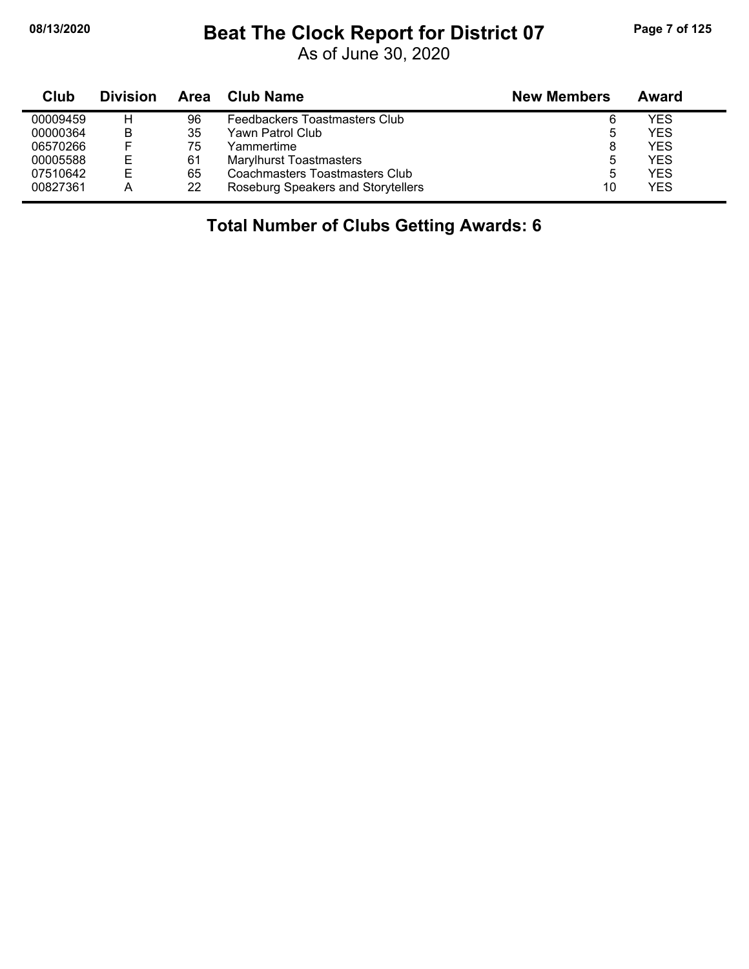# **08/13/2020 Beat The Clock Report for District 07 Page 7 of 125**

As of June 30, 2020

| Club     | <b>Division</b> | Area | <b>Club Name</b>                   | <b>New Members</b> | Award      |
|----------|-----------------|------|------------------------------------|--------------------|------------|
| 00009459 | н               | 96   | Feedbackers Toastmasters Club      | 6                  | YES        |
| 00000364 | B               | 35   | Yawn Patrol Club                   |                    | <b>YES</b> |
| 06570266 |                 | 75   | Yammertime                         | 8                  | YES        |
| 00005588 | E               | 61   | <b>Marylhurst Toastmasters</b>     | 5                  | YES        |
| 07510642 | Е               | 65   | Coachmasters Toastmasters Club     | 5                  | YES        |
| 00827361 |                 | 22   | Roseburg Speakers and Storytellers | 10                 | <b>YES</b> |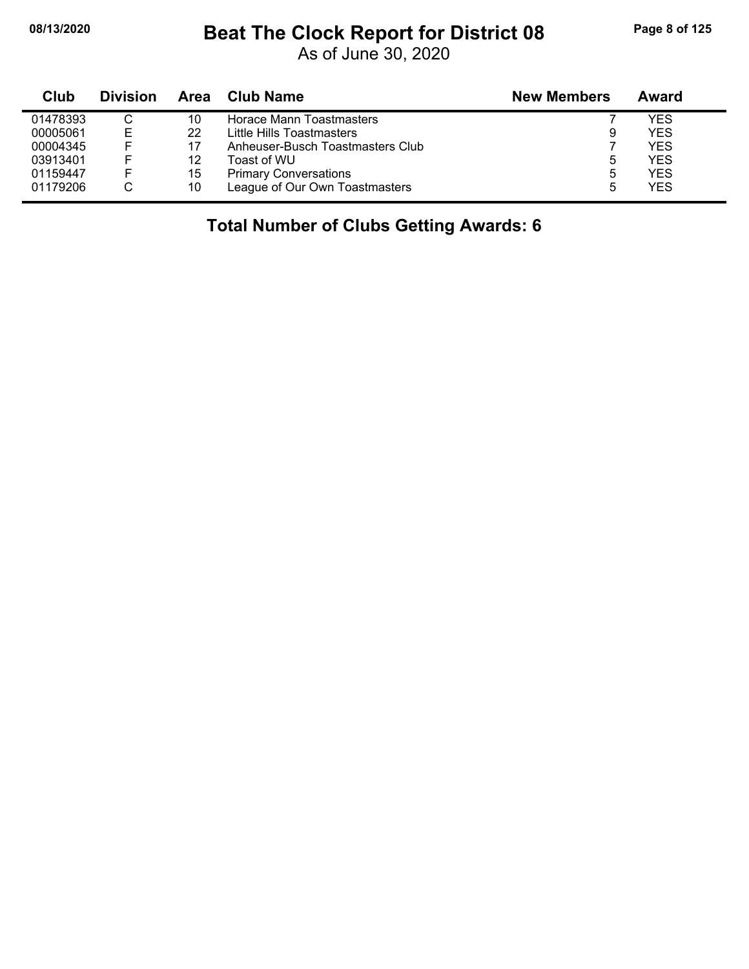## **08/13/2020 Beat The Clock Report for District 08 Page 8 of 125**

As of June 30, 2020

| Club     | <b>Division</b> | <b>Area</b> | Club Name                        | <b>New Members</b> | Award      |
|----------|-----------------|-------------|----------------------------------|--------------------|------------|
| 01478393 |                 | 10          | Horace Mann Toastmasters         |                    | YES        |
| 00005061 | Е               | 22          | Little Hills Toastmasters        | 9                  | YES        |
| 00004345 |                 | 17          | Anheuser-Busch Toastmasters Club |                    | YES        |
| 03913401 |                 | 12          | Toast of WU                      | ა                  | YES        |
| 01159447 |                 | 15          | <b>Primary Conversations</b>     | 5                  | YES        |
| 01179206 |                 | 10          | League of Our Own Toastmasters   | 5                  | <b>YES</b> |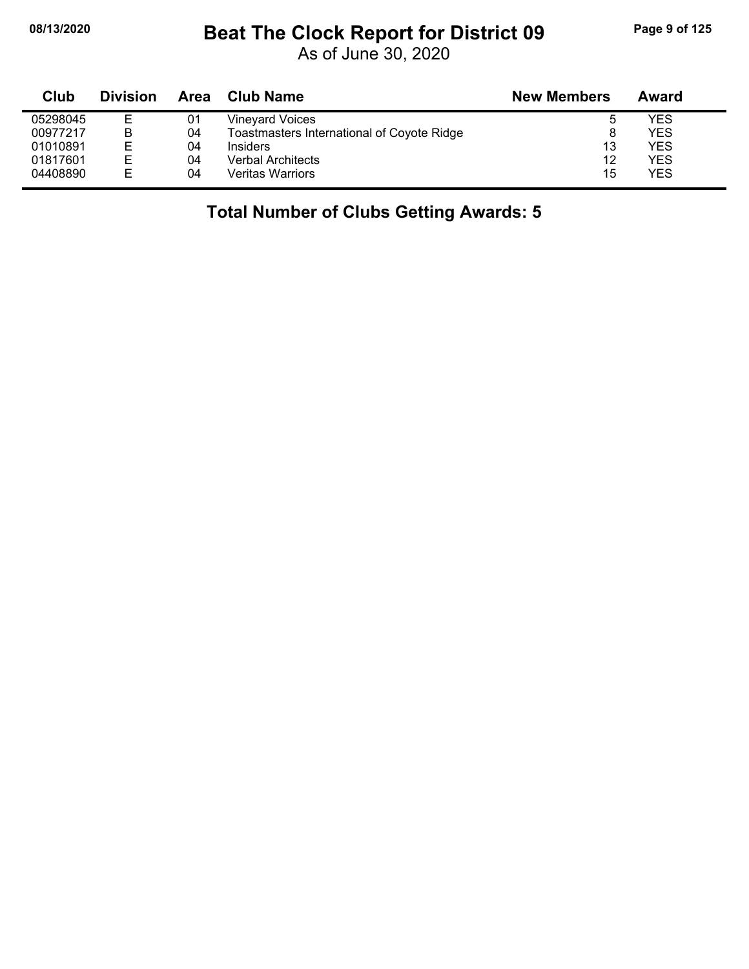# **08/13/2020 Beat The Clock Report for District 09 Page 9 of 125**

As of June 30, 2020

| Club     | <b>Division</b> | Area | <b>Club Name</b>                           | <b>New Members</b> | Award      |
|----------|-----------------|------|--------------------------------------------|--------------------|------------|
| 05298045 | Е               | 01   | <b>Vineyard Voices</b>                     |                    | <b>YES</b> |
| 00977217 | B               | 04   | Toastmasters International of Coyote Ridge |                    | <b>YES</b> |
| 01010891 | Е               | 04   | Insiders                                   | 13                 | <b>YES</b> |
| 01817601 | Е               | 04   | <b>Verbal Architects</b>                   | 12                 | <b>YES</b> |
| 04408890 | Е               | 04   | <b>Veritas Warriors</b>                    | 15                 | <b>YES</b> |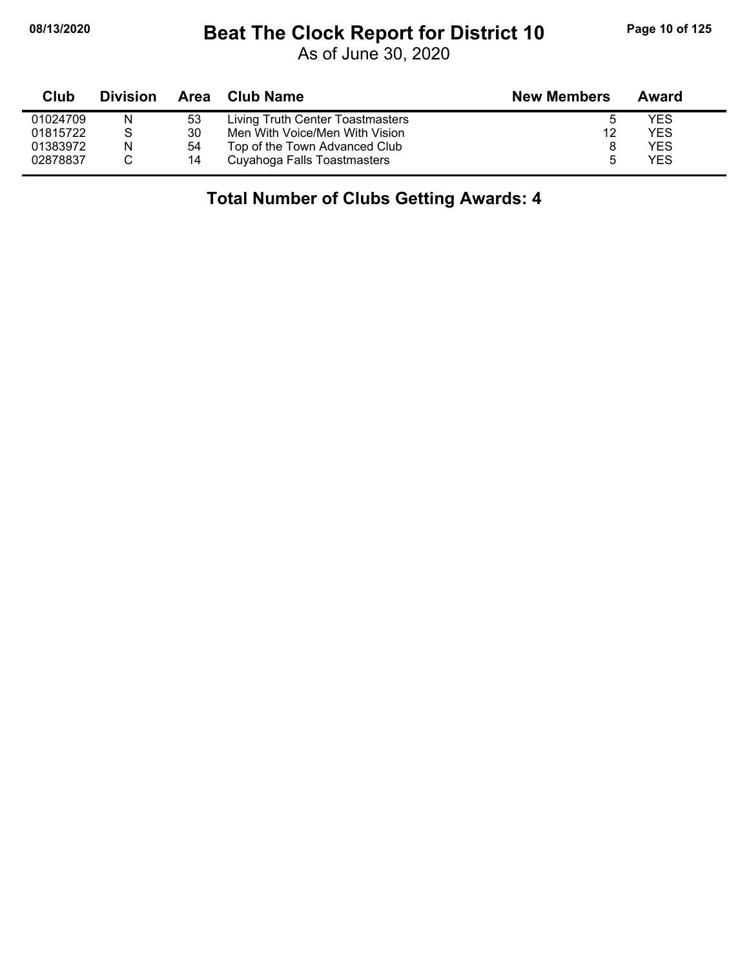# **08/13/2020 Beat The Clock Report for District 10 Page 10 of 125**

As of June 30, 2020

| Club     | <b>Division</b> |    | Area Club Name                   | <b>New Members</b> | Award |
|----------|-----------------|----|----------------------------------|--------------------|-------|
| 01024709 | N               | 53 | Living Truth Center Toastmasters |                    | YES   |
| 01815722 | S               | 30 | Men With Voice/Men With Vision   | 12                 | YES   |
| 01383972 | N               | 54 | Top of the Town Advanced Club    |                    | YES   |
| 02878837 |                 | 14 | Cuyahoga Falls Toastmasters      |                    | YES   |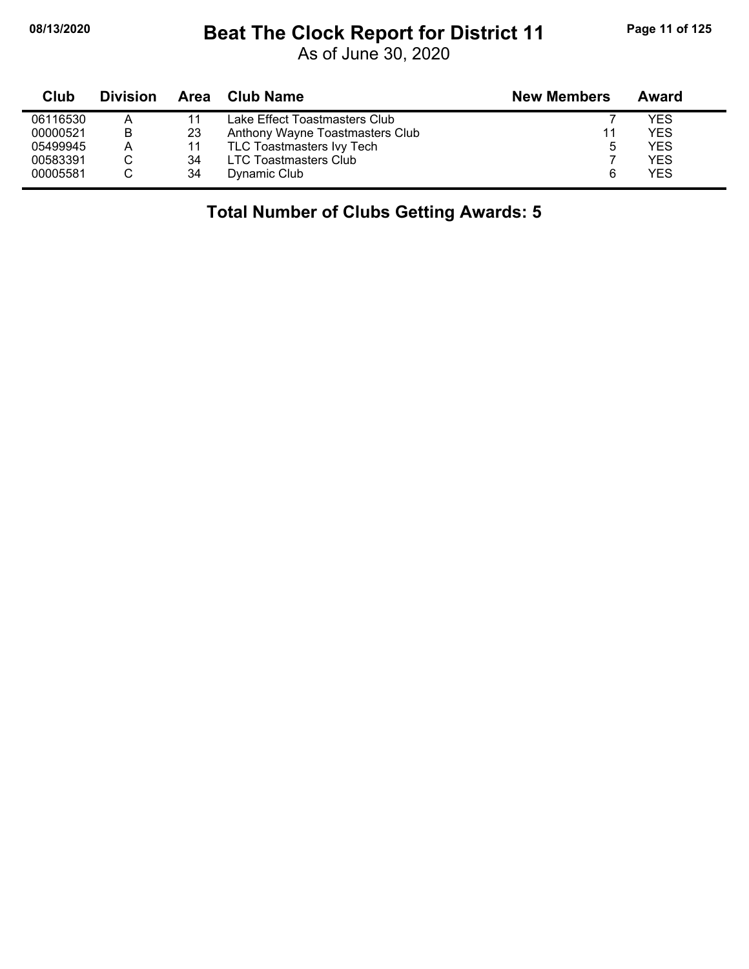# **08/13/2020 Beat The Clock Report for District 11 Page 11 of 125**

As of June 30, 2020

| Club     | <b>Division</b> |    | Area Club Name                  | <b>New Members</b> | Award      |
|----------|-----------------|----|---------------------------------|--------------------|------------|
| 06116530 | А               |    | Lake Effect Toastmasters Club   |                    | YES        |
| 00000521 | в               | 23 | Anthony Wayne Toastmasters Club | 11                 | <b>YES</b> |
| 05499945 | Α               | 11 | TLC Toastmasters Ivy Tech       |                    | <b>YES</b> |
| 00583391 |                 | 34 | LTC Toastmasters Club           |                    | <b>YES</b> |
| 00005581 |                 | 34 | Dynamic Club                    |                    | <b>YES</b> |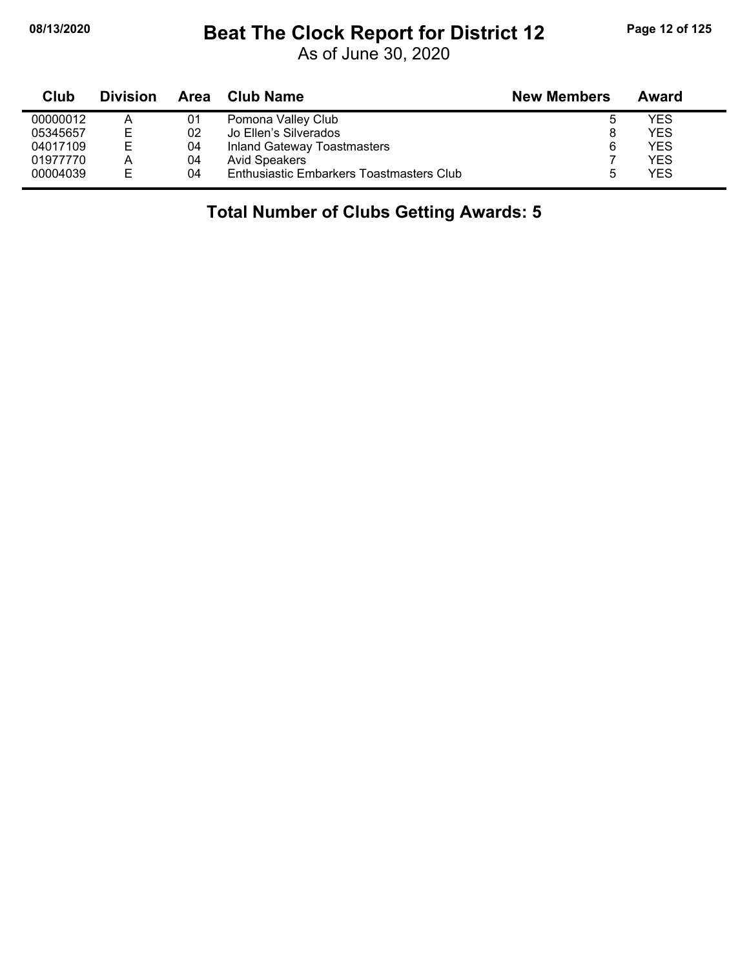# **08/13/2020 Beat The Clock Report for District 12 Page 12 of 125**

As of June 30, 2020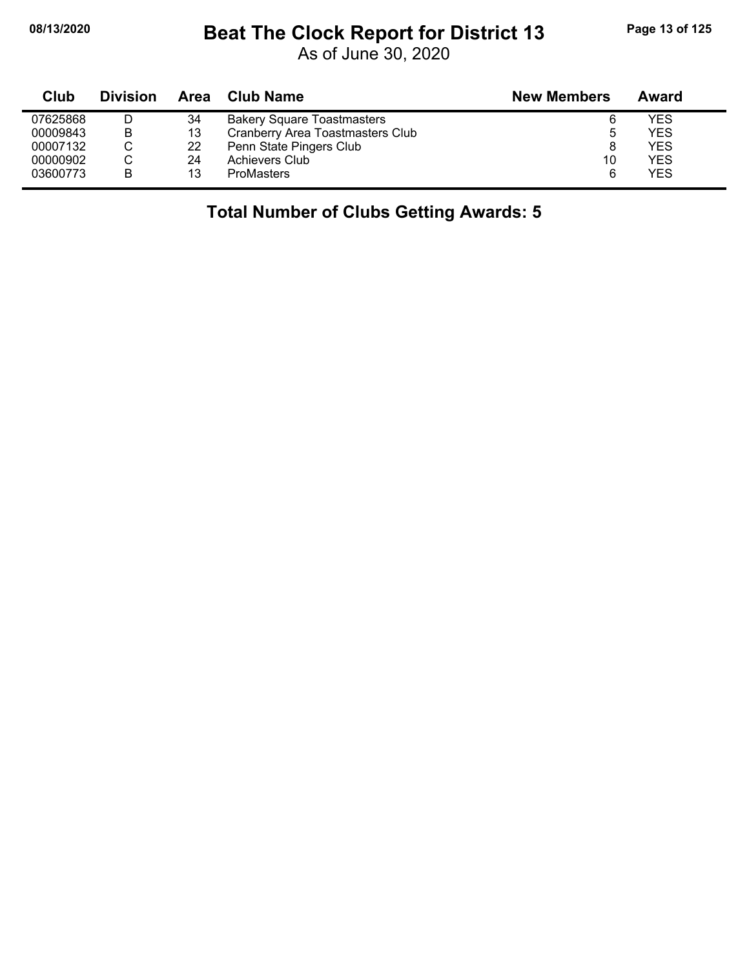# **08/13/2020 Beat The Clock Report for District 13 Page 13 of 125**

As of June 30, 2020

| Club     | <b>Division</b> | Area | <b>Club Name</b>                  | <b>New Members</b> | Award      |
|----------|-----------------|------|-----------------------------------|--------------------|------------|
| 07625868 | D               | 34   | <b>Bakery Square Toastmasters</b> |                    | YES        |
| 00009843 | В               | 13   | Cranberry Area Toastmasters Club  |                    | <b>YES</b> |
| 00007132 | C               | 22   | Penn State Pingers Club           |                    | <b>YES</b> |
| 00000902 | С               | 24   | Achievers Club                    | 10                 | <b>YES</b> |
| 03600773 | B               | 13   | <b>ProMasters</b>                 | 6                  | <b>YES</b> |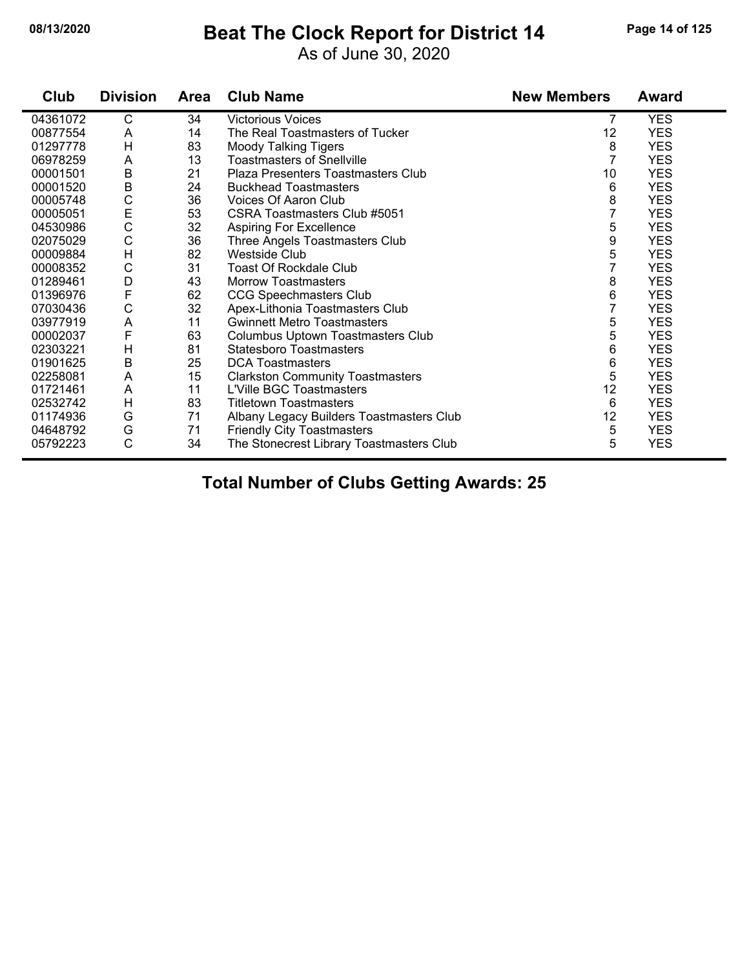#### **08/13/2020 Beat The Clock Report for District 14 Page 14 of 125**

As of June 30, 2020

| Club     | <b>Division</b> | <b>Area</b> | <b>Club Name</b>                         | <b>New Members</b> | <b>Award</b> |
|----------|-----------------|-------------|------------------------------------------|--------------------|--------------|
| 04361072 | C               | 34          | <b>Victorious Voices</b>                 | 7                  | <b>YES</b>   |
| 00877554 | A               | 14          | The Real Toastmasters of Tucker          | 12                 | <b>YES</b>   |
| 01297778 | H               | 83          | <b>Moody Talking Tigers</b>              | 8                  | <b>YES</b>   |
| 06978259 | A               | 13          | <b>Toastmasters of Snellville</b>        | $\overline{7}$     | <b>YES</b>   |
| 00001501 | $\sf B$         | 21          | Plaza Presenters Toastmasters Club       | 10                 | <b>YES</b>   |
| 00001520 | B               | 24          | <b>Buckhead Toastmasters</b>             | 6                  | <b>YES</b>   |
| 00005748 | C               | 36          | Voices Of Aaron Club                     | 8                  | <b>YES</b>   |
| 00005051 | E<br>C          | 53          | CSRA Toastmasters Club #5051             | $\overline{7}$     | <b>YES</b>   |
| 04530986 |                 | 32          | <b>Aspiring For Excellence</b>           | 5                  | <b>YES</b>   |
| 02075029 | C               | 36          | Three Angels Toastmasters Club           | 9                  | <b>YES</b>   |
| 00009884 | H               | 82          | <b>Westside Club</b>                     | 5                  | <b>YES</b>   |
| 00008352 | C               | 31          | <b>Toast Of Rockdale Club</b>            | $\overline{7}$     | <b>YES</b>   |
| 01289461 | D               | 43          | <b>Morrow Toastmasters</b>               | 8                  | <b>YES</b>   |
| 01396976 | F               | 62          | <b>CCG Speechmasters Club</b>            | 6                  | <b>YES</b>   |
| 07030436 | C               | 32          | Apex-Lithonia Toastmasters Club          | $\overline{7}$     | <b>YES</b>   |
| 03977919 | A               | 11          | <b>Gwinnett Metro Toastmasters</b>       | 5                  | <b>YES</b>   |
| 00002037 | F               | 63          | Columbus Uptown Toastmasters Club        | 5                  | <b>YES</b>   |
| 02303221 | H               | 81          | <b>Statesboro Toastmasters</b>           | 6                  | <b>YES</b>   |
| 01901625 | B               | 25          | <b>DCA Toastmasters</b>                  | 6                  | <b>YES</b>   |
| 02258081 | A               | 15          | <b>Clarkston Community Toastmasters</b>  | 5                  | <b>YES</b>   |
| 01721461 | A               | 11          | L'Ville BGC Toastmasters                 | 12                 | <b>YES</b>   |
| 02532742 | H               | 83          | <b>Titletown Toastmasters</b>            | 6                  | <b>YES</b>   |
| 01174936 | G               | 71          | Albany Legacy Builders Toastmasters Club | 12                 | <b>YES</b>   |
| 04648792 | G               | 71          | <b>Friendly City Toastmasters</b>        | 5                  | <b>YES</b>   |
| 05792223 | Ċ               | 34          | The Stonecrest Library Toastmasters Club | 5                  | <b>YES</b>   |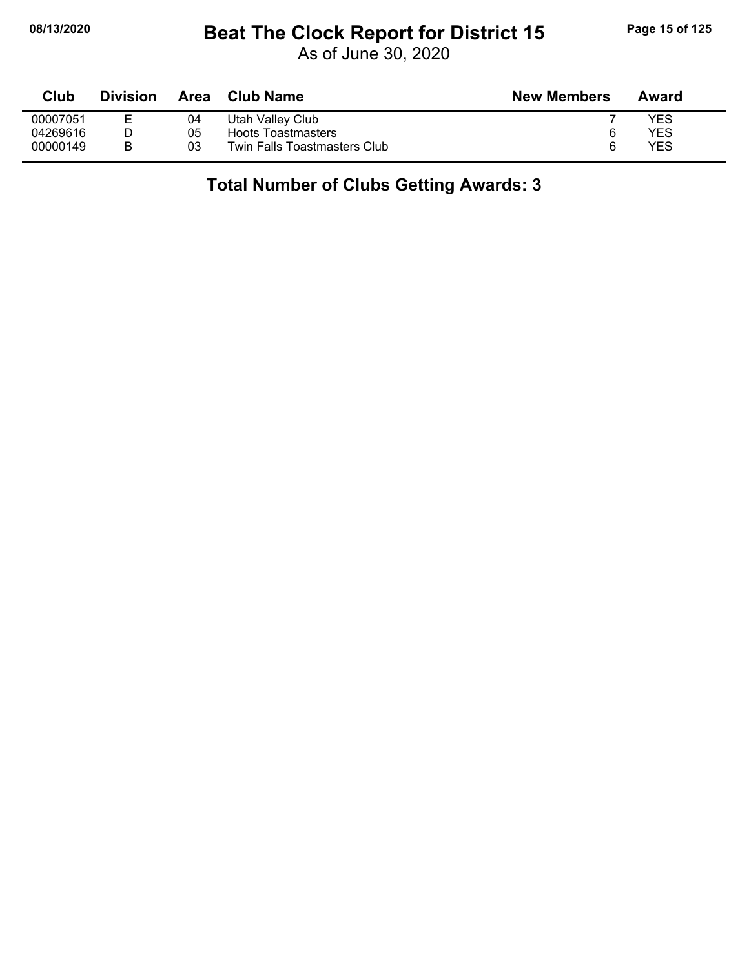# **08/13/2020 Beat The Clock Report for District 15 Page 15 of 125**

As of June 30, 2020

| Club     | <b>Division</b> | <b>Area</b> | <b>Club Name</b>             | <b>New Members</b> | Award |
|----------|-----------------|-------------|------------------------------|--------------------|-------|
| 00007051 |                 | 04          | Utah Valley Club             |                    | YES   |
| 04269616 |                 | 05          | <b>Hoots Toastmasters</b>    | 6                  | YES   |
| 00000149 |                 | 03          | Twin Falls Toastmasters Club | ี                  | YES   |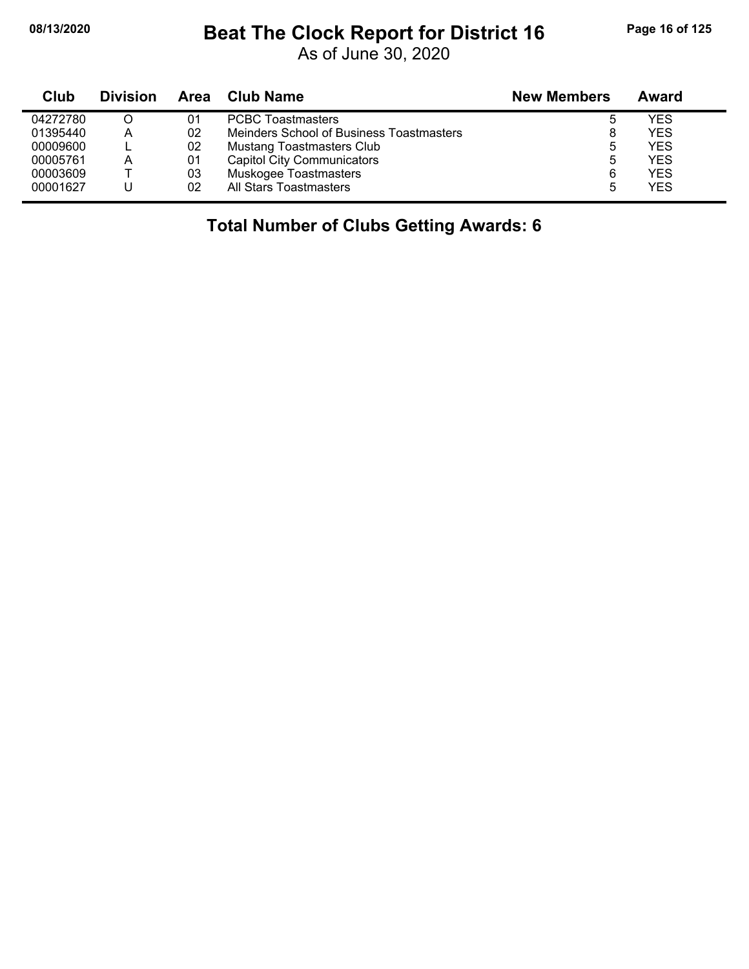# **08/13/2020 Beat The Clock Report for District 16 Page 16 of 125**

As of June 30, 2020

| <b>Club</b> | <b>Division</b> | Area | <b>Club Name</b>                         | <b>New Members</b> | Award      |
|-------------|-----------------|------|------------------------------------------|--------------------|------------|
| 04272780    |                 | 01   | <b>PCBC Toastmasters</b>                 | ხ                  | <b>YES</b> |
| 01395440    | А               | 02   | Meinders School of Business Toastmasters | 8                  | <b>YES</b> |
| 00009600    |                 | 02   | <b>Mustang Toastmasters Club</b>         | 5                  | <b>YES</b> |
| 00005761    | A               | 01   | <b>Capitol City Communicators</b>        | 5                  | <b>YES</b> |
| 00003609    |                 | 03   | Muskogee Toastmasters                    | 6                  | <b>YES</b> |
| 00001627    |                 | 02   | All Stars Toastmasters                   | 5                  | <b>YES</b> |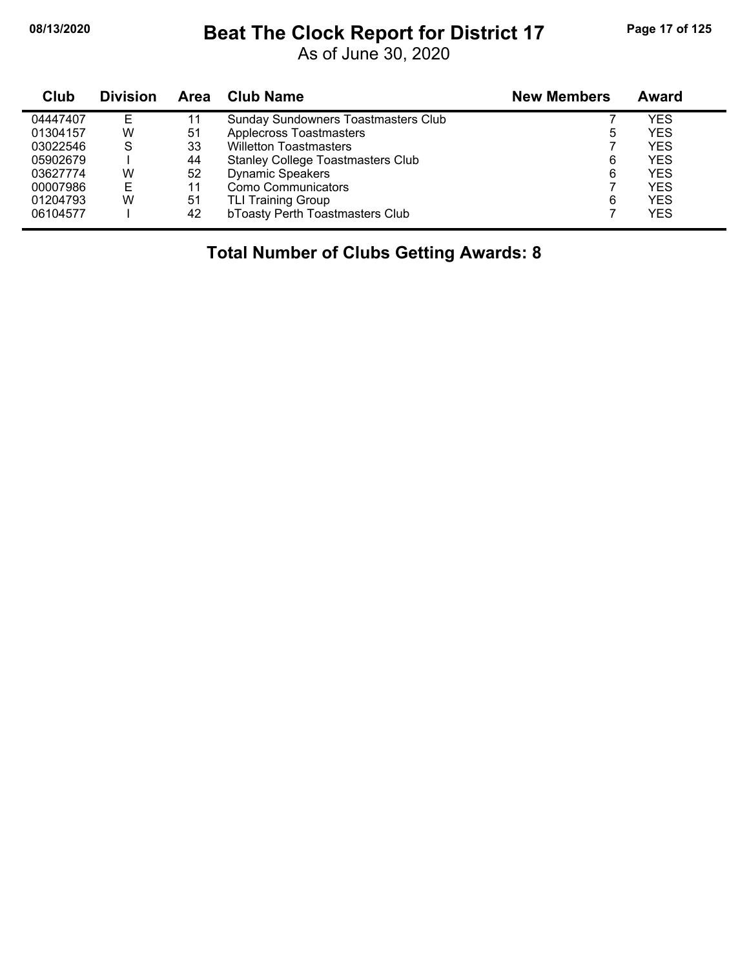# **08/13/2020 Beat The Clock Report for District 17 Page 17 of 125**

As of June 30, 2020

| Club     | <b>Division</b> | Area | <b>Club Name</b>                           | <b>New Members</b> | <b>Award</b> |
|----------|-----------------|------|--------------------------------------------|--------------------|--------------|
| 04447407 | E               | 11   | <b>Sunday Sundowners Toastmasters Club</b> |                    | YES          |
| 01304157 | W               | 51   | <b>Applecross Toastmasters</b>             | 5                  | YES          |
| 03022546 | S               | 33   | <b>Willetton Toastmasters</b>              |                    | <b>YES</b>   |
| 05902679 |                 | 44   | <b>Stanley College Toastmasters Club</b>   | 6                  | <b>YES</b>   |
| 03627774 | W               | 52   | <b>Dynamic Speakers</b>                    | 6                  | <b>YES</b>   |
| 00007986 | Е               | 11   | Como Communicators                         |                    | <b>YES</b>   |
| 01204793 | W               | 51   | <b>TLI Training Group</b>                  | 6                  | <b>YES</b>   |
| 06104577 |                 | 42   | bToasty Perth Toastmasters Club            |                    | <b>YES</b>   |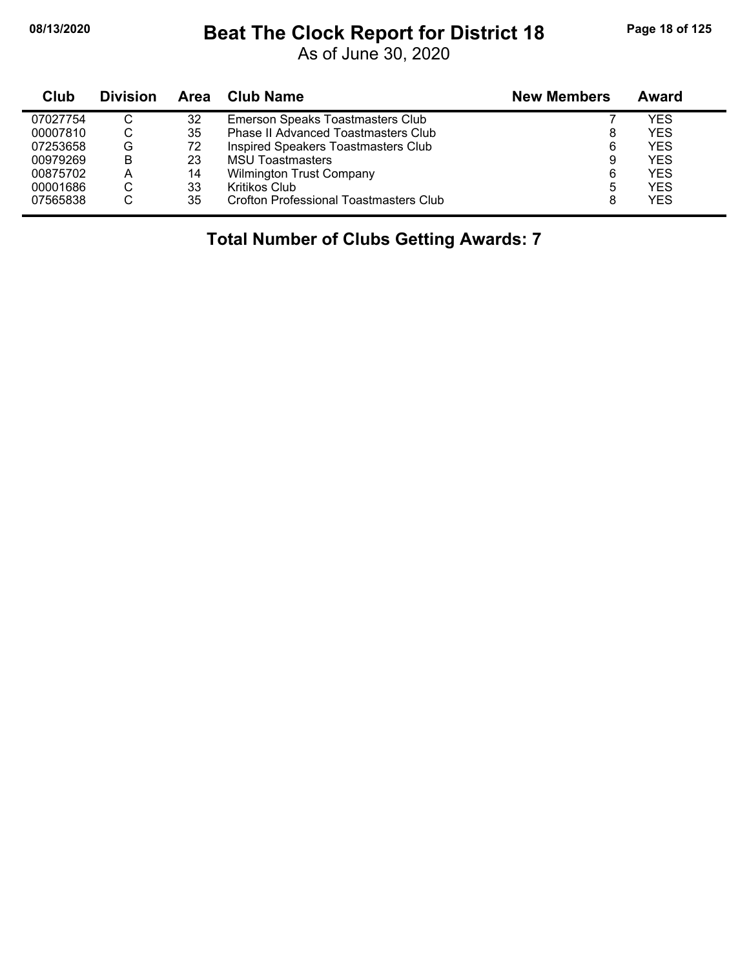# **08/13/2020 Beat The Clock Report for District 18 Page 18 of 125**

As of June 30, 2020

| Club     | <b>Division</b> | Area | <b>Club Name</b>                              | <b>New Members</b> | Award      |
|----------|-----------------|------|-----------------------------------------------|--------------------|------------|
| 07027754 | C               | 32   | Emerson Speaks Toastmasters Club              |                    | YES        |
| 00007810 | С               | 35   | <b>Phase II Advanced Toastmasters Club</b>    | 8                  | <b>YES</b> |
| 07253658 | G               | 72   | Inspired Speakers Toastmasters Club           | 6                  | <b>YES</b> |
| 00979269 | B               | 23   | <b>MSU Toastmasters</b>                       | 9                  | <b>YES</b> |
| 00875702 | A               | 14   | <b>Wilmington Trust Company</b>               | 6                  | <b>YES</b> |
| 00001686 | С               | 33   | Kritikos Club                                 | 5                  | <b>YES</b> |
| 07565838 | С               | 35   | <b>Crofton Professional Toastmasters Club</b> | 8                  | <b>YES</b> |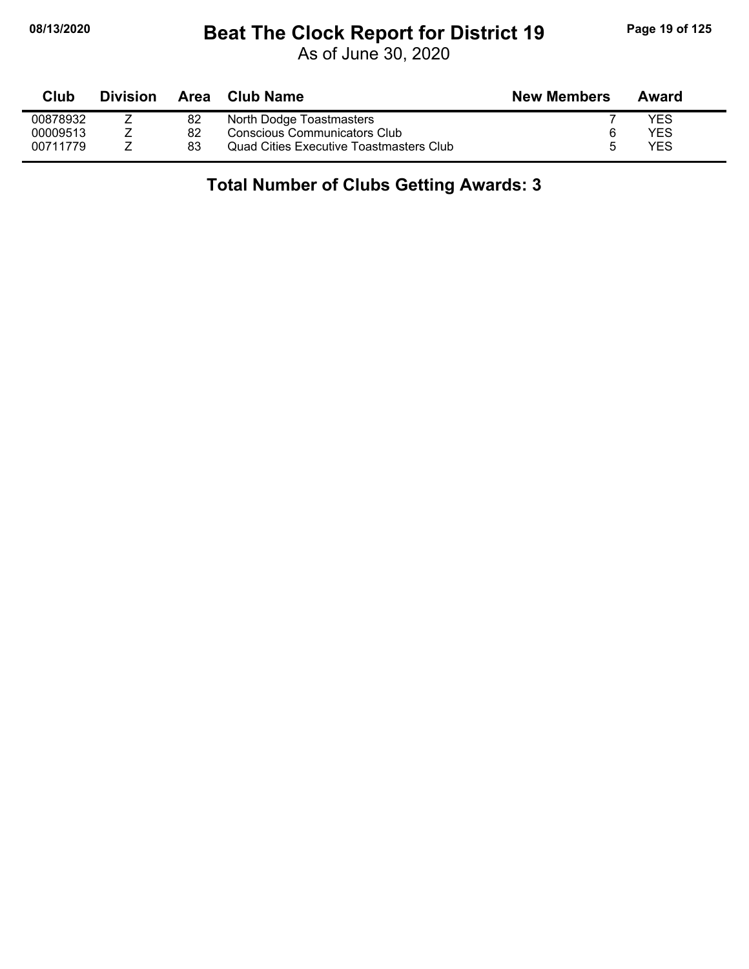# **08/13/2020 Beat The Clock Report for District 19 Page 19 of 125**

As of June 30, 2020

| Club     | <b>Division</b> |    | Area Club Name                                 | <b>New Members</b> | Award |
|----------|-----------------|----|------------------------------------------------|--------------------|-------|
| 00878932 |                 | 82 | North Dodge Toastmasters                       |                    | YES   |
| 00009513 |                 | 82 | Conscious Communicators Club                   |                    | YES   |
| 00711779 |                 | 83 | <b>Quad Cities Executive Toastmasters Club</b> |                    | YES   |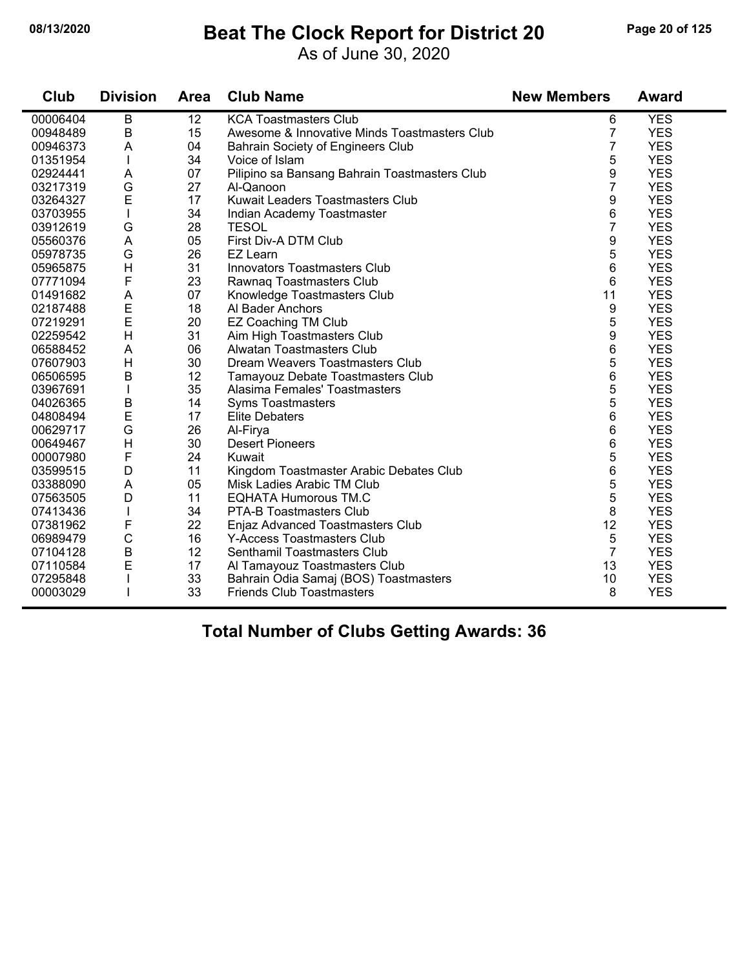# **08/13/2020 Beat The Clock Report for District 20 Page 20 of 125**

As of June 30, 2020

| Club     | <b>Division</b> | <b>Area</b> | <b>Club Name</b>                              | <b>New Members</b> | <b>Award</b> |
|----------|-----------------|-------------|-----------------------------------------------|--------------------|--------------|
| 00006404 | B               | 12          | <b>KCA Toastmasters Club</b>                  | 6                  | <b>YES</b>   |
| 00948489 | $\sf B$         | 15          | Awesome & Innovative Minds Toastmasters Club  | $\overline{7}$     | <b>YES</b>   |
| 00946373 | A               | 04          | Bahrain Society of Engineers Club             | 7                  | <b>YES</b>   |
| 01351954 |                 | 34          | Voice of Islam                                | 5                  | <b>YES</b>   |
| 02924441 | A               | 07          | Pilipino sa Bansang Bahrain Toastmasters Club | 9                  | <b>YES</b>   |
| 03217319 | G               | 27          | Al-Qanoon                                     | 7                  | <b>YES</b>   |
| 03264327 | E               | 17          | Kuwait Leaders Toastmasters Club              | 9                  | <b>YES</b>   |
| 03703955 | $\mathbf{I}$    | 34          | Indian Academy Toastmaster                    | 6                  | <b>YES</b>   |
| 03912619 | G               | 28          | <b>TESOL</b>                                  | $\overline{7}$     | <b>YES</b>   |
| 05560376 | A               | 05          | First Div-A DTM Club                          | 9                  | <b>YES</b>   |
| 05978735 | G               | 26          | EZ Learn                                      | 5                  | <b>YES</b>   |
| 05965875 | $\mathsf{H}$    | 31          | <b>Innovators Toastmasters Club</b>           | 6                  | <b>YES</b>   |
| 07771094 | F               | 23          | Rawnaq Toastmasters Club                      | 6                  | <b>YES</b>   |
| 01491682 | A               | 07          | Knowledge Toastmasters Club                   | 11                 | <b>YES</b>   |
| 02187488 | E               | 18          | Al Bader Anchors                              | 9                  | <b>YES</b>   |
| 07219291 | E               | 20          | <b>EZ Coaching TM Club</b>                    | 5                  | <b>YES</b>   |
| 02259542 | $\overline{H}$  | 31          | Aim High Toastmasters Club                    | 9                  | <b>YES</b>   |
| 06588452 | $\mathsf{A}$    | 06          | Alwatan Toastmasters Club                     | 6                  | <b>YES</b>   |
| 07607903 | H               | 30          | Dream Weavers Toastmasters Club               | 5                  | <b>YES</b>   |
| 06506595 | $\sf B$         | 12          | Tamayouz Debate Toastmasters Club             | 6                  | <b>YES</b>   |
| 03967691 | $\mathbf{I}$    | 35          | Alasima Females' Toastmasters                 | 5                  | <b>YES</b>   |
| 04026365 | B               | 14          | <b>Syms Toastmasters</b>                      | 5                  | <b>YES</b>   |
| 04808494 | E               | 17          | <b>Elite Debaters</b>                         | 6                  | <b>YES</b>   |
| 00629717 | G               | 26          | Al-Firya                                      | 6                  | <b>YES</b>   |
| 00649467 | H               | 30          | <b>Desert Pioneers</b>                        | 6                  | <b>YES</b>   |
| 00007980 | F               | 24          | Kuwait                                        | 5                  | <b>YES</b>   |
| 03599515 | D               | 11          | Kingdom Toastmaster Arabic Debates Club       | 6                  | <b>YES</b>   |
| 03388090 | A               | 05          | Misk Ladies Arabic TM Club                    | 5                  | <b>YES</b>   |
| 07563505 | D               | 11          | <b>EQHATA Humorous TM.C</b>                   | 5                  | <b>YES</b>   |
| 07413436 | $\mathbf{I}$    | 34          | <b>PTA-B Toastmasters Club</b>                | 8                  | <b>YES</b>   |
| 07381962 | F               | 22          | Enjaz Advanced Toastmasters Club              | 12                 | <b>YES</b>   |
| 06989479 | $\mathsf C$     | 16          | Y-Access Toastmasters Club                    | 5                  | <b>YES</b>   |
| 07104128 | B               | 12          | Senthamil Toastmasters Club                   | $\overline{7}$     | <b>YES</b>   |
| 07110584 | E               | 17          | Al Tamayouz Toastmasters Club                 | 13                 | <b>YES</b>   |
| 07295848 |                 | 33          | Bahrain Odia Samaj (BOS) Toastmasters         | 10                 | <b>YES</b>   |
| 00003029 |                 | 33          | <b>Friends Club Toastmasters</b>              | 8                  | <b>YES</b>   |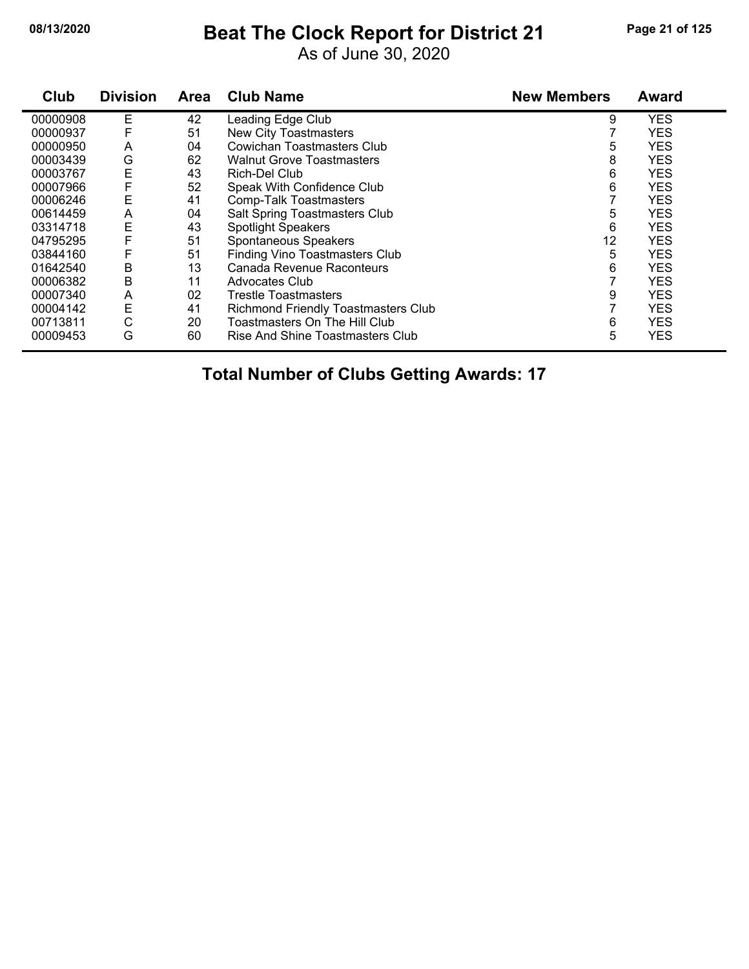# **08/13/2020 Beat The Clock Report for District 21 Page 21 of 125**

As of June 30, 2020

| Club     | <b>Division</b> | <b>Area</b> | <b>Club Name</b>                           | <b>New Members</b> | <b>Award</b> |
|----------|-----------------|-------------|--------------------------------------------|--------------------|--------------|
| 00000908 | E               | 42          | Leading Edge Club                          | 9                  | <b>YES</b>   |
| 00000937 |                 | 51          | <b>New City Toastmasters</b>               |                    | <b>YES</b>   |
| 00000950 | A               | 04          | Cowichan Toastmasters Club                 | 5                  | <b>YES</b>   |
| 00003439 | G               | 62          | <b>Walnut Grove Toastmasters</b>           | 8                  | <b>YES</b>   |
| 00003767 | E               | 43          | Rich-Del Club                              | 6                  | <b>YES</b>   |
| 00007966 | F               | 52          | Speak With Confidence Club                 | 6                  | <b>YES</b>   |
| 00006246 | Ε               | 41          | Comp-Talk Toastmasters                     |                    | <b>YES</b>   |
| 00614459 | Α               | 04          | Salt Spring Toastmasters Club              | 5                  | <b>YES</b>   |
| 03314718 | Е               | 43          | <b>Spotlight Speakers</b>                  | 6                  | <b>YES</b>   |
| 04795295 |                 | 51          | Spontaneous Speakers                       | 12                 | <b>YES</b>   |
| 03844160 | F               | 51          | <b>Finding Vino Toastmasters Club</b>      | 5                  | <b>YES</b>   |
| 01642540 | B               | 13          | Canada Revenue Raconteurs                  | 6                  | <b>YES</b>   |
| 00006382 | B               | 11          | <b>Advocates Club</b>                      |                    | <b>YES</b>   |
| 00007340 | A               | 02          | <b>Trestle Toastmasters</b>                | 9                  | <b>YES</b>   |
| 00004142 | E               | 41          | <b>Richmond Friendly Toastmasters Club</b> |                    | <b>YES</b>   |
| 00713811 | С               | 20          | Toastmasters On The Hill Club              | 6                  | <b>YES</b>   |
| 00009453 | G               | 60          | Rise And Shine Toastmasters Club           | 5                  | <b>YES</b>   |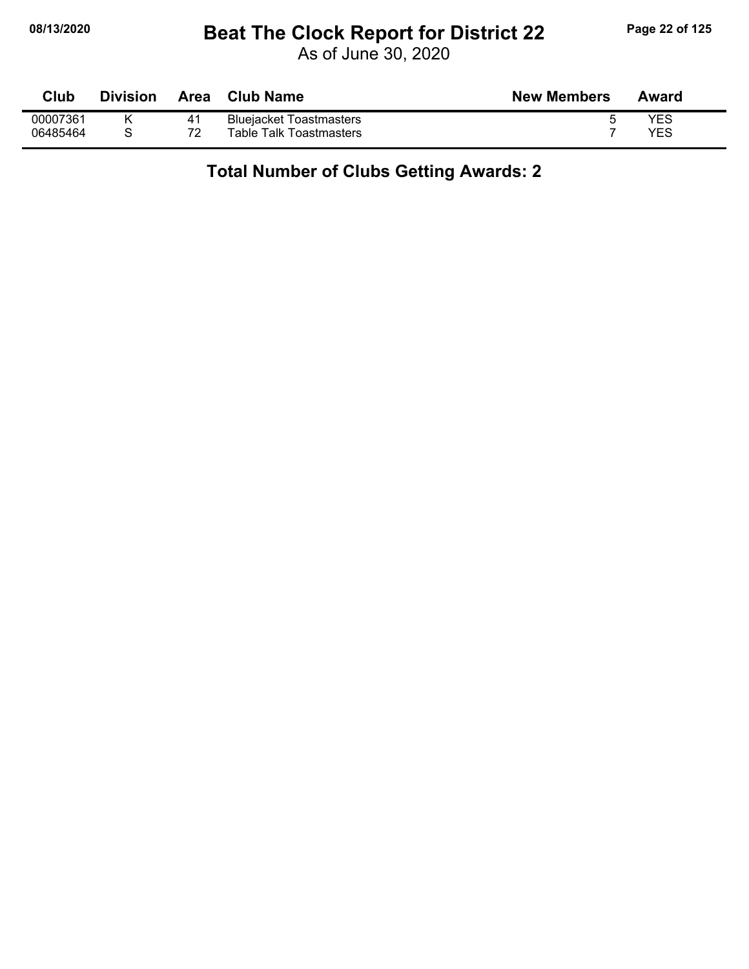# **08/13/2020 Beat The Clock Report for District 22 Page 22 of 125**

As of June 30, 2020

| <b>Club</b> | Division | Area | <b>Club Name</b>               | <b>New Members</b> | Award |
|-------------|----------|------|--------------------------------|--------------------|-------|
| 00007361    |          | 41   | <b>Bluejacket Toastmasters</b> |                    | YES   |
| 06485464    |          | 72   | Table Talk Toastmasters        |                    | YES   |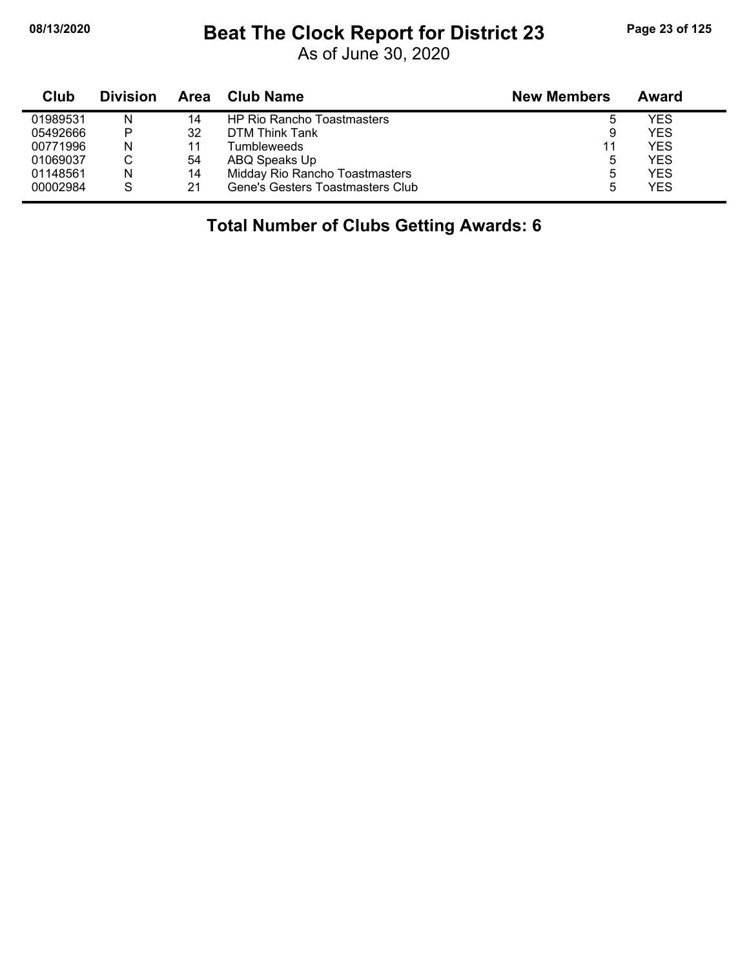# **08/13/2020 Beat The Clock Report for District 23 Page 23 of 125**

As of June 30, 2020

| Club     | <b>Division</b> | Area | Club Name                         | <b>New Members</b> | Award      |
|----------|-----------------|------|-----------------------------------|--------------------|------------|
| 01989531 | N               | 14   | <b>HP Rio Rancho Toastmasters</b> |                    | <b>YES</b> |
| 05492666 | P               | 32   | DTM Think Tank                    |                    | <b>YES</b> |
| 00771996 | N               | 11   | Tumbleweeds                       | 11                 | <b>YES</b> |
| 01069037 |                 | 54   | ABQ Speaks Up                     |                    | <b>YES</b> |
| 01148561 | Ν               | 14   | Midday Rio Rancho Toastmasters    |                    | <b>YES</b> |
| 00002984 | S               | 21   | Gene's Gesters Toastmasters Club  |                    | <b>YES</b> |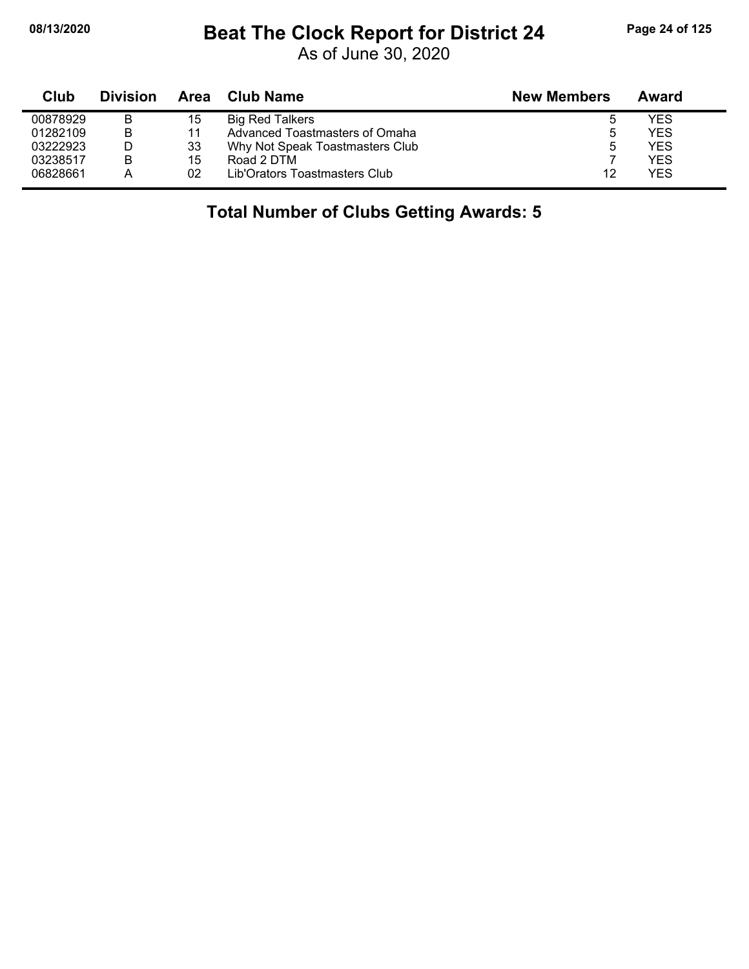# **08/13/2020 Beat The Clock Report for District 24 Page 24 of 125**

As of June 30, 2020

| Club     | <b>Division</b> | Area | <b>Club Name</b>                | <b>New Members</b> | Award |
|----------|-----------------|------|---------------------------------|--------------------|-------|
| 00878929 | B               | 15   | <b>Big Red Talkers</b>          | 5                  | YES   |
| 01282109 | B               | 11   | Advanced Toastmasters of Omaha  | b                  | YES   |
| 03222923 |                 | 33   | Why Not Speak Toastmasters Club | 5                  | YES   |
| 03238517 | B               | 15   | Road 2 DTM                      |                    | YES   |
| 06828661 | А               | 02   | Lib'Orators Toastmasters Club   | 12                 | YES   |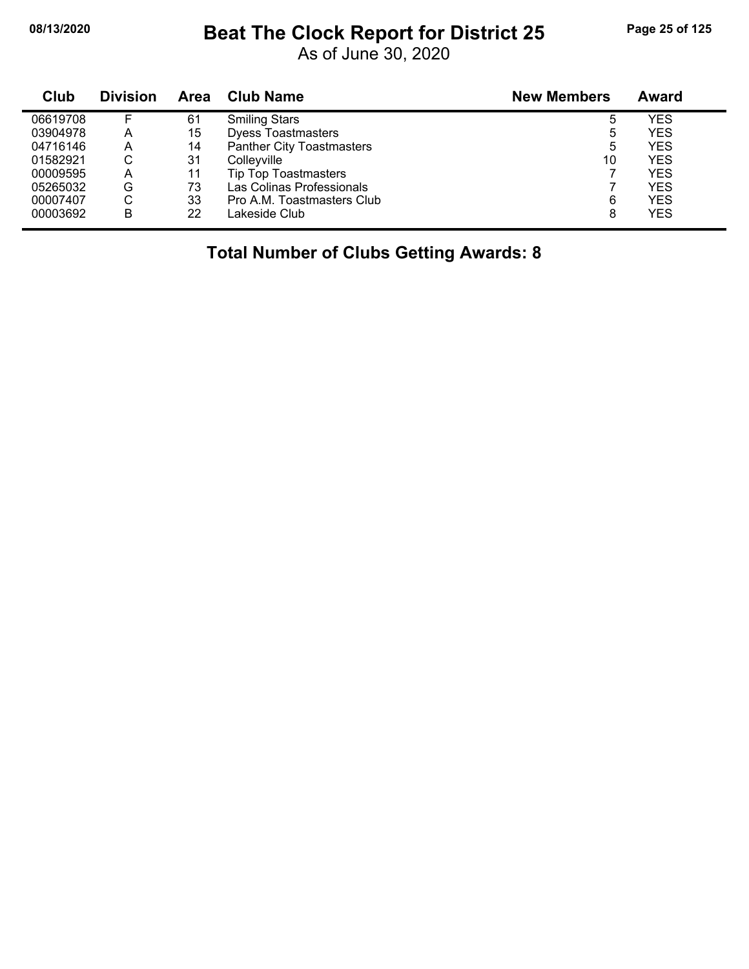## **08/13/2020 Beat The Clock Report for District 25 Page 25 of 125**

As of June 30, 2020

| Club     | <b>Division</b> | Area | <b>Club Name</b>                 | <b>New Members</b> | Award      |
|----------|-----------------|------|----------------------------------|--------------------|------------|
| 06619708 |                 | 61   | <b>Smiling Stars</b>             | 5                  | YES        |
| 03904978 | А               | 15   | <b>Dyess Toastmasters</b>        | 5                  | <b>YES</b> |
| 04716146 | A               | 14   | <b>Panther City Toastmasters</b> | 5                  | <b>YES</b> |
| 01582921 | С               | 31   | Colleyville                      | 10                 | <b>YES</b> |
| 00009595 | A               | 11   | <b>Tip Top Toastmasters</b>      |                    | <b>YES</b> |
| 05265032 | G               | 73   | Las Colinas Professionals        |                    | YES        |
| 00007407 | С               | 33   | Pro A.M. Toastmasters Club       | 6                  | <b>YES</b> |
| 00003692 | В               | 22   | Lakeside Club                    | 8                  | <b>YES</b> |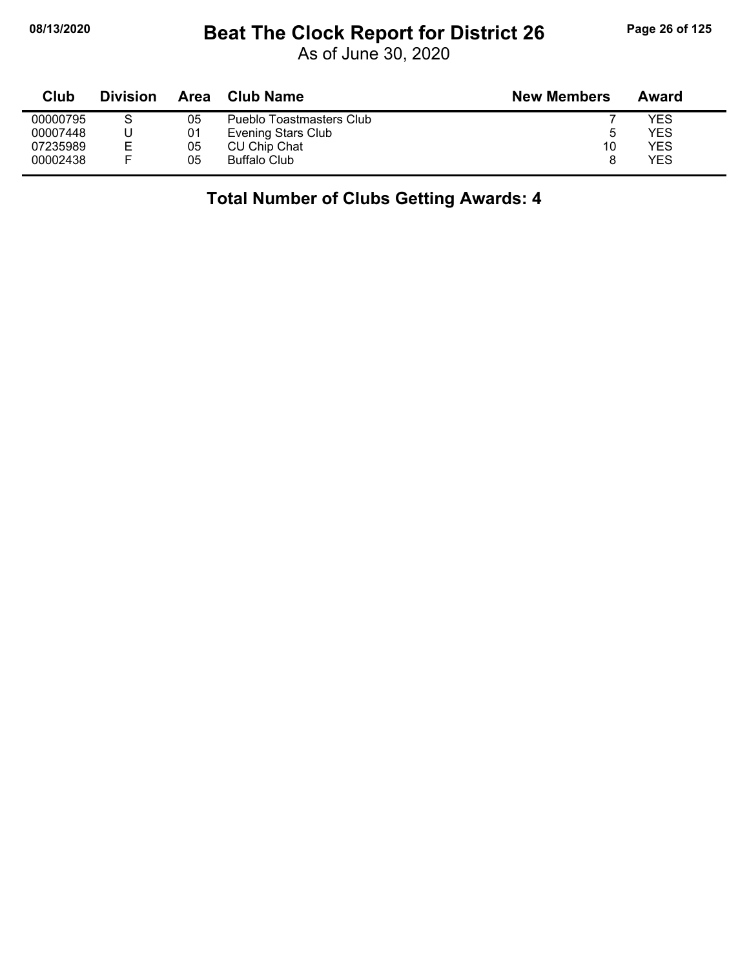# **08/13/2020 Beat The Clock Report for District 26 Page 26 of 125**

As of June 30, 2020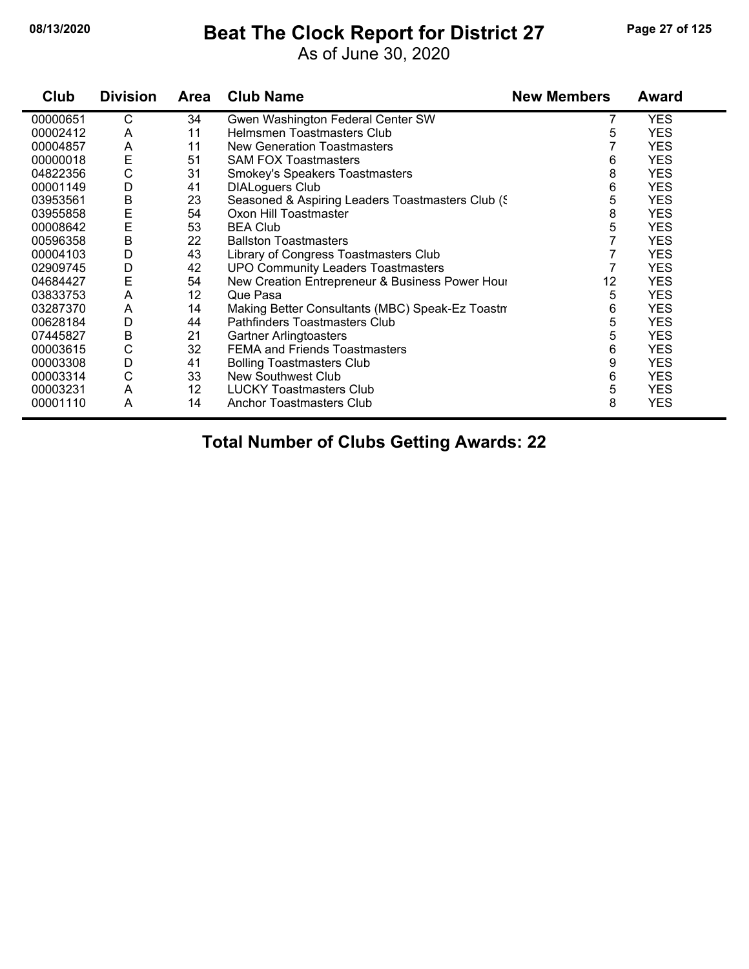#### **08/13/2020 Beat The Clock Report for District 27 Page 27 of 125**

As of June 30, 2020

| Club     | <b>Division</b> | <b>Area</b> | <b>Club Name</b>                                   | <b>New Members</b> | Award      |
|----------|-----------------|-------------|----------------------------------------------------|--------------------|------------|
| 00000651 | С               | 34          | Gwen Washington Federal Center SW                  |                    | <b>YES</b> |
| 00002412 | A               | 11          | Helmsmen Toastmasters Club                         | 5                  | <b>YES</b> |
| 00004857 | A               | 11          | New Generation Toastmasters                        |                    | <b>YES</b> |
| 00000018 | E               | 51          | <b>SAM FOX Toastmasters</b>                        | 6                  | <b>YES</b> |
| 04822356 | $\mathsf C$     | 31          | Smokey's Speakers Toastmasters                     | 8                  | <b>YES</b> |
| 00001149 | D               | 41          | <b>DIALoguers Club</b>                             | 6                  | <b>YES</b> |
| 03953561 | B               | 23          | Seasoned & Aspiring Leaders Toastmasters Club (\$) | 5                  | <b>YES</b> |
| 03955858 | E               | 54          | Oxon Hill Toastmaster                              | 8                  | <b>YES</b> |
| 00008642 | E               | 53          | <b>BEA Club</b>                                    | 5                  | <b>YES</b> |
| 00596358 | B               | 22          | <b>Ballston Toastmasters</b>                       |                    | <b>YES</b> |
| 00004103 | D               | 43          | Library of Congress Toastmasters Club              |                    | <b>YES</b> |
| 02909745 | D               | 42          | <b>UPO Community Leaders Toastmasters</b>          |                    | <b>YES</b> |
| 04684427 | E               | 54          | New Creation Entrepreneur & Business Power Hour    | 12                 | <b>YES</b> |
| 03833753 | A               | 12          | Que Pasa                                           | 5                  | <b>YES</b> |
| 03287370 | A               | 14          | Making Better Consultants (MBC) Speak-Ez Toastn    | 6                  | <b>YES</b> |
| 00628184 | D               | 44          | <b>Pathfinders Toastmasters Club</b>               | 5                  | <b>YES</b> |
| 07445827 | В               | 21          | <b>Gartner Arlingtoasters</b>                      | 5                  | <b>YES</b> |
| 00003615 | C               | 32          | <b>FEMA and Friends Toastmasters</b>               | 6                  | <b>YES</b> |
| 00003308 | D               | 41          | <b>Bolling Toastmasters Club</b>                   | 9                  | <b>YES</b> |
| 00003314 | C               | 33          | New Southwest Club                                 | 6                  | <b>YES</b> |
| 00003231 | A               | 12          | <b>LUCKY Toastmasters Club</b>                     | 5                  | <b>YES</b> |
| 00001110 | Α               | 14          | <b>Anchor Toastmasters Club</b>                    | 8                  | <b>YES</b> |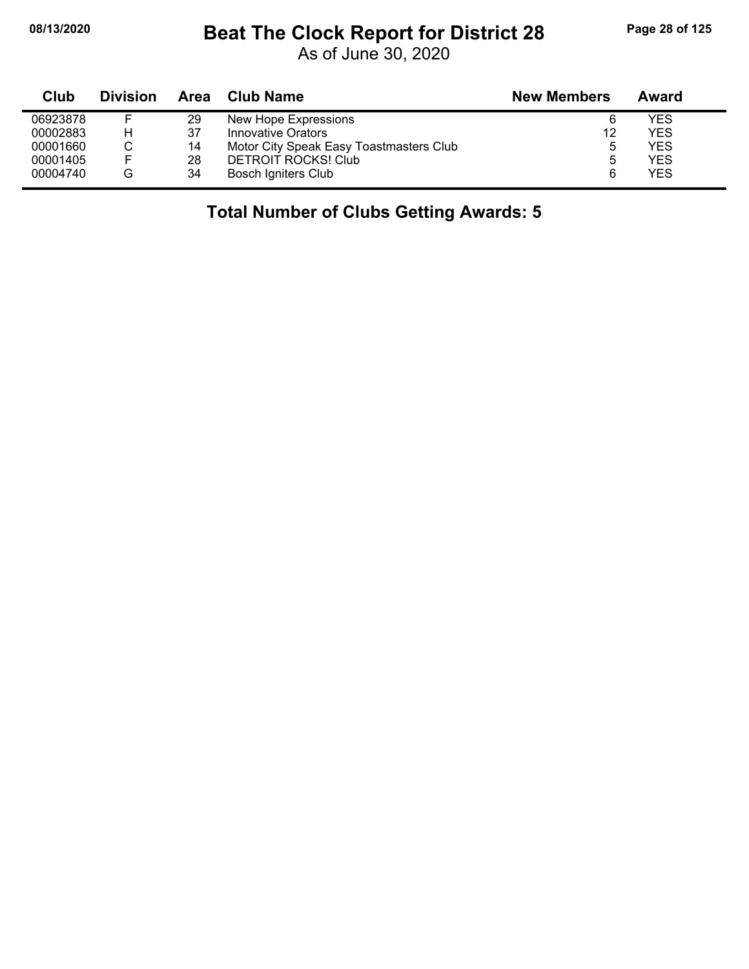# **08/13/2020 Beat The Clock Report for District 28 Page 28 of 125**

As of June 30, 2020

| Club     | <b>Division</b> | Area | <b>Club Name</b>                        | <b>New Members</b> | Award |
|----------|-----------------|------|-----------------------------------------|--------------------|-------|
| 06923878 |                 | 29   | New Hope Expressions                    | 6                  | YES.  |
| 00002883 | н               | 37   | Innovative Orators                      | 12                 | YES   |
| 00001660 |                 | 14   | Motor City Speak Easy Toastmasters Club | b                  | YES.  |
| 00001405 |                 | 28   | <b>DETROIT ROCKS! Club</b>              | b                  | YES.  |
| 00004740 | G               | 34   | <b>Bosch Igniters Club</b>              | 6                  | YES   |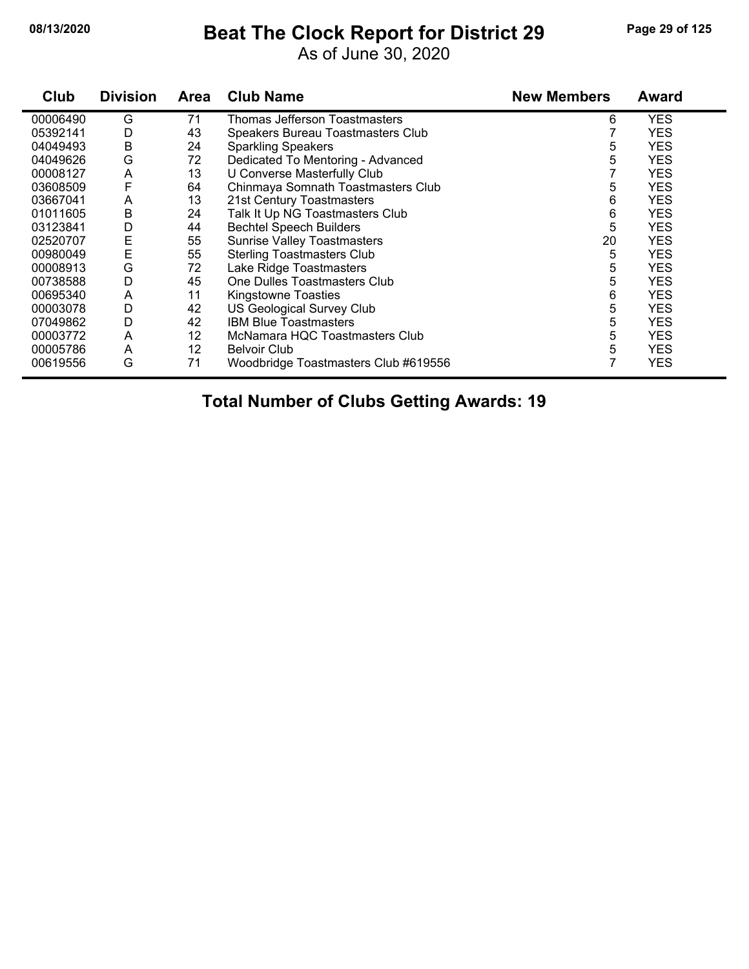#### **08/13/2020 Beat The Clock Report for District 29 Page 29 of 125**

As of June 30, 2020

| Club     | <b>Division</b> | Area | <b>Club Name</b>                     | <b>New Members</b> | <b>Award</b> |
|----------|-----------------|------|--------------------------------------|--------------------|--------------|
| 00006490 | G               | 71   | Thomas Jefferson Toastmasters        | 6                  | <b>YES</b>   |
| 05392141 | D               | 43   | Speakers Bureau Toastmasters Club    |                    | <b>YES</b>   |
| 04049493 | В               | 24   | <b>Sparkling Speakers</b>            | 5                  | <b>YES</b>   |
| 04049626 | G               | 72   | Dedicated To Mentoring - Advanced    | 5                  | <b>YES</b>   |
| 00008127 | A               | 13   | U Converse Masterfully Club          |                    | <b>YES</b>   |
| 03608509 | F               | 64   | Chinmaya Somnath Toastmasters Club   | 5                  | <b>YES</b>   |
| 03667041 | A               | 13   | 21st Century Toastmasters            | 6                  | <b>YES</b>   |
| 01011605 | Β               | 24   | Talk It Up NG Toastmasters Club      | 6                  | <b>YES</b>   |
| 03123841 | D               | 44   | <b>Bechtel Speech Builders</b>       | 5                  | <b>YES</b>   |
| 02520707 | Ε               | 55   | <b>Sunrise Valley Toastmasters</b>   | 20                 | <b>YES</b>   |
| 00980049 | E               | 55   | <b>Sterling Toastmasters Club</b>    | 5                  | <b>YES</b>   |
| 00008913 | G               | 72   | Lake Ridge Toastmasters              | 5                  | <b>YES</b>   |
| 00738588 | D               | 45   | One Dulles Toastmasters Club         | 5                  | <b>YES</b>   |
| 00695340 | A               | 11   | Kingstowne Toasties                  | 6                  | <b>YES</b>   |
| 00003078 | D               | 42   | <b>US Geological Survey Club</b>     | 5                  | <b>YES</b>   |
| 07049862 | D               | 42   | <b>IBM Blue Toastmasters</b>         | 5                  | <b>YES</b>   |
| 00003772 | A               | 12   | McNamara HQC Toastmasters Club       | 5                  | <b>YES</b>   |
| 00005786 | A               | 12   | <b>Belvoir Club</b>                  | 5                  | <b>YES</b>   |
| 00619556 | G               | 71   | Woodbridge Toastmasters Club #619556 |                    | <b>YES</b>   |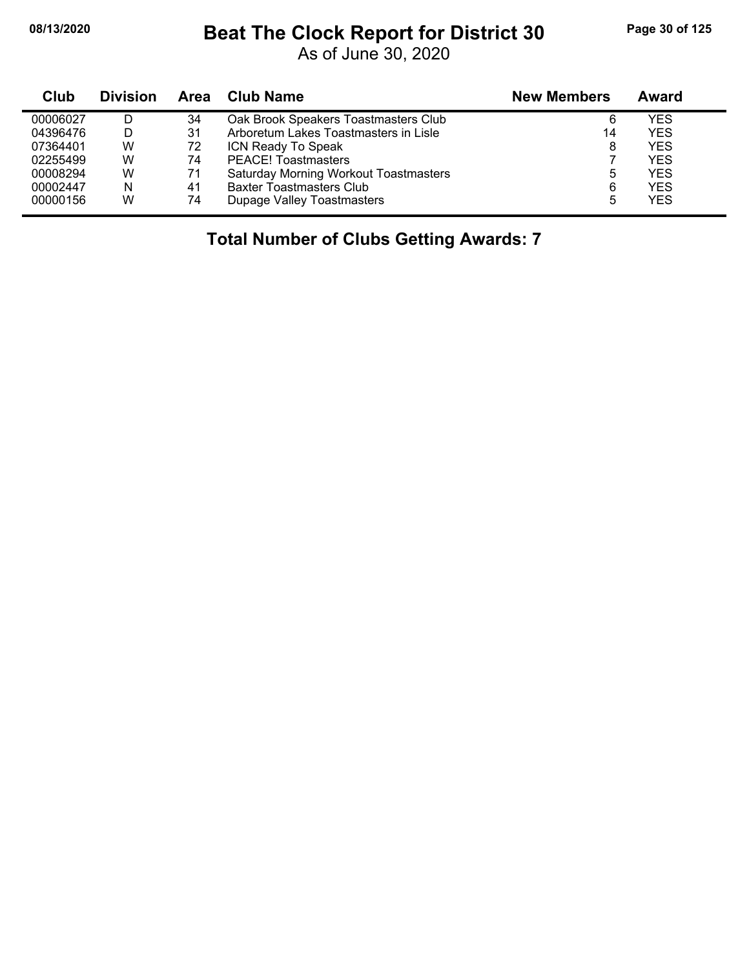# **08/13/2020 Beat The Clock Report for District 30 Page 30 of 125**

As of June 30, 2020

| Club     | <b>Division</b> | Area | Club Name                                    | <b>New Members</b> | Award      |
|----------|-----------------|------|----------------------------------------------|--------------------|------------|
| 00006027 |                 | 34   | Oak Brook Speakers Toastmasters Club         | 6                  | YES        |
| 04396476 |                 | 31   | Arboretum Lakes Toastmasters in Lisle        | 14                 | YES        |
| 07364401 | W               | 72   | ICN Ready To Speak                           | 8                  | <b>YES</b> |
| 02255499 | W               | 74   | <b>PEACE!</b> Toastmasters                   |                    | <b>YES</b> |
| 00008294 | W               | 71   | <b>Saturday Morning Workout Toastmasters</b> | 5                  | YES.       |
| 00002447 | N               | 41   | <b>Baxter Toastmasters Club</b>              | 6                  | <b>YES</b> |
| 00000156 | W               | 74   | Dupage Valley Toastmasters                   | 5                  | YES.       |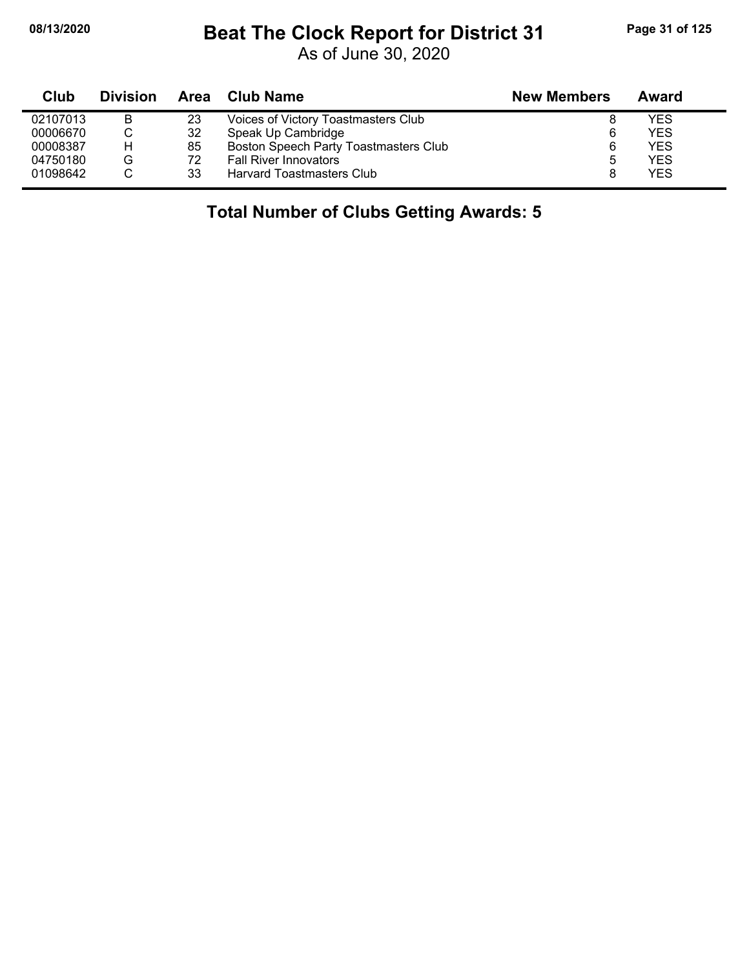# **08/13/2020 Beat The Clock Report for District 31 Page 31 of 125**

As of June 30, 2020

| Club     | <b>Division</b> |    | Area Club Name                        | <b>New Members</b> | Award |
|----------|-----------------|----|---------------------------------------|--------------------|-------|
| 02107013 | в               | 23 | Voices of Victory Toastmasters Club   |                    | YES   |
| 00006670 | C               | 32 | Speak Up Cambridge                    | 6                  | YES   |
| 00008387 | н               | 85 | Boston Speech Party Toastmasters Club | 6                  | YES   |
| 04750180 | G               | 72 | <b>Fall River Innovators</b>          | 5                  | YES   |
| 01098642 |                 | 33 | Harvard Toastmasters Club             |                    | YES   |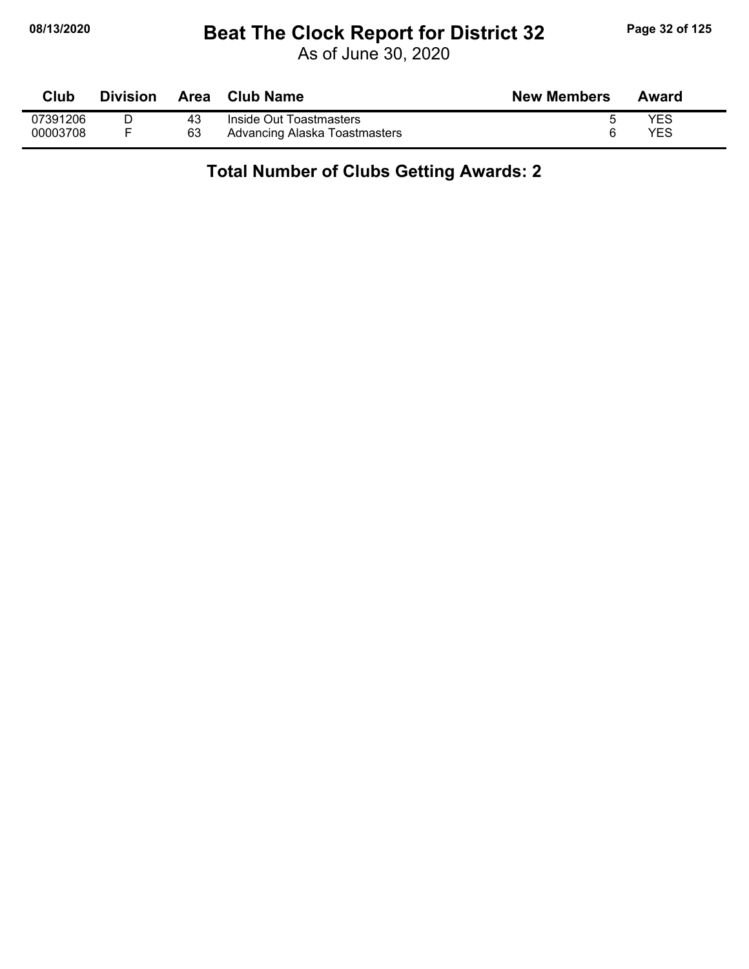# **08/13/2020 Beat The Clock Report for District 32 Page 32 of 125**

As of June 30, 2020

| <b>Club</b> | <b>Division</b> | <b>Area</b> | <b>Club Name</b>              | <b>New Members</b> | Award |
|-------------|-----------------|-------------|-------------------------------|--------------------|-------|
| 07391206    |                 | 43          | Inside Out Toastmasters       |                    | YES   |
| 00003708    |                 | 63          | Advancing Alaska Toastmasters |                    | YES   |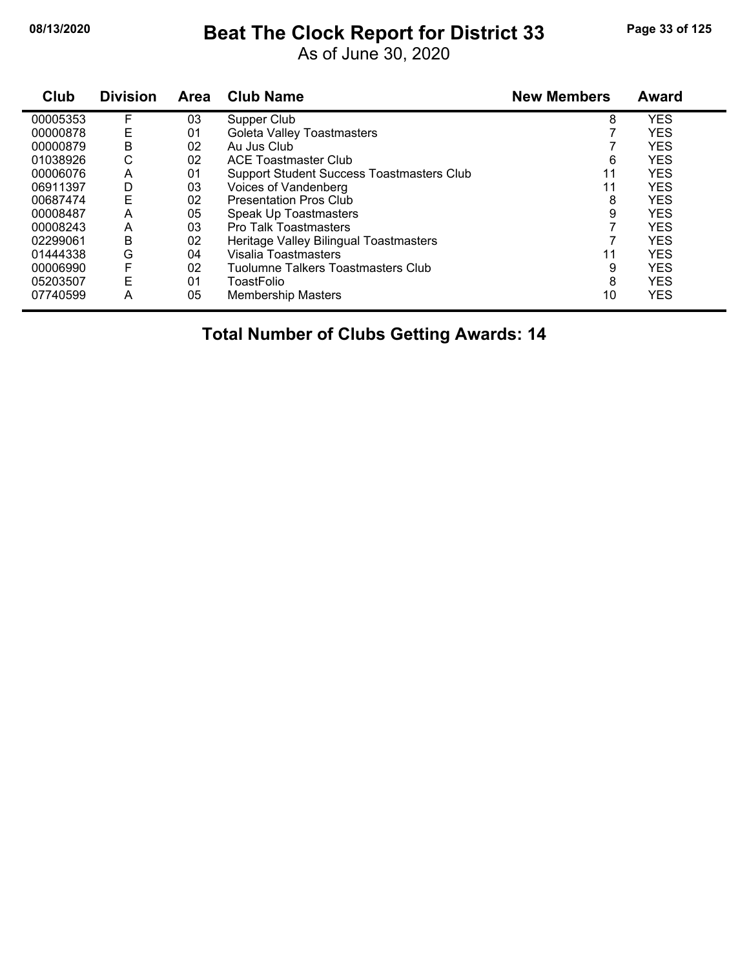# **08/13/2020 Beat The Clock Report for District 33 Page 33 of 125**

As of June 30, 2020

| Club     | <b>Division</b> | Area | <b>Club Name</b>                          | <b>New Members</b> | <b>Award</b> |  |
|----------|-----------------|------|-------------------------------------------|--------------------|--------------|--|
| 00005353 | F               | 03   | Supper Club                               | 8                  | <b>YES</b>   |  |
| 00000878 | Ε               | 01   | Goleta Valley Toastmasters                |                    | <b>YES</b>   |  |
| 00000879 | B               | 02   | Au Jus Club                               |                    | <b>YES</b>   |  |
| 01038926 | С               | 02   | <b>ACE Toastmaster Club</b>               | 6                  | <b>YES</b>   |  |
| 00006076 | A               | 01   | Support Student Success Toastmasters Club | 11                 | <b>YES</b>   |  |
| 06911397 | D               | 03   | Voices of Vandenberg                      | 11                 | <b>YES</b>   |  |
| 00687474 | Е               | 02   | <b>Presentation Pros Club</b>             | 8                  | <b>YES</b>   |  |
| 00008487 | Α               | 05   | Speak Up Toastmasters                     | 9                  | <b>YES</b>   |  |
| 00008243 | A               | 03   | <b>Pro Talk Toastmasters</b>              |                    | <b>YES</b>   |  |
| 02299061 | B               | 02   | Heritage Valley Bilingual Toastmasters    |                    | <b>YES</b>   |  |
| 01444338 | G               | 04   | Visalia Toastmasters                      | 11                 | <b>YES</b>   |  |
| 00006990 | F               | 02   | <b>Tuolumne Talkers Toastmasters Club</b> | 9                  | <b>YES</b>   |  |
| 05203507 | E               | 01   | ToastFolio                                | 8                  | <b>YES</b>   |  |
| 07740599 | A               | 05   | <b>Membership Masters</b>                 | 10                 | <b>YES</b>   |  |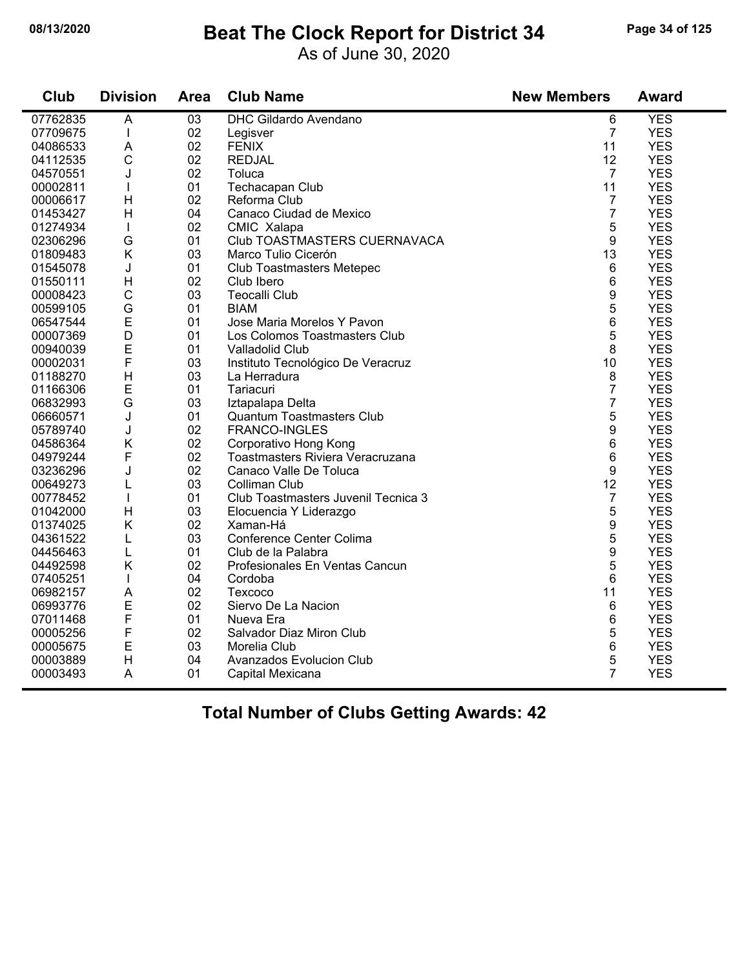#### **08/13/2020 Beat The Clock Report for District 34 Page 34 of 125**

As of June 30, 2020

| Club     | <b>Division</b> | Area | <b>Club Name</b>                    | <b>New Members</b> | <b>Award</b> |
|----------|-----------------|------|-------------------------------------|--------------------|--------------|
| 07762835 | $\overline{A}$  | 03   | <b>DHC Gildardo Avendano</b>        | 6                  | <b>YES</b>   |
| 07709675 | $\mathbf{I}$    | 02   | Legisver                            | $\overline{7}$     | <b>YES</b>   |
| 04086533 | A               | 02   | <b>FENIX</b>                        | 11                 | <b>YES</b>   |
| 04112535 | $\mathsf{C}$    | 02   | <b>REDJAL</b>                       | 12                 | <b>YES</b>   |
| 04570551 | J               | 02   | Toluca                              | $\overline{7}$     | <b>YES</b>   |
| 00002811 |                 | 01   | Techacapan Club                     | 11                 | <b>YES</b>   |
| 00006617 | H               | 02   | Reforma Club                        | $\overline{7}$     | <b>YES</b>   |
| 01453427 | H               | 04   | Canaco Ciudad de Mexico             | $\overline{7}$     | <b>YES</b>   |
| 01274934 | $\mathbf{I}$    | 02   | CMIC Xalapa                         | 5                  | <b>YES</b>   |
| 02306296 | G               | 01   | Club TOASTMASTERS CUERNAVACA        | 9                  | <b>YES</b>   |
| 01809483 | K               | 03   | Marco Tulio Cicerón                 | 13                 | <b>YES</b>   |
| 01545078 | J               | 01   | <b>Club Toastmasters Metepec</b>    | 6                  | <b>YES</b>   |
| 01550111 | H               | 02   | Club Ibero                          | 6                  | <b>YES</b>   |
| 00008423 | $\mathsf{C}$    | 03   | <b>Teocalli Club</b>                | 9                  | <b>YES</b>   |
| 00599105 | G               | 01   | <b>BIAM</b>                         | 5                  | <b>YES</b>   |
| 06547544 | E               | 01   | Jose Maria Morelos Y Pavon          | 6                  | <b>YES</b>   |
| 00007369 | D               | 01   | Los Colomos Toastmasters Club       | 5                  | <b>YES</b>   |
| 00940039 | E               | 01   | Valladolid Club                     | 8                  | <b>YES</b>   |
| 00002031 | F               | 03   | Instituto Tecnológico De Veracruz   | 10                 | <b>YES</b>   |
| 01188270 | H               | 03   | La Herradura                        | 8                  | <b>YES</b>   |
| 01166306 | E               | 01   | Tariacuri                           | 7                  | <b>YES</b>   |
| 06832993 | G               | 03   | Iztapalapa Delta                    | 7                  | <b>YES</b>   |
| 06660571 | J               | 01   | <b>Quantum Toastmasters Club</b>    | 5                  | <b>YES</b>   |
| 05789740 | J               | 02   | FRANCO-INGLES                       | 9                  | <b>YES</b>   |
| 04586364 | Κ               | 02   | Corporativo Hong Kong               | 6                  | <b>YES</b>   |
| 04979244 | F               | 02   | Toastmasters Riviera Veracruzana    | 6                  | <b>YES</b>   |
| 03236296 | J               | 02   | Canaco Valle De Toluca              | 9                  | <b>YES</b>   |
| 00649273 | L               | 03   | Colliman Club                       | 12                 | <b>YES</b>   |
| 00778452 | $\mathbf{I}$    | 01   | Club Toastmasters Juvenil Tecnica 3 | $\overline{7}$     | <b>YES</b>   |
| 01042000 | $\mathsf{H}$    | 03   | Elocuencia Y Liderazgo              | 5                  | <b>YES</b>   |
| 01374025 | Κ               | 02   | Xaman-Há                            | 9                  | <b>YES</b>   |
| 04361522 | L               | 03   | Conference Center Colima            | 5                  | <b>YES</b>   |
| 04456463 | Г               | 01   | Club de la Palabra                  | 9                  | <b>YES</b>   |
| 04492598 | K               | 02   | Profesionales En Ventas Cancun      | 5                  | <b>YES</b>   |
| 07405251 |                 | 04   | Cordoba                             | 6                  | <b>YES</b>   |
| 06982157 | A               | 02   | Texcoco                             | 11                 | <b>YES</b>   |
| 06993776 | E               | 02   | Siervo De La Nacion                 | 6                  | <b>YES</b>   |
| 07011468 | F               | 01   | Nueva Era                           | 6                  | <b>YES</b>   |
| 00005256 | F               | 02   | Salvador Diaz Miron Club            | 5                  | <b>YES</b>   |
| 00005675 | E               | 03   | Morelia Club                        | 6                  | <b>YES</b>   |
| 00003889 | $\mathsf{H}$    | 04   | Avanzados Evolucion Club            | 5                  | <b>YES</b>   |
| 00003493 | A               | 01   | Capital Mexicana                    | $\overline{7}$     | <b>YES</b>   |
|          |                 |      |                                     |                    |              |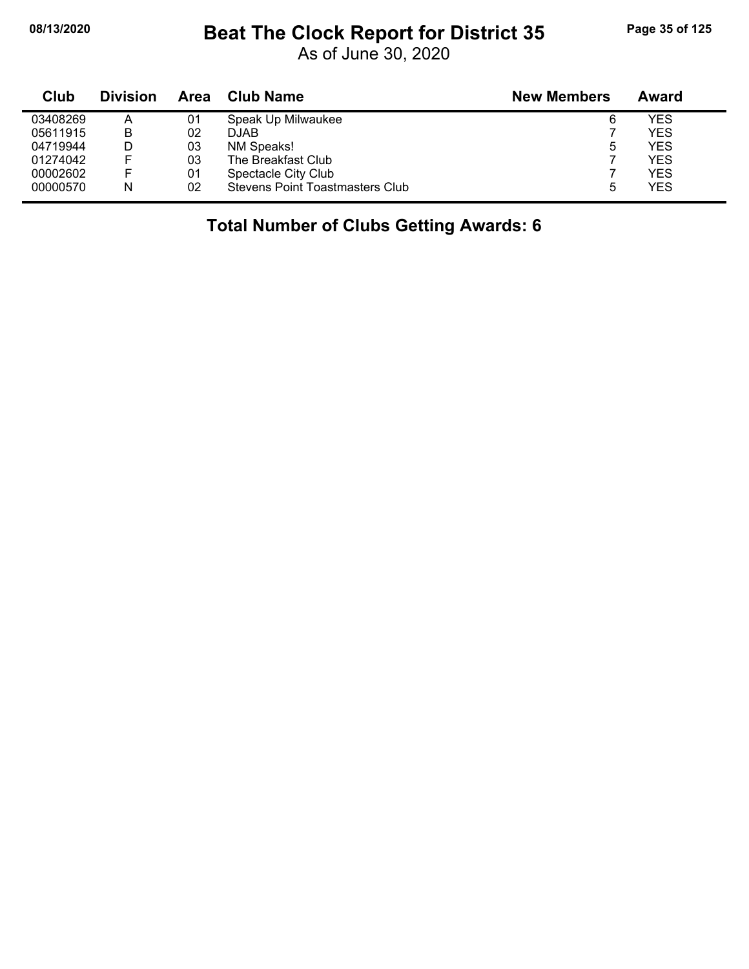# **08/13/2020 Beat The Clock Report for District 35 Page 35 of 125**

As of June 30, 2020

| Club     | <b>Division</b> | Area | <b>Club Name</b>                       | <b>New Members</b> | Award |
|----------|-----------------|------|----------------------------------------|--------------------|-------|
| 03408269 | А               | 01   | Speak Up Milwaukee                     | 6                  | YES   |
| 05611915 | B               | 02   | <b>DJAB</b>                            |                    | YES   |
| 04719944 |                 | 03   | NM Speaks!                             | 5                  | YES   |
| 01274042 |                 | 03   | The Breakfast Club                     |                    | YES   |
| 00002602 |                 | 01   | Spectacle City Club                    |                    | YES   |
| 00000570 | N               | 02   | <b>Stevens Point Toastmasters Club</b> | 5                  | YES   |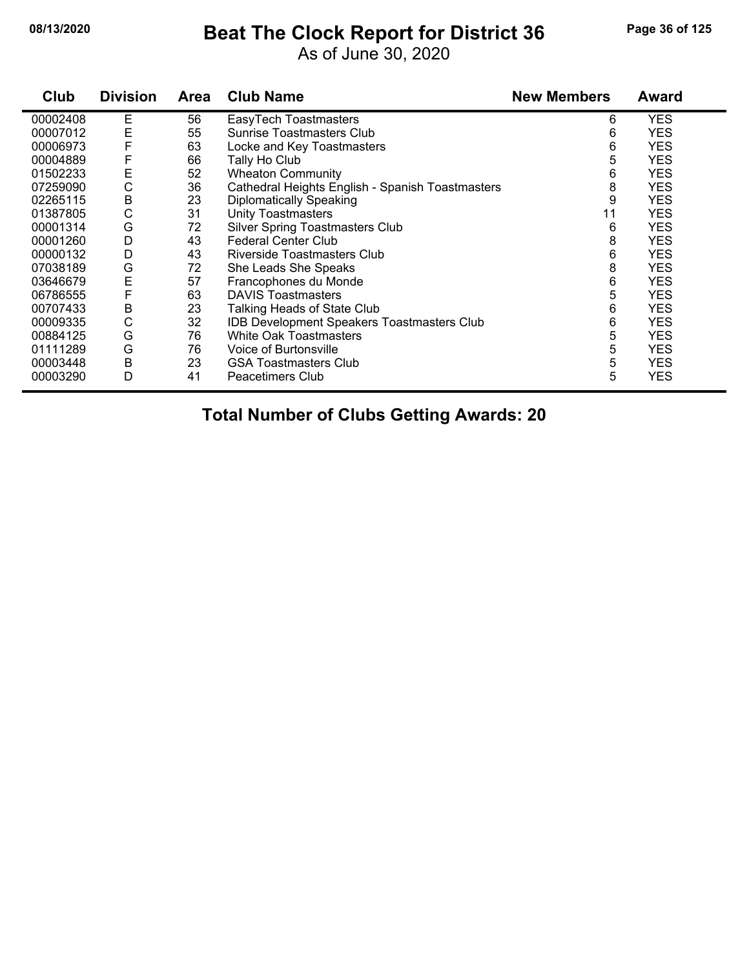#### **08/13/2020 Beat The Clock Report for District 36 Page 36 of 125**

As of June 30, 2020

| Club     | <b>Division</b> | <b>Area</b> | <b>Club Name</b>                                  | <b>New Members</b> | Award      |
|----------|-----------------|-------------|---------------------------------------------------|--------------------|------------|
| 00002408 | Е               | 56          | EasyTech Toastmasters                             | 6                  | <b>YES</b> |
| 00007012 | E               | 55          | Sunrise Toastmasters Club                         | 6                  | <b>YES</b> |
| 00006973 | F               | 63          | Locke and Key Toastmasters                        | 6                  | <b>YES</b> |
| 00004889 | F               | 66          | Tally Ho Club                                     | 5                  | <b>YES</b> |
| 01502233 | E               | 52          | <b>Wheaton Community</b>                          | 6                  | <b>YES</b> |
| 07259090 | С               | 36          | Cathedral Heights English - Spanish Toastmasters  | 8                  | <b>YES</b> |
| 02265115 | B               | 23          | <b>Diplomatically Speaking</b>                    | 9                  | <b>YES</b> |
| 01387805 | С               | 31          | <b>Unity Toastmasters</b>                         | 11                 | <b>YES</b> |
| 00001314 | G               | 72          | Silver Spring Toastmasters Club                   | 6                  | <b>YES</b> |
| 00001260 | D               | 43          | <b>Federal Center Club</b>                        | 8                  | <b>YES</b> |
| 00000132 | D               | 43          | Riverside Toastmasters Club                       | 6                  | <b>YES</b> |
| 07038189 | G               | 72          | She Leads She Speaks                              | 8                  | <b>YES</b> |
| 03646679 | E               | 57          | Francophones du Monde                             | 6                  | <b>YES</b> |
| 06786555 | F               | 63          | <b>DAVIS Toastmasters</b>                         | 5                  | <b>YES</b> |
| 00707433 | В               | 23          | Talking Heads of State Club                       | 6                  | <b>YES</b> |
| 00009335 | C               | 32          | <b>IDB Development Speakers Toastmasters Club</b> | 6                  | <b>YES</b> |
| 00884125 | G               | 76          | <b>White Oak Toastmasters</b>                     | 5                  | <b>YES</b> |
| 01111289 | G               | 76          | Voice of Burtonsville                             | 5                  | <b>YES</b> |
| 00003448 | В               | 23          | <b>GSA Toastmasters Club</b>                      | 5                  | <b>YES</b> |
| 00003290 | D               | 41          | Peacetimers Club                                  | 5                  | <b>YES</b> |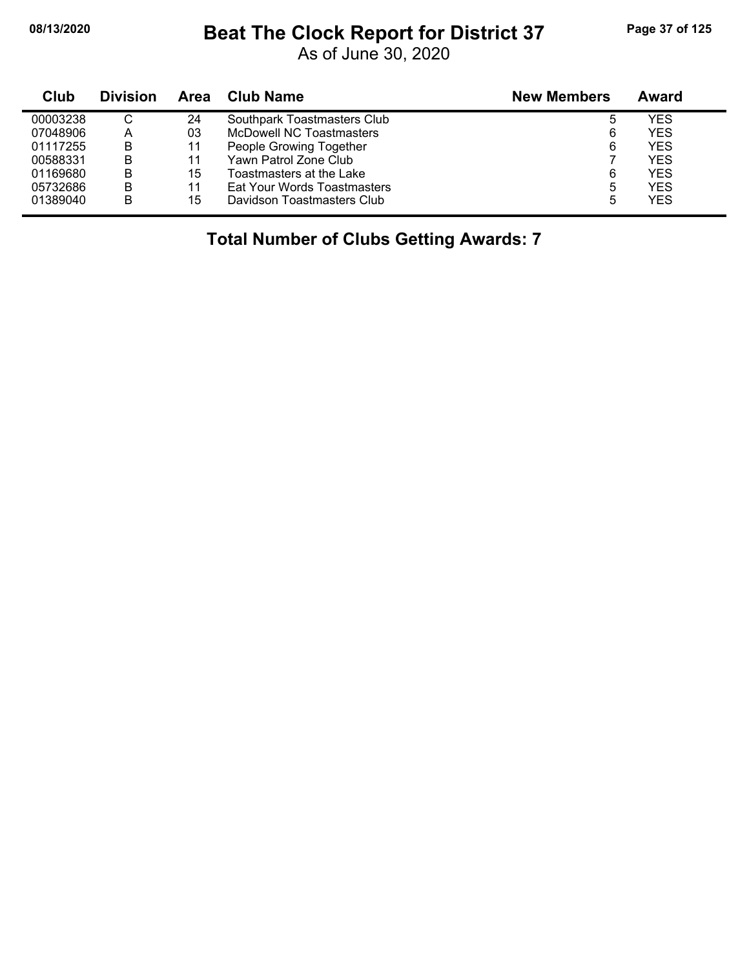j,

#### **08/13/2020 Beat The Clock Report for District 37 Page 37 of 125**

As of June 30, 2020

| Club     | <b>Division</b> | Area | Club Name                   | <b>New Members</b> | Award |
|----------|-----------------|------|-----------------------------|--------------------|-------|
| 00003238 |                 | 24   | Southpark Toastmasters Club | 5                  | YES   |
| 07048906 | A               | 03   | McDowell NC Toastmasters    | 6                  | YES   |
| 01117255 | B               | 11   | People Growing Together     | 6                  | YES   |
| 00588331 | B               | 11   | Yawn Patrol Zone Club       |                    | YES   |
| 01169680 | B               | 15   | Toastmasters at the Lake    | 6                  | YES   |
| 05732686 | B               | 11   | Eat Your Words Toastmasters | 5                  | YES   |
| 01389040 | B               | 15   | Davidson Toastmasters Club  | 5                  | YES   |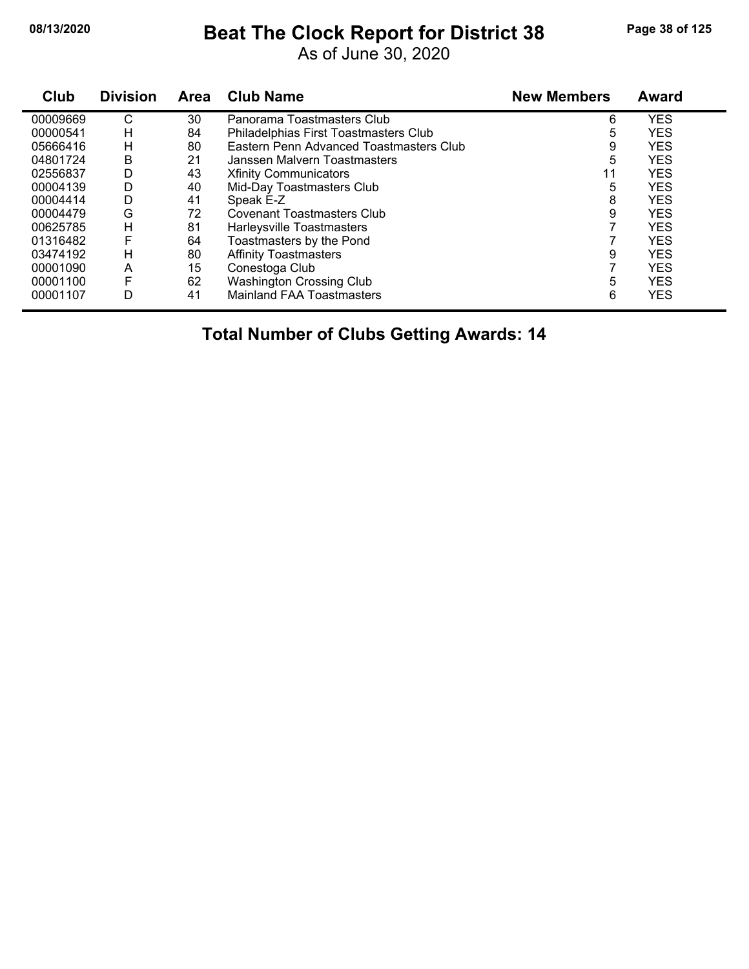# **08/13/2020 Beat The Clock Report for District 38 Page 38 of 125**

As of June 30, 2020

| Club     | <b>Division</b> | Area | <b>Club Name</b>                        | <b>New Members</b> | <b>Award</b> |
|----------|-----------------|------|-----------------------------------------|--------------------|--------------|
| 00009669 | С               | 30   | Panorama Toastmasters Club              | 6                  | <b>YES</b>   |
| 00000541 | н               | 84   | Philadelphias First Toastmasters Club   | 5                  | <b>YES</b>   |
| 05666416 | н               | 80   | Eastern Penn Advanced Toastmasters Club | 9                  | <b>YES</b>   |
| 04801724 | В               | 21   | Janssen Malvern Toastmasters            | 5                  | <b>YES</b>   |
| 02556837 | D               | 43   | <b>Xfinity Communicators</b>            | 11                 | <b>YES</b>   |
| 00004139 | D               | 40   | Mid-Day Toastmasters Club               | 5                  | <b>YES</b>   |
| 00004414 | D               | 41   | Speak E-Z                               | 8                  | <b>YES</b>   |
| 00004479 | G               | 72   | <b>Covenant Toastmasters Club</b>       | 9                  | <b>YES</b>   |
| 00625785 | н               | 81   | Harleysville Toastmasters               |                    | <b>YES</b>   |
| 01316482 | F               | 64   | Toastmasters by the Pond                |                    | <b>YES</b>   |
| 03474192 | н               | 80   | <b>Affinity Toastmasters</b>            | 9                  | <b>YES</b>   |
| 00001090 | A               | 15   | Conestoga Club                          |                    | <b>YES</b>   |
| 00001100 | F               | 62   | <b>Washington Crossing Club</b>         | 5                  | <b>YES</b>   |
| 00001107 | D               | 41   | <b>Mainland FAA Toastmasters</b>        | 6                  | <b>YES</b>   |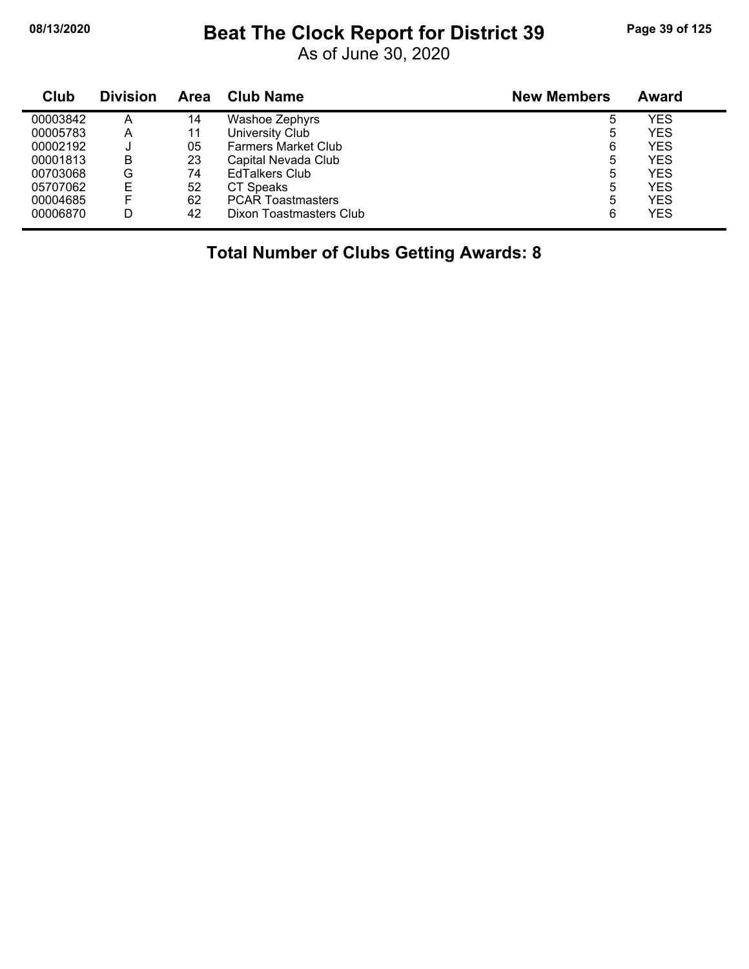#### **08/13/2020 Beat The Clock Report for District 39 Page 39 of 125**

As of June 30, 2020

| Club     | <b>Division</b> | Area | Club Name                  | <b>New Members</b> | <b>Award</b> |
|----------|-----------------|------|----------------------------|--------------------|--------------|
| 00003842 | А               | 14   | Washoe Zephyrs             | 5                  | YES          |
| 00005783 | Α               | 11   | University Club            | 5                  | YES          |
| 00002192 | u               | 05   | <b>Farmers Market Club</b> | 6                  | YES          |
| 00001813 | в               | 23   | Capital Nevada Club        | 5                  | <b>YES</b>   |
| 00703068 | G               | 74   | <b>EdTalkers Club</b>      | 5                  | <b>YES</b>   |
| 05707062 | E               | 52   | CT Speaks                  | 5                  | YES          |
| 00004685 | F               | 62   | <b>PCAR Toastmasters</b>   | 5                  | YES          |
| 00006870 | D               | 42   | Dixon Toastmasters Club    | 6                  | <b>YES</b>   |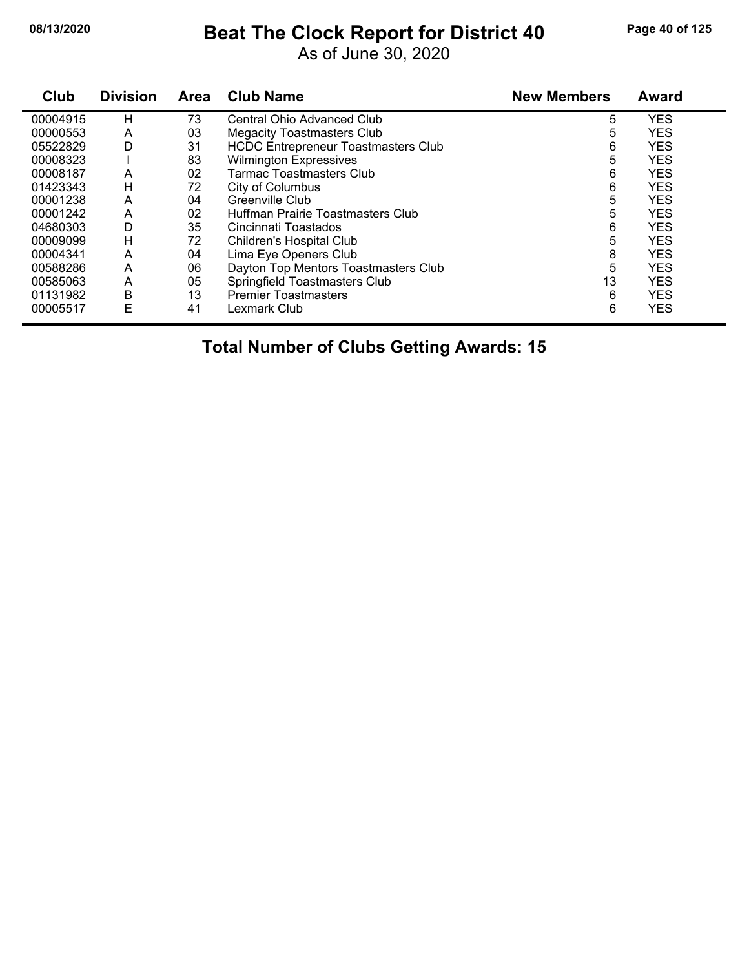## **08/13/2020 Beat The Clock Report for District 40 Page 40 of 125**

As of June 30, 2020

| Club     | <b>Division</b> | <b>Area</b> | <b>Club Name</b>                           | <b>New Members</b> | <b>Award</b> |
|----------|-----------------|-------------|--------------------------------------------|--------------------|--------------|
| 00004915 | н               | 73          | Central Ohio Advanced Club                 | 5                  | <b>YES</b>   |
| 00000553 | A               | 03          | <b>Megacity Toastmasters Club</b>          | 5                  | <b>YES</b>   |
| 05522829 | D               | 31          | <b>HCDC Entrepreneur Toastmasters Club</b> | 6                  | <b>YES</b>   |
| 00008323 |                 | 83          | <b>Wilmington Expressives</b>              | 5                  | <b>YES</b>   |
| 00008187 | A               | 02          | Tarmac Toastmasters Club                   | 6                  | <b>YES</b>   |
| 01423343 | н               | 72          | City of Columbus                           | 6                  | <b>YES</b>   |
| 00001238 | A               | 04          | Greenville Club                            | 5                  | <b>YES</b>   |
| 00001242 | A               | 02          | Huffman Prairie Toastmasters Club          | 5                  | <b>YES</b>   |
| 04680303 | D               | 35          | Cincinnati Toastados                       | 6                  | <b>YES</b>   |
| 00009099 | н               | 72          | Children's Hospital Club                   | 5                  | <b>YES</b>   |
| 00004341 | A               | 04          | Lima Eye Openers Club                      | 8                  | <b>YES</b>   |
| 00588286 | A               | 06          | Dayton Top Mentors Toastmasters Club       | 5                  | <b>YES</b>   |
| 00585063 | A               | 05          | Springfield Toastmasters Club              | 13                 | <b>YES</b>   |
| 01131982 | B               | 13          | <b>Premier Toastmasters</b>                | 6                  | <b>YES</b>   |
| 00005517 | E               | 41          | Lexmark Club                               | 6                  | <b>YES</b>   |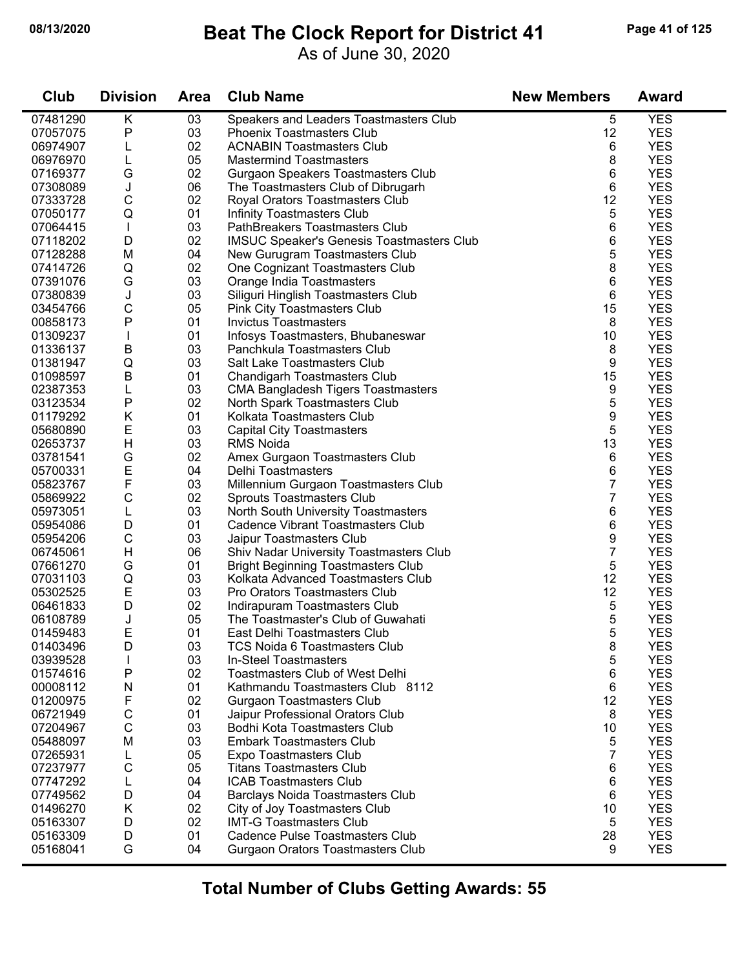#### **08/13/2020 Beat The Clock Report for District 41 Page 41 of 125**

As of June 30, 2020

| Club                 | <b>Division</b>         | <b>Area</b> | <b>Club Name</b>                                                 | <b>New Members</b> | <b>Award</b>             |
|----------------------|-------------------------|-------------|------------------------------------------------------------------|--------------------|--------------------------|
| 07481290             | $\overline{\mathsf{K}}$ | 03          | Speakers and Leaders Toastmasters Club                           | 5                  | <b>YES</b>               |
| 07057075             | P                       | 03          | <b>Phoenix Toastmasters Club</b>                                 | 12                 | <b>YES</b>               |
| 06974907             | L                       | 02          | <b>ACNABIN Toastmasters Club</b>                                 | 6                  | <b>YES</b>               |
| 06976970             | L                       | 05          | <b>Mastermind Toastmasters</b>                                   | 8                  | <b>YES</b>               |
| 07169377             | G                       | 02          | Gurgaon Speakers Toastmasters Club                               | 6                  | <b>YES</b>               |
| 07308089             | J                       | 06          | The Toastmasters Club of Dibrugarh                               | 6                  | <b>YES</b>               |
| 07333728             | C                       | 02          | Royal Orators Toastmasters Club                                  | 12                 | <b>YES</b>               |
| 07050177             | Q                       | 01          | <b>Infinity Toastmasters Club</b>                                | 5                  | <b>YES</b>               |
| 07064415             |                         | 03          | PathBreakers Toastmasters Club                                   | 6                  | <b>YES</b>               |
| 07118202             | D                       | 02          | <b>IMSUC Speaker's Genesis Toastmasters Club</b>                 | 6                  | <b>YES</b>               |
| 07128288             | M                       | 04          | New Gurugram Toastmasters Club                                   | 5                  | <b>YES</b>               |
| 07414726             | Q                       | 02          | One Cognizant Toastmasters Club                                  | 8                  | <b>YES</b>               |
| 07391076             | G                       | 03          | Orange India Toastmasters                                        | 6                  | <b>YES</b>               |
| 07380839             | J                       | 03          | Siliguri Hinglish Toastmasters Club                              | 6                  | <b>YES</b>               |
| 03454766             | C                       | 05          | Pink City Toastmasters Club                                      | 15                 | <b>YES</b>               |
| 00858173             | $\mathsf{P}$            | 01          | <b>Invictus Toastmasters</b>                                     | 8                  | <b>YES</b>               |
| 01309237             | J.                      | 01          | Infosys Toastmasters, Bhubaneswar                                | 10                 | <b>YES</b>               |
| 01336137             | B                       | 03          | Panchkula Toastmasters Club                                      | 8                  | <b>YES</b>               |
| 01381947             | Q                       | 03          | Salt Lake Toastmasters Club                                      | 9                  | <b>YES</b>               |
| 01098597             | B                       | 01          | <b>Chandigarh Toastmasters Club</b>                              | 15                 | <b>YES</b>               |
| 02387353             | L                       | 03          | <b>CMA Bangladesh Tigers Toastmasters</b>                        | 9                  | <b>YES</b>               |
| 03123534             | $\mathsf{P}$            | 02          | North Spark Toastmasters Club                                    | 5                  | <b>YES</b>               |
| 01179292             | K                       | 01          | Kolkata Toastmasters Club                                        | 9                  | <b>YES</b>               |
| 05680890             | E                       | 03          | <b>Capital City Toastmasters</b>                                 | 5                  | <b>YES</b>               |
| 02653737             | H                       | 03          | <b>RMS Noida</b>                                                 | 13                 | <b>YES</b>               |
| 03781541             | G                       | 02          | Amex Gurgaon Toastmasters Club                                   | 6                  | <b>YES</b>               |
| 05700331             | E                       | 04          | Delhi Toastmasters                                               | 6                  | <b>YES</b>               |
| 05823767             | F                       | 03          | Millennium Gurgaon Toastmasters Club                             | $\overline{7}$     | <b>YES</b>               |
| 05869922             | C                       | 02          | Sprouts Toastmasters Club                                        | 7                  | <b>YES</b>               |
| 05973051             | L                       | 03          | North South University Toastmasters                              | 6                  | <b>YES</b>               |
| 05954086             | D                       | 01          | Cadence Vibrant Toastmasters Club                                | 6                  | <b>YES</b>               |
| 05954206             | $\mathsf{C}$            | 03          | Jaipur Toastmasters Club                                         | 9                  | <b>YES</b>               |
| 06745061             | Н                       | 06          | Shiv Nadar University Toastmasters Club                          | 7                  | <b>YES</b>               |
| 07661270             | G                       | 01          | <b>Bright Beginning Toastmasters Club</b>                        | 5                  | <b>YES</b>               |
| 07031103             | Q                       | 03          | Kolkata Advanced Toastmasters Club                               | 12                 | <b>YES</b>               |
| 05302525             | E                       | 03          | Pro Orators Toastmasters Club                                    | 12                 | <b>YES</b>               |
| 06461833             | D                       | 02          | Indirapuram Toastmasters Club                                    | 5                  | <b>YES</b>               |
| 06108789             | J                       | 05          | The Toastmaster's Club of Guwahati                               | 5<br>г,            | <b>YES</b>               |
| 01459483             | Ε                       | 01          | East Delhi Toastmasters Club                                     | ັ                  | <b>YES</b>               |
| 01403496             | D                       | 03          | TCS Noida 6 Toastmasters Club                                    | 8                  | <b>YES</b>               |
| 03939528             |                         | 03          | In-Steel Toastmasters                                            | 5                  | <b>YES</b>               |
| 01574616             | P                       | 02<br>01    | <b>Toastmasters Club of West Delhi</b>                           | 6                  | <b>YES</b><br><b>YES</b> |
| 00008112<br>01200975 | N<br>F                  | 02          | Kathmandu Toastmasters Club 8112                                 | 6<br>12            | <b>YES</b>               |
| 06721949             | C                       | 01          | <b>Gurgaon Toastmasters Club</b>                                 | 8                  | <b>YES</b>               |
| 07204967             | C                       | 03          | Jaipur Professional Orators Club<br>Bodhi Kota Toastmasters Club | 10                 | <b>YES</b>               |
| 05488097             | M                       | 03          | <b>Embark Toastmasters Club</b>                                  | 5                  | <b>YES</b>               |
| 07265931             |                         | 05          | Expo Toastmasters Club                                           | 7                  | <b>YES</b>               |
| 07237977             | C                       | 05          | <b>Titans Toastmasters Club</b>                                  | 6                  | <b>YES</b>               |
|                      |                         | 04          |                                                                  |                    | <b>YES</b>               |
| 07747292<br>07749562 | D                       | 04          | <b>ICAB Toastmasters Club</b>                                    | 6<br>6             | <b>YES</b>               |
| 01496270             |                         | 02          | <b>Barclays Noida Toastmasters Club</b>                          | 10                 | <b>YES</b>               |
| 05163307             | K<br>D                  | 02          | City of Joy Toastmasters Club<br><b>IMT-G Toastmasters Club</b>  | 5                  | <b>YES</b>               |
| 05163309             | D                       | 01          | Cadence Pulse Toastmasters Club                                  | 28                 | <b>YES</b>               |
|                      | G                       | 04          |                                                                  | 9                  | <b>YES</b>               |
| 05168041             |                         |             | Gurgaon Orators Toastmasters Club                                |                    |                          |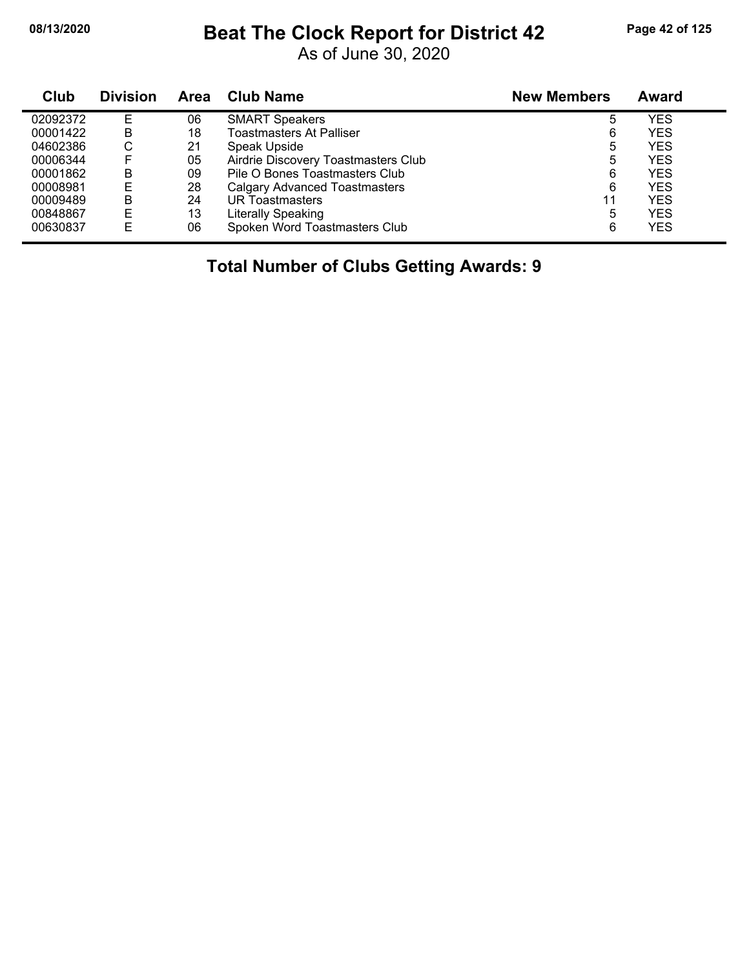#### **08/13/2020 Beat The Clock Report for District 42 Page 42 of 125**

As of June 30, 2020

| Club     | <b>Division</b> | <b>Area</b> | <b>Club Name</b>                     | <b>New Members</b> | <b>Award</b> |
|----------|-----------------|-------------|--------------------------------------|--------------------|--------------|
| 02092372 | E               | 06          | <b>SMART Speakers</b>                | 5                  | YES          |
| 00001422 | B               | 18          | Toastmasters At Palliser             | 6                  | YES          |
| 04602386 | С               | 21          | Speak Upside                         | 5                  | YES          |
| 00006344 | F               | 05          | Airdrie Discovery Toastmasters Club  | 5                  | <b>YES</b>   |
| 00001862 | B               | 09          | Pile O Bones Toastmasters Club       | 6                  | YES          |
| 00008981 | E               | 28          | <b>Calgary Advanced Toastmasters</b> | 6                  | YES          |
| 00009489 | В               | 24          | UR Toastmasters                      | 11                 | <b>YES</b>   |
| 00848867 | E               | 13          | Literally Speaking                   | 5                  | <b>YES</b>   |
| 00630837 | E               | 06          | Spoken Word Toastmasters Club        | 6                  | YES          |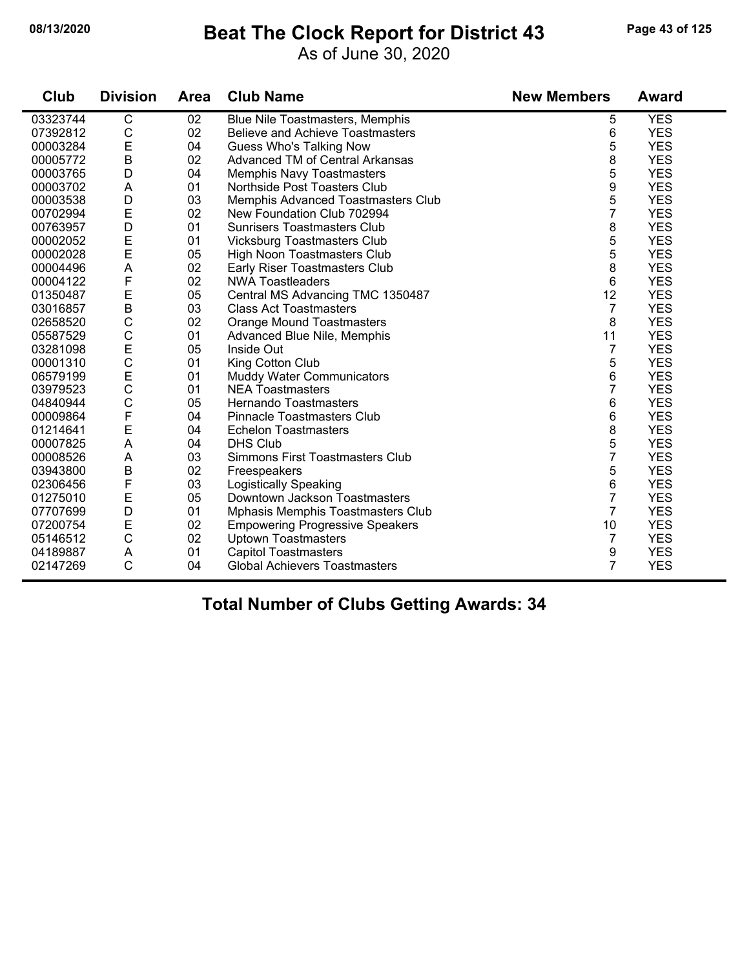#### **08/13/2020 Beat The Clock Report for District 43 Page 43 of 125**

As of June 30, 2020

| Club     | <b>Division</b> | <b>Area</b> | <b>Club Name</b>                        | <b>New Members</b> | <b>Award</b> |
|----------|-----------------|-------------|-----------------------------------------|--------------------|--------------|
| 03323744 | $\overline{C}$  | 02          | Blue Nile Toastmasters, Memphis         | 5                  | <b>YES</b>   |
| 07392812 | $\mathsf C$     | 02          | <b>Believe and Achieve Toastmasters</b> | 6                  | <b>YES</b>   |
| 00003284 | $\mathsf E$     | 04          | <b>Guess Who's Talking Now</b>          | 5                  | <b>YES</b>   |
| 00005772 | $\mathsf B$     | 02          | Advanced TM of Central Arkansas         | 8                  | <b>YES</b>   |
| 00003765 | D               | 04          | <b>Memphis Navy Toastmasters</b>        | 5                  | <b>YES</b>   |
| 00003702 | A               | 01          | Northside Post Toasters Club            | 9                  | <b>YES</b>   |
| 00003538 | D               | 03          | Memphis Advanced Toastmasters Club      | 5                  | <b>YES</b>   |
| 00702994 | $\mathsf E$     | 02          | New Foundation Club 702994              | 7                  | <b>YES</b>   |
| 00763957 | D               | 01          | <b>Sunrisers Toastmasters Club</b>      | 8                  | <b>YES</b>   |
| 00002052 | $\mathsf E$     | 01          | <b>Vicksburg Toastmasters Club</b>      | 5                  | <b>YES</b>   |
| 00002028 | E               | 05          | High Noon Toastmasters Club             | 5                  | <b>YES</b>   |
| 00004496 | A               | 02          | Early Riser Toastmasters Club           | 8                  | <b>YES</b>   |
| 00004122 | F               | 02          | <b>NWA Toastleaders</b>                 | 6                  | <b>YES</b>   |
| 01350487 | $\mathsf E$     | 05          | Central MS Advancing TMC 1350487        | 12                 | <b>YES</b>   |
| 03016857 | $\sf B$         | 03          | <b>Class Act Toastmasters</b>           | $\overline{7}$     | <b>YES</b>   |
| 02658520 | $\mathsf C$     | 02          | <b>Orange Mound Toastmasters</b>        | 8                  | <b>YES</b>   |
| 05587529 | $\mathsf C$     | 01          | Advanced Blue Nile, Memphis             | 11                 | <b>YES</b>   |
| 03281098 | $\mathsf E$     | 05          | Inside Out                              | $\overline{7}$     | <b>YES</b>   |
| 00001310 | $\mathsf{C}$    | 01          | King Cotton Club                        | 5                  | <b>YES</b>   |
| 06579199 | $\mathsf E$     | 01          | Muddy Water Communicators               | 6                  | <b>YES</b>   |
| 03979523 | $\mathsf{C}$    | 01          | <b>NEA Toastmasters</b>                 | $\overline{7}$     | <b>YES</b>   |
| 04840944 | $\mathsf{C}$    | 05          | <b>Hernando Toastmasters</b>            | 6                  | <b>YES</b>   |
| 00009864 | F               | 04          | <b>Pinnacle Toastmasters Club</b>       | 6                  | <b>YES</b>   |
| 01214641 | $\mathsf E$     | 04          | <b>Echelon Toastmasters</b>             | 8                  | <b>YES</b>   |
| 00007825 | A               | 04          | <b>DHS Club</b>                         | 5                  | <b>YES</b>   |
| 00008526 | A               | 03          | Simmons First Toastmasters Club         | 7                  | <b>YES</b>   |
| 03943800 | $\sf B$         | 02          | Freespeakers                            | 5                  | <b>YES</b>   |
| 02306456 | F               | 03          | <b>Logistically Speaking</b>            | 6                  | <b>YES</b>   |
| 01275010 | $\mathsf E$     | 05          | Downtown Jackson Toastmasters           | 7                  | <b>YES</b>   |
| 07707699 | D               | 01          | Mphasis Memphis Toastmasters Club       | $\overline{7}$     | <b>YES</b>   |
| 07200754 | E               | 02          | <b>Empowering Progressive Speakers</b>  | 10                 | <b>YES</b>   |
| 05146512 | $\mathsf C$     | 02          | <b>Uptown Toastmasters</b>              | $\overline{7}$     | <b>YES</b>   |
| 04189887 | A               | 01          | <b>Capitol Toastmasters</b>             | 9                  | <b>YES</b>   |
| 02147269 | C               | 04          | <b>Global Achievers Toastmasters</b>    | $\overline{7}$     | <b>YES</b>   |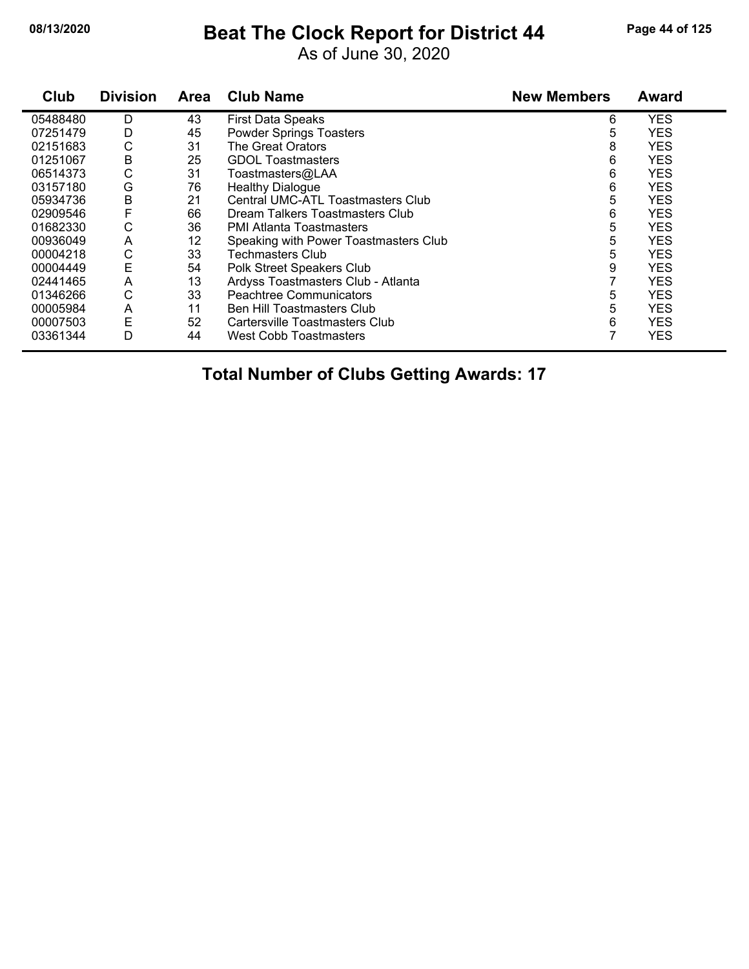#### **08/13/2020 Beat The Clock Report for District 44 Page 44 of 125**

As of June 30, 2020

| Club     | <b>Division</b> | <b>Area</b> | <b>Club Name</b>                      | <b>New Members</b> | <b>Award</b> |
|----------|-----------------|-------------|---------------------------------------|--------------------|--------------|
| 05488480 | D               | 43          | <b>First Data Speaks</b>              | 6                  | <b>YES</b>   |
| 07251479 | D               | 45          | <b>Powder Springs Toasters</b>        | 5                  | <b>YES</b>   |
| 02151683 | С               | 31          | The Great Orators                     | 8                  | <b>YES</b>   |
| 01251067 | В               | 25          | <b>GDOL Toastmasters</b>              | 6                  | <b>YES</b>   |
| 06514373 | С               | 31          | Toastmasters@LAA                      | 6                  | <b>YES</b>   |
| 03157180 | G               | 76          | <b>Healthy Dialogue</b>               | 6                  | <b>YES</b>   |
| 05934736 | B               | 21          | Central UMC-ATL Toastmasters Club     | 5                  | <b>YES</b>   |
| 02909546 |                 | 66          | Dream Talkers Toastmasters Club       | 6                  | <b>YES</b>   |
| 01682330 | С               | 36          | PMI Atlanta Toastmasters              | 5                  | <b>YES</b>   |
| 00936049 | A               | 12          | Speaking with Power Toastmasters Club | 5                  | <b>YES</b>   |
| 00004218 | С               | 33          | Techmasters Club                      | 5                  | <b>YES</b>   |
| 00004449 | E               | 54          | Polk Street Speakers Club             | 9                  | <b>YES</b>   |
| 02441465 | Α               | 13          | Ardyss Toastmasters Club - Atlanta    |                    | <b>YES</b>   |
| 01346266 | С               | 33          | <b>Peachtree Communicators</b>        | 5                  | <b>YES</b>   |
| 00005984 | Α               | 11          | <b>Ben Hill Toastmasters Club</b>     | 5                  | <b>YES</b>   |
| 00007503 | Ε               | 52          | Cartersville Toastmasters Club        | 6                  | <b>YES</b>   |
| 03361344 | D               | 44          | <b>West Cobb Toastmasters</b>         |                    | <b>YES</b>   |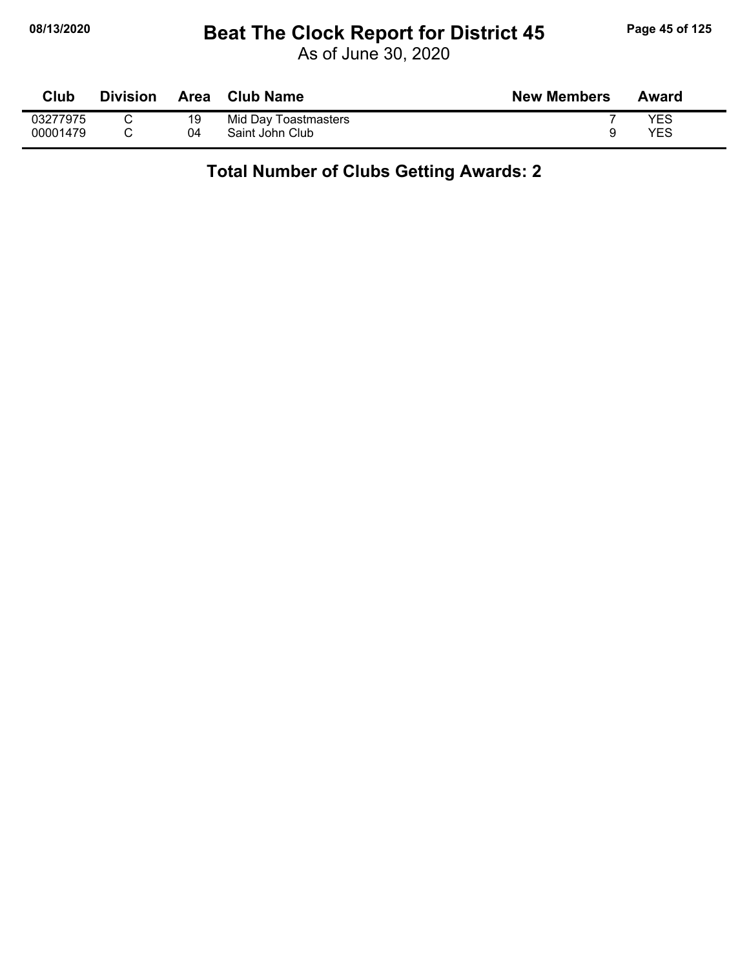### **08/13/2020 Beat The Clock Report for District 45 Page 45 of 125**

As of June 30, 2020

| Club     | <b>Division</b> | Area | Club Name            | <b>New Members</b> | Award |
|----------|-----------------|------|----------------------|--------------------|-------|
| 03277975 |                 | 19   | Mid Day Toastmasters |                    | YES   |
| 00001479 |                 | 04   | Saint John Club      |                    | YES   |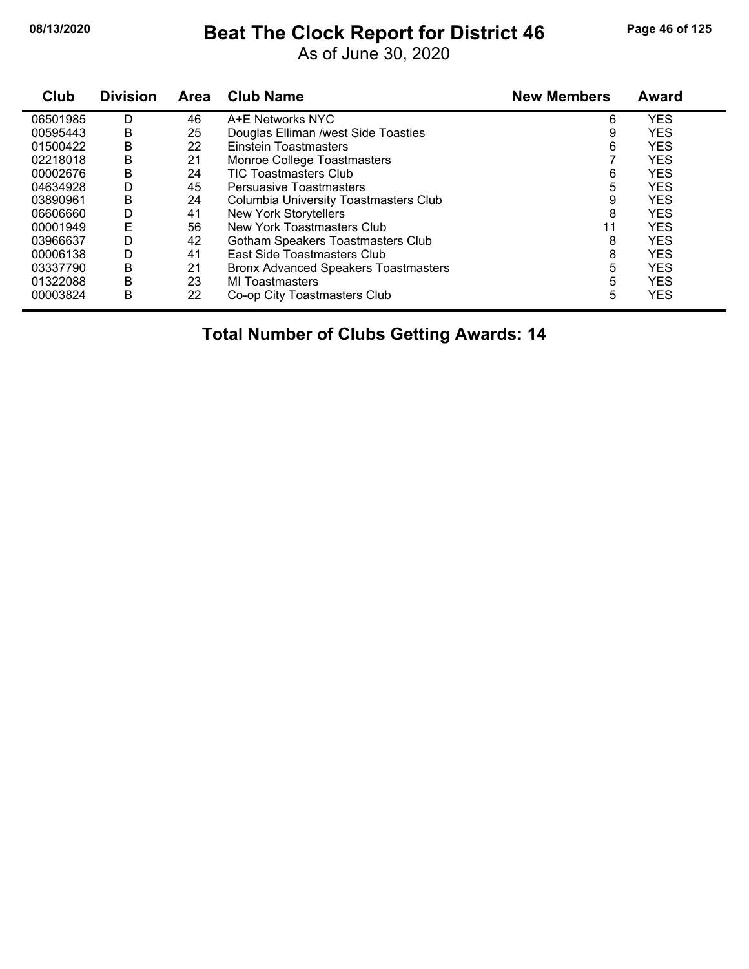## **08/13/2020 Beat The Clock Report for District 46 Page 46 of 125**

As of June 30, 2020

| Club     | <b>Division</b> | <b>Area</b> | <b>Club Name</b>                             | <b>New Members</b> | <b>Award</b> |
|----------|-----------------|-------------|----------------------------------------------|--------------------|--------------|
| 06501985 | D               | 46          | A+E Networks NYC                             | 6                  | <b>YES</b>   |
| 00595443 | В               | 25          | Douglas Elliman /west Side Toasties          | 9                  | <b>YES</b>   |
| 01500422 | В               | 22          | Einstein Toastmasters                        | 6                  | <b>YES</b>   |
| 02218018 | В               | 21          | Monroe College Toastmasters                  |                    | <b>YES</b>   |
| 00002676 | B               | 24          | <b>TIC Toastmasters Club</b>                 | 6                  | <b>YES</b>   |
| 04634928 | D               | 45          | <b>Persuasive Toastmasters</b>               | 5                  | <b>YES</b>   |
| 03890961 | B               | 24          | <b>Columbia University Toastmasters Club</b> | 9                  | <b>YES</b>   |
| 06606660 | D               | 41          | <b>New York Storytellers</b>                 | 8                  | <b>YES</b>   |
| 00001949 | E               | 56          | New York Toastmasters Club                   | 11                 | <b>YES</b>   |
| 03966637 | D               | 42          | Gotham Speakers Toastmasters Club            | 8                  | <b>YES</b>   |
| 00006138 | D               | 41          | East Side Toastmasters Club                  | 8                  | <b>YES</b>   |
| 03337790 | В               | 21          | <b>Bronx Advanced Speakers Toastmasters</b>  | 5                  | <b>YES</b>   |
| 01322088 | B               | 23          | MI Toastmasters                              | 5                  | <b>YES</b>   |
| 00003824 | B               | 22          | Co-op City Toastmasters Club                 | 5                  | <b>YES</b>   |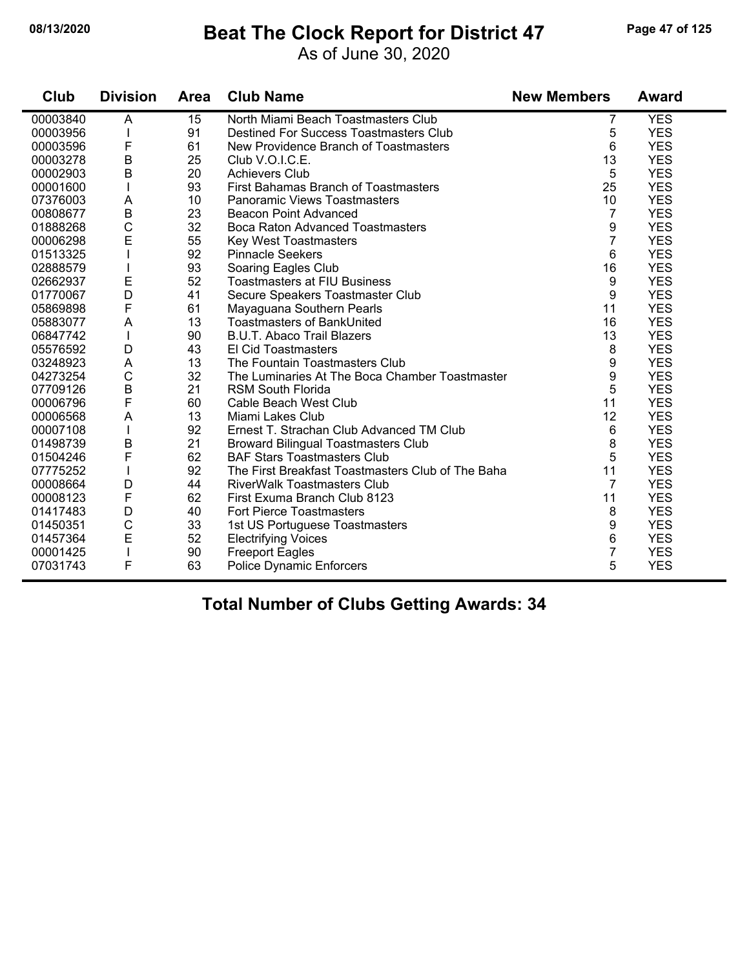### **08/13/2020 Beat The Clock Report for District 47 Page 47 of 125**

As of June 30, 2020

| Club     | <b>Division</b> | <b>Area</b> | <b>Club Name</b>                                  | <b>New Members</b> | <b>Award</b> |
|----------|-----------------|-------------|---------------------------------------------------|--------------------|--------------|
| 00003840 | A               | 15          | North Miami Beach Toastmasters Club               | 7                  | <b>YES</b>   |
| 00003956 |                 | 91          | <b>Destined For Success Toastmasters Club</b>     | 5                  | <b>YES</b>   |
| 00003596 | F               | 61          | New Providence Branch of Toastmasters             | 6                  | <b>YES</b>   |
| 00003278 | $\mathsf B$     | 25          | Club V.O.I.C.E.                                   | 13                 | <b>YES</b>   |
| 00002903 | $\mathsf B$     | 20          | <b>Achievers Club</b>                             | 5                  | <b>YES</b>   |
| 00001600 |                 | 93          | First Bahamas Branch of Toastmasters              | 25                 | <b>YES</b>   |
| 07376003 | A               | 10          | <b>Panoramic Views Toastmasters</b>               | 10                 | <b>YES</b>   |
| 00808677 | $\sf B$         | 23          | <b>Beacon Point Advanced</b>                      | 7                  | <b>YES</b>   |
| 01888268 | $\mathsf{C}$    | 32          | <b>Boca Raton Advanced Toastmasters</b>           | 9                  | <b>YES</b>   |
| 00006298 | E               | 55          | <b>Key West Toastmasters</b>                      | 7                  | <b>YES</b>   |
| 01513325 |                 | 92          | <b>Pinnacle Seekers</b>                           | 6                  | <b>YES</b>   |
| 02888579 |                 | 93          | Soaring Eagles Club                               | 16                 | <b>YES</b>   |
| 02662937 | E               | 52          | <b>Toastmasters at FIU Business</b>               | 9                  | <b>YES</b>   |
| 01770067 | D               | 41          | Secure Speakers Toastmaster Club                  | 9                  | <b>YES</b>   |
| 05869898 | F               | 61          | Mayaguana Southern Pearls                         | 11                 | <b>YES</b>   |
| 05883077 | $\mathsf{A}$    | 13          | <b>Toastmasters of BankUnited</b>                 | 16                 | <b>YES</b>   |
| 06847742 | $\mathbf{I}$    | 90          | <b>B.U.T. Abaco Trail Blazers</b>                 | 13                 | <b>YES</b>   |
| 05576592 | D               | 43          | El Cid Toastmasters                               | 8                  | <b>YES</b>   |
| 03248923 | A               | 13          | The Fountain Toastmasters Club                    | 9                  | <b>YES</b>   |
| 04273254 | $\mathbf C$     | 32          | The Luminaries At The Boca Chamber Toastmaster    | 9                  | <b>YES</b>   |
| 07709126 | $\sf B$         | 21          | <b>RSM South Florida</b>                          | 5                  | <b>YES</b>   |
| 00006796 | F               | 60          | Cable Beach West Club                             | 11                 | <b>YES</b>   |
| 00006568 | A               | 13          | Miami Lakes Club                                  | 12                 | <b>YES</b>   |
| 00007108 |                 | 92          | Ernest T. Strachan Club Advanced TM Club          | 6                  | <b>YES</b>   |
| 01498739 | $\sf B$         | 21          | <b>Broward Bilingual Toastmasters Club</b>        | 8                  | <b>YES</b>   |
| 01504246 | F               | 62          | <b>BAF Stars Toastmasters Club</b>                | 5                  | <b>YES</b>   |
| 07775252 |                 | 92          | The First Breakfast Toastmasters Club of The Baha | 11                 | <b>YES</b>   |
| 00008664 | D               | 44          | <b>RiverWalk Toastmasters Club</b>                | $\overline{7}$     | <b>YES</b>   |
| 00008123 | F               | 62          | First Exuma Branch Club 8123                      | 11                 | <b>YES</b>   |
| 01417483 | D               | 40          | Fort Pierce Toastmasters                          | 8                  | <b>YES</b>   |
| 01450351 | $\mathsf C$     | 33          | 1st US Portuguese Toastmasters                    | 9                  | <b>YES</b>   |
| 01457364 | E               | 52          | <b>Electrifying Voices</b>                        | 6                  | <b>YES</b>   |
| 00001425 | $\mathbf{I}$    | 90          | <b>Freeport Eagles</b>                            | 7                  | <b>YES</b>   |
| 07031743 | F               | 63          | <b>Police Dynamic Enforcers</b>                   | 5                  | <b>YES</b>   |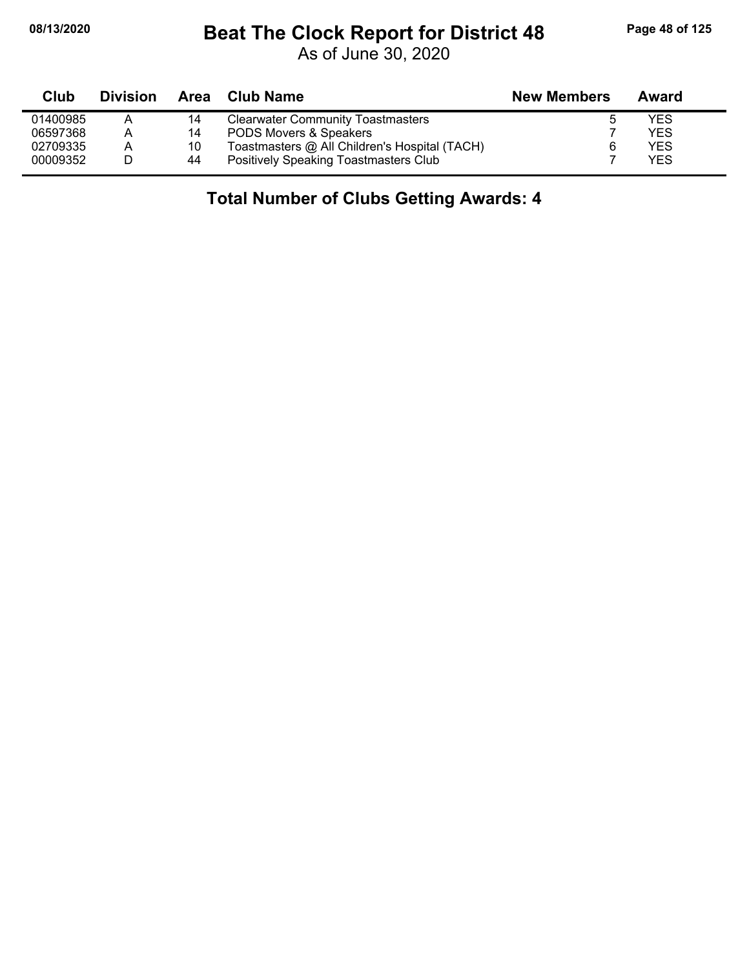## **08/13/2020 Beat The Clock Report for District 48 Page 48 of 125**

As of June 30, 2020

| Club     | <b>Division</b> | Area | Club Name                                     | <b>New Members</b> | Award      |  |
|----------|-----------------|------|-----------------------------------------------|--------------------|------------|--|
| 01400985 | Α               | 14   | <b>Clearwater Community Toastmasters</b>      |                    | YES        |  |
| 06597368 | A               | 14   | PODS Movers & Speakers                        |                    | YES        |  |
| 02709335 | A               | 10   | Toastmasters @ All Children's Hospital (TACH) |                    | YES        |  |
| 00009352 |                 | 44   | Positively Speaking Toastmasters Club         |                    | <b>YES</b> |  |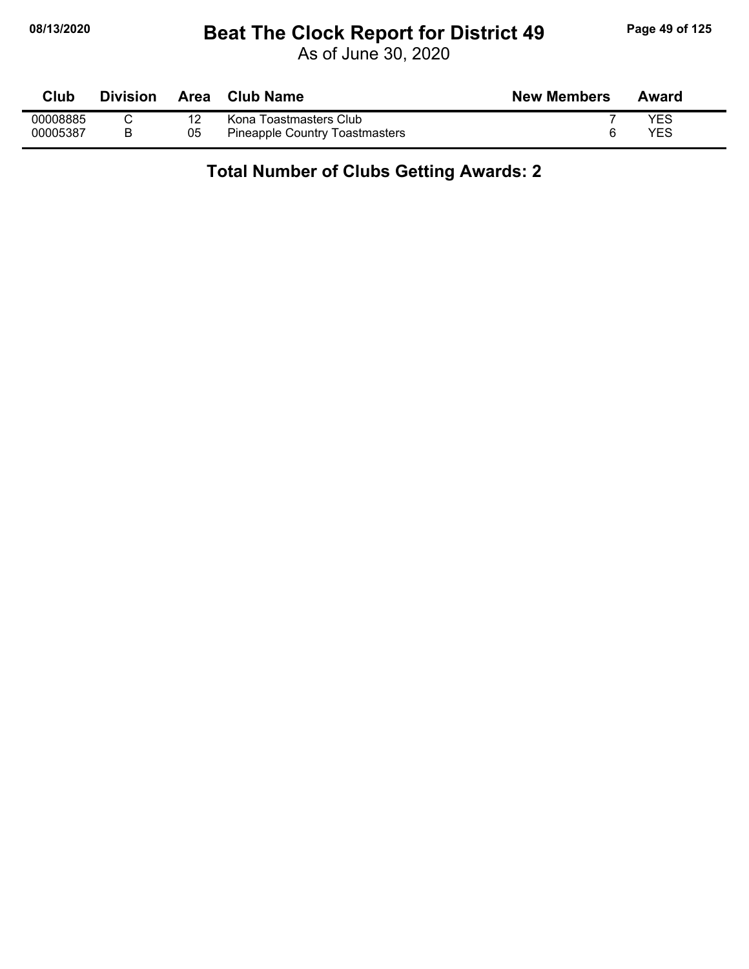### **08/13/2020 Beat The Clock Report for District 49 Page 49 of 125**

As of June 30, 2020

| Club     | <b>Division</b> | Area | Club Name                      | <b>New Members</b> | Award |
|----------|-----------------|------|--------------------------------|--------------------|-------|
| 00008885 |                 | 12   | Kona Toastmasters Club         |                    | YES   |
| 00005387 |                 | 05   | Pineapple Country Toastmasters |                    | YES   |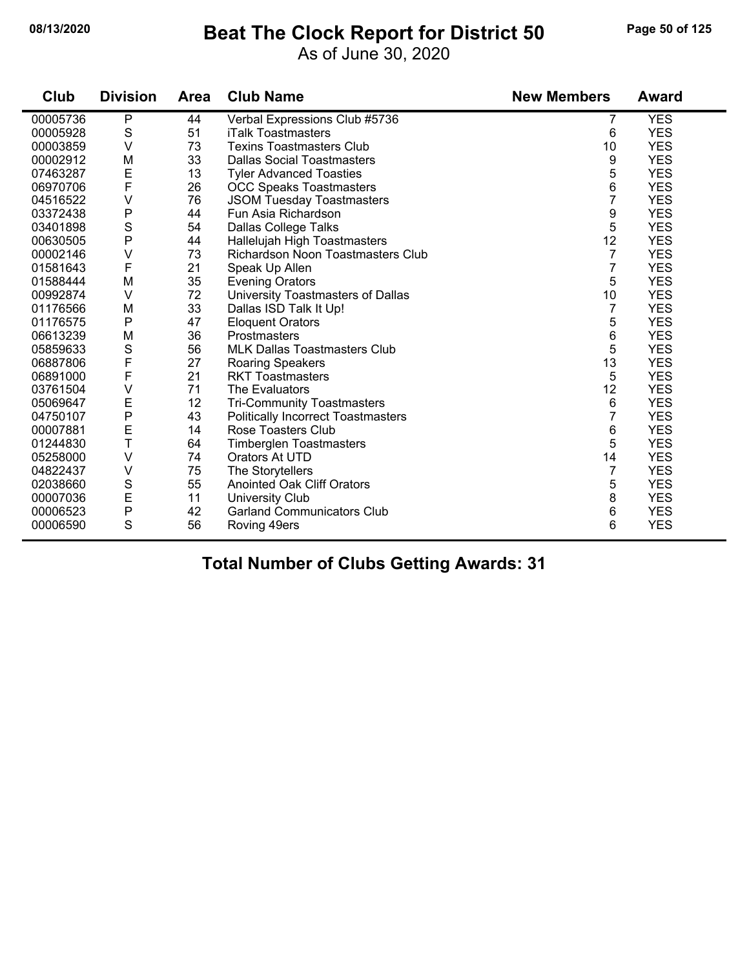#### **08/13/2020 Beat The Clock Report for District 50 Page 50 of 125**

As of June 30, 2020

| Club     | <b>Division</b> | <b>Area</b> | <b>Club Name</b>                          | <b>New Members</b> | <b>Award</b> |
|----------|-----------------|-------------|-------------------------------------------|--------------------|--------------|
| 00005736 | $\mathsf{P}$    | 44          | Verbal Expressions Club #5736             | 7                  | <b>YES</b>   |
| 00005928 | S               | 51          | <b>iTalk Toastmasters</b>                 | 6                  | <b>YES</b>   |
| 00003859 | $\vee$          | 73          | <b>Texins Toastmasters Club</b>           | 10                 | <b>YES</b>   |
| 00002912 | M               | 33          | <b>Dallas Social Toastmasters</b>         | 9                  | <b>YES</b>   |
| 07463287 | E               | 13          | <b>Tyler Advanced Toasties</b>            | 5                  | <b>YES</b>   |
| 06970706 | $\mathsf F$     | 26          | <b>OCC Speaks Toastmasters</b>            | 6                  | <b>YES</b>   |
| 04516522 | V               | 76          | <b>JSOM Tuesday Toastmasters</b>          | $\overline{7}$     | <b>YES</b>   |
| 03372438 | P               | 44          | Fun Asia Richardson                       | 9                  | <b>YES</b>   |
| 03401898 | $\mathbb S$     | 54          | Dallas College Talks                      | 5                  | <b>YES</b>   |
| 00630505 | P               | 44          | Hallelujah High Toastmasters              | 12                 | <b>YES</b>   |
| 00002146 | V               | 73          | Richardson Noon Toastmasters Club         | $\overline{7}$     | <b>YES</b>   |
| 01581643 | F               | 21          | Speak Up Allen                            | $\overline{7}$     | <b>YES</b>   |
| 01588444 | M               | 35          | <b>Evening Orators</b>                    | 5                  | <b>YES</b>   |
| 00992874 | $\vee$          | 72          | University Toastmasters of Dallas         | 10                 | <b>YES</b>   |
| 01176566 | M               | 33          | Dallas ISD Talk It Up!                    | $\overline{7}$     | <b>YES</b>   |
| 01176575 | P               | 47          | <b>Eloquent Orators</b>                   | 5                  | <b>YES</b>   |
| 06613239 | M               | 36          | Prostmasters                              | 6                  | <b>YES</b>   |
| 05859633 | ${\mathsf S}$   | 56          | <b>MLK Dallas Toastmasters Club</b>       | 5                  | <b>YES</b>   |
| 06887806 | $\mathsf F$     | 27          | Roaring Speakers                          | 13                 | <b>YES</b>   |
| 06891000 | F               | 21          | <b>RKT Toastmasters</b>                   | 5                  | <b>YES</b>   |
| 03761504 | $\vee$          | 71          | The Evaluators                            | 12                 | <b>YES</b>   |
| 05069647 | E               | 12          | <b>Tri-Community Toastmasters</b>         | 6                  | <b>YES</b>   |
| 04750107 | P               | 43          | <b>Politically Incorrect Toastmasters</b> | $\overline{7}$     | <b>YES</b>   |
| 00007881 | Ε               | 14          | <b>Rose Toasters Club</b>                 | 6                  | <b>YES</b>   |
| 01244830 | T               | 64          | <b>Timberglen Toastmasters</b>            | 5                  | <b>YES</b>   |
| 05258000 | $\vee$          | 74          | Orators At UTD                            | 14                 | <b>YES</b>   |
| 04822437 | $\vee$          | 75          | The Storytellers                          | $\overline{7}$     | <b>YES</b>   |
| 02038660 | $\mathbf S$     | 55          | <b>Anointed Oak Cliff Orators</b>         | 5                  | <b>YES</b>   |
| 00007036 | E               | 11          | <b>University Club</b>                    | 8                  | <b>YES</b>   |
| 00006523 | P               | 42          | <b>Garland Communicators Club</b>         | 6                  | <b>YES</b>   |
| 00006590 | S               | 56          | Roving 49ers                              | 6                  | <b>YES</b>   |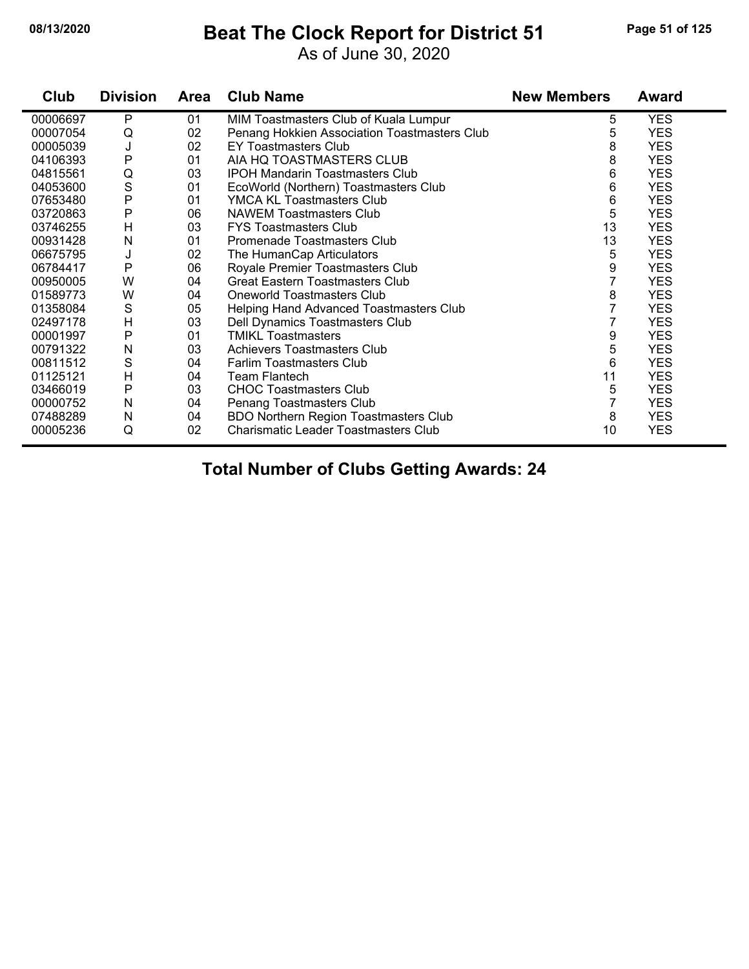#### **08/13/2020 Beat The Clock Report for District 51 Page 51 of 125**

As of June 30, 2020

| Club     | <b>Division</b> | Area | <b>Club Name</b>                             | <b>New Members</b> | <b>Award</b> |
|----------|-----------------|------|----------------------------------------------|--------------------|--------------|
| 00006697 | P               | 01   | MIM Toastmasters Club of Kuala Lumpur        | 5                  | <b>YES</b>   |
| 00007054 | Q               | 02   | Penang Hokkien Association Toastmasters Club | 5                  | <b>YES</b>   |
| 00005039 | J               | 02   | EY Toastmasters Club                         | 8                  | <b>YES</b>   |
| 04106393 | $\mathsf{P}$    | 01   | AIA HQ TOASTMASTERS CLUB                     | 8                  | <b>YES</b>   |
| 04815561 | Q               | 03   | <b>IPOH Mandarin Toastmasters Club</b>       | 6                  | <b>YES</b>   |
| 04053600 | S               | 01   | EcoWorld (Northern) Toastmasters Club        | 6                  | <b>YES</b>   |
| 07653480 | P               | 01   | YMCA KL Toastmasters Club                    | 6                  | <b>YES</b>   |
| 03720863 | P               | 06   | <b>NAWEM Toastmasters Club</b>               | 5                  | <b>YES</b>   |
| 03746255 | H               | 03   | <b>FYS Toastmasters Club</b>                 | 13                 | <b>YES</b>   |
| 00931428 | N               | 01   | Promenade Toastmasters Club                  | 13                 | <b>YES</b>   |
| 06675795 | J               | 02   | The HumanCap Articulators                    | 5                  | <b>YES</b>   |
| 06784417 | P               | 06   | Royale Premier Toastmasters Club             | 9                  | <b>YES</b>   |
| 00950005 | W               | 04   | <b>Great Eastern Toastmasters Club</b>       | 7                  | <b>YES</b>   |
| 01589773 | W               | 04   | <b>Oneworld Toastmasters Club</b>            | 8                  | <b>YES</b>   |
| 01358084 | S               | 05   | Helping Hand Advanced Toastmasters Club      |                    | <b>YES</b>   |
| 02497178 | H               | 03   | Dell Dynamics Toastmasters Club              | 7                  | <b>YES</b>   |
| 00001997 | P               | 01   | <b>TMIKL Toastmasters</b>                    | 9                  | <b>YES</b>   |
| 00791322 | N               | 03   | <b>Achievers Toastmasters Club</b>           | 5                  | <b>YES</b>   |
| 00811512 | S               | 04   | <b>Farlim Toastmasters Club</b>              | 6                  | <b>YES</b>   |
| 01125121 | H               | 04   | Team Flantech                                | 11                 | <b>YES</b>   |
| 03466019 | P               | 03   | <b>CHOC Toastmasters Club</b>                | 5                  | <b>YES</b>   |
| 00000752 | N               | 04   | Penang Toastmasters Club                     | 7                  | <b>YES</b>   |
| 07488289 | N               | 04   | <b>BDO Northern Region Toastmasters Club</b> | 8                  | <b>YES</b>   |
| 00005236 | Q               | 02   | Charismatic Leader Toastmasters Club         | 10                 | <b>YES</b>   |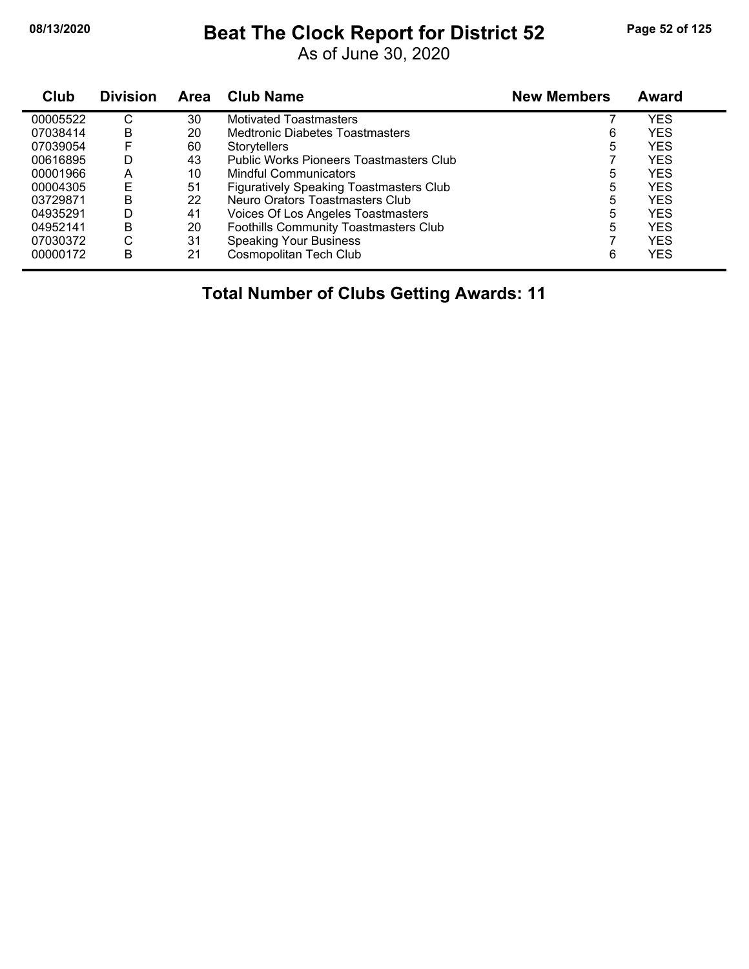### **08/13/2020 Beat The Clock Report for District 52 Page 52 of 125**

As of June 30, 2020

| <b>Club</b> | <b>Division</b> | <b>Area</b> | <b>Club Name</b>                               | <b>New Members</b> | Award      |
|-------------|-----------------|-------------|------------------------------------------------|--------------------|------------|
| 00005522    | С               | 30          | <b>Motivated Toastmasters</b>                  |                    | YES        |
| 07038414    | B               | 20          | Medtronic Diabetes Toastmasters                | 6                  | YES        |
| 07039054    | F               | 60          | <b>Storytellers</b>                            | 5                  | <b>YES</b> |
| 00616895    | D               | 43          | Public Works Pioneers Toastmasters Club        |                    | YES        |
| 00001966    | A               | 10          | <b>Mindful Communicators</b>                   | 5                  | YES        |
| 00004305    | Е               | 51          | <b>Figuratively Speaking Toastmasters Club</b> | 5                  | YES        |
| 03729871    | B               | 22          | Neuro Orators Toastmasters Club                | 5                  | <b>YES</b> |
| 04935291    | D               | 41          | Voices Of Los Angeles Toastmasters             | 5                  | YES        |
| 04952141    | B               | 20          | Foothills Community Toastmasters Club          | 5                  | YES        |
| 07030372    | C               | 31          | <b>Speaking Your Business</b>                  |                    | YES        |
| 00000172    | B               | 21          | Cosmopolitan Tech Club                         | 6                  | YES        |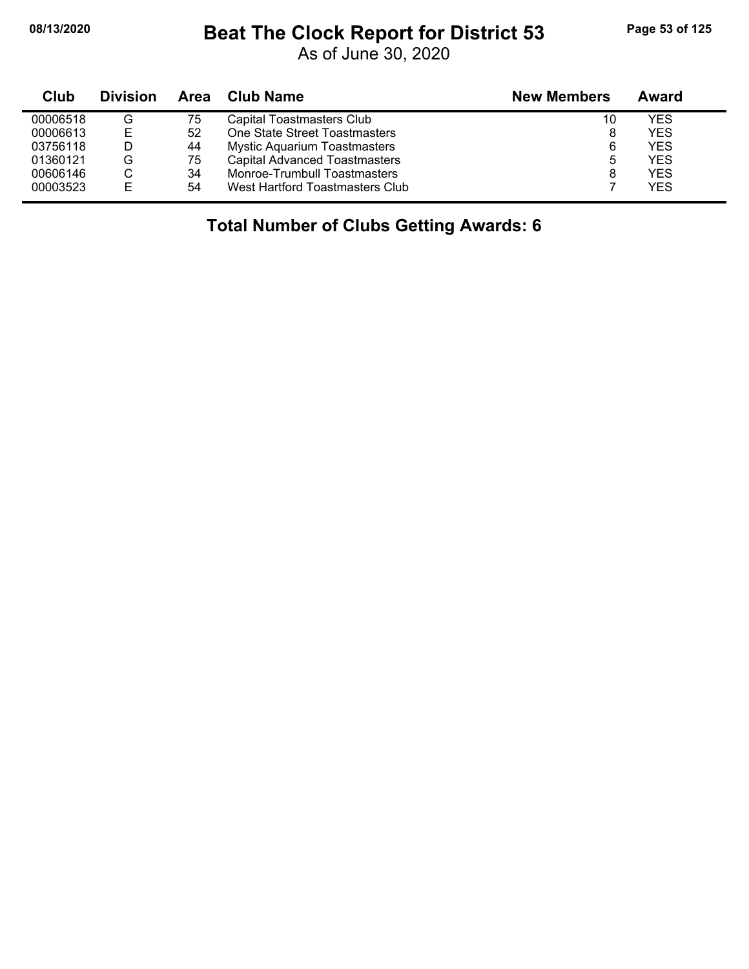#### **08/13/2020 Beat The Clock Report for District 53 Page 53 of 125**

As of June 30, 2020

| Club     | <b>Division</b> | Area | <b>Club Name</b>                    | <b>New Members</b> | Award      |
|----------|-----------------|------|-------------------------------------|--------------------|------------|
| 00006518 | G               | 75   | Capital Toastmasters Club           | 10                 | <b>YES</b> |
| 00006613 | Е               | 52   | One State Street Toastmasters       |                    | <b>YES</b> |
| 03756118 | D               | 44   | <b>Mystic Aquarium Toastmasters</b> | 6                  | <b>YES</b> |
| 01360121 | G               | 75   | Capital Advanced Toastmasters       |                    | <b>YES</b> |
| 00606146 | С               | 34   | Monroe-Trumbull Toastmasters        |                    | <b>YES</b> |
| 00003523 | F               | 54   | West Hartford Toastmasters Club     |                    | <b>YES</b> |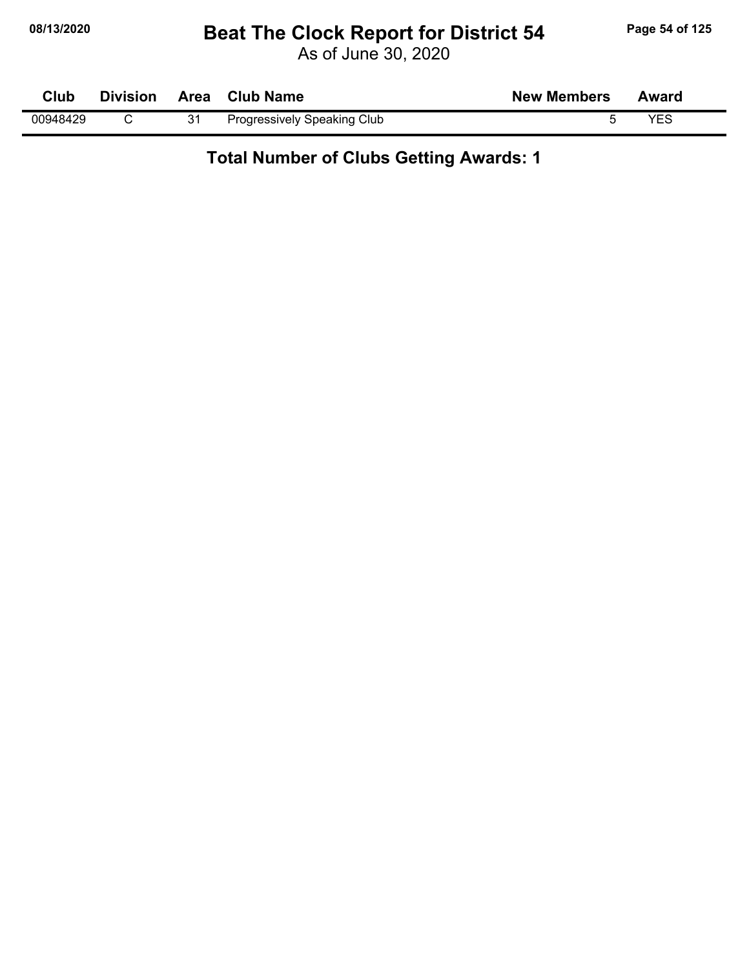#### **08/13/2020 Beat The Clock Report for District 54 Page 54 of 125**

As of June 30, 2020

| Club     | <b>Division</b> |    | Area Club Name              | <b>New Members</b> | Award |
|----------|-----------------|----|-----------------------------|--------------------|-------|
| 00948429 |                 | 31 | Progressively Speaking Club |                    | VES   |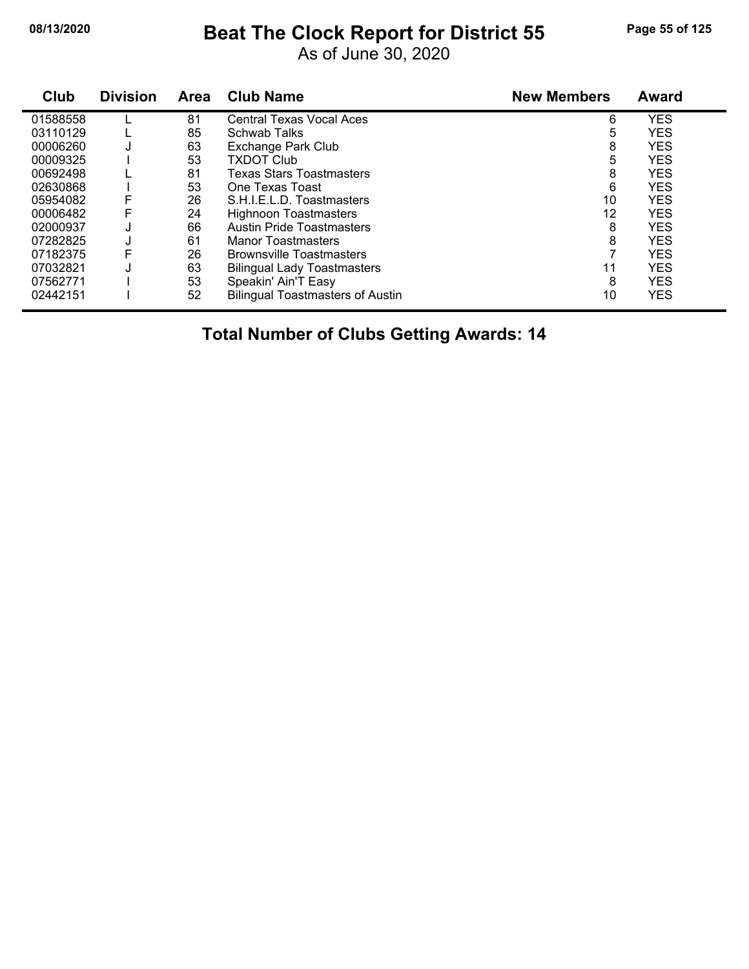# **08/13/2020 Beat The Clock Report for District 55 Page 55 of 125**

As of June 30, 2020

| Club     | <b>Division</b> | Area | <b>Club Name</b>                        | <b>New Members</b> | Award      |
|----------|-----------------|------|-----------------------------------------|--------------------|------------|
| 01588558 |                 | 81   | <b>Central Texas Vocal Aces</b>         | 6                  | <b>YES</b> |
| 03110129 |                 | 85   | <b>Schwab Talks</b>                     | 5                  | <b>YES</b> |
| 00006260 | J               | 63   | <b>Exchange Park Club</b>               | 8                  | <b>YES</b> |
| 00009325 |                 | 53   | <b>TXDOT Club</b>                       | 5                  | <b>YES</b> |
| 00692498 |                 | 81   | <b>Texas Stars Toastmasters</b>         | 8                  | <b>YES</b> |
| 02630868 |                 | 53   | One Texas Toast                         | 6                  | <b>YES</b> |
| 05954082 | F               | 26   | S.H.I.E.L.D. Toastmasters               | 10                 | <b>YES</b> |
| 00006482 |                 | 24   | Highnoon Toastmasters                   | 12                 | <b>YES</b> |
| 02000937 |                 | 66   | <b>Austin Pride Toastmasters</b>        | 8                  | <b>YES</b> |
| 07282825 |                 | 61   | <b>Manor Toastmasters</b>               | 8                  | <b>YES</b> |
| 07182375 | F               | 26   | <b>Brownsville Toastmasters</b>         |                    | <b>YES</b> |
| 07032821 |                 | 63   | <b>Bilingual Lady Toastmasters</b>      | 11                 | <b>YES</b> |
| 07562771 |                 | 53   | Speakin' Ain'T Easy                     | 8                  | <b>YES</b> |
| 02442151 |                 | 52   | <b>Bilingual Toastmasters of Austin</b> | 10                 | <b>YES</b> |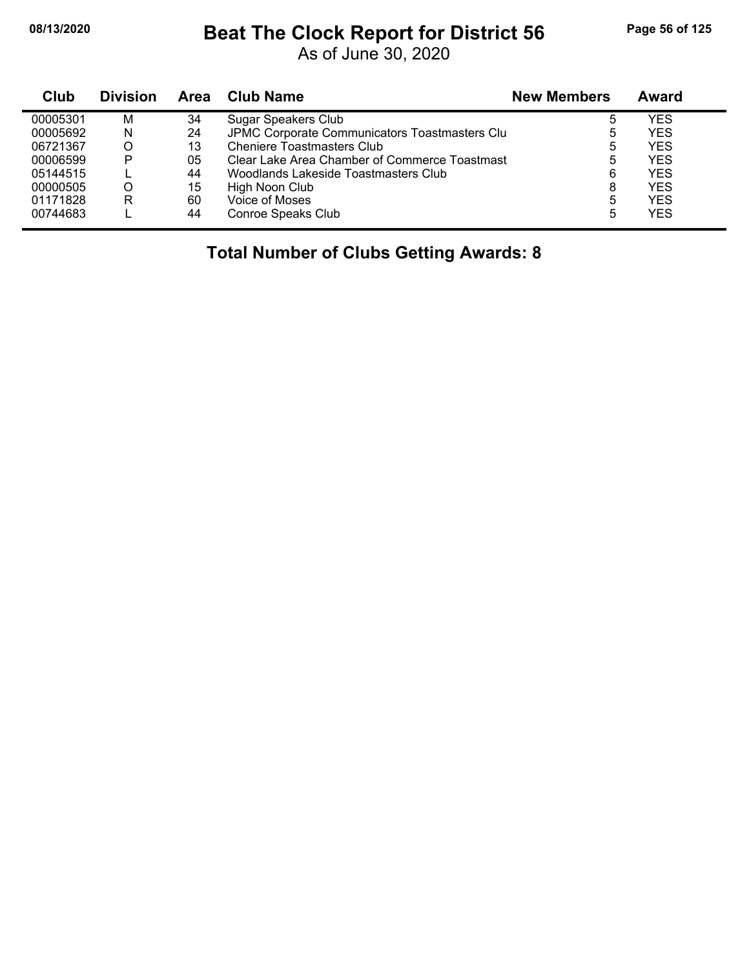### **08/13/2020 Beat The Clock Report for District 56 Page 56 of 125**

As of June 30, 2020

| Club     | <b>Division</b> | <b>Area</b> | Club Name                                     | <b>New Members</b> | Award      |
|----------|-----------------|-------------|-----------------------------------------------|--------------------|------------|
| 00005301 | M               | 34          | Sugar Speakers Club                           | 5                  | YES        |
| 00005692 | N               | 24          | JPMC Corporate Communicators Toastmasters Clu | 5                  | YES        |
| 06721367 |                 | 13          | Cheniere Toastmasters Club                    | 5                  | YES        |
| 00006599 | P               | 05          | Clear Lake Area Chamber of Commerce Toastmast | 5                  | <b>YES</b> |
| 05144515 |                 | 44          | Woodlands Lakeside Toastmasters Club          | 6                  | YES        |
| 00000505 |                 | 15          | High Noon Club                                | 8                  | YES        |
| 01171828 | R               | 60          | Voice of Moses                                | 5                  | YES        |
| 00744683 |                 | 44          | Conroe Speaks Club                            | 5                  | YES        |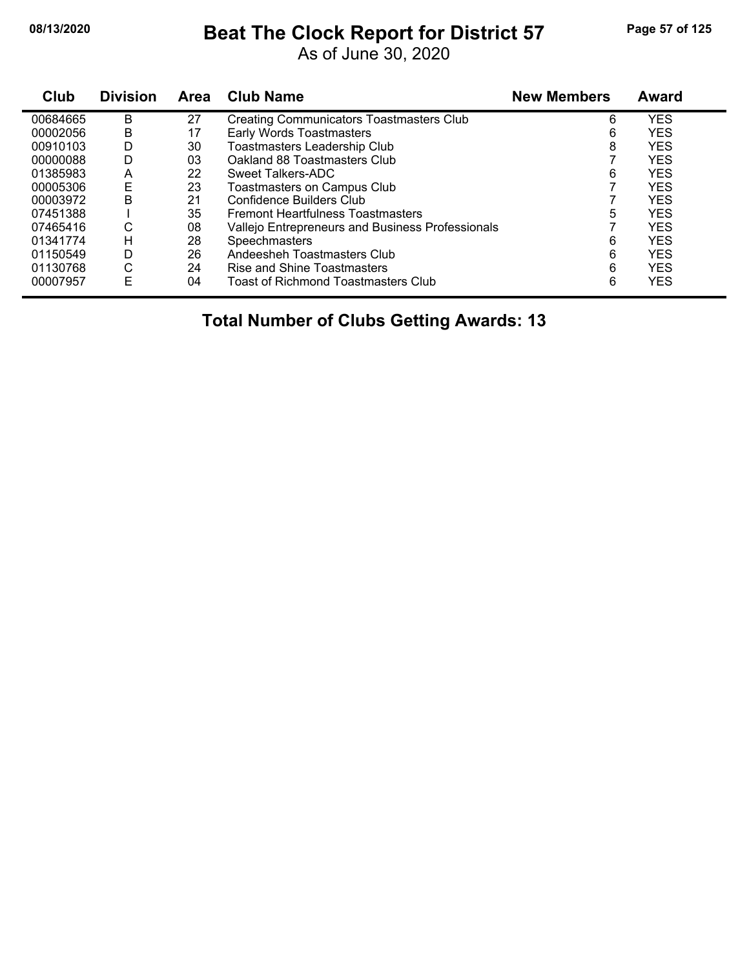## **08/13/2020 Beat The Clock Report for District 57 Page 57 of 125**

As of June 30, 2020

| Club     | <b>Division</b> | Area | <b>Club Name</b>                                 | <b>New Members</b> | Award      |
|----------|-----------------|------|--------------------------------------------------|--------------------|------------|
| 00684665 | В               | 27   | <b>Creating Communicators Toastmasters Club</b>  | 6                  | <b>YES</b> |
| 00002056 | В               | 17   | Early Words Toastmasters                         | 6                  | <b>YES</b> |
| 00910103 | D               | 30   | Toastmasters Leadership Club                     | 8                  | <b>YES</b> |
| 00000088 | D               | 03   | Oakland 88 Toastmasters Club                     |                    | <b>YES</b> |
| 01385983 | A               | 22   | Sweet Talkers-ADC                                | 6                  | <b>YES</b> |
| 00005306 | Ε               | 23   | Toastmasters on Campus Club                      |                    | <b>YES</b> |
| 00003972 | B               | 21   | Confidence Builders Club                         |                    | <b>YES</b> |
| 07451388 |                 | 35   | <b>Fremont Heartfulness Toastmasters</b>         | 5                  | <b>YES</b> |
| 07465416 | С               | 08   | Vallejo Entrepreneurs and Business Professionals |                    | <b>YES</b> |
| 01341774 | н               | 28   | <b>Speechmasters</b>                             | 6                  | <b>YES</b> |
| 01150549 | D               | 26   | Andeesheh Toastmasters Club                      | 6                  | <b>YES</b> |
| 01130768 | С               | 24   | Rise and Shine Toastmasters                      | 6                  | <b>YES</b> |
| 00007957 | Е               | 04   | Toast of Richmond Toastmasters Club              | 6                  | <b>YES</b> |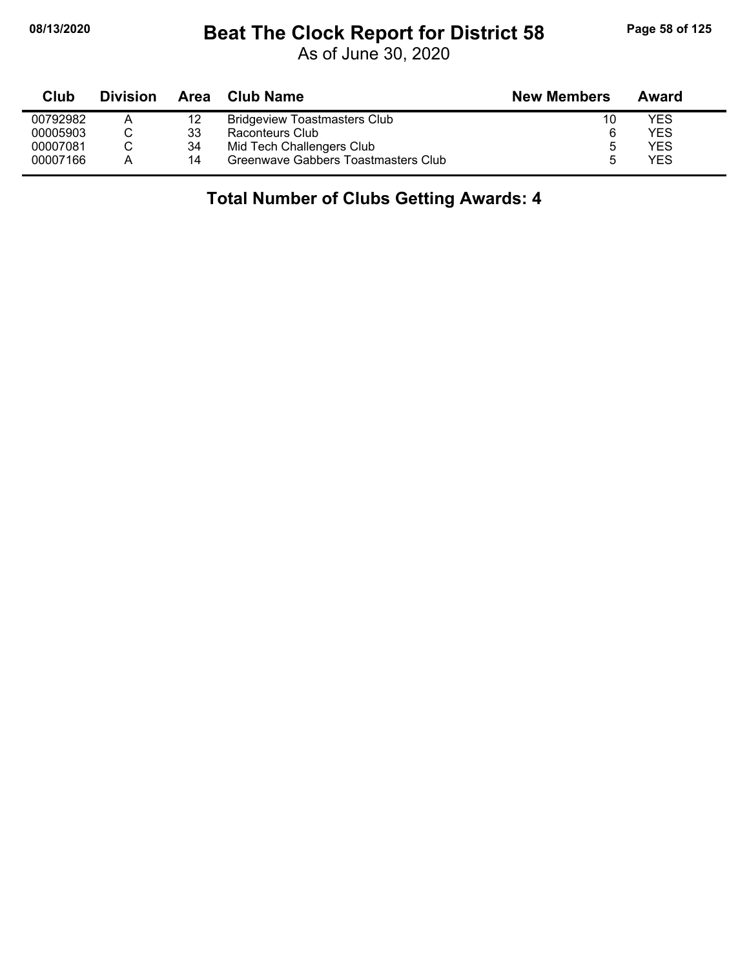### **08/13/2020 Beat The Clock Report for District 58 Page 58 of 125**

As of June 30, 2020

| Club     | <b>Division</b> | Area | Club Name                           | <b>New Members</b> | Award |  |
|----------|-----------------|------|-------------------------------------|--------------------|-------|--|
| 00792982 | Α               | 12   | <b>Bridgeview Toastmasters Club</b> | 10                 | YES   |  |
| 00005903 |                 | 33   | Raconteurs Club                     | 6                  | YES   |  |
| 00007081 |                 | 34   | Mid Tech Challengers Club           | 5                  | YES   |  |
| 00007166 | А               | 14   | Greenwave Gabbers Toastmasters Club |                    | YES   |  |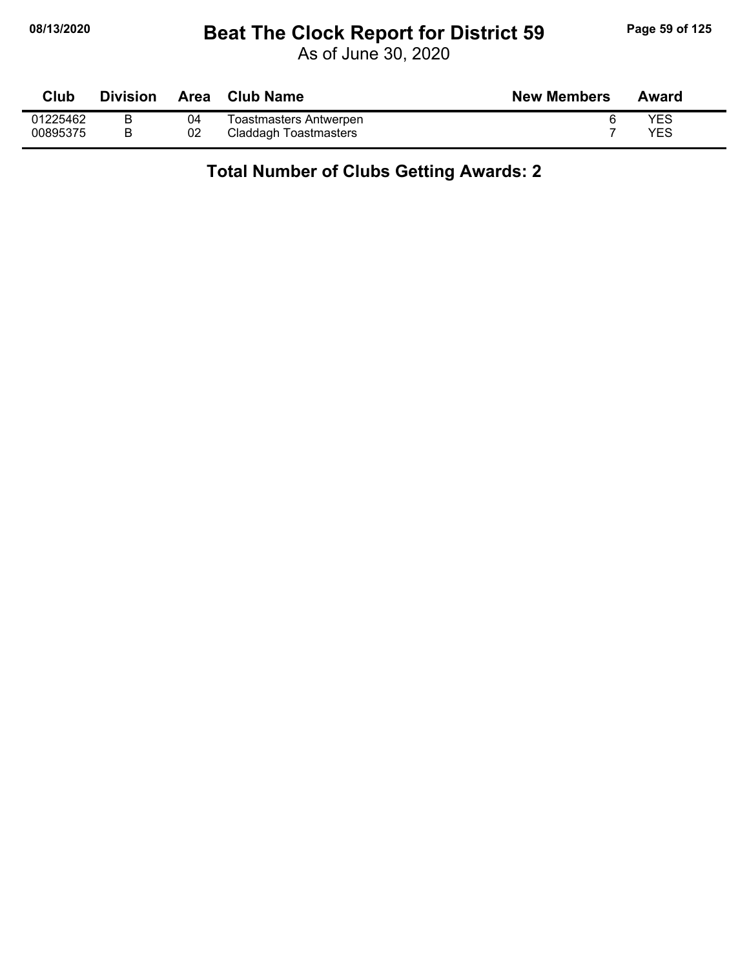### **08/13/2020 Beat The Clock Report for District 59 Page 59 of 125**

As of June 30, 2020

| <b>Club</b> | <b>Division</b> | Area | Club Name              | <b>New Members</b> | Award |
|-------------|-----------------|------|------------------------|--------------------|-------|
| 01225462    |                 | 04   | Toastmasters Antwerpen |                    | YES   |
| 00895375    |                 | 02   | Claddagh Toastmasters  |                    | YES   |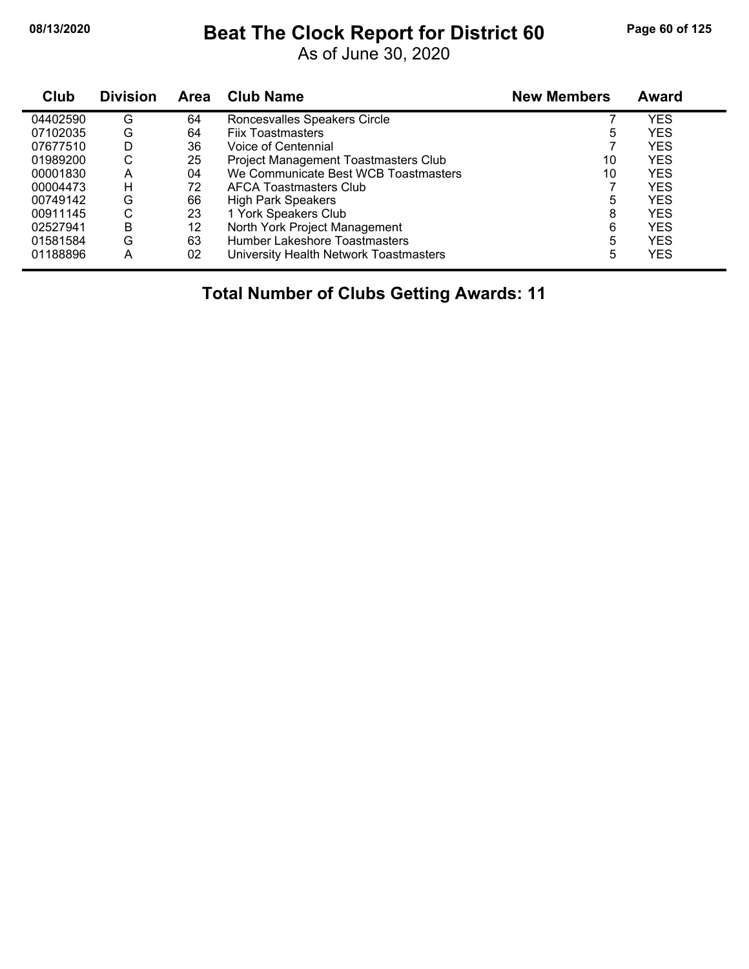# **08/13/2020 Beat The Clock Report for District 60 Page 60 of 125**

As of June 30, 2020

| Club     | <b>Division</b> | Area | <b>Club Name</b>                       | <b>New Members</b> | Award      |
|----------|-----------------|------|----------------------------------------|--------------------|------------|
| 04402590 | G               | 64   | Roncesvalles Speakers Circle           |                    | YES        |
| 07102035 | G               | 64   | <b>Fiix Toastmasters</b>               | 5                  | <b>YES</b> |
| 07677510 | D               | 36   | Voice of Centennial                    |                    | <b>YES</b> |
| 01989200 | С               | 25   | Project Management Toastmasters Club   | 10                 | <b>YES</b> |
| 00001830 | A               | 04   | We Communicate Best WCB Toastmasters   | 10                 | <b>YES</b> |
| 00004473 | н               | 72   | AFCA Toastmasters Club                 |                    | <b>YES</b> |
| 00749142 | G               | 66   | <b>High Park Speakers</b>              | 5                  | <b>YES</b> |
| 00911145 | С               | 23   | 1 York Speakers Club                   | 8                  | <b>YES</b> |
| 02527941 | В               | 12   | North York Project Management          | 6                  | <b>YES</b> |
| 01581584 | G               | 63   | Humber Lakeshore Toastmasters          | 5                  | <b>YES</b> |
| 01188896 | Α               | 02   | University Health Network Toastmasters | 5                  | <b>YES</b> |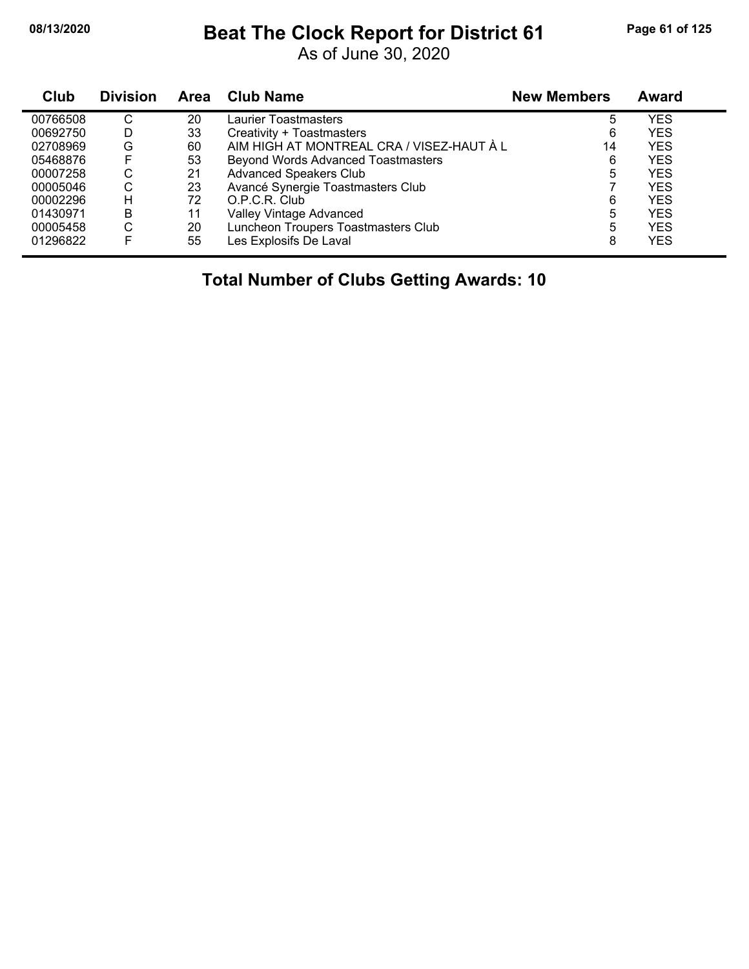### **08/13/2020 Beat The Clock Report for District 61 Page 61 of 125**

As of June 30, 2020

| Club     | <b>Division</b> | <b>Area</b> | <b>Club Name</b>                          | <b>New Members</b> | Award      |
|----------|-----------------|-------------|-------------------------------------------|--------------------|------------|
| 00766508 | С               | 20          | Laurier Toastmasters                      | 5                  | <b>YES</b> |
| 00692750 | D               | 33          | Creativity + Toastmasters                 | 6                  | <b>YES</b> |
| 02708969 | G               | 60          | AIM HIGH AT MONTREAL CRA / VISEZ-HAUT À L | 14                 | <b>YES</b> |
| 05468876 | F               | 53          | <b>Beyond Words Advanced Toastmasters</b> | 6                  | <b>YES</b> |
| 00007258 | С               | 21          | <b>Advanced Speakers Club</b>             | 5                  | <b>YES</b> |
| 00005046 | С               | 23          | Avancé Synergie Toastmasters Club         |                    | <b>YES</b> |
| 00002296 | н               | 72          | O.P.C.R. Club                             | 6                  | <b>YES</b> |
| 01430971 | B               | 11          | Valley Vintage Advanced                   | 5                  | <b>YES</b> |
| 00005458 | С               | 20          | Luncheon Troupers Toastmasters Club       | 5                  | <b>YES</b> |
| 01296822 |                 | 55          | Les Explosifs De Laval                    | 8                  | <b>YES</b> |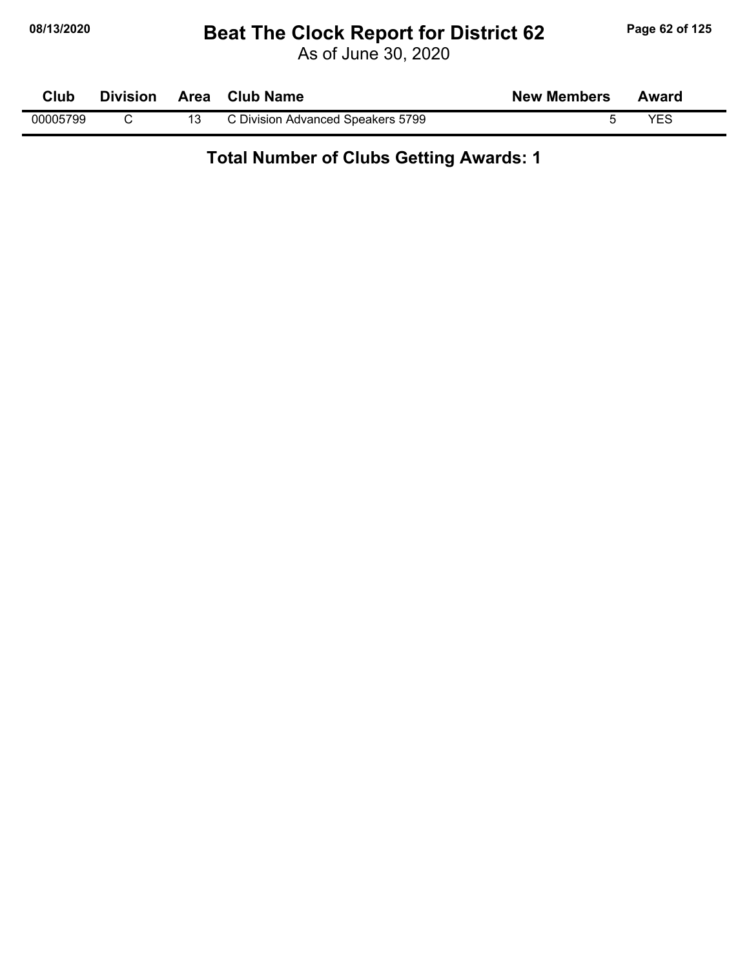### **08/13/2020 Beat The Clock Report for District 62 Page 62 of 125**

As of June 30, 2020

| Club     | <b>Division</b> | Area Club Name                    | <b>New Members</b> | Award      |  |
|----------|-----------------|-----------------------------------|--------------------|------------|--|
| 00005799 |                 | C Division Advanced Speakers 5799 |                    | <b>YFS</b> |  |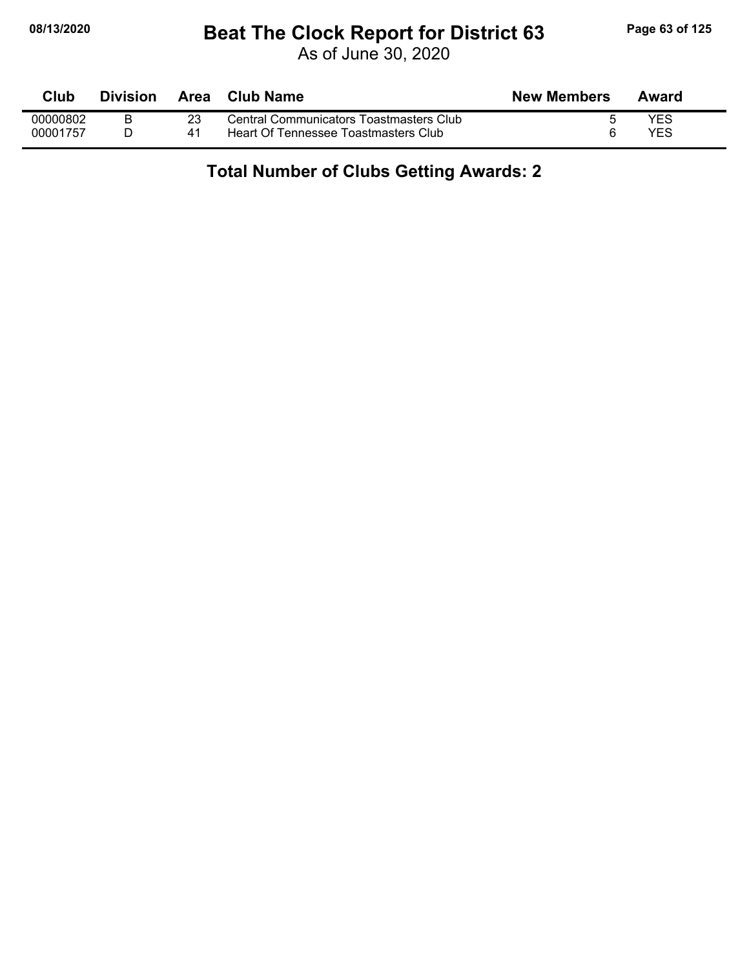### **08/13/2020 Beat The Clock Report for District 63 Page 63 of 125**

As of June 30, 2020

| <b>Club</b> | Division | Area | Club Name                               | <b>New Members</b> | Award |  |
|-------------|----------|------|-----------------------------------------|--------------------|-------|--|
| 00000802    |          |      | Central Communicators Toastmasters Club |                    | YES   |  |
| 00001757    |          |      | Heart Of Tennessee Toastmasters Club    |                    | YES   |  |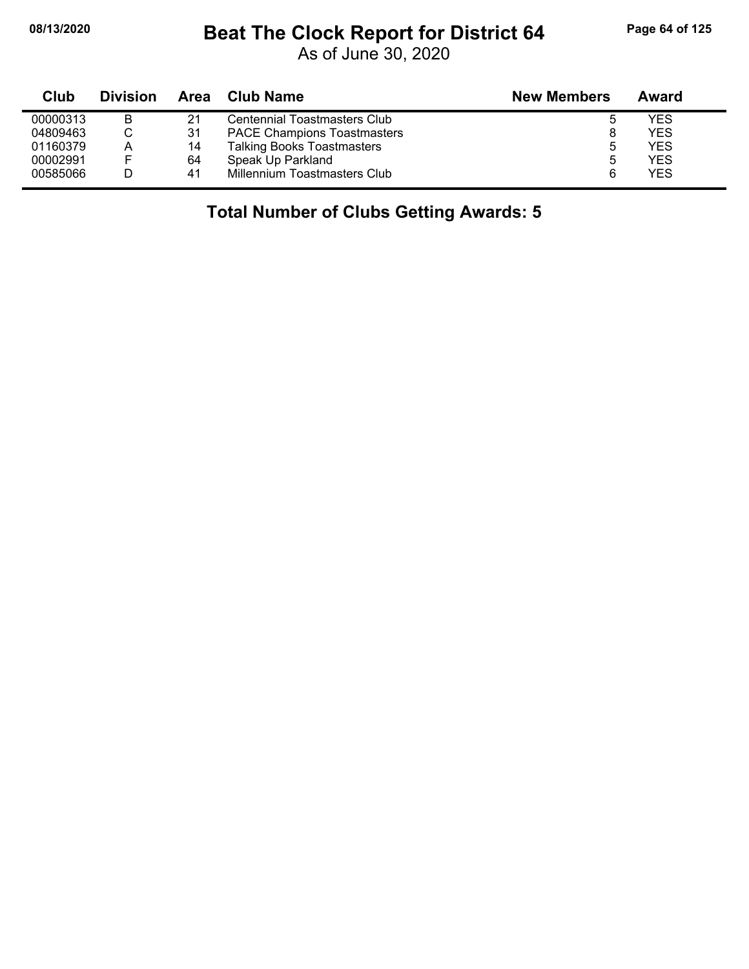### **08/13/2020 Beat The Clock Report for District 64 Page 64 of 125**

As of June 30, 2020

| Club     | <b>Division</b> |    | Area Club Name                     | <b>New Members</b> | Award      |
|----------|-----------------|----|------------------------------------|--------------------|------------|
| 00000313 | в               | 21 | Centennial Toastmasters Club       |                    | <b>YES</b> |
| 04809463 |                 | 31 | <b>PACE Champions Toastmasters</b> |                    | <b>YES</b> |
| 01160379 | A               | 14 | <b>Talking Books Toastmasters</b>  | ა                  | <b>YES</b> |
| 00002991 |                 | 64 | Speak Up Parkland                  | 5                  | <b>YES</b> |
| 00585066 |                 | 41 | Millennium Toastmasters Club       |                    | <b>YES</b> |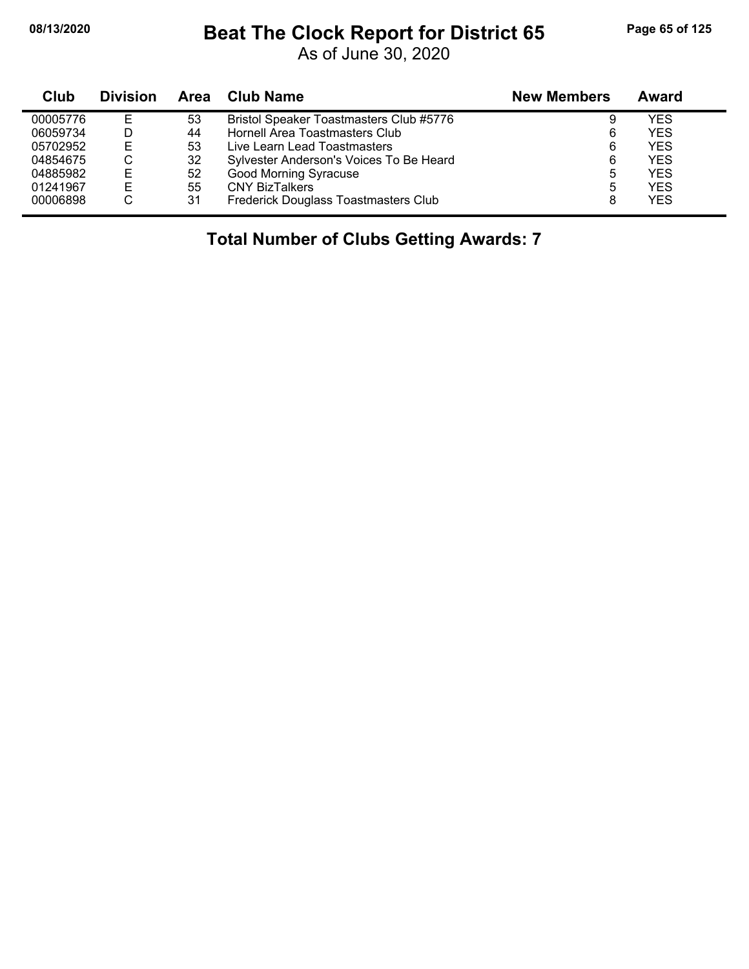## **08/13/2020 Beat The Clock Report for District 65 Page 65 of 125**

As of June 30, 2020

| Club     | <b>Division</b> | Area | <b>Club Name</b>                        | <b>New Members</b> | Award      |
|----------|-----------------|------|-----------------------------------------|--------------------|------------|
| 00005776 | E               | 53   | Bristol Speaker Toastmasters Club #5776 | 9                  | YES        |
| 06059734 |                 | 44   | Hornell Area Toastmasters Club          | 6                  | <b>YES</b> |
| 05702952 | Е               | 53   | Live Learn Lead Toastmasters            | 6                  | <b>YES</b> |
| 04854675 | ◡               | 32   | Sylvester Anderson's Voices To Be Heard | 6                  | <b>YES</b> |
| 04885982 | Е               | 52   | <b>Good Morning Syracuse</b>            | 5                  | <b>YES</b> |
| 01241967 | E               | 55   | <b>CNY BizTalkers</b>                   | 5                  | <b>YES</b> |
| 00006898 | С               | 31   | Frederick Douglass Toastmasters Club    | 8                  | <b>YES</b> |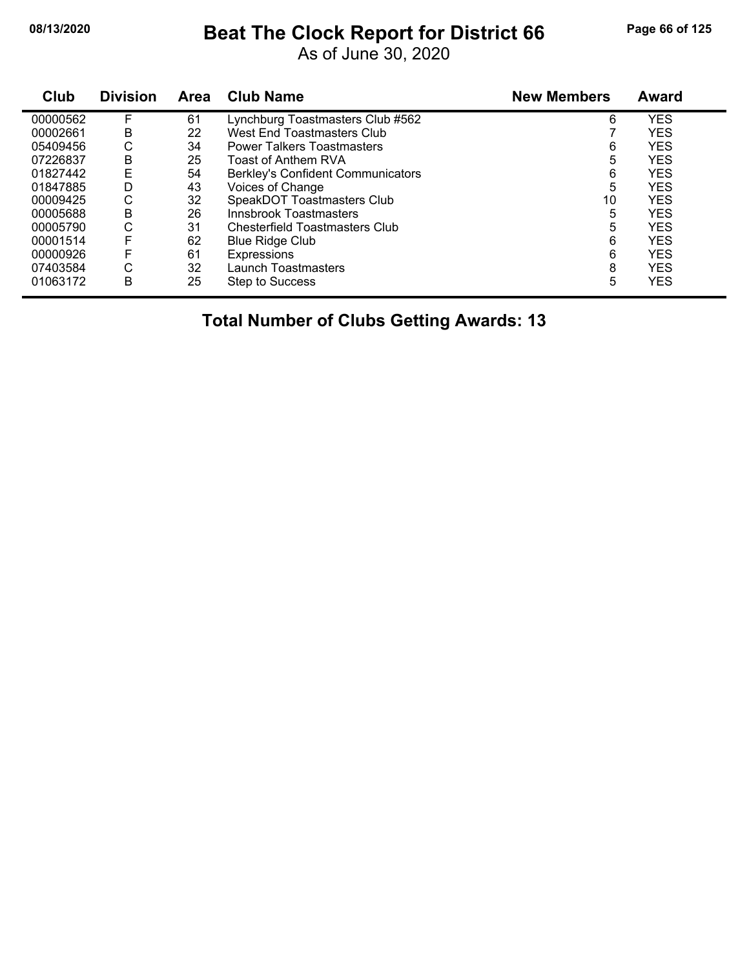# **08/13/2020 Beat The Clock Report for District 66 Page 66 of 125**

As of June 30, 2020

| Club     | <b>Division</b> | Area | <b>Club Name</b>                         | <b>New Members</b> | <b>Award</b> |
|----------|-----------------|------|------------------------------------------|--------------------|--------------|
| 00000562 | F               | 61   | Lynchburg Toastmasters Club #562         | 6                  | <b>YES</b>   |
| 00002661 | В               | 22   | <b>West End Toastmasters Club</b>        |                    | <b>YES</b>   |
| 05409456 | С               | 34   | <b>Power Talkers Toastmasters</b>        | 6                  | <b>YES</b>   |
| 07226837 | В               | 25   | Toast of Anthem RVA                      | 5                  | <b>YES</b>   |
| 01827442 | E               | 54   | <b>Berkley's Confident Communicators</b> | 6                  | <b>YES</b>   |
| 01847885 | D               | 43   | Voices of Change                         | 5                  | <b>YES</b>   |
| 00009425 | С               | 32   | SpeakDOT Toastmasters Club               | 10                 | <b>YES</b>   |
| 00005688 | В               | 26   | Innsbrook Toastmasters                   | 5                  | <b>YES</b>   |
| 00005790 | С               | 31   | Chesterfield Toastmasters Club           | 5                  | <b>YES</b>   |
| 00001514 | F               | 62   | <b>Blue Ridge Club</b>                   | 6                  | <b>YES</b>   |
| 00000926 | F               | 61   | Expressions                              | 6                  | <b>YES</b>   |
| 07403584 | С               | 32   | Launch Toastmasters                      | 8                  | <b>YES</b>   |
| 01063172 | B               | 25   | <b>Step to Success</b>                   | 5                  | <b>YES</b>   |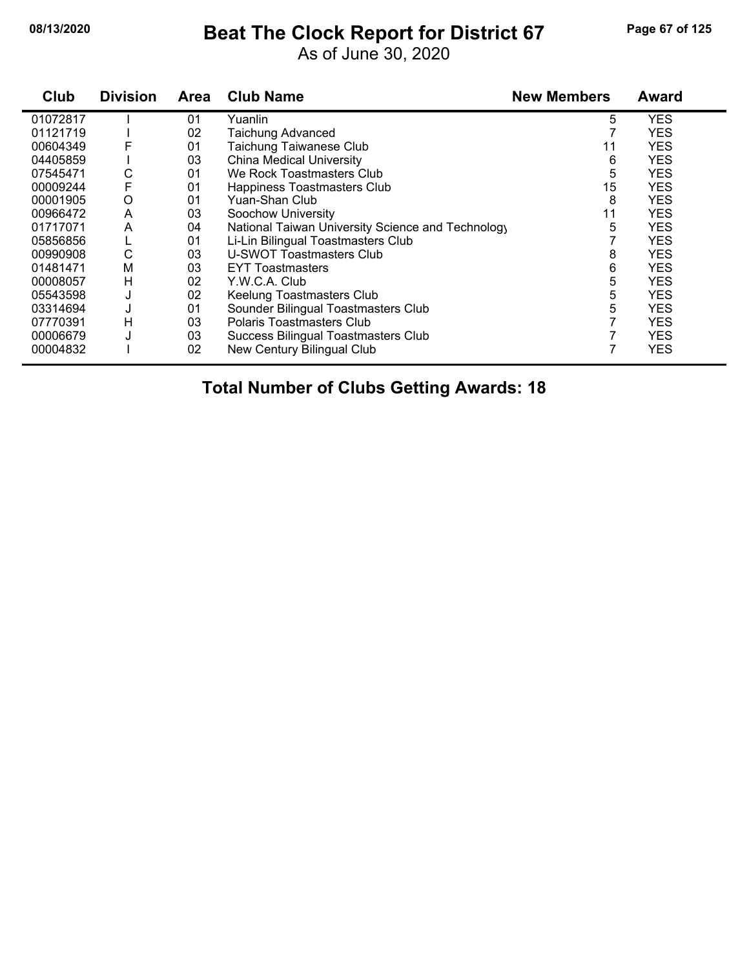$\blacksquare$ 

### **08/13/2020 Beat The Clock Report for District 67 Page 67 of 125**

As of June 30, 2020

| Club     | <b>Division</b> | <b>Area</b> | <b>Club Name</b>                                  | <b>New Members</b> | <b>Award</b> |
|----------|-----------------|-------------|---------------------------------------------------|--------------------|--------------|
| 01072817 |                 | 01          | Yuanlin                                           | 5                  | <b>YES</b>   |
| 01121719 |                 | 02          | <b>Taichung Advanced</b>                          |                    | <b>YES</b>   |
| 00604349 | F               | 01          | Taichung Taiwanese Club                           | 11                 | <b>YES</b>   |
| 04405859 |                 | 03          | <b>China Medical University</b>                   | 6                  | <b>YES</b>   |
| 07545471 | С               | 01          | We Rock Toastmasters Club                         | 5                  | <b>YES</b>   |
| 00009244 | F               | 01          | Happiness Toastmasters Club                       | 15                 | <b>YES</b>   |
| 00001905 | O               | 01          | Yuan-Shan Club                                    | 8                  | <b>YES</b>   |
| 00966472 | A               | 03          | Soochow University                                | 11                 | <b>YES</b>   |
| 01717071 | A               | 04          | National Taiwan University Science and Technology | 5                  | <b>YES</b>   |
| 05856856 |                 | 01          | Li-Lin Bilingual Toastmasters Club                |                    | <b>YES</b>   |
| 00990908 | C               | 03          | U-SWOT Toastmasters Club                          | 8                  | <b>YES</b>   |
| 01481471 | M               | 03          | <b>EYT Toastmasters</b>                           | 6                  | <b>YES</b>   |
| 00008057 | Н               | 02          | Y.W.C.A. Club                                     | 5                  | <b>YES</b>   |
| 05543598 | J               | 02          | Keelung Toastmasters Club                         | 5                  | <b>YES</b>   |
| 03314694 | J               | 01          | Sounder Bilingual Toastmasters Club               | 5                  | <b>YES</b>   |
| 07770391 | н               | 03          | Polaris Toastmasters Club                         |                    | <b>YES</b>   |
| 00006679 | J               | 03          | Success Bilingual Toastmasters Club               |                    | <b>YES</b>   |
| 00004832 |                 | 02          | New Century Bilingual Club                        |                    | <b>YES</b>   |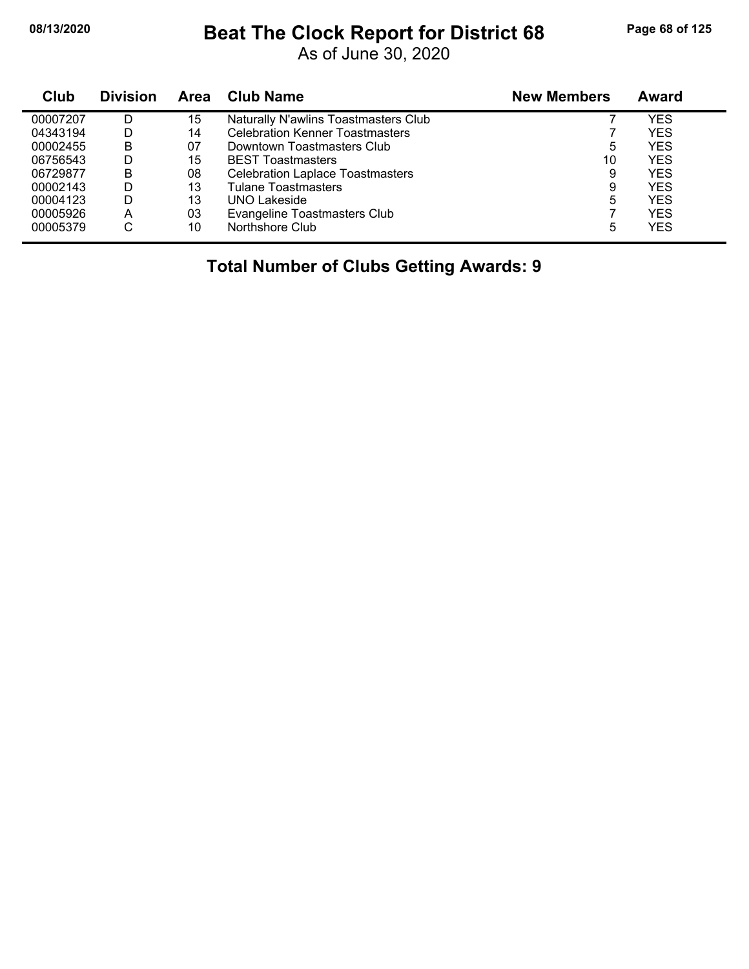### **08/13/2020 Beat The Clock Report for District 68 Page 68 of 125**

As of June 30, 2020

| Club     | <b>Division</b> | <b>Area</b> | <b>Club Name</b>                        | <b>New Members</b> | Award |
|----------|-----------------|-------------|-----------------------------------------|--------------------|-------|
| 00007207 | D               | 15          | Naturally N'awlins Toastmasters Club    |                    | YES   |
| 04343194 | D               | 14          | <b>Celebration Kenner Toastmasters</b>  |                    | YES   |
| 00002455 | B               | 07          | Downtown Toastmasters Club              | 5                  | YES   |
| 06756543 | D               | 15          | <b>BEST Toastmasters</b>                | 10                 | YES   |
| 06729877 | B               | 08          | <b>Celebration Laplace Toastmasters</b> | 9                  | YES   |
| 00002143 | D               | 13          | <b>Tulane Toastmasters</b>              | 9                  | YES   |
| 00004123 | D               | 13          | <b>UNO Lakeside</b>                     | 5                  | YES   |
| 00005926 | A               | 03          | Evangeline Toastmasters Club            |                    | YES   |
| 00005379 | С               | 10          | Northshore Club                         | 5                  | YES   |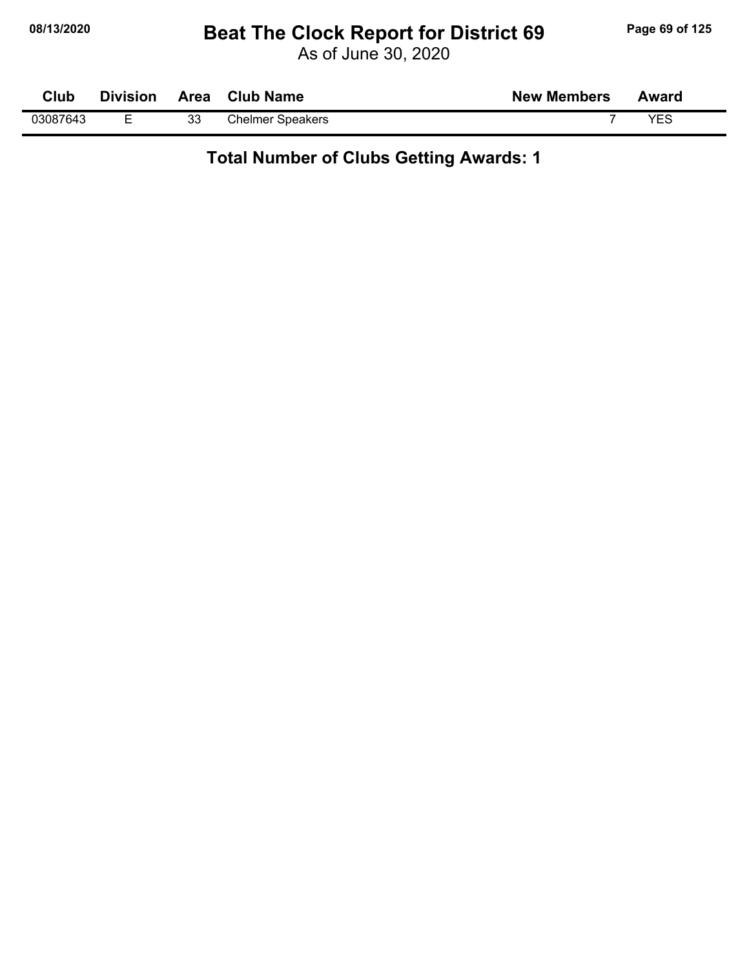### **08/13/2020 Beat The Clock Report for District 69 Page 69 of 125**

As of June 30, 2020

| Club     | <b>Division</b> |    | Area Club Name          | <b>New Members</b> | Award      |  |
|----------|-----------------|----|-------------------------|--------------------|------------|--|
| 03087643 |                 | 33 | <b>Chelmer Speakers</b> |                    | <b>YES</b> |  |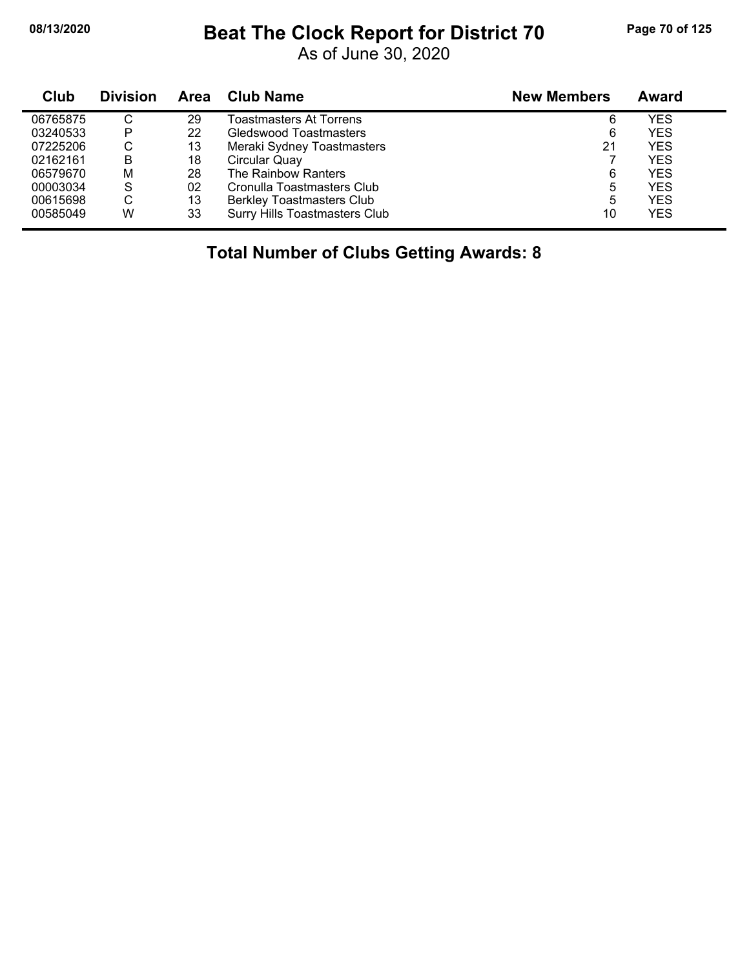#### **08/13/2020 Beat The Clock Report for District 70 Page 70 of 125**

As of June 30, 2020

| Club     | <b>Division</b> | Area | Club Name                            | <b>New Members</b> | Award      |
|----------|-----------------|------|--------------------------------------|--------------------|------------|
| 06765875 | C               | 29   | Toastmasters At Torrens              | 6                  | <b>YES</b> |
| 03240533 | P               | 22   | <b>Gledswood Toastmasters</b>        | 6                  | <b>YES</b> |
| 07225206 | С               | 13   | Meraki Sydney Toastmasters           | 21                 | <b>YES</b> |
| 02162161 | В               | 18   | Circular Quay                        |                    | <b>YES</b> |
| 06579670 | М               | 28   | The Rainbow Ranters                  | 6                  | <b>YES</b> |
| 00003034 | S               | 02   | Cronulla Toastmasters Club           | 5                  | <b>YES</b> |
| 00615698 | $\sim$<br>◡     | 13   | <b>Berkley Toastmasters Club</b>     | 5                  | <b>YES</b> |
| 00585049 | W               | 33   | <b>Surry Hills Toastmasters Club</b> | 10                 | <b>YES</b> |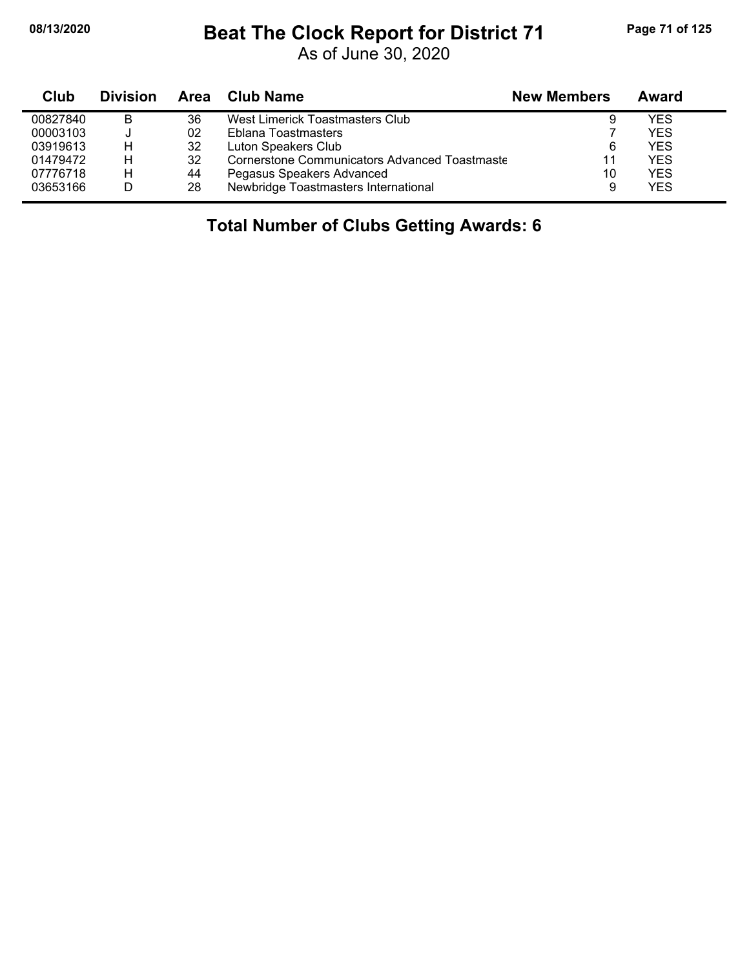#### **08/13/2020 Beat The Clock Report for District 71 Page 71 of 125**

As of June 30, 2020

| Club     | <b>Division</b> | Area | Club Name                                            | <b>New Members</b> | Award      |
|----------|-----------------|------|------------------------------------------------------|--------------------|------------|
| 00827840 | B               | 36   | West Limerick Toastmasters Club                      |                    | YES.       |
| 00003103 |                 | 02   | Eblana Toastmasters                                  |                    | YES.       |
| 03919613 |                 | 32   | Luton Speakers Club                                  | 6                  | <b>YES</b> |
| 01479472 | н               | 32   | <b>Cornerstone Communicators Advanced Toastmaste</b> | 11                 | <b>YES</b> |
| 07776718 | н               | 44   | Pegasus Speakers Advanced                            | 10                 | YES.       |
| 03653166 |                 | 28   | Newbridge Toastmasters International                 | 9                  | YES.       |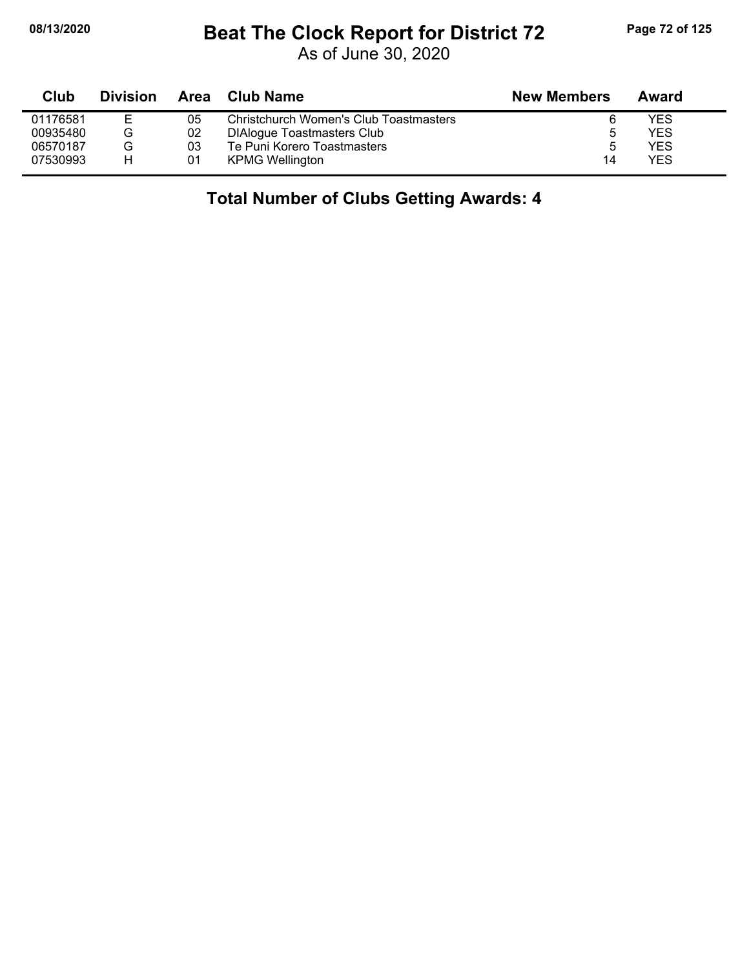### **08/13/2020 Beat The Clock Report for District 72 Page 72 of 125**

As of June 30, 2020

| Club     | <b>Division</b> | Area | <b>Club Name</b>                       | <b>New Members</b> | Award |  |
|----------|-----------------|------|----------------------------------------|--------------------|-------|--|
| 01176581 |                 | 05   | Christchurch Women's Club Toastmasters |                    | YES   |  |
| 00935480 | G               | 02   | <b>DIAlogue Toastmasters Club</b>      |                    | YES   |  |
| 06570187 | G               | 03   | Te Puni Korero Toastmasters            | ა                  | YES   |  |
| 07530993 | н               | 01   | <b>KPMG Wellington</b>                 | 14                 | YES   |  |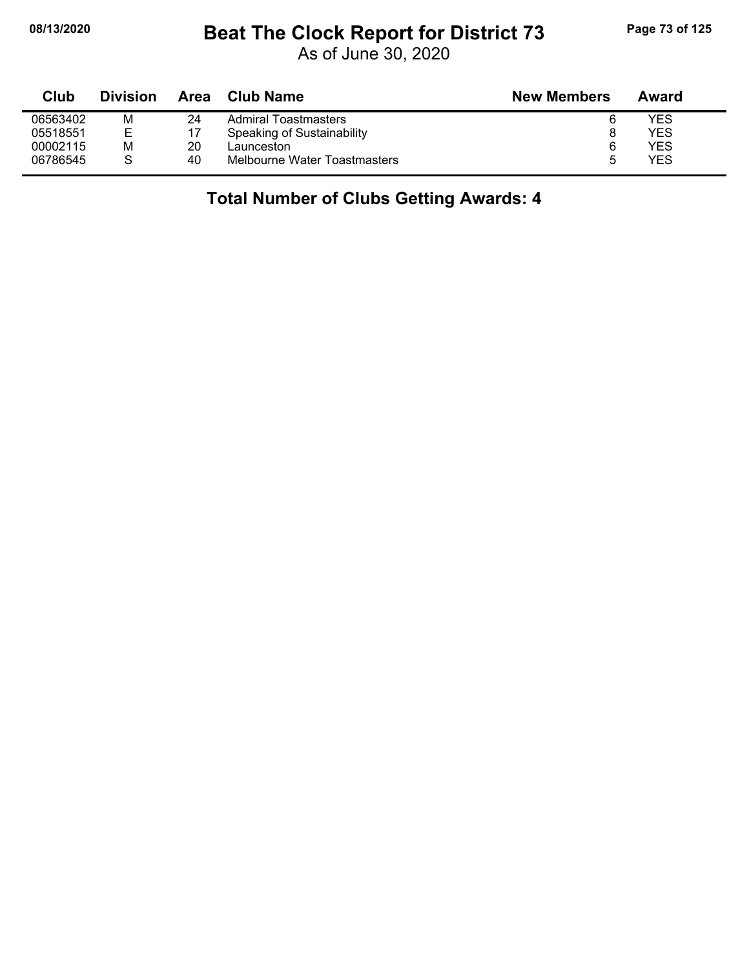## **08/13/2020 Beat The Clock Report for District 73 Page 73 of 125**

As of June 30, 2020

| Club     | <b>Division</b> | Area | Club Name                    | <b>New Members</b> | Award |
|----------|-----------------|------|------------------------------|--------------------|-------|
| 06563402 | M               | 24   | Admiral Toastmasters         |                    | YES   |
| 05518551 | Е               |      | Speaking of Sustainability   |                    | YES   |
| 00002115 | M               | 20   | ∟aunceston                   | 6                  | YES   |
| 06786545 |                 | 40   | Melbourne Water Toastmasters | 5                  | YES   |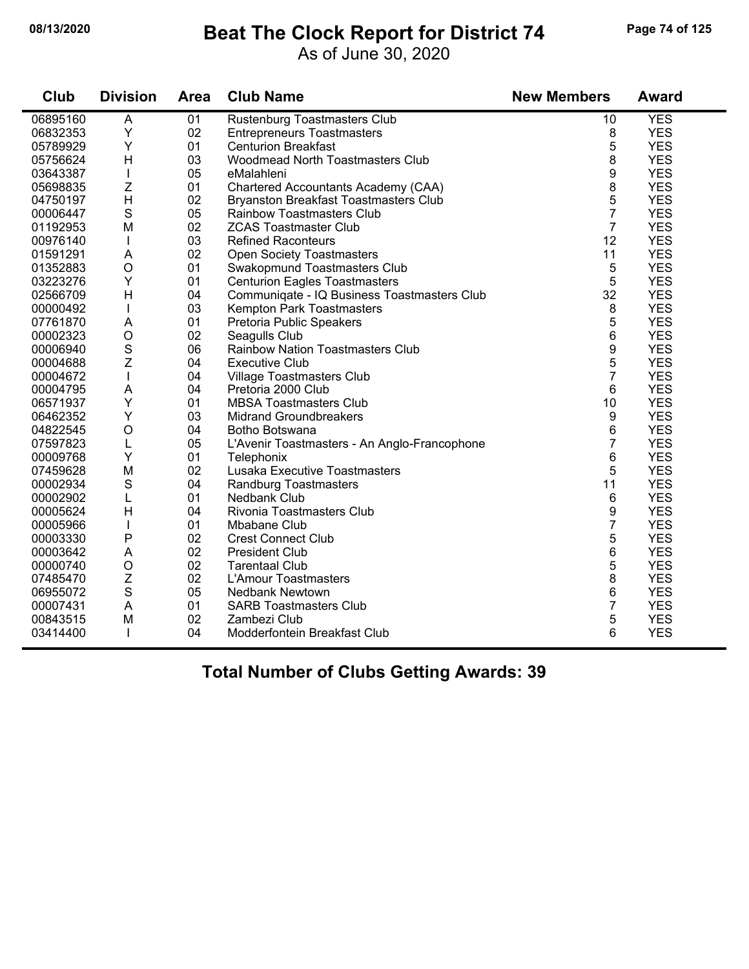#### **08/13/2020 Beat The Clock Report for District 74 Page 74 of 125**

As of June 30, 2020

| Club     | <b>Division</b>           | <b>Area</b> | <b>Club Name</b>                             | <b>New Members</b> | <b>Award</b> |
|----------|---------------------------|-------------|----------------------------------------------|--------------------|--------------|
| 06895160 | A                         | 01          | Rustenburg Toastmasters Club                 | 10                 | <b>YES</b>   |
| 06832353 | Υ                         | 02          | <b>Entrepreneurs Toastmasters</b>            | 8                  | <b>YES</b>   |
| 05789929 | Υ                         | 01          | <b>Centurion Breakfast</b>                   | 5                  | <b>YES</b>   |
| 05756624 | H                         | 03          | Woodmead North Toastmasters Club             | 8                  | <b>YES</b>   |
| 03643387 | $\mathbf{I}$              | 05          | eMalahleni                                   | 9                  | <b>YES</b>   |
| 05698835 | $\mathsf{Z}$              | 01          | Chartered Accountants Academy (CAA)          | 8                  | <b>YES</b>   |
| 04750197 | H                         | 02          | <b>Bryanston Breakfast Toastmasters Club</b> | 5                  | <b>YES</b>   |
| 00006447 | $\mathbf S$               | 05          | <b>Rainbow Toastmasters Club</b>             | $\overline{7}$     | <b>YES</b>   |
| 01192953 | M                         | 02          | <b>ZCAS Toastmaster Club</b>                 | $\overline{7}$     | <b>YES</b>   |
| 00976140 | T                         | 03          | <b>Refined Raconteurs</b>                    | 12                 | <b>YES</b>   |
| 01591291 | A                         | 02          | <b>Open Society Toastmasters</b>             | 11                 | <b>YES</b>   |
| 01352883 | $\circ$                   | 01          | Swakopmund Toastmasters Club                 | 5                  | <b>YES</b>   |
| 03223276 | Y                         | 01          | <b>Centurion Eagles Toastmasters</b>         | 5                  | <b>YES</b>   |
| 02566709 | H                         | 04          | Communiqate - IQ Business Toastmasters Club  | 32                 | <b>YES</b>   |
| 00000492 | T                         | 03          | Kempton Park Toastmasters                    | 8                  | <b>YES</b>   |
| 07761870 | A                         | 01          | Pretoria Public Speakers                     | 5                  | <b>YES</b>   |
| 00002323 | $\circ$                   | 02          | Seagulls Club                                | 6                  | <b>YES</b>   |
| 00006940 | $\mathbf S$               | 06          | <b>Rainbow Nation Toastmasters Club</b>      | 9                  | <b>YES</b>   |
| 00004688 | Z                         | 04          | <b>Executive Club</b>                        | 5                  | <b>YES</b>   |
| 00004672 | $\mathbf{I}$              | 04          | Village Toastmasters Club                    | 7                  | <b>YES</b>   |
| 00004795 | A                         | 04          | Pretoria 2000 Club                           | 6                  | <b>YES</b>   |
| 06571937 | Y                         | 01          | <b>MBSA Toastmasters Club</b>                | 10                 | <b>YES</b>   |
| 06462352 | Υ                         | 03          | <b>Midrand Groundbreakers</b>                | 9                  | <b>YES</b>   |
| 04822545 | $\bigcirc$                | 04          | Botho Botswana                               | 6                  | <b>YES</b>   |
| 07597823 | L                         | 05          | L'Avenir Toastmasters - An Anglo-Francophone | $\overline{7}$     | <b>YES</b>   |
| 00009768 | Υ                         | 01          | Telephonix                                   | 6                  | <b>YES</b>   |
| 07459628 | M                         | 02          | Lusaka Executive Toastmasters                | 5                  | <b>YES</b>   |
| 00002934 | $\mathbf S$               | 04          | Randburg Toastmasters                        | 11                 | <b>YES</b>   |
| 00002902 | L                         | 01          | Nedbank Club                                 | 6                  | <b>YES</b>   |
| 00005624 | H                         | 04          | Rivonia Toastmasters Club                    | 9                  | <b>YES</b>   |
| 00005966 |                           | 01          | Mbabane Club                                 | $\overline{7}$     | <b>YES</b>   |
| 00003330 | P                         | 02          | <b>Crest Connect Club</b>                    | 5                  | <b>YES</b>   |
| 00003642 | A                         | 02          | <b>President Club</b>                        | 6                  | <b>YES</b>   |
| 00000740 | $\bigcirc$                | 02          | <b>Tarentaal Club</b>                        | 5                  | <b>YES</b>   |
| 07485470 | $\ensuremath{\mathsf{Z}}$ | 02          | <b>L'Amour Toastmasters</b>                  | 8                  | <b>YES</b>   |
| 06955072 | $\mathbf S$               | 05          | <b>Nedbank Newtown</b>                       | 6                  | <b>YES</b>   |
| 00007431 | A                         | 01          | <b>SARB Toastmasters Club</b>                | $\overline{7}$     | <b>YES</b>   |
| 00843515 | M                         | 02          | Zambezi Club                                 | 5                  | <b>YES</b>   |
| 03414400 | $\mathbf{I}$              | 04          | Modderfontein Breakfast Club                 | 6                  | <b>YES</b>   |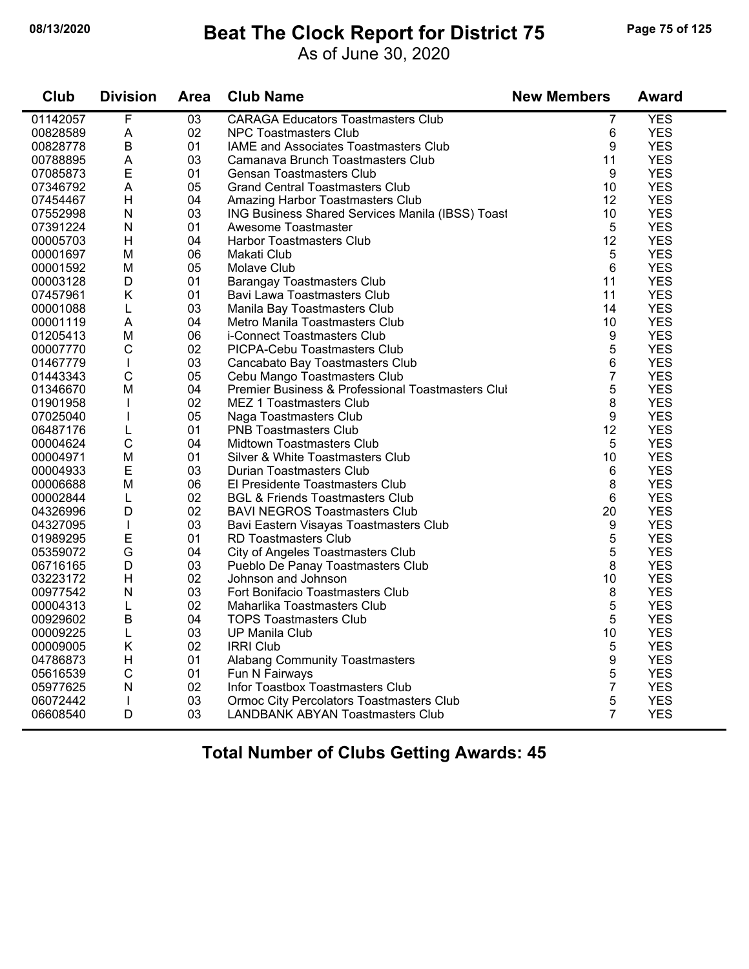### **08/13/2020 Beat The Clock Report for District 75 Page 75 of 125**

As of June 30, 2020

| Club     | <b>Division</b>           | Area            | <b>Club Name</b>                                  | <b>New Members</b> | <b>Award</b> |  |
|----------|---------------------------|-----------------|---------------------------------------------------|--------------------|--------------|--|
| 01142057 | $\overline{F}$            | $\overline{03}$ | <b>CARAGA Educators Toastmasters Club</b>         | $\overline{7}$     | <b>YES</b>   |  |
| 00828589 | A                         | 02              | <b>NPC Toastmasters Club</b>                      | 6                  | <b>YES</b>   |  |
| 00828778 | $\overline{B}$            | 01              | IAME and Associates Toastmasters Club             | 9                  | <b>YES</b>   |  |
| 00788895 | A                         | 03              | Camanava Brunch Toastmasters Club                 | 11                 | <b>YES</b>   |  |
| 07085873 | E                         | 01              | <b>Gensan Toastmasters Club</b>                   | 9                  | <b>YES</b>   |  |
| 07346792 | A                         | 05              | <b>Grand Central Toastmasters Club</b>            | 10                 | <b>YES</b>   |  |
| 07454467 | H                         | 04              | Amazing Harbor Toastmasters Club                  | 12                 | <b>YES</b>   |  |
| 07552998 | ${\sf N}$                 | 03              | ING Business Shared Services Manila (IBSS) Toast  | 10                 | <b>YES</b>   |  |
| 07391224 | N                         | 01              | Awesome Toastmaster                               | 5                  | <b>YES</b>   |  |
| 00005703 | H                         | 04              | <b>Harbor Toastmasters Club</b>                   | 12                 | <b>YES</b>   |  |
| 00001697 | M                         | 06              | Makati Club                                       | 5                  | <b>YES</b>   |  |
| 00001592 | М                         | 05              | Molave Club                                       | 6                  | <b>YES</b>   |  |
| 00003128 | D                         | 01              | <b>Barangay Toastmasters Club</b>                 | 11                 | <b>YES</b>   |  |
| 07457961 | K                         | 01              | Bavi Lawa Toastmasters Club                       | 11                 | <b>YES</b>   |  |
| 00001088 | L                         | 03              | Manila Bay Toastmasters Club                      | 14                 | <b>YES</b>   |  |
| 00001119 | A                         | 04              | Metro Manila Toastmasters Club                    | 10                 | <b>YES</b>   |  |
| 01205413 | M                         | 06              | i-Connect Toastmasters Club                       | 9                  | <b>YES</b>   |  |
| 00007770 | $\mathsf{C}$              | 02              | PICPA-Cebu Toastmasters Club                      | 5                  | <b>YES</b>   |  |
| 01467779 | $\mathbf{I}$              | 03              | Cancabato Bay Toastmasters Club                   | 6                  | <b>YES</b>   |  |
| 01443343 | $\mathsf C$               | 05              | Cebu Mango Toastmasters Club                      | $\overline{7}$     | <b>YES</b>   |  |
| 01346670 | M                         | 04              | Premier Business & Professional Toastmasters Clul | 5                  | <b>YES</b>   |  |
| 01901958 | $\mathbf{I}$              | 02              | <b>MEZ 1 Toastmasters Club</b>                    | 8                  | <b>YES</b>   |  |
| 07025040 | T                         | 05              | Naga Toastmasters Club                            | 9                  | <b>YES</b>   |  |
| 06487176 | L                         | 01              | <b>PNB Toastmasters Club</b>                      | 12                 | <b>YES</b>   |  |
| 00004624 | $\mathsf{C}$              | 04              | Midtown Toastmasters Club                         | 5                  | <b>YES</b>   |  |
| 00004971 | M                         | 01              | Silver & White Toastmasters Club                  | 10                 | <b>YES</b>   |  |
| 00004933 | $\mathsf E$               | 03              | Durian Toastmasters Club                          | 6                  | <b>YES</b>   |  |
| 00006688 | M                         | 06              | El Presidente Toastmasters Club                   | 8                  | <b>YES</b>   |  |
| 00002844 | L                         | 02              | <b>BGL &amp; Friends Toastmasters Club</b>        | 6                  | <b>YES</b>   |  |
| 04326996 | D                         | 02              | <b>BAVI NEGROS Toastmasters Club</b>              | 20                 | <b>YES</b>   |  |
| 04327095 | $\mathbf{I}$              | 03              | Bavi Eastern Visayas Toastmasters Club            | 9                  | <b>YES</b>   |  |
| 01989295 | E                         | 01              | RD Toastmasters Club                              | 5                  | <b>YES</b>   |  |
| 05359072 | G                         | 04              | City of Angeles Toastmasters Club                 | 5                  | <b>YES</b>   |  |
| 06716165 | D                         | 03              | Pueblo De Panay Toastmasters Club                 | 8                  | <b>YES</b>   |  |
| 03223172 | H                         | 02              | Johnson and Johnson                               | 10                 | <b>YES</b>   |  |
| 00977542 | $\overline{\mathsf{N}}$   | 03              | Fort Bonifacio Toastmasters Club                  | 8                  | <b>YES</b>   |  |
| 00004313 | L                         | 02              | Maharlika Toastmasters Club                       | 5                  | <b>YES</b>   |  |
| 00929602 | $\overline{B}$            | 04              | <b>TOPS Toastmasters Club</b>                     | 5                  | <b>YES</b>   |  |
| 00009225 | L                         | 03              | <b>UP Manila Club</b>                             | 10                 | <b>YES</b>   |  |
| 00009005 | Κ                         | 02              | <b>IRRI Club</b>                                  | 5                  | <b>YES</b>   |  |
| 04786873 | $\boldsymbol{\mathsf{H}}$ | 01              | <b>Alabang Community Toastmasters</b>             | $\boldsymbol{9}$   | <b>YES</b>   |  |
| 05616539 | $\mathsf{C}$              | 01              | Fun N Fairways                                    | 5                  | <b>YES</b>   |  |
| 05977625 | N                         | 02              | Infor Toastbox Toastmasters Club                  | 7                  | <b>YES</b>   |  |
| 06072442 | T                         | 03              | Ormoc City Percolators Toastmasters Club          | 5                  | <b>YES</b>   |  |
| 06608540 | D                         | 03              | <b>LANDBANK ABYAN Toastmasters Club</b>           | $\overline{7}$     | <b>YES</b>   |  |
|          |                           |                 |                                                   |                    |              |  |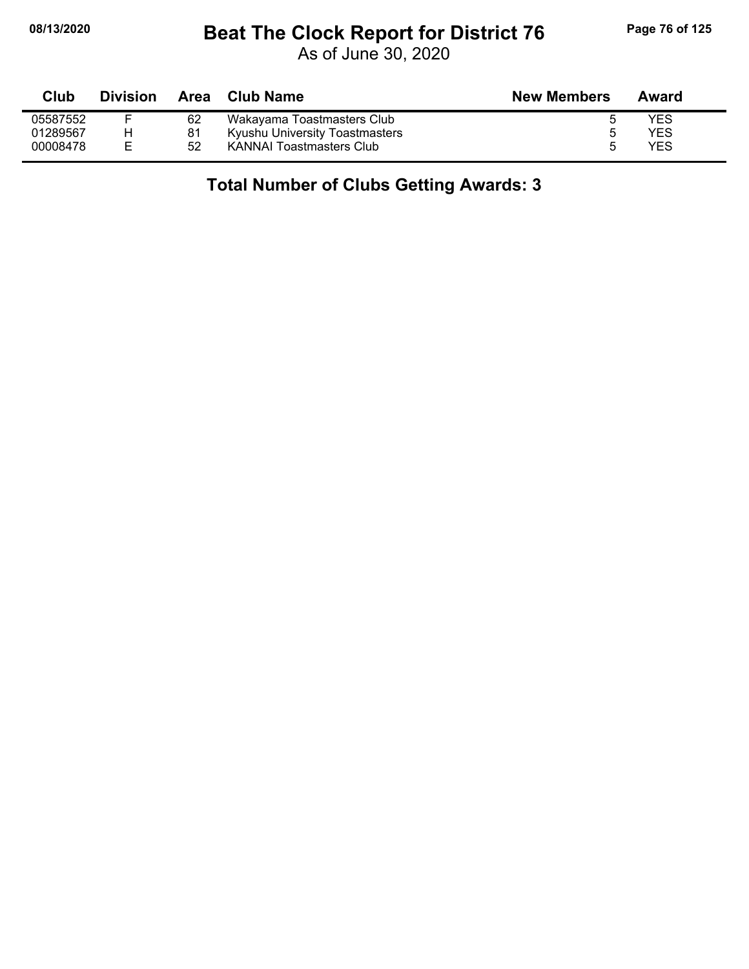## **08/13/2020 Beat The Clock Report for District 76 Page 76 of 125**

As of June 30, 2020

| Club     | <b>Division</b> |    | Area Club Name                  | <b>New Members</b> | Award |
|----------|-----------------|----|---------------------------------|--------------------|-------|
| 05587552 |                 | 62 | Wakayama Toastmasters Club      |                    | YES   |
| 01289567 |                 | 81 | Kyushu University Toastmasters  |                    | YES   |
| 00008478 |                 | 52 | <b>KANNAI Toastmasters Club</b> |                    | YES   |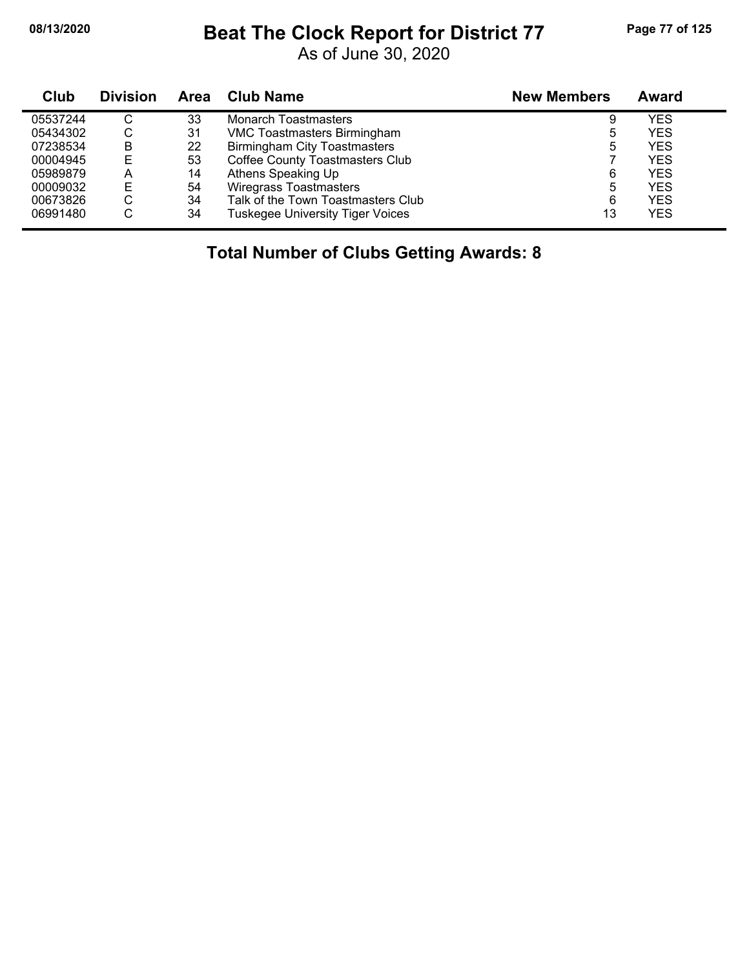#### **08/13/2020 Beat The Clock Report for District 77 Page 77 of 125**

As of June 30, 2020

| Club     | <b>Division</b> | Area | Club Name                               | <b>New Members</b> | Award      |
|----------|-----------------|------|-----------------------------------------|--------------------|------------|
| 05537244 | C               | 33   | Monarch Toastmasters                    | 9                  | YES        |
| 05434302 | C               | 31   | <b>VMC Toastmasters Birmingham</b>      | ხ                  | <b>YES</b> |
| 07238534 | B               | 22   | <b>Birmingham City Toastmasters</b>     | 5                  | <b>YES</b> |
| 00004945 | Е               | 53   | <b>Coffee County Toastmasters Club</b>  |                    | <b>YES</b> |
| 05989879 | А               | 14   | Athens Speaking Up                      | 6                  | <b>YES</b> |
| 00009032 | Е               | 54   | <b>Wiregrass Toastmasters</b>           | 5                  | <b>YES</b> |
| 00673826 | С               | 34   | Talk of the Town Toastmasters Club      | 6                  | <b>YES</b> |
| 06991480 | С               | 34   | <b>Tuskegee University Tiger Voices</b> | 13                 | <b>YES</b> |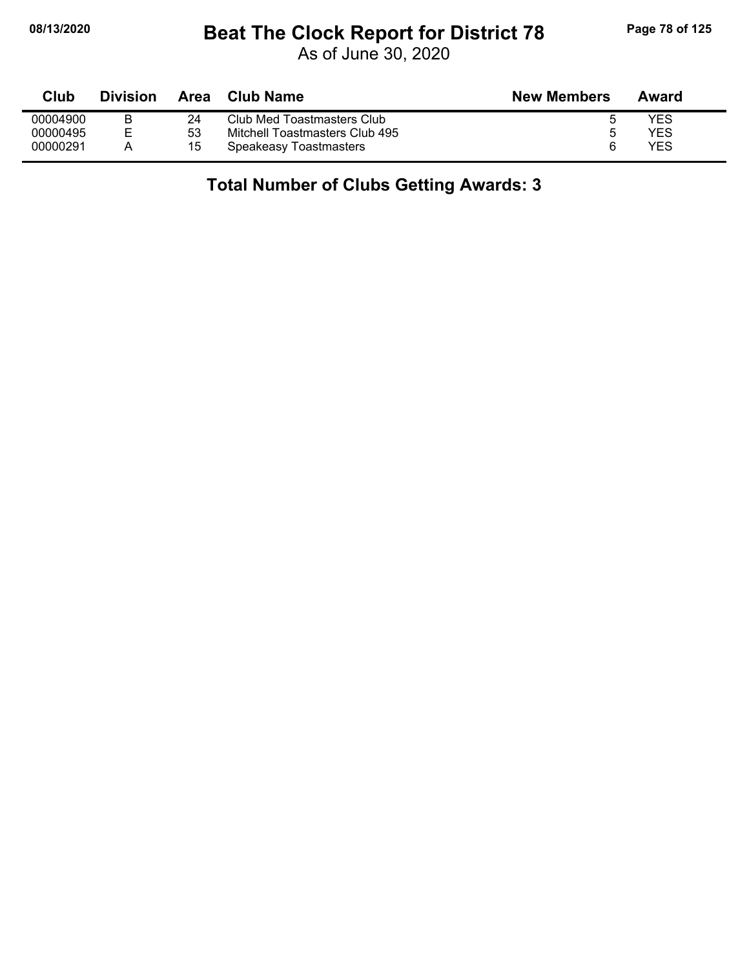## **08/13/2020 Beat The Clock Report for District 78 Page 78 of 125**

As of June 30, 2020

| <b>Club</b> | <b>Division</b> | Area | Club Name                      | <b>New Members</b> | Award |
|-------------|-----------------|------|--------------------------------|--------------------|-------|
| 00004900    |                 | 24   | Club Med Toastmasters Club     |                    | YES   |
| 00000495    | F               | 53   | Mitchell Toastmasters Club 495 |                    | YES   |
| 00000291    |                 | 15   | Speakeasy Toastmasters         |                    | YES   |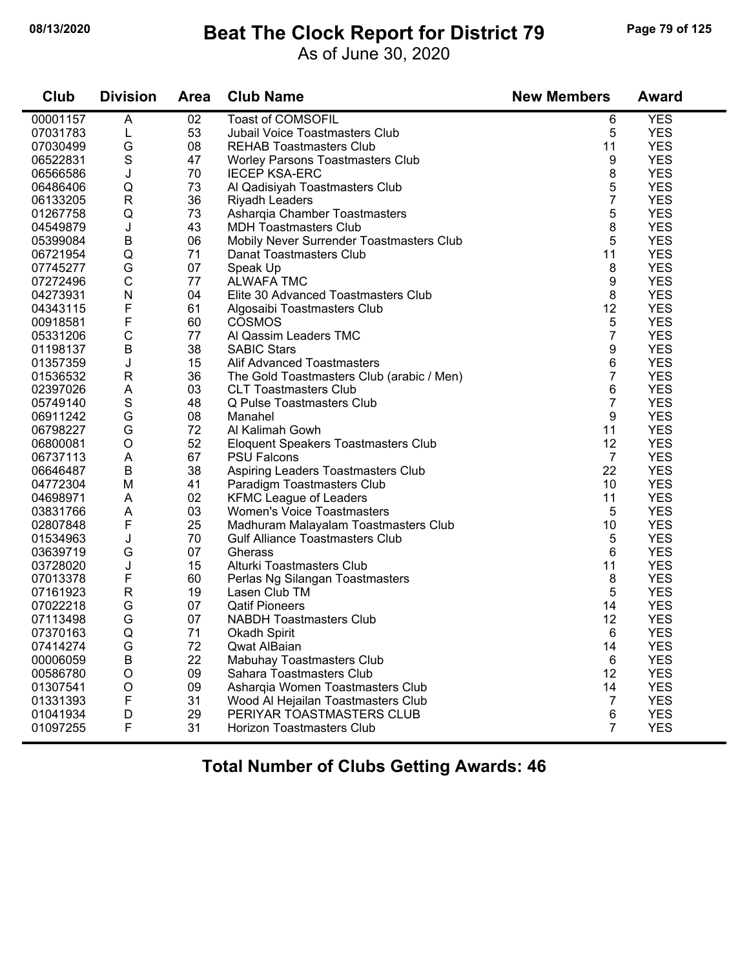#### **08/13/2020 Beat The Clock Report for District 79 Page 79 of 125**

As of June 30, 2020

| Club     | <b>Division</b> | <b>Area</b> | <b>Club Name</b>                          | <b>New Members</b> | <b>Award</b> |
|----------|-----------------|-------------|-------------------------------------------|--------------------|--------------|
| 00001157 | A               | 02          | <b>Toast of COMSOFIL</b>                  | 6                  | <b>YES</b>   |
| 07031783 | L               | 53          | <b>Jubail Voice Toastmasters Club</b>     | 5                  | <b>YES</b>   |
| 07030499 | G               | 08          | <b>REHAB Toastmasters Club</b>            | 11                 | <b>YES</b>   |
| 06522831 | $\mathbf S$     | 47          | Worley Parsons Toastmasters Club          | 9                  | <b>YES</b>   |
| 06566586 | J               | 70          | <b>IECEP KSA-ERC</b>                      | 8                  | <b>YES</b>   |
| 06486406 | Q               | 73          | Al Qadisiyah Toastmasters Club            | 5                  | <b>YES</b>   |
| 06133205 | $\mathsf{R}$    | 36          | <b>Riyadh Leaders</b>                     | 7                  | <b>YES</b>   |
| 01267758 | Q               | 73          | Asharqia Chamber Toastmasters             | 5                  | <b>YES</b>   |
| 04549879 | J               | 43          | <b>MDH Toastmasters Club</b>              | 8                  | <b>YES</b>   |
| 05399084 | B               | 06          | Mobily Never Surrender Toastmasters Club  | 5                  | <b>YES</b>   |
| 06721954 | Q               | 71          | Danat Toastmasters Club                   | 11                 | <b>YES</b>   |
| 07745277 | G               | 07          | Speak Up                                  | 8                  | <b>YES</b>   |
| 07272496 | $\mathsf C$     | 77          | <b>ALWAFA TMC</b>                         | 9                  | <b>YES</b>   |
| 04273931 | N               | 04          | Elite 30 Advanced Toastmasters Club       | 8                  | <b>YES</b>   |
| 04343115 | F               | 61          | Algosaibi Toastmasters Club               | 12                 | <b>YES</b>   |
| 00918581 | F               | 60          | <b>COSMOS</b>                             | 5                  | <b>YES</b>   |
| 05331206 | $\mathsf{C}$    | 77          | Al Qassim Leaders TMC                     | 7                  | <b>YES</b>   |
| 01198137 | B               | 38          | <b>SABIC Stars</b>                        | 9                  | <b>YES</b>   |
| 01357359 | J               | 15          | <b>Alif Advanced Toastmasters</b>         | 6                  | <b>YES</b>   |
| 01536532 | R               | 36          | The Gold Toastmasters Club (arabic / Men) | 7                  | <b>YES</b>   |
| 02397026 | A               | 03          | <b>CLT Toastmasters Club</b>              | 6                  | <b>YES</b>   |
| 05749140 | $\mathbf S$     | 48          | Q Pulse Toastmasters Club                 | 7                  | <b>YES</b>   |
| 06911242 | G               | 08          | Manahel                                   | 9                  | <b>YES</b>   |
| 06798227 | G               | 72          | Al Kalimah Gowh                           | 11                 | <b>YES</b>   |
| 06800081 | $\circ$         | 52          | Eloquent Speakers Toastmasters Club       | 12                 | <b>YES</b>   |
| 06737113 | A               | 67          | <b>PSU Falcons</b>                        | $\overline{7}$     | <b>YES</b>   |
| 06646487 | B               | 38          | Aspiring Leaders Toastmasters Club        | 22                 | <b>YES</b>   |
| 04772304 | M               | 41          | Paradigm Toastmasters Club                | 10                 | <b>YES</b>   |
| 04698971 | A               | 02          | <b>KFMC League of Leaders</b>             | 11                 | <b>YES</b>   |
| 03831766 | A               | 03          | <b>Women's Voice Toastmasters</b>         | 5                  | <b>YES</b>   |
| 02807848 | F               | 25          | Madhuram Malayalam Toastmasters Club      | 10                 | <b>YES</b>   |
| 01534963 | J               | 70          | <b>Gulf Alliance Toastmasters Club</b>    | 5                  | <b>YES</b>   |
| 03639719 | G               | 07          | Gherass                                   | 6                  | <b>YES</b>   |
| 03728020 | J               | 15          | Alturki Toastmasters Club                 | 11                 | <b>YES</b>   |
| 07013378 | $\mathsf F$     | 60          | Perlas Ng Silangan Toastmasters           | 8                  | <b>YES</b>   |
| 07161923 | $\mathsf{R}$    | 19          | Lasen Club TM                             | 5                  | <b>YES</b>   |
| 07022218 | G               | 07          | <b>Qatif Pioneers</b>                     | 14                 | <b>YES</b>   |
| 07113498 | G               | 07          | <b>NABDH Toastmasters Club</b>            | 12                 | <b>YES</b>   |
| 07370163 | Q               | 71          | <b>Okadh Spirit</b>                       | 6                  | <b>YES</b>   |
| 07414274 | G               | 72          | Qwat AlBaian                              | 14                 | <b>YES</b>   |
| 00006059 | $\sf B$         | 22          | Mabuhay Toastmasters Club                 | 6                  | <b>YES</b>   |
| 00586780 | O               | 09          | Sahara Toastmasters Club                  | 12                 | <b>YES</b>   |
| 01307541 | O               | 09          | Asharqia Women Toastmasters Club          | 14                 | <b>YES</b>   |
| 01331393 | F               | 31          | Wood Al Hejailan Toastmasters Club        | 7                  | <b>YES</b>   |
| 01041934 | D               | 29          | PERIYAR TOASTMASTERS CLUB                 | 6                  | <b>YES</b>   |
| 01097255 | F               | 31          | <b>Horizon Toastmasters Club</b>          | $\overline{7}$     | <b>YES</b>   |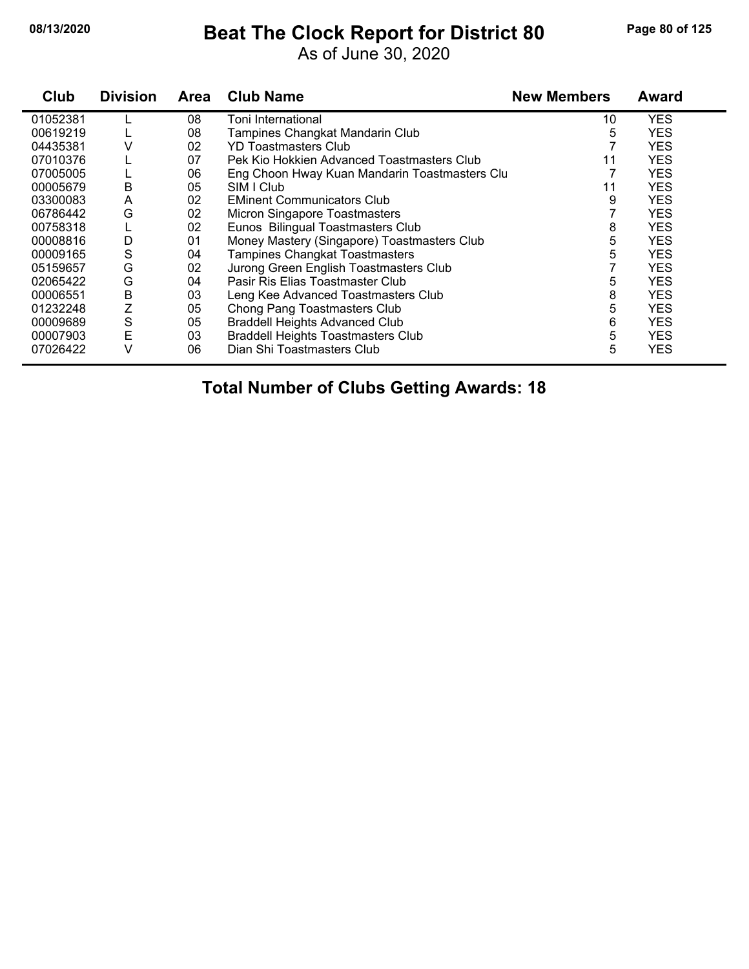#### **08/13/2020 Beat The Clock Report for District 80 Page 80 of 125**

As of June 30, 2020

| Club     | <b>Division</b> | Area | <b>Club Name</b>                              | <b>New Members</b> | <b>Award</b> |
|----------|-----------------|------|-----------------------------------------------|--------------------|--------------|
| 01052381 |                 | 08   | Toni International                            | 10                 | <b>YES</b>   |
| 00619219 |                 | 08   | Tampines Changkat Mandarin Club               | 5                  | <b>YES</b>   |
| 04435381 | V               | 02   | <b>YD Toastmasters Club</b>                   |                    | <b>YES</b>   |
| 07010376 |                 | 07   | Pek Kio Hokkien Advanced Toastmasters Club    | 11                 | <b>YES</b>   |
| 07005005 |                 | 06   | Eng Choon Hway Kuan Mandarin Toastmasters Clu |                    | <b>YES</b>   |
| 00005679 | B               | 05   | SIM I Club                                    | 11                 | <b>YES</b>   |
| 03300083 | A               | 02   | <b>EMinent Communicators Club</b>             | 9                  | <b>YES</b>   |
| 06786442 | G               | 02   | Micron Singapore Toastmasters                 |                    | <b>YES</b>   |
| 00758318 |                 | 02   | Eunos Bilingual Toastmasters Club             | 8                  | <b>YES</b>   |
| 00008816 | D               | 01   | Money Mastery (Singapore) Toastmasters Club   | 5                  | <b>YES</b>   |
| 00009165 | S               | 04   | Tampines Changkat Toastmasters                | 5                  | <b>YES</b>   |
| 05159657 | G               | 02   | Jurong Green English Toastmasters Club        |                    | <b>YES</b>   |
| 02065422 | G               | 04   | Pasir Ris Elias Toastmaster Club              | 5                  | <b>YES</b>   |
| 00006551 | B               | 03   | Leng Kee Advanced Toastmasters Club           | 8                  | <b>YES</b>   |
| 01232248 | Ζ               | 05   | Chong Pang Toastmasters Club                  | 5                  | <b>YES</b>   |
| 00009689 | $\mathbf S$     | 05   | <b>Braddell Heights Advanced Club</b>         | 6                  | <b>YES</b>   |
| 00007903 | E               | 03   | <b>Braddell Heights Toastmasters Club</b>     | 5                  | <b>YES</b>   |
| 07026422 | v               | 06   | Dian Shi Toastmasters Club                    | 5                  | <b>YES</b>   |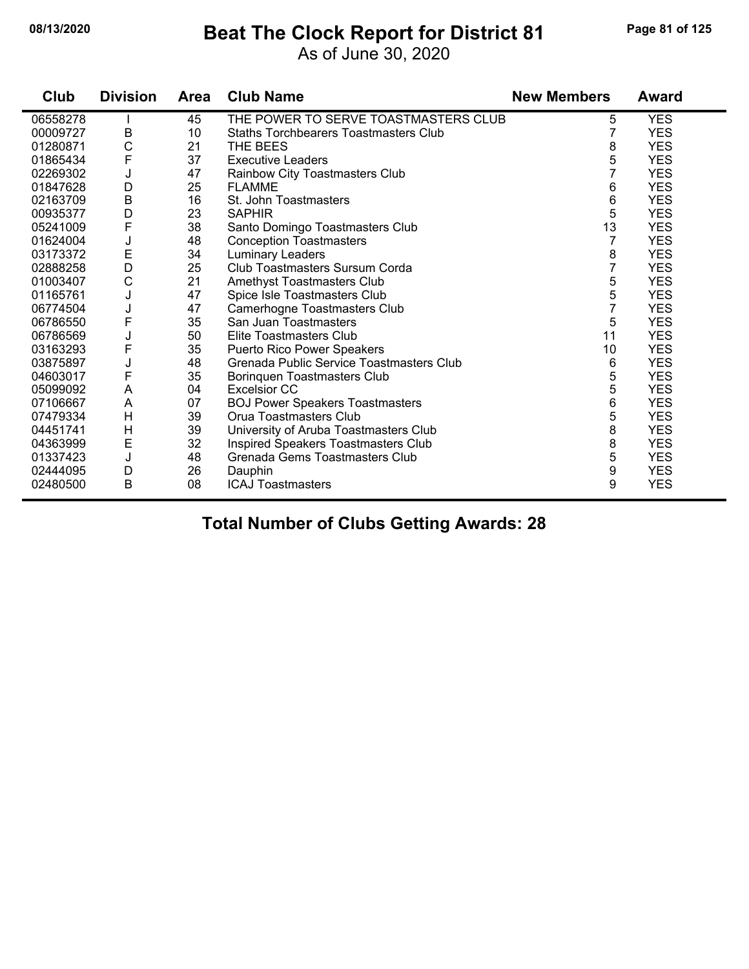#### **08/13/2020 Beat The Clock Report for District 81 Page 81 of 125**

As of June 30, 2020

| Club     | <b>Division</b> | <b>Area</b> | <b>Club Name</b>                         | <b>New Members</b> | <b>Award</b> |
|----------|-----------------|-------------|------------------------------------------|--------------------|--------------|
| 06558278 |                 | 45          | THE POWER TO SERVE TOASTMASTERS CLUB     | 5                  | <b>YES</b>   |
| 00009727 | B               | 10          | Staths Torchbearers Toastmasters Club    |                    | <b>YES</b>   |
| 01280871 | $\mathsf{C}$    | 21          | THE BEES                                 | 8                  | <b>YES</b>   |
| 01865434 | F               | 37          | <b>Executive Leaders</b>                 | 5                  | <b>YES</b>   |
| 02269302 | J               | 47          | Rainbow City Toastmasters Club           | 7                  | <b>YES</b>   |
| 01847628 | D               | 25          | <b>FLAMME</b>                            | 6                  | <b>YES</b>   |
| 02163709 | $\mathsf B$     | 16          | St. John Toastmasters                    | 6                  | <b>YES</b>   |
| 00935377 | D               | 23          | <b>SAPHIR</b>                            | 5                  | <b>YES</b>   |
| 05241009 | $\mathsf F$     | 38          | Santo Domingo Toastmasters Club          | 13                 | <b>YES</b>   |
| 01624004 | J               | 48          | <b>Conception Toastmasters</b>           | 7                  | <b>YES</b>   |
| 03173372 | E               | 34          | <b>Luminary Leaders</b>                  | 8                  | <b>YES</b>   |
| 02888258 | D               | 25          | Club Toastmasters Sursum Corda           | 7                  | <b>YES</b>   |
| 01003407 | $\mathsf C$     | 21          | Amethyst Toastmasters Club               | 5                  | <b>YES</b>   |
| 01165761 | J               | 47          | Spice Isle Toastmasters Club             | 5                  | <b>YES</b>   |
| 06774504 | J               | 47          | Camerhogne Toastmasters Club             | $\overline{7}$     | <b>YES</b>   |
| 06786550 | $\mathsf F$     | 35          | San Juan Toastmasters                    | 5                  | <b>YES</b>   |
| 06786569 | J               | 50          | Elite Toastmasters Club                  | 11                 | <b>YES</b>   |
| 03163293 | $\mathsf F$     | 35          | Puerto Rico Power Speakers               | 10                 | <b>YES</b>   |
| 03875897 | J               | 48          | Grenada Public Service Toastmasters Club | 6                  | <b>YES</b>   |
| 04603017 | $\mathsf{F}$    | 35          | Borinquen Toastmasters Club              | 5                  | <b>YES</b>   |
| 05099092 | A               | 04          | <b>Excelsior CC</b>                      | 5                  | <b>YES</b>   |
| 07106667 | A               | 07          | <b>BOJ Power Speakers Toastmasters</b>   | 6                  | <b>YES</b>   |
| 07479334 | H               | 39          | Orua Toastmasters Club                   | 5                  | <b>YES</b>   |
| 04451741 | H               | 39          | University of Aruba Toastmasters Club    | 8                  | <b>YES</b>   |
| 04363999 | E               | 32          | Inspired Speakers Toastmasters Club      | 8                  | <b>YES</b>   |
| 01337423 | J               | 48          | Grenada Gems Toastmasters Club           | 5                  | <b>YES</b>   |
| 02444095 | D               | 26          | Dauphin                                  | 9                  | <b>YES</b>   |
| 02480500 | $\mathsf B$     | 08          | <b>ICAJ Toastmasters</b>                 | 9                  | <b>YES</b>   |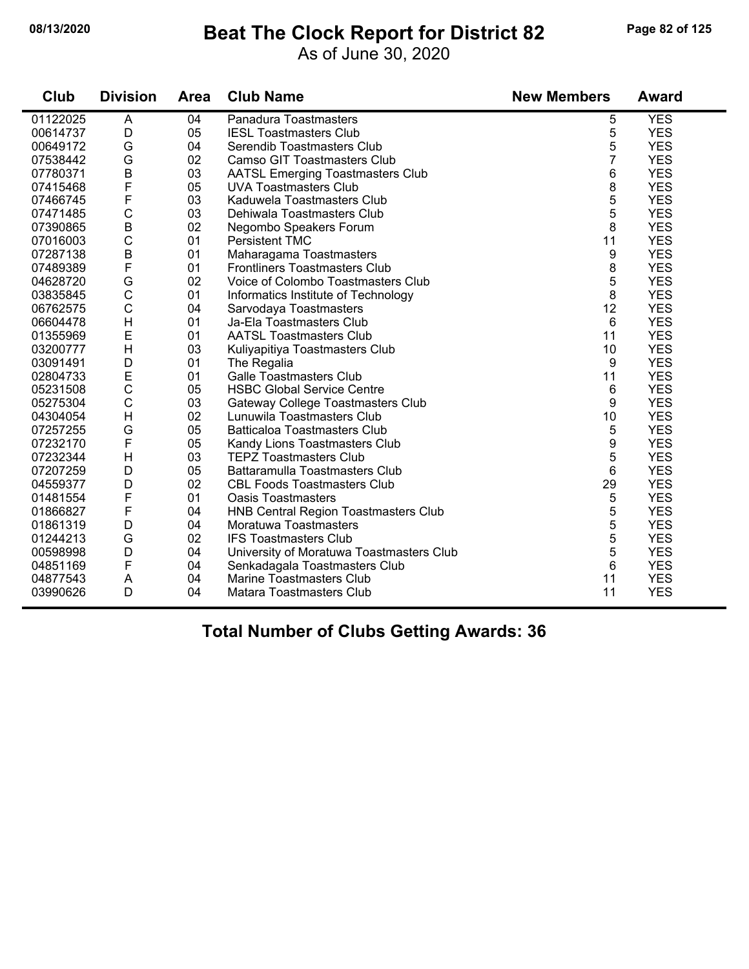#### **08/13/2020 Beat The Clock Report for District 82 Page 82 of 125**

As of June 30, 2020

| Club     | <b>Division</b> | Area | <b>Club Name</b>                         | <b>New Members</b> | <b>Award</b> |
|----------|-----------------|------|------------------------------------------|--------------------|--------------|
| 01122025 | A               | 04   | Panadura Toastmasters                    | 5                  | <b>YES</b>   |
| 00614737 | D               | 05   | <b>IESL Toastmasters Club</b>            | 5                  | <b>YES</b>   |
| 00649172 | G               | 04   | Serendib Toastmasters Club               | 5                  | <b>YES</b>   |
| 07538442 | G               | 02   | <b>Camso GIT Toastmasters Club</b>       | 7                  | <b>YES</b>   |
| 07780371 | $\sf B$         | 03   | <b>AATSL Emerging Toastmasters Club</b>  | 6                  | <b>YES</b>   |
| 07415468 | F               | 05   | <b>UVA Toastmasters Club</b>             | 8                  | <b>YES</b>   |
| 07466745 | F               | 03   | Kaduwela Toastmasters Club               | 5                  | <b>YES</b>   |
| 07471485 | $\mathsf C$     | 03   | Dehiwala Toastmasters Club               | 5                  | <b>YES</b>   |
| 07390865 | $\overline{B}$  | 02   | Negombo Speakers Forum                   | 8                  | <b>YES</b>   |
| 07016003 | $\mathsf C$     | 01   | <b>Persistent TMC</b>                    | 11                 | <b>YES</b>   |
| 07287138 | $\mathsf B$     | 01   | Maharagama Toastmasters                  | 9                  | <b>YES</b>   |
| 07489389 | F               | 01   | <b>Frontliners Toastmasters Club</b>     | 8                  | <b>YES</b>   |
| 04628720 | G               | 02   | Voice of Colombo Toastmasters Club       | 5                  | <b>YES</b>   |
| 03835845 | $\mathsf{C}$    | 01   | Informatics Institute of Technology      | 8                  | <b>YES</b>   |
| 06762575 | $\mathbf C$     | 04   | Sarvodaya Toastmasters                   | 12                 | <b>YES</b>   |
| 06604478 | H               | 01   | Ja-Ela Toastmasters Club                 | 6                  | <b>YES</b>   |
| 01355969 | E               | 01   | <b>AATSL Toastmasters Club</b>           | 11                 | <b>YES</b>   |
| 03200777 | H               | 03   | Kuliyapitiya Toastmasters Club           | 10                 | <b>YES</b>   |
| 03091491 | D               | 01   | The Regalia                              | 9                  | <b>YES</b>   |
| 02804733 | E               | 01   | <b>Galle Toastmasters Club</b>           | 11                 | <b>YES</b>   |
| 05231508 | $\mathbf C$     | 05   | <b>HSBC Global Service Centre</b>        | 6                  | <b>YES</b>   |
| 05275304 | $\mathsf C$     | 03   | Gateway College Toastmasters Club        | 9                  | <b>YES</b>   |
| 04304054 | H               | 02   | Lunuwila Toastmasters Club               | 10                 | <b>YES</b>   |
| 07257255 | G               | 05   | <b>Batticaloa Toastmasters Club</b>      | 5                  | <b>YES</b>   |
| 07232170 | $\mathsf F$     | 05   | Kandy Lions Toastmasters Club            | 9                  | <b>YES</b>   |
| 07232344 | H               | 03   | <b>TEPZ Toastmasters Club</b>            | 5                  | <b>YES</b>   |
| 07207259 | D               | 05   | Battaramulla Toastmasters Club           | 6                  | <b>YES</b>   |
| 04559377 | D               | 02   | <b>CBL Foods Toastmasters Club</b>       | 29                 | <b>YES</b>   |
| 01481554 | F               | 01   | <b>Oasis Toastmasters</b>                | 5                  | <b>YES</b>   |
| 01866827 | F               | 04   | HNB Central Region Toastmasters Club     | 5                  | <b>YES</b>   |
| 01861319 | D               | 04   | Moratuwa Toastmasters                    | 5                  | <b>YES</b>   |
| 01244213 | G               | 02   | <b>IFS Toastmasters Club</b>             | 5                  | <b>YES</b>   |
| 00598998 | D               | 04   | University of Moratuwa Toastmasters Club | 5                  | <b>YES</b>   |
| 04851169 | F               | 04   | Senkadagala Toastmasters Club            | 6                  | <b>YES</b>   |
| 04877543 | A               | 04   | Marine Toastmasters Club                 | 11                 | <b>YES</b>   |
| 03990626 | D               | 04   | Matara Toastmasters Club                 | 11                 | <b>YES</b>   |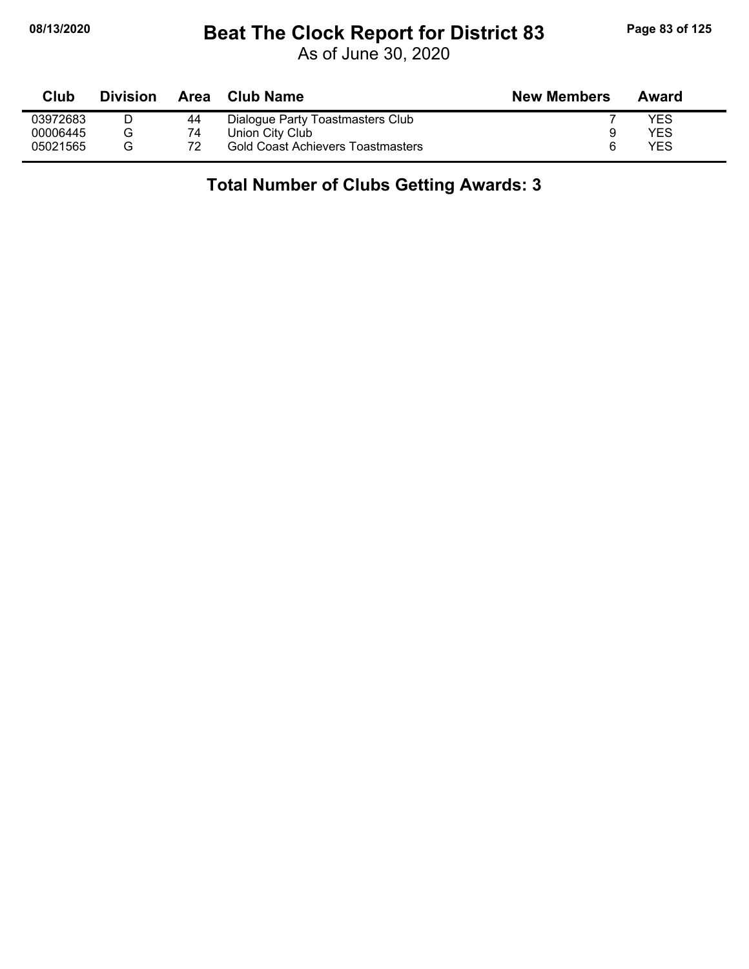## **08/13/2020 Beat The Clock Report for District 83 Page 83 of 125**

As of June 30, 2020

| Club     | <b>Division</b> | Area | Club Name                                | <b>New Members</b> | Award |
|----------|-----------------|------|------------------------------------------|--------------------|-------|
| 03972683 |                 | 44   | Dialogue Party Toastmasters Club         |                    | YES   |
| 00006445 |                 | 74   | Union City Club                          |                    | YES   |
| 05021565 | G               | 72   | <b>Gold Coast Achievers Toastmasters</b> |                    | YES   |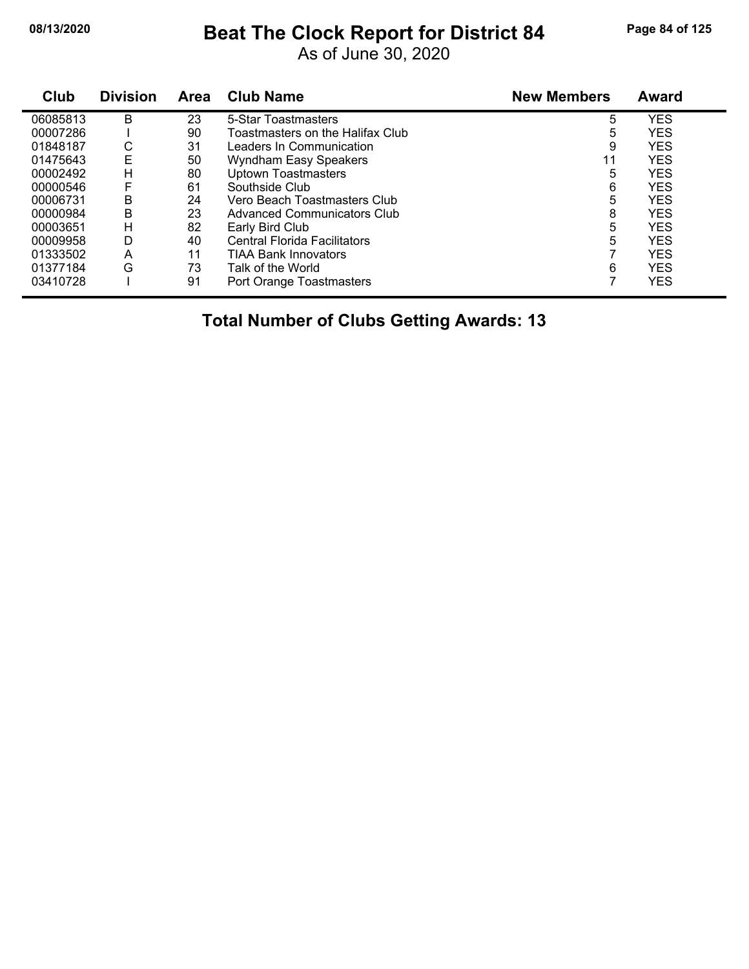# **08/13/2020 Beat The Clock Report for District 84 Page 84 of 125**

As of June 30, 2020

| Club     | <b>Division</b> | <b>Area</b> | <b>Club Name</b>                    | <b>New Members</b> | <b>Award</b> |
|----------|-----------------|-------------|-------------------------------------|--------------------|--------------|
| 06085813 | B               | 23          | 5-Star Toastmasters                 | 5                  | <b>YES</b>   |
| 00007286 |                 | 90          | Toastmasters on the Halifax Club    | 5                  | <b>YES</b>   |
| 01848187 | С               | 31          | Leaders In Communication            | 9                  | <b>YES</b>   |
| 01475643 | E               | 50          | Wyndham Easy Speakers               | 11                 | <b>YES</b>   |
| 00002492 | н               | 80          | <b>Uptown Toastmasters</b>          | 5                  | <b>YES</b>   |
| 00000546 |                 | 61          | Southside Club                      | 6                  | <b>YES</b>   |
| 00006731 | B               | 24          | Vero Beach Toastmasters Club        | 5                  | <b>YES</b>   |
| 00000984 | B               | 23          | Advanced Communicators Club         | 8                  | <b>YES</b>   |
| 00003651 | н               | 82          | Early Bird Club                     | 5                  | <b>YES</b>   |
| 00009958 | D               | 40          | <b>Central Florida Facilitators</b> | 5                  | <b>YES</b>   |
| 01333502 | A               | 11          | <b>TIAA Bank Innovators</b>         |                    | <b>YES</b>   |
| 01377184 | G               | 73          | Talk of the World                   | 6                  | <b>YES</b>   |
| 03410728 |                 | 91          | Port Orange Toastmasters            |                    | <b>YES</b>   |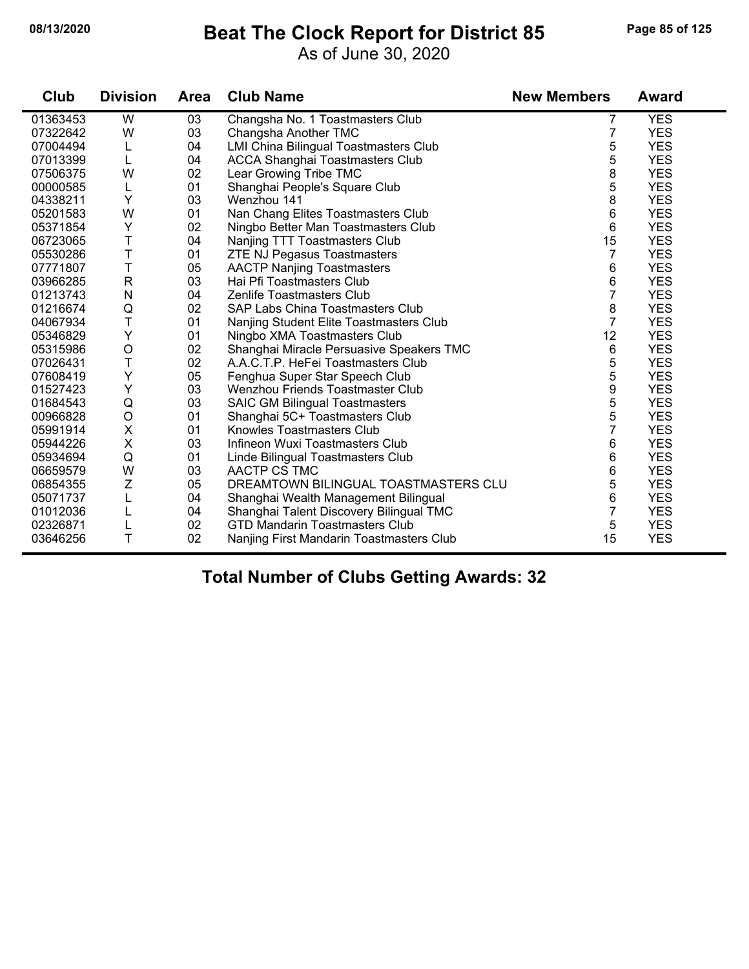#### **08/13/2020 Beat The Clock Report for District 85 Page 85 of 125**

As of June 30, 2020

| Club     | <b>Division</b> | <b>Area</b> | <b>Club Name</b>                             | <b>New Members</b> | <b>Award</b> |
|----------|-----------------|-------------|----------------------------------------------|--------------------|--------------|
| 01363453 | W               | 03          | Changsha No. 1 Toastmasters Club             | 7                  | <b>YES</b>   |
| 07322642 | W               | 03          | Changsha Another TMC                         | 7                  | <b>YES</b>   |
| 07004494 | L               | 04          | <b>LMI China Bilingual Toastmasters Club</b> | 5                  | <b>YES</b>   |
| 07013399 | L               | 04          | <b>ACCA Shanghai Toastmasters Club</b>       | 5                  | <b>YES</b>   |
| 07506375 | W               | 02          | Lear Growing Tribe TMC                       | 8                  | <b>YES</b>   |
| 00000585 | L               | 01          | Shanghai People's Square Club                | 5                  | <b>YES</b>   |
| 04338211 | Y               | 03          | Wenzhou 141                                  | 8                  | <b>YES</b>   |
| 05201583 | W               | 01          | Nan Chang Elites Toastmasters Club           | 6                  | <b>YES</b>   |
| 05371854 | Υ               | 02          | Ningbo Better Man Toastmasters Club          | 6                  | <b>YES</b>   |
| 06723065 | T               | 04          | Nanjing TTT Toastmasters Club                | 15                 | <b>YES</b>   |
| 05530286 | T               | 01          | <b>ZTE NJ Pegasus Toastmasters</b>           | $\overline{7}$     | <b>YES</b>   |
| 07771807 | T               | 05          | <b>AACTP Nanjing Toastmasters</b>            | 6                  | <b>YES</b>   |
| 03966285 | $\mathsf{R}$    | 03          | Hai Pfi Toastmasters Club                    | 6                  | <b>YES</b>   |
| 01213743 | N               | 04          | <b>Zenlife Toastmasters Club</b>             | 7                  | <b>YES</b>   |
| 01216674 | Q               | 02          | SAP Labs China Toastmasters Club             | 8                  | <b>YES</b>   |
| 04067934 | T               | 01          | Nanjing Student Elite Toastmasters Club      | $\overline{7}$     | <b>YES</b>   |
| 05346829 | Υ               | 01          | Ningbo XMA Toastmasters Club                 | 12                 | <b>YES</b>   |
| 05315986 | $\circ$         | 02          | Shanghai Miracle Persuasive Speakers TMC     | 6                  | <b>YES</b>   |
| 07026431 | T               | 02          | A.A.C.T.P. HeFei Toastmasters Club           | 5                  | <b>YES</b>   |
| 07608419 | Υ               | 05          | Fenghua Super Star Speech Club               | 5                  | <b>YES</b>   |
| 01527423 | Υ               | 03          | Wenzhou Friends Toastmaster Club             | 9                  | <b>YES</b>   |
| 01684543 | $\mathsf Q$     | 03          | <b>SAIC GM Bilingual Toastmasters</b>        | 5                  | <b>YES</b>   |
| 00966828 | $\circ$         | 01          | Shanghai 5C+ Toastmasters Club               | 5                  | <b>YES</b>   |
| 05991914 | X               | 01          | Knowles Toastmasters Club                    | 7                  | <b>YES</b>   |
| 05944226 | $\pmb{\times}$  | 03          | Infineon Wuxi Toastmasters Club              | 6                  | <b>YES</b>   |
| 05934694 | Q               | 01          | Linde Bilingual Toastmasters Club            | 6                  | <b>YES</b>   |
| 06659579 | W               | 03          | AACTP CS TMC                                 | 6                  | <b>YES</b>   |
| 06854355 | Z               | 05          | DREAMTOWN BILINGUAL TOASTMASTERS CLU         | 5                  | <b>YES</b>   |
| 05071737 | L               | 04          | Shanghai Wealth Management Bilingual         | 6                  | <b>YES</b>   |
| 01012036 | L               | 04          | Shanghai Talent Discovery Bilingual TMC      | 7                  | <b>YES</b>   |
| 02326871 |                 | 02          | <b>GTD Mandarin Toastmasters Club</b>        | 5                  | <b>YES</b>   |
| 03646256 | T               | 02          | Nanjing First Mandarin Toastmasters Club     | 15                 | <b>YES</b>   |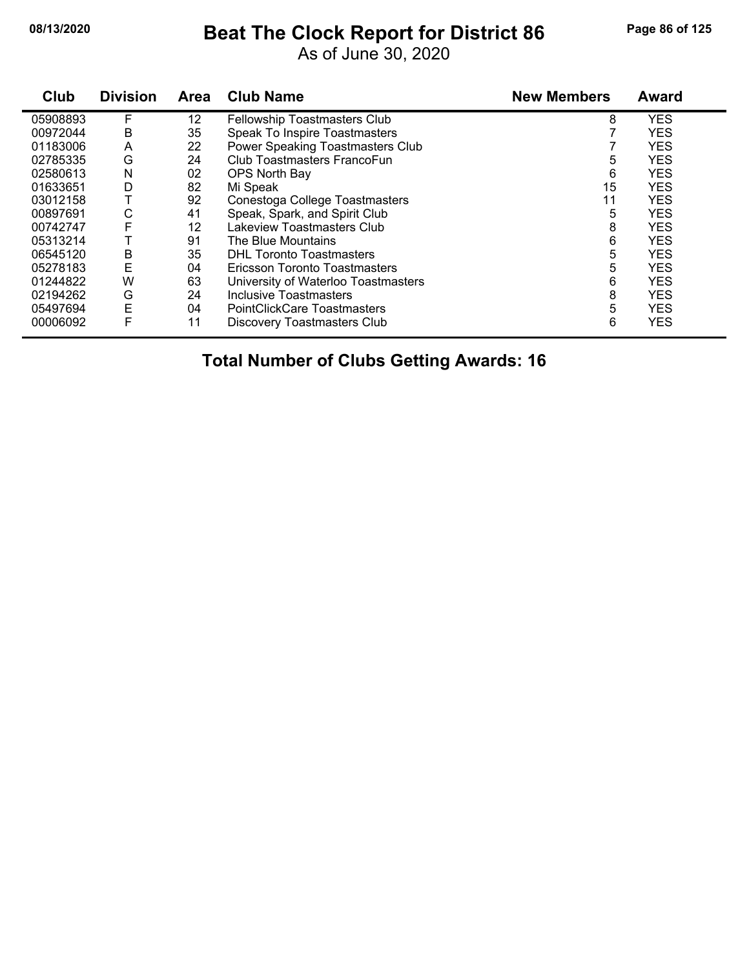## **08/13/2020 Beat The Clock Report for District 86 Page 86 of 125**

As of June 30, 2020

| Club     | <b>Division</b> | <b>Area</b> | <b>Club Name</b>                    | <b>New Members</b> | <b>Award</b> |
|----------|-----------------|-------------|-------------------------------------|--------------------|--------------|
| 05908893 | F               | 12          | Fellowship Toastmasters Club        | 8                  | <b>YES</b>   |
| 00972044 | B               | 35          | Speak To Inspire Toastmasters       |                    | <b>YES</b>   |
| 01183006 | A               | 22          | Power Speaking Toastmasters Club    |                    | <b>YES</b>   |
| 02785335 | G               | 24          | Club Toastmasters FrancoFun         | 5                  | <b>YES</b>   |
| 02580613 | N               | 02          | OPS North Bay                       | 6                  | <b>YES</b>   |
| 01633651 | D               | 82          | Mi Speak                            | 15                 | <b>YES</b>   |
| 03012158 |                 | 92          | Conestoga College Toastmasters      | 11                 | <b>YES</b>   |
| 00897691 | С               | 41          | Speak, Spark, and Spirit Club       | 5                  | <b>YES</b>   |
| 00742747 | F               | 12          | Lakeview Toastmasters Club          | 8                  | <b>YES</b>   |
| 05313214 |                 | 91          | The Blue Mountains                  | 6                  | <b>YES</b>   |
| 06545120 | В               | 35          | <b>DHL Toronto Toastmasters</b>     | 5                  | <b>YES</b>   |
| 05278183 | E               | 04          | Ericsson Toronto Toastmasters       | 5                  | <b>YES</b>   |
| 01244822 | W               | 63          | University of Waterloo Toastmasters | 6                  | <b>YES</b>   |
| 02194262 | G               | 24          | Inclusive Toastmasters              | 8                  | <b>YES</b>   |
| 05497694 | E               | 04          | <b>PointClickCare Toastmasters</b>  | 5                  | <b>YES</b>   |
| 00006092 | F               | 11          | <b>Discovery Toastmasters Club</b>  | 6                  | <b>YES</b>   |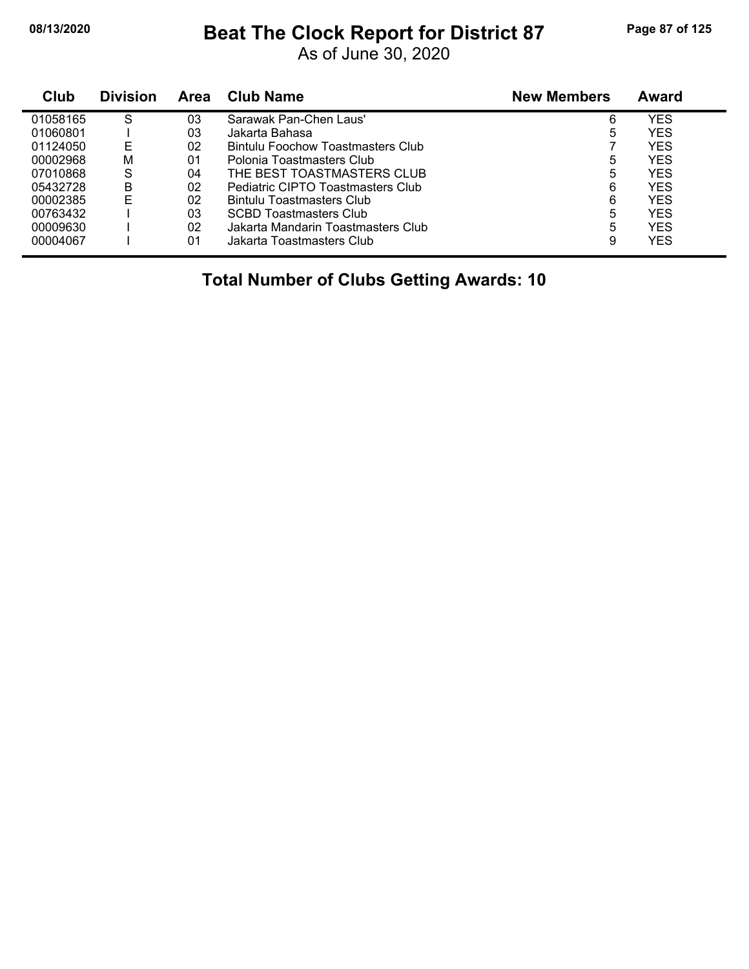#### **08/13/2020 Beat The Clock Report for District 87 Page 87 of 125**

As of June 30, 2020

| Club     | <b>Division</b> | Area | <b>Club Name</b>                   | <b>New Members</b> | <b>Award</b> |
|----------|-----------------|------|------------------------------------|--------------------|--------------|
| 01058165 | S               | 03   | Sarawak Pan-Chen Laus'             | 6                  | <b>YES</b>   |
| 01060801 |                 | 03   | Jakarta Bahasa                     | 5                  | <b>YES</b>   |
| 01124050 | Е               | 02   | Bintulu Foochow Toastmasters Club  |                    | <b>YES</b>   |
| 00002968 | М               | 01   | Polonia Toastmasters Club          | 5                  | <b>YES</b>   |
| 07010868 | S               | 04   | THE BEST TOASTMASTERS CLUB         | 5                  | <b>YES</b>   |
| 05432728 | B               | 02   | Pediatric CIPTO Toastmasters Club  | 6                  | <b>YES</b>   |
| 00002385 | Е               | 02   | Bintulu Toastmasters Club          | 6                  | <b>YES</b>   |
| 00763432 |                 | 03   | <b>SCBD Toastmasters Club</b>      | 5                  | <b>YES</b>   |
| 00009630 |                 | 02   | Jakarta Mandarin Toastmasters Club | 5                  | <b>YFS</b>   |
| 00004067 |                 | 01   | Jakarta Toastmasters Club          | 9                  | <b>YES</b>   |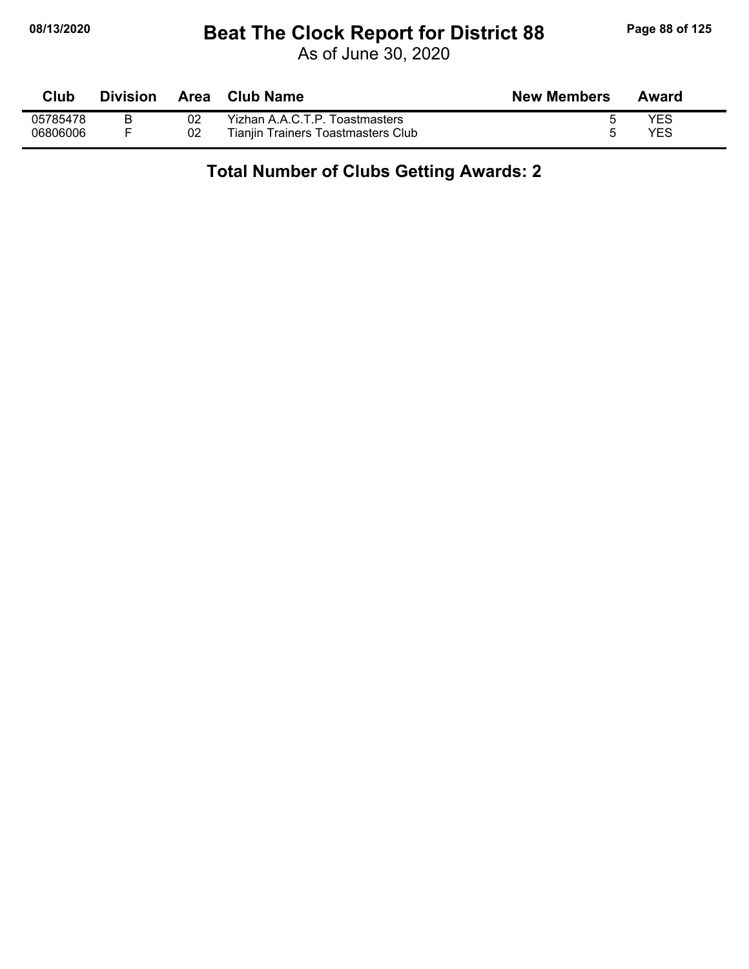## **08/13/2020 Beat The Clock Report for District 88 Page 88 of 125**

As of June 30, 2020

| Club     | Division | Area | Club Name                          | <b>New Members</b> | Award |
|----------|----------|------|------------------------------------|--------------------|-------|
| 05785478 |          | 02   | Yizhan A.A.C.T.P. Toastmasters     |                    | YES   |
| 06806006 |          | 02   | Tianjin Trainers Toastmasters Club |                    | YES   |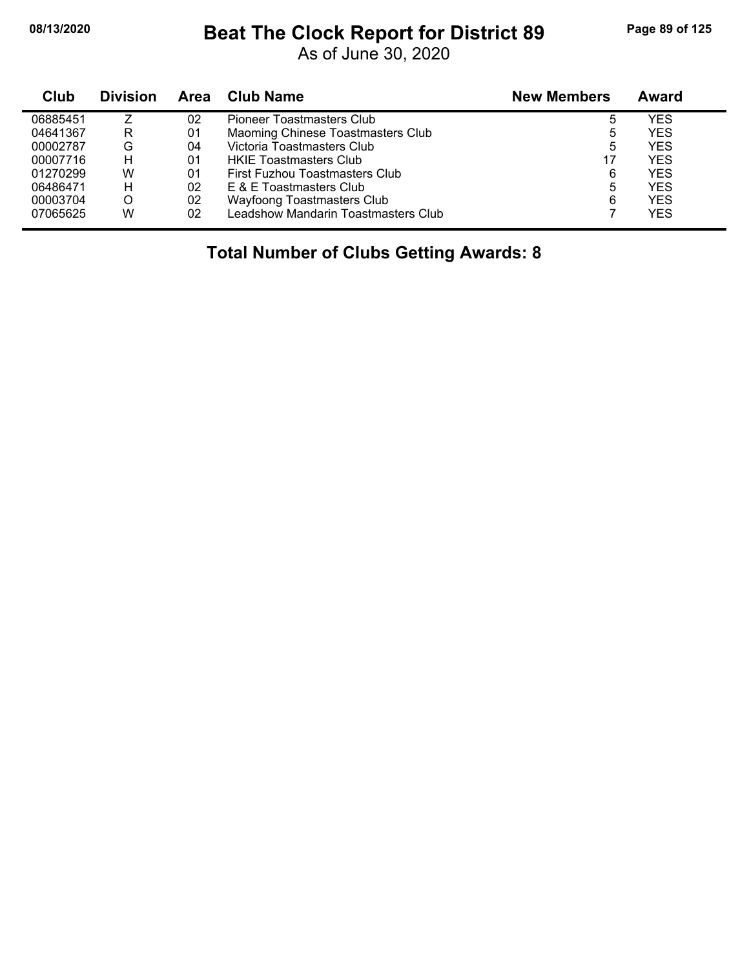## **08/13/2020 Beat The Clock Report for District 89 Page 89 of 125**

As of June 30, 2020

| Club     | <b>Division</b> | Area | Club Name                           | <b>New Members</b> | Award      |
|----------|-----------------|------|-------------------------------------|--------------------|------------|
| 06885451 |                 | 02   | <b>Pioneer Toastmasters Club</b>    | 5                  | YES        |
| 04641367 | R               | 01   | Maoming Chinese Toastmasters Club   | ხ                  | <b>YES</b> |
| 00002787 | G               | 04   | Victoria Toastmasters Club          | 5                  | <b>YES</b> |
| 00007716 | н               | 01   | <b>HKIE Toastmasters Club</b>       | 17                 | YES        |
| 01270299 | W               | 01   | First Fuzhou Toastmasters Club      | 6                  | <b>YES</b> |
| 06486471 | н               | 02   | E & E Toastmasters Club             | 5                  | YES        |
| 00003704 | O               | 02   | Wayfoong Toastmasters Club          | 6                  | <b>YES</b> |
| 07065625 | W               | 02   | Leadshow Mandarin Toastmasters Club |                    | <b>YES</b> |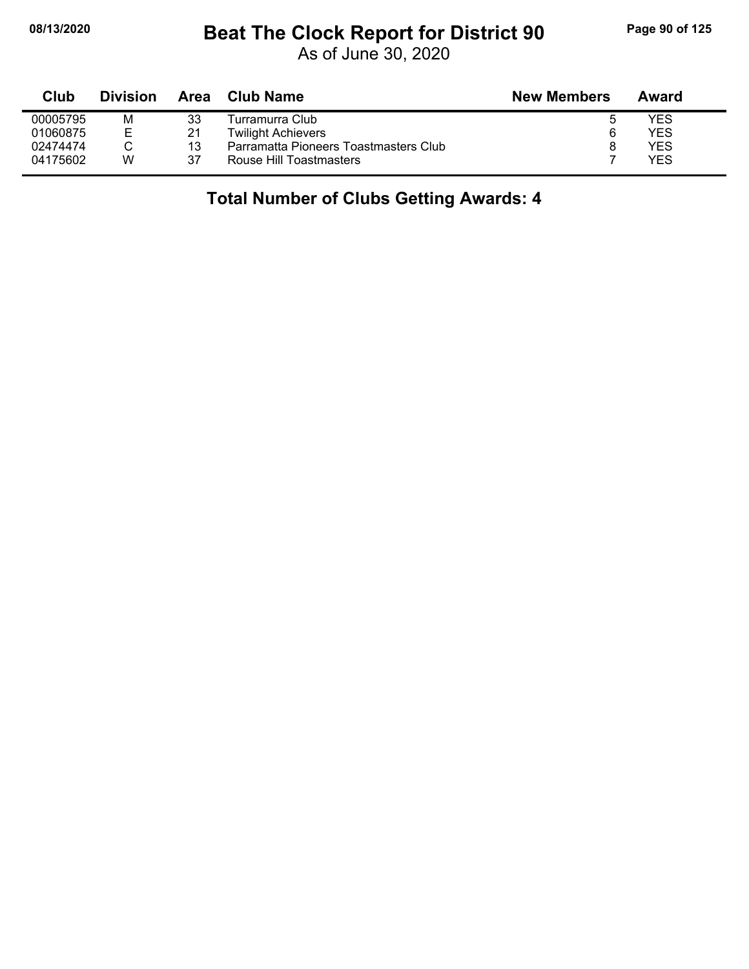#### **08/13/2020 Beat The Clock Report for District 90 Page 90 of 125**

As of June 30, 2020

| Club     | <b>Division</b> | <b>Area</b> | Club Name                             | <b>New Members</b> | Award |  |
|----------|-----------------|-------------|---------------------------------------|--------------------|-------|--|
| 00005795 | м               | 33          | Turramurra Club                       |                    | YES   |  |
| 01060875 | Е               | 21          | <b>Twilight Achievers</b>             | 6                  | YES   |  |
| 02474474 |                 | 13          | Parramatta Pioneers Toastmasters Club |                    | YES   |  |
| 04175602 | W               | 37          | Rouse Hill Toastmasters               |                    | YES   |  |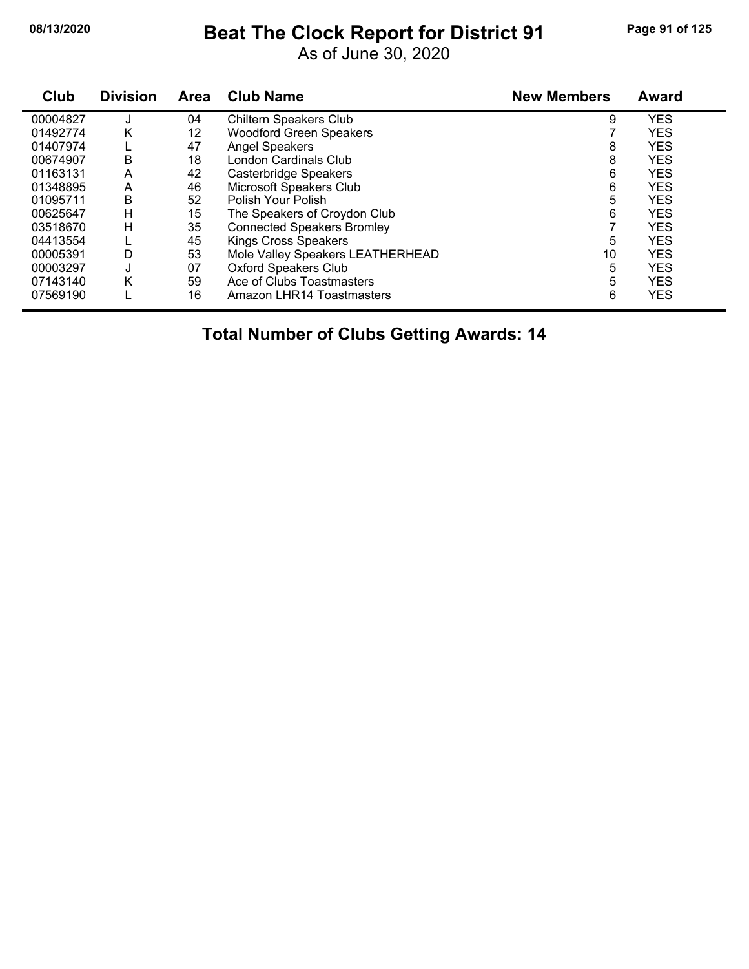## **08/13/2020 Beat The Clock Report for District 91 Page 91 of 125**

As of June 30, 2020

| Club     | <b>Division</b> | <b>Area</b> | <b>Club Name</b>                  | <b>New Members</b> | <b>Award</b> |
|----------|-----------------|-------------|-----------------------------------|--------------------|--------------|
| 00004827 |                 | 04          | Chiltern Speakers Club            | 9                  | <b>YES</b>   |
| 01492774 | Κ               | 12          | Woodford Green Speakers           |                    | <b>YES</b>   |
| 01407974 |                 | 47          | <b>Angel Speakers</b>             | 8                  | <b>YES</b>   |
| 00674907 | B               | 18          | <b>London Cardinals Club</b>      | 8                  | <b>YES</b>   |
| 01163131 | A               | 42          | Casterbridge Speakers             | 6                  | <b>YES</b>   |
| 01348895 | A               | 46          | Microsoft Speakers Club           | 6                  | <b>YES</b>   |
| 01095711 | B               | 52          | Polish Your Polish                | 5                  | <b>YES</b>   |
| 00625647 | н               | 15          | The Speakers of Croydon Club      | 6                  | <b>YES</b>   |
| 03518670 | H               | 35          | <b>Connected Speakers Bromley</b> |                    | <b>YES</b>   |
| 04413554 |                 | 45          | Kings Cross Speakers              | 5                  | <b>YES</b>   |
| 00005391 | D               | 53          | Mole Valley Speakers LEATHERHEAD  | 10                 | <b>YES</b>   |
| 00003297 | J               | 07          | <b>Oxford Speakers Club</b>       | 5                  | <b>YES</b>   |
| 07143140 | Κ               | 59          | Ace of Clubs Toastmasters         | 5                  | <b>YES</b>   |
| 07569190 |                 | 16          | Amazon LHR14 Toastmasters         | 6                  | <b>YES</b>   |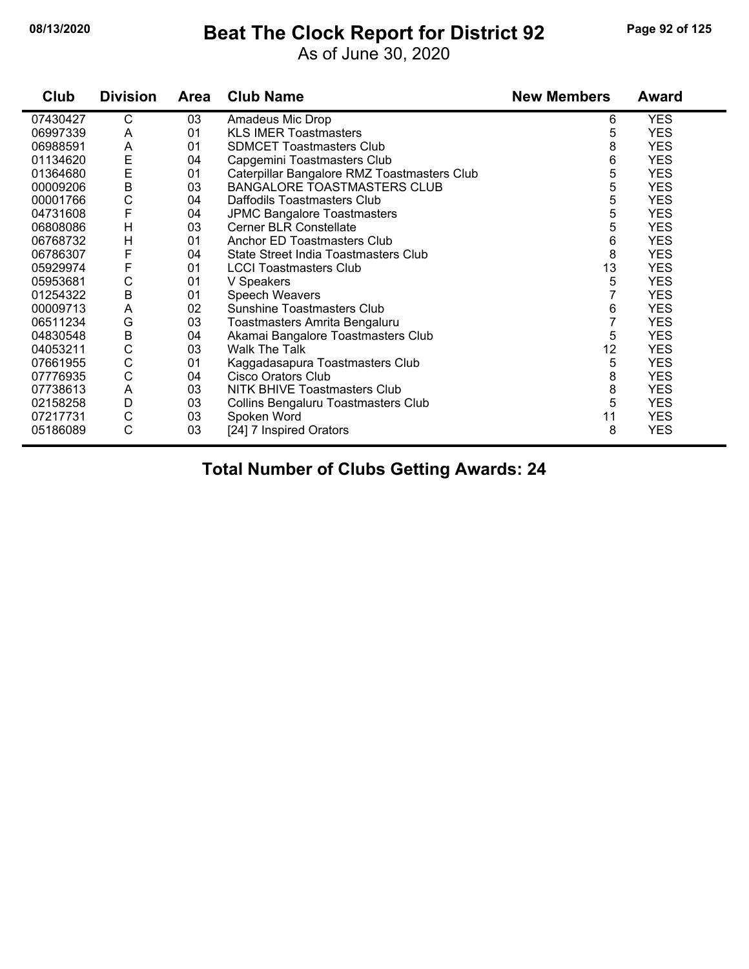#### **08/13/2020 Beat The Clock Report for District 92 Page 92 of 125**

As of June 30, 2020

| Club     | <b>Division</b> | Area | <b>Club Name</b>                            | <b>New Members</b> | <b>Award</b> |
|----------|-----------------|------|---------------------------------------------|--------------------|--------------|
| 07430427 | С               | 03   | Amadeus Mic Drop                            | 6                  | <b>YES</b>   |
| 06997339 | A               | 01   | <b>KLS IMER Toastmasters</b>                | 5                  | <b>YES</b>   |
| 06988591 | A               | 01   | <b>SDMCET Toastmasters Club</b>             | 8                  | <b>YES</b>   |
| 01134620 | E               | 04   | Capgemini Toastmasters Club                 | 6                  | <b>YES</b>   |
| 01364680 | E               | 01   | Caterpillar Bangalore RMZ Toastmasters Club | 5                  | <b>YES</b>   |
| 00009206 | B               | 03   | <b>BANGALORE TOASTMASTERS CLUB</b>          | 5                  | <b>YES</b>   |
| 00001766 | C               | 04   | Daffodils Toastmasters Club                 | 5                  | <b>YES</b>   |
| 04731608 | F               | 04   | <b>JPMC Bangalore Toastmasters</b>          | 5                  | <b>YES</b>   |
| 06808086 | H               | 03   | <b>Cerner BLR Constellate</b>               | 5                  | <b>YES</b>   |
| 06768732 | H               | 01   | Anchor ED Toastmasters Club                 | 6                  | <b>YES</b>   |
| 06786307 | F               | 04   | State Street India Toastmasters Club        | 8                  | <b>YES</b>   |
| 05929974 | F               | 01   | <b>LCCI Toastmasters Club</b>               | 13                 | <b>YES</b>   |
| 05953681 | C               | 01   | V Speakers                                  | 5                  | <b>YES</b>   |
| 01254322 | $\sf B$         | 01   | Speech Weavers                              | 7                  | <b>YES</b>   |
| 00009713 | A               | 02   | <b>Sunshine Toastmasters Club</b>           | 6                  | <b>YES</b>   |
| 06511234 | G               | 03   | Toastmasters Amrita Bengaluru               | 7                  | <b>YES</b>   |
| 04830548 | B               | 04   | Akamai Bangalore Toastmasters Club          | 5                  | <b>YES</b>   |
| 04053211 | C               | 03   | Walk The Talk                               | 12                 | <b>YES</b>   |
| 07661955 | C               | 01   | Kaggadasapura Toastmasters Club             | 5                  | <b>YES</b>   |
| 07776935 | C               | 04   | <b>Cisco Orators Club</b>                   | 8                  | <b>YES</b>   |
| 07738613 | A               | 03   | NITK BHIVE Toastmasters Club                | 8                  | <b>YES</b>   |
| 02158258 | D               | 03   | Collins Bengaluru Toastmasters Club         | 5                  | <b>YES</b>   |
| 07217731 | C               | 03   | Spoken Word                                 | 11                 | <b>YES</b>   |
| 05186089 | C               | 03   | [24] 7 Inspired Orators                     | 8                  | <b>YES</b>   |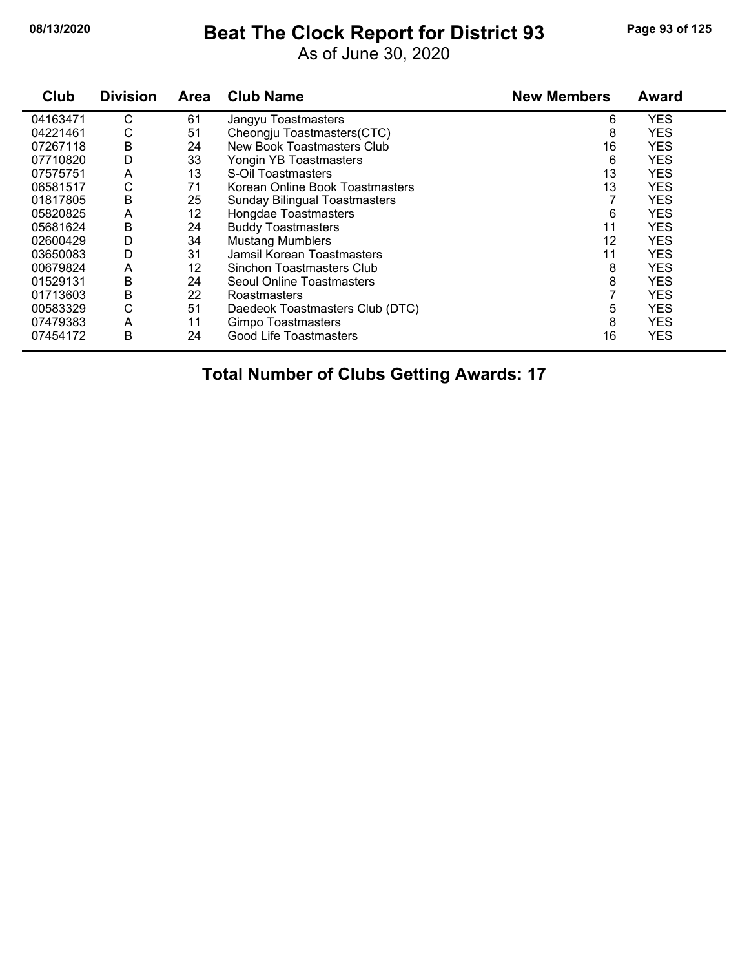## **08/13/2020 Beat The Clock Report for District 93 Page 93 of 125**

As of June 30, 2020

| Club     | <b>Division</b> | <b>Area</b> | <b>Club Name</b>                     | <b>New Members</b> | <b>Award</b> |
|----------|-----------------|-------------|--------------------------------------|--------------------|--------------|
| 04163471 | С               | 61          | Jangyu Toastmasters                  | 6                  | <b>YES</b>   |
| 04221461 | С               | 51          | Cheongju Toastmasters(CTC)           | 8                  | <b>YES</b>   |
| 07267118 | B               | 24          | New Book Toastmasters Club           | 16                 | <b>YES</b>   |
| 07710820 | D               | 33          | Yongin YB Toastmasters               | 6                  | <b>YES</b>   |
| 07575751 | A               | 13          | S-Oil Toastmasters                   | 13                 | <b>YES</b>   |
| 06581517 | С               | 71          | Korean Online Book Toastmasters      | 13                 | <b>YES</b>   |
| 01817805 | В               | 25          | <b>Sunday Bilingual Toastmasters</b> |                    | <b>YES</b>   |
| 05820825 | A               | 12          | Hongdae Toastmasters                 | 6                  | <b>YES</b>   |
| 05681624 | Β               | 24          | <b>Buddy Toastmasters</b>            | 11                 | <b>YES</b>   |
| 02600429 | D               | 34          | <b>Mustang Mumblers</b>              | 12                 | <b>YES</b>   |
| 03650083 | D               | 31          | Jamsil Korean Toastmasters           | 11                 | <b>YES</b>   |
| 00679824 | A               | 12          | Sinchon Toastmasters Club            | 8                  | <b>YES</b>   |
| 01529131 | B               | 24          | Seoul Online Toastmasters            | 8                  | <b>YES</b>   |
| 01713603 | Β               | 22          | Roastmasters                         |                    | <b>YES</b>   |
| 00583329 | С               | 51          | Daedeok Toastmasters Club (DTC)      | 5                  | <b>YES</b>   |
| 07479383 | A               | 11          | Gimpo Toastmasters                   | 8                  | <b>YES</b>   |
| 07454172 | B               | 24          | <b>Good Life Toastmasters</b>        | 16                 | <b>YES</b>   |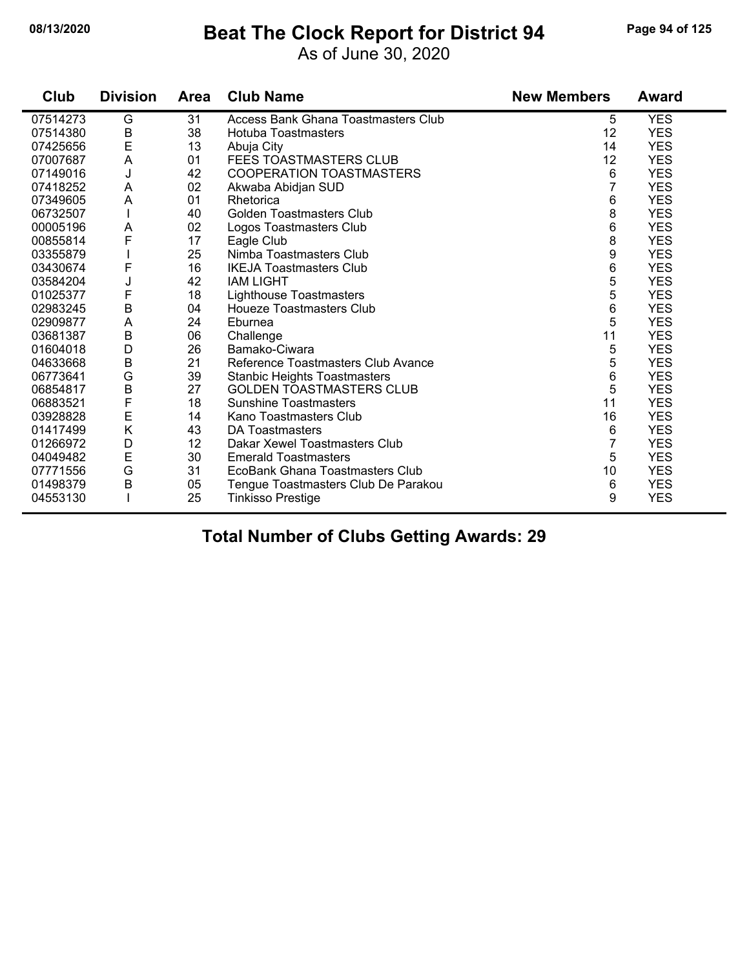#### **08/13/2020 Beat The Clock Report for District 94 Page 94 of 125**

As of June 30, 2020

| Club     | <b>Division</b> | <b>Area</b> | <b>Club Name</b>                           | <b>New Members</b> | <b>Award</b> |
|----------|-----------------|-------------|--------------------------------------------|--------------------|--------------|
| 07514273 | G               | 31          | <b>Access Bank Ghana Toastmasters Club</b> | 5                  | <b>YES</b>   |
| 07514380 | B<br>E          | 38          | <b>Hotuba Toastmasters</b>                 | 12                 | <b>YES</b>   |
| 07425656 |                 | 13          | Abuja City                                 | 14                 | <b>YES</b>   |
| 07007687 | A               | 01          | FEES TOASTMASTERS CLUB                     | 12                 | <b>YES</b>   |
| 07149016 | J               | 42          | <b>COOPERATION TOASTMASTERS</b>            | 6                  | <b>YES</b>   |
| 07418252 | A               | 02          | Akwaba Abidjan SUD                         | 7                  | <b>YES</b>   |
| 07349605 | A               | 01          | Rhetorica                                  | 6                  | <b>YES</b>   |
| 06732507 |                 | 40          | <b>Golden Toastmasters Club</b>            | 8                  | <b>YES</b>   |
| 00005196 | A               | 02          | Logos Toastmasters Club                    | 6                  | <b>YES</b>   |
| 00855814 | F               | 17          | Eagle Club                                 | 8                  | <b>YES</b>   |
| 03355879 |                 | 25          | Nimba Toastmasters Club                    | 9                  | <b>YES</b>   |
| 03430674 | F               | 16          | <b>IKEJA Toastmasters Club</b>             | 6                  | <b>YES</b>   |
| 03584204 | J               | 42          | <b>IAM LIGHT</b>                           | 5                  | <b>YES</b>   |
| 01025377 | F               | 18          | Lighthouse Toastmasters                    | 5                  | <b>YES</b>   |
| 02983245 | $\sf B$         | 04          | <b>Houeze Toastmasters Club</b>            | 6                  | <b>YES</b>   |
| 02909877 | A               | 24          | Eburnea                                    | 5                  | <b>YES</b>   |
| 03681387 | $\sf B$         | 06          | Challenge                                  | 11                 | <b>YES</b>   |
| 01604018 | D               | 26          | Bamako-Ciwara                              | 5                  | <b>YES</b>   |
| 04633668 | $\sf B$         | 21          | Reference Toastmasters Club Avance         | 5                  | <b>YES</b>   |
| 06773641 | G               | 39          | <b>Stanbic Heights Toastmasters</b>        | 6                  | <b>YES</b>   |
| 06854817 | $\sf B$         | 27          | <b>GOLDEN TOASTMASTERS CLUB</b>            | 5                  | <b>YES</b>   |
| 06883521 | $\mathsf F$     | 18          | <b>Sunshine Toastmasters</b>               | 11                 | <b>YES</b>   |
| 03928828 | E               | 14          | Kano Toastmasters Club                     | 16                 | <b>YES</b>   |
| 01417499 | K               | 43          | DA Toastmasters                            | 6                  | <b>YES</b>   |
| 01266972 | D               | 12          | Dakar Xewel Toastmasters Club              | $\overline{7}$     | <b>YES</b>   |
| 04049482 | E               | 30          | <b>Emerald Toastmasters</b>                | 5                  | <b>YES</b>   |
| 07771556 | G               | 31          | EcoBank Ghana Toastmasters Club            | 10                 | <b>YES</b>   |
| 01498379 | B               | 05          | Tengue Toastmasters Club De Parakou        | 6                  | <b>YES</b>   |
| 04553130 |                 | 25          | <b>Tinkisso Prestige</b>                   | 9                  | <b>YES</b>   |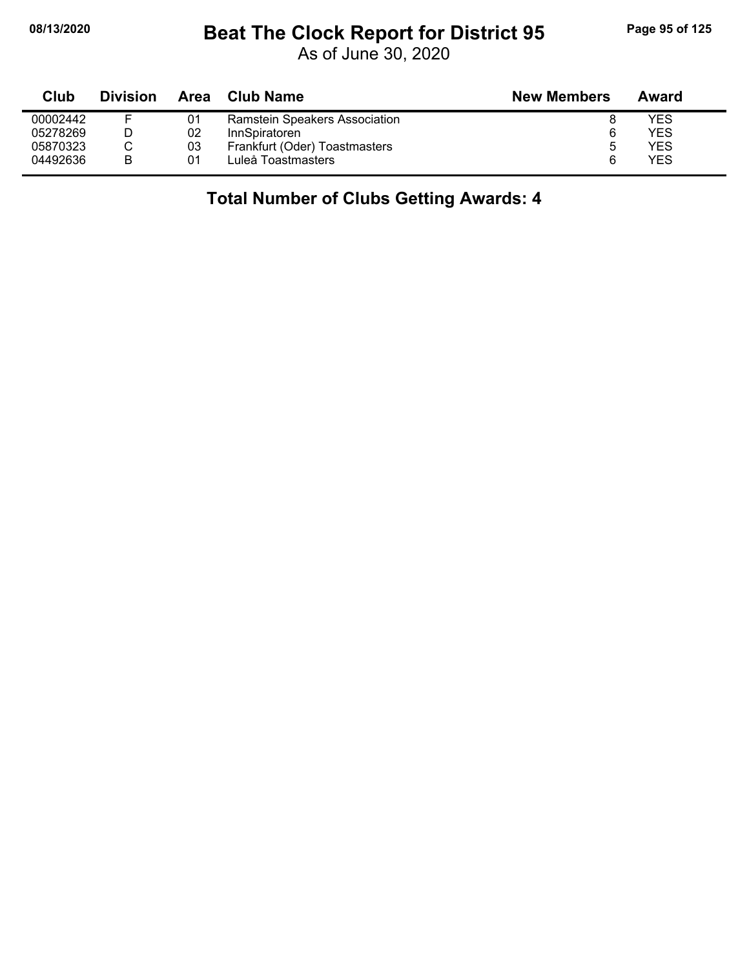### **08/13/2020 Beat The Clock Report for District 95 Page 95 of 125**

As of June 30, 2020

| Club     | <b>Division</b> | Area | Club Name                     | <b>New Members</b> | Award |
|----------|-----------------|------|-------------------------------|--------------------|-------|
| 00002442 |                 | 01   | Ramstein Speakers Association |                    | YES   |
| 05278269 |                 | 02   | InnSpiratoren                 | 6                  | YES   |
| 05870323 |                 | 03   | Frankfurt (Oder) Toastmasters |                    | YES   |
| 04492636 | B               | 01   | Luleå Toastmasters            |                    | YES   |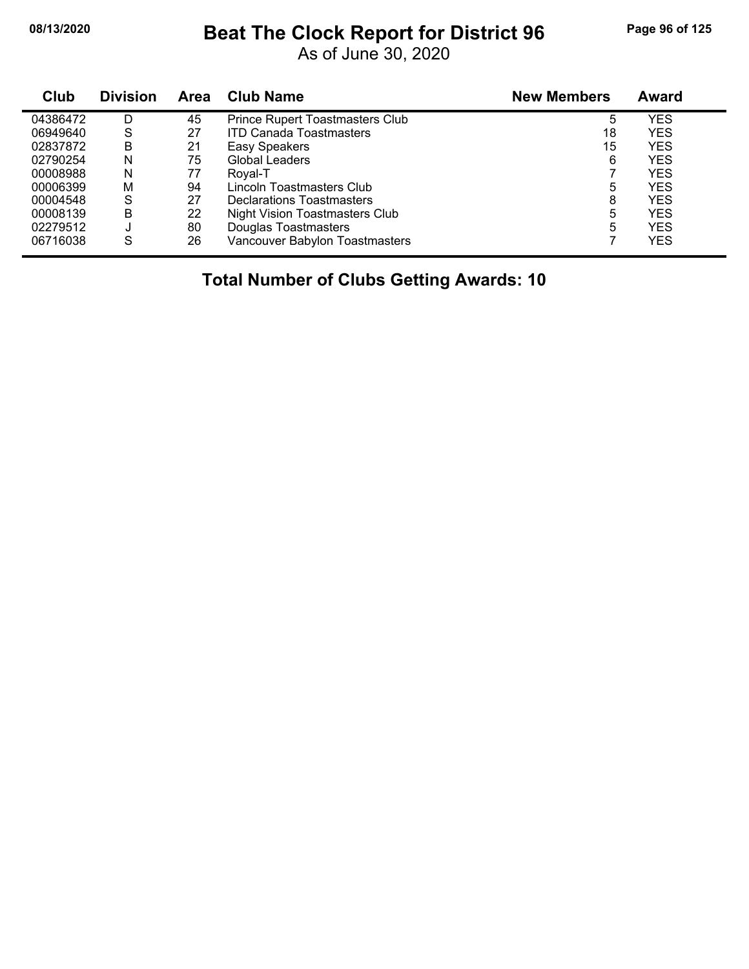## **08/13/2020 Beat The Clock Report for District 96 Page 96 of 125**

As of June 30, 2020

| Club     | <b>Division</b> | Area | <b>Club Name</b>                       | <b>New Members</b> | Award |  |
|----------|-----------------|------|----------------------------------------|--------------------|-------|--|
| 04386472 | D               | 45   | <b>Prince Rupert Toastmasters Club</b> | 5                  | YES   |  |
| 06949640 | S               | 27   | <b>ITD Canada Toastmasters</b>         | 18                 | YES   |  |
| 02837872 | В               | 21   | Easy Speakers                          | 15                 | YES   |  |
| 02790254 | N               | 75   | Global Leaders                         | 6                  | YES   |  |
| 00008988 | N               | 77   | Royal-T                                |                    | YES   |  |
| 00006399 | М               | 94   | Lincoln Toastmasters Club              | 5                  | YES   |  |
| 00004548 | S               | 27   | <b>Declarations Toastmasters</b>       | 8                  | YES   |  |
| 00008139 | Β               | 22   | <b>Night Vision Toastmasters Club</b>  | 5                  | YES   |  |
| 02279512 | J               | 80   | Douglas Toastmasters                   | 5                  | YES   |  |
| 06716038 | S               | 26   | Vancouver Babylon Toastmasters         |                    | YES   |  |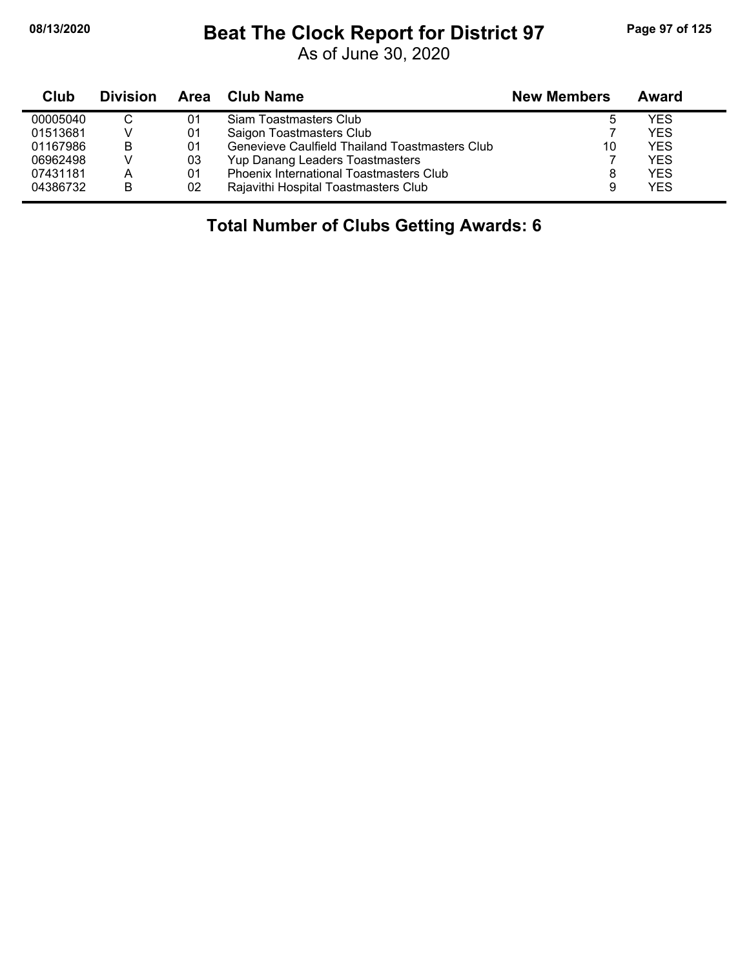$\blacksquare$ 

#### **08/13/2020 Beat The Clock Report for District 97 Page 97 of 125**

As of June 30, 2020

| Club     | <b>Division</b> |    | Area Club Name                                 | <b>New Members</b> | Award      |
|----------|-----------------|----|------------------------------------------------|--------------------|------------|
| 00005040 |                 | 01 | Siam Toastmasters Club                         |                    | YES        |
| 01513681 |                 | 01 | Saigon Toastmasters Club                       |                    | <b>YFS</b> |
| 01167986 | В               | 01 | Genevieve Caulfield Thailand Toastmasters Club | 10                 | <b>YES</b> |
| 06962498 |                 | 03 | Yup Danang Leaders Toastmasters                |                    | <b>YES</b> |
| 07431181 | А               | 01 | Phoenix International Toastmasters Club        |                    | <b>YES</b> |
| 04386732 | B               | 02 | Rajavithi Hospital Toastmasters Club           |                    | <b>YES</b> |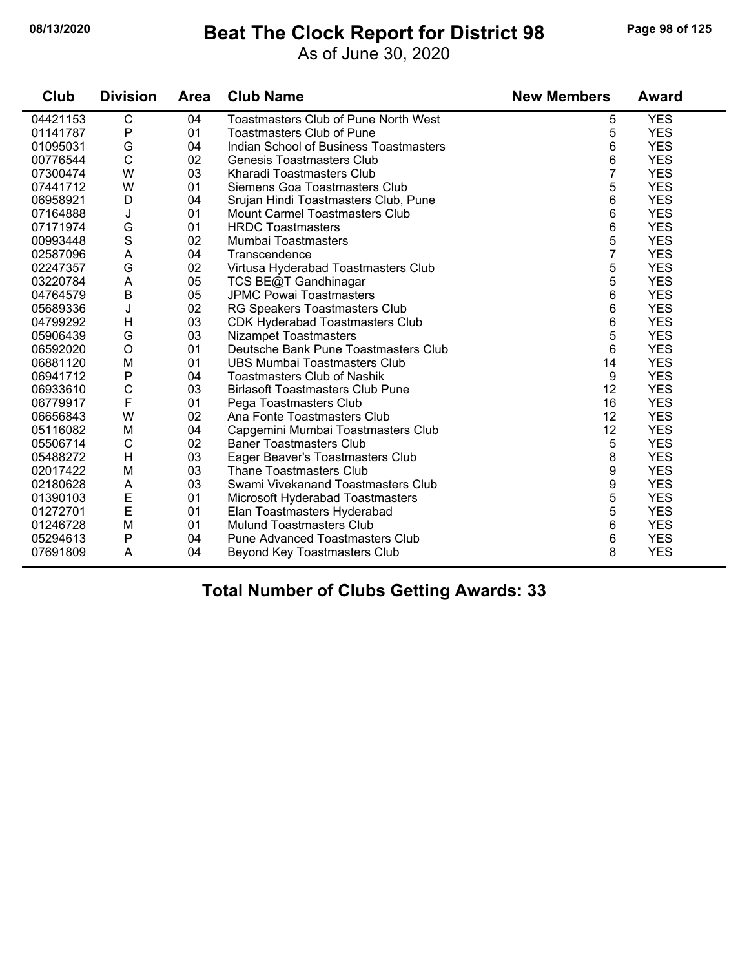## **08/13/2020 Beat The Clock Report for District 98 Page 98 of 125**

As of June 30, 2020

| Club     | <b>Division</b> | Area | <b>Club Name</b>                            | <b>New Members</b> | <b>Award</b> |
|----------|-----------------|------|---------------------------------------------|--------------------|--------------|
| 04421153 | C               | 04   | <b>Toastmasters Club of Pune North West</b> | 5                  | <b>YES</b>   |
| 01141787 | ${\sf P}$       | 01   | <b>Toastmasters Club of Pune</b>            | 5                  | <b>YES</b>   |
| 01095031 | G               | 04   | Indian School of Business Toastmasters      | 6                  | <b>YES</b>   |
| 00776544 | $\mathsf{C}$    | 02   | <b>Genesis Toastmasters Club</b>            | 6                  | <b>YES</b>   |
| 07300474 | W               | 03   | Kharadi Toastmasters Club                   | 7                  | <b>YES</b>   |
| 07441712 | W               | 01   | Siemens Goa Toastmasters Club               | 5                  | <b>YES</b>   |
| 06958921 | D               | 04   | Srujan Hindi Toastmasters Club, Pune        | 6                  | <b>YES</b>   |
| 07164888 | J               | 01   | <b>Mount Carmel Toastmasters Club</b>       | 6                  | <b>YES</b>   |
| 07171974 | G               | 01   | <b>HRDC Toastmasters</b>                    | 6                  | <b>YES</b>   |
| 00993448 | S               | 02   | Mumbai Toastmasters                         | 5                  | <b>YES</b>   |
| 02587096 | A               | 04   | Transcendence                               | $\overline{7}$     | <b>YES</b>   |
| 02247357 | G               | 02   | Virtusa Hyderabad Toastmasters Club         | 5                  | <b>YES</b>   |
| 03220784 | A               | 05   | TCS BE@T Gandhinagar                        | 5                  | <b>YES</b>   |
| 04764579 | $\mathsf B$     | 05   | <b>JPMC Powai Toastmasters</b>              | 6                  | <b>YES</b>   |
| 05689336 | J               | 02   | RG Speakers Toastmasters Club               | 6                  | <b>YES</b>   |
| 04799292 | Н               | 03   | <b>CDK Hyderabad Toastmasters Club</b>      | 6                  | <b>YES</b>   |
| 05906439 | G               | 03   | <b>Nizampet Toastmasters</b>                | 5                  | <b>YES</b>   |
| 06592020 | $\bigcirc$      | 01   | Deutsche Bank Pune Toastmasters Club        | 6                  | <b>YES</b>   |
| 06881120 | M               | 01   | <b>UBS Mumbai Toastmasters Club</b>         | 14                 | <b>YES</b>   |
| 06941712 | ${\sf P}$       | 04   | <b>Toastmasters Club of Nashik</b>          | 9                  | <b>YES</b>   |
| 06933610 | $\mathsf{C}$    | 03   | <b>Birlasoft Toastmasters Club Pune</b>     | 12                 | <b>YES</b>   |
| 06779917 | $\mathsf{F}$    | 01   | Pega Toastmasters Club                      | 16                 | <b>YES</b>   |
| 06656843 | W               | 02   | Ana Fonte Toastmasters Club                 | 12                 | <b>YES</b>   |
| 05116082 | M               | 04   | Capgemini Mumbai Toastmasters Club          | 12                 | <b>YES</b>   |
| 05506714 | $\mathsf C$     | 02   | <b>Baner Toastmasters Club</b>              | 5                  | <b>YES</b>   |
| 05488272 | H               | 03   | Eager Beaver's Toastmasters Club            | 8                  | <b>YES</b>   |
| 02017422 | M               | 03   | <b>Thane Toastmasters Club</b>              | 9                  | <b>YES</b>   |
| 02180628 | A               | 03   | Swami Vivekanand Toastmasters Club          | 9                  | <b>YES</b>   |
| 01390103 | E               | 01   | Microsoft Hyderabad Toastmasters            | 5                  | <b>YES</b>   |
| 01272701 | E               | 01   | Elan Toastmasters Hyderabad                 | 5                  | <b>YES</b>   |
| 01246728 | M               | 01   | <b>Mulund Toastmasters Club</b>             | 6                  | <b>YES</b>   |
| 05294613 | $\mathsf{P}$    | 04   | Pune Advanced Toastmasters Club             | 6                  | <b>YES</b>   |
| 07691809 | Α               | 04   | Beyond Key Toastmasters Club                | 8                  | <b>YES</b>   |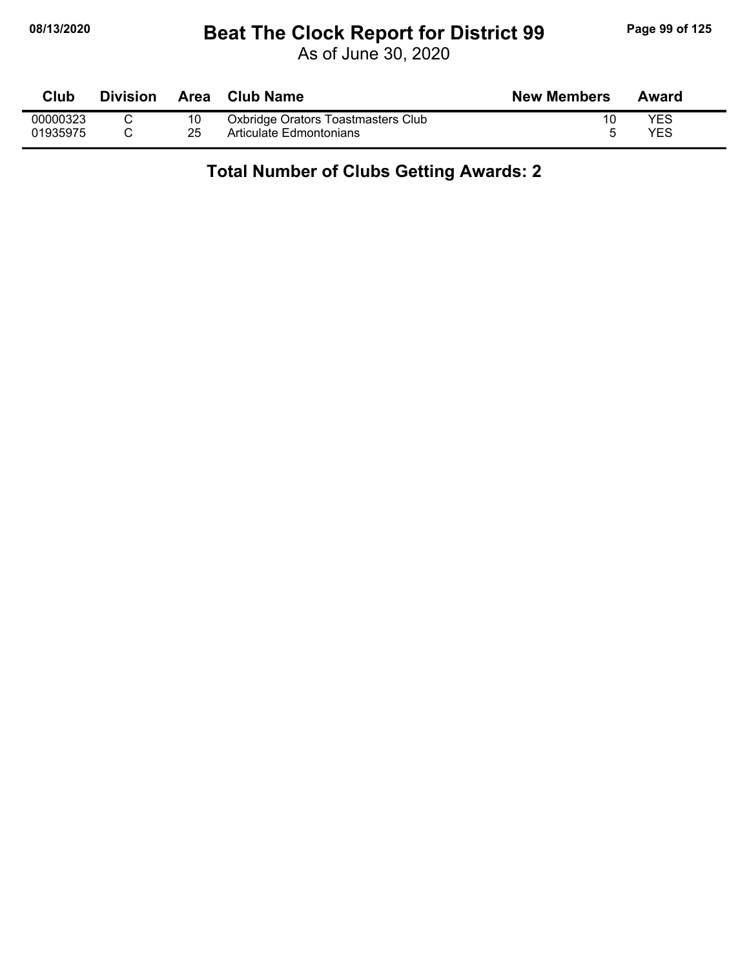## **08/13/2020 Beat The Clock Report for District 99 Page 99 of 125**

As of June 30, 2020

| Club     | <b>Division</b> |    | Area Club Name                     | <b>New Members</b> | Award      |
|----------|-----------------|----|------------------------------------|--------------------|------------|
| 00000323 |                 | 10 | Oxbridge Orators Toastmasters Club |                    | YES        |
| 01935975 |                 | 25 | Articulate Edmontonians            |                    | <b>YES</b> |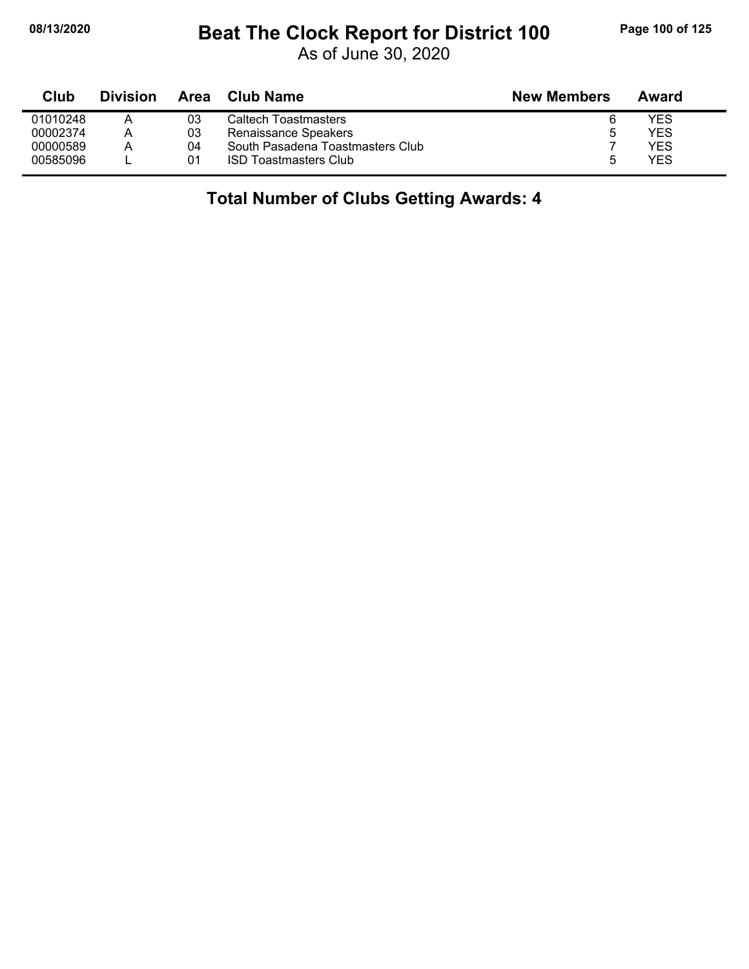### **08/13/2020 Beat The Clock Report for District 100 Page 100 of 125**

| Club     | <b>Division</b> | Area | <b>Club Name</b>                 | <b>New Members</b> | Award |
|----------|-----------------|------|----------------------------------|--------------------|-------|
| 01010248 |                 | 03   | Caltech Toastmasters             | 6                  | YES   |
| 00002374 | Α               | 03   | Renaissance Speakers             | b                  | YES   |
| 00000589 | А               | 04   | South Pasadena Toastmasters Club |                    | YES   |
| 00585096 |                 | 01   | <b>ISD Toastmasters Club</b>     | h                  | YES   |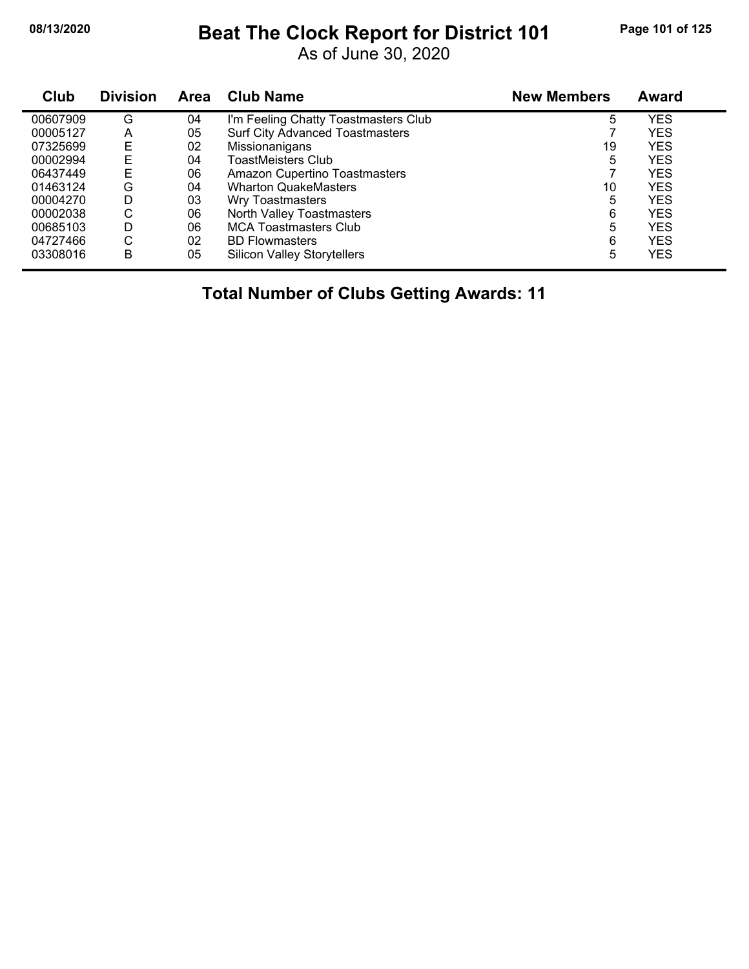## **08/13/2020 Beat The Clock Report for District 101 Page 101 of 125**

As of June 30, 2020

| Club     | <b>Division</b> | <b>Area</b> | <b>Club Name</b>                       | <b>New Members</b> | <b>Award</b> |
|----------|-----------------|-------------|----------------------------------------|--------------------|--------------|
| 00607909 | G               | 04          | I'm Feeling Chatty Toastmasters Club   | 5                  | <b>YES</b>   |
| 00005127 | A               | 05          | <b>Surf City Advanced Toastmasters</b> |                    | <b>YES</b>   |
| 07325699 | Ε               | 02          | Missionanigans                         | 19                 | <b>YES</b>   |
| 00002994 | Е               | 04          | <b>ToastMeisters Club</b>              | 5                  | <b>YES</b>   |
| 06437449 | Е               | 06          | Amazon Cupertino Toastmasters          |                    | <b>YES</b>   |
| 01463124 | G               | 04          | <b>Wharton QuakeMasters</b>            | 10                 | <b>YES</b>   |
| 00004270 | D               | 03          | Wry Toastmasters                       | 5                  | <b>YES</b>   |
| 00002038 | С               | 06          | North Valley Toastmasters              | 6                  | <b>YES</b>   |
| 00685103 | D               | 06          | <b>MCA Toastmasters Club</b>           | 5                  | <b>YES</b>   |
| 04727466 | С               | 02          | <b>BD Flowmasters</b>                  | 6                  | <b>YES</b>   |
| 03308016 | B               | 05          | <b>Silicon Valley Storytellers</b>     | 5                  | <b>YES</b>   |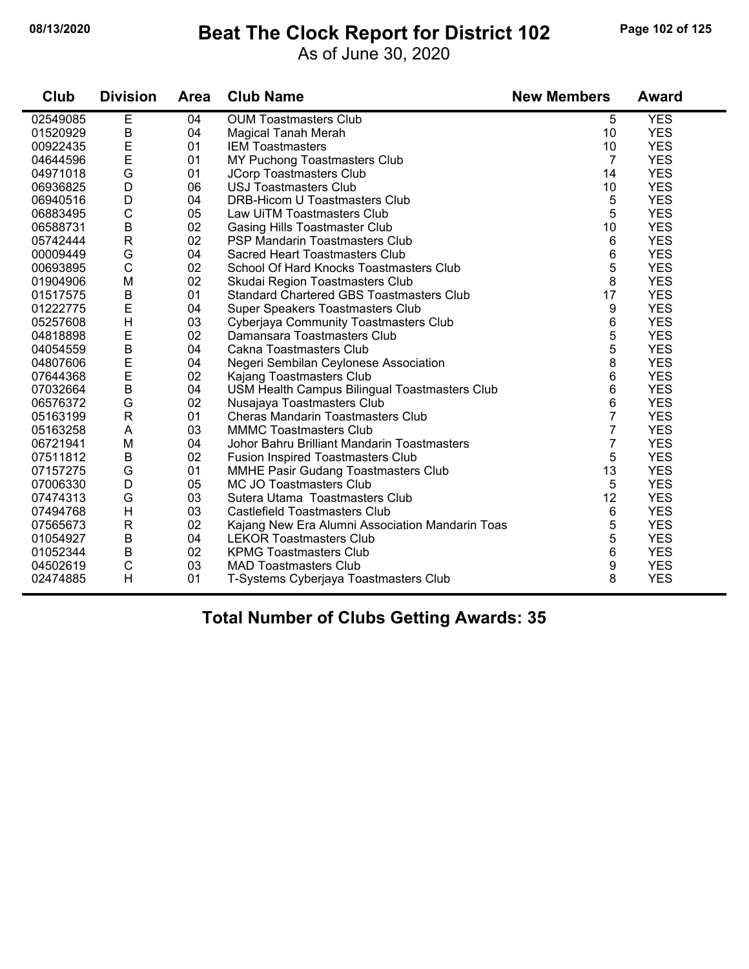#### **08/13/2020 Beat The Clock Report for District 102 Page 102 of 125**

As of June 30, 2020

| Club     | <b>Division</b> | <b>Area</b> | <b>Club Name</b>                                | <b>New Members</b> | <b>Award</b> |
|----------|-----------------|-------------|-------------------------------------------------|--------------------|--------------|
| 02549085 | Е               | 04          | <b>OUM Toastmasters Club</b>                    | 5                  | <b>YES</b>   |
| 01520929 | B               | 04          | <b>Magical Tanah Merah</b>                      | 10                 | <b>YES</b>   |
| 00922435 | E               | 01          | <b>IEM Toastmasters</b>                         | 10                 | <b>YES</b>   |
| 04644596 | $\mathsf E$     | 01          | MY Puchong Toastmasters Club                    | 7                  | <b>YES</b>   |
| 04971018 | G               | 01          | JCorp Toastmasters Club                         | 14                 | <b>YES</b>   |
| 06936825 | D               | 06          | <b>USJ Toastmasters Club</b>                    | 10                 | <b>YES</b>   |
| 06940516 | D               | 04          | DRB-Hicom U Toastmasters Club                   | 5                  | <b>YES</b>   |
| 06883495 | $\mathsf C$     | 05          | Law UiTM Toastmasters Club                      | 5                  | <b>YES</b>   |
| 06588731 | $\sf B$         | 02          | <b>Gasing Hills Toastmaster Club</b>            | 10                 | <b>YES</b>   |
| 05742444 | $\mathsf{R}$    | 02          | PSP Mandarin Toastmasters Club                  | 6                  | <b>YES</b>   |
| 00009449 | G               | 04          | Sacred Heart Toastmasters Club                  | 6                  | <b>YES</b>   |
| 00693895 | $\mathsf C$     | 02          | School Of Hard Knocks Toastmasters Club         | 5                  | <b>YES</b>   |
| 01904906 | M               | 02          | Skudai Region Toastmasters Club                 | 8                  | <b>YES</b>   |
| 01517575 | $\sf B$         | 01          | <b>Standard Chartered GBS Toastmasters Club</b> | 17                 | <b>YES</b>   |
| 01222775 | E               | 04          | Super Speakers Toastmasters Club                | 9                  | <b>YES</b>   |
| 05257608 | H               | 03          | Cyberjaya Community Toastmasters Club           | 6                  | <b>YES</b>   |
| 04818898 | $\mathsf E$     | 02          | Damansara Toastmasters Club                     | 5                  | <b>YES</b>   |
| 04054559 | B               | 04          | Cakna Toastmasters Club                         | 5                  | <b>YES</b>   |
| 04807606 | E               | 04          | Negeri Sembilan Ceylonese Association           | 8                  | <b>YES</b>   |
| 07644368 | E               | 02          | Kajang Toastmasters Club                        | 6                  | <b>YES</b>   |
| 07032664 | B               | 04          | USM Health Campus Bilingual Toastmasters Club   | 6                  | <b>YES</b>   |
| 06576372 | G               | 02          | Nusajaya Toastmasters Club                      | 6                  | <b>YES</b>   |
| 05163199 | $\mathsf{R}$    | 01          | Cheras Mandarin Toastmasters Club               | 7                  | <b>YES</b>   |
| 05163258 | A               | 03          | <b>MMMC Toastmasters Club</b>                   | 7                  | <b>YES</b>   |
| 06721941 | M               | 04          | Johor Bahru Brilliant Mandarin Toastmasters     | 7                  | <b>YES</b>   |
| 07511812 | B               | 02          | <b>Fusion Inspired Toastmasters Club</b>        | 5                  | <b>YES</b>   |
| 07157275 | G               | 01          | MMHE Pasir Gudang Toastmasters Club             | 13                 | <b>YES</b>   |
| 07006330 | D               | 05          | MC JO Toastmasters Club                         | 5                  | <b>YES</b>   |
| 07474313 | G               | 03          | Sutera Utama Toastmasters Club                  | 12                 | <b>YES</b>   |
| 07494768 | H               | 03          | Castlefield Toastmasters Club                   | 6                  | <b>YES</b>   |
| 07565673 | $\mathsf{R}$    | 02          | Kajang New Era Alumni Association Mandarin Toas | 5                  | <b>YES</b>   |
| 01054927 | $\sf B$         | 04          | <b>LEKOR Toastmasters Club</b>                  | 5                  | <b>YES</b>   |
| 01052344 | B               | 02          | <b>KPMG Toastmasters Club</b>                   | 6                  | <b>YES</b>   |
| 04502619 | $\mathsf{C}$    | 03          | <b>MAD Toastmasters Club</b>                    | 9                  | <b>YES</b>   |
| 02474885 | H               | 01          | T-Systems Cyberjaya Toastmasters Club           | 8                  | <b>YES</b>   |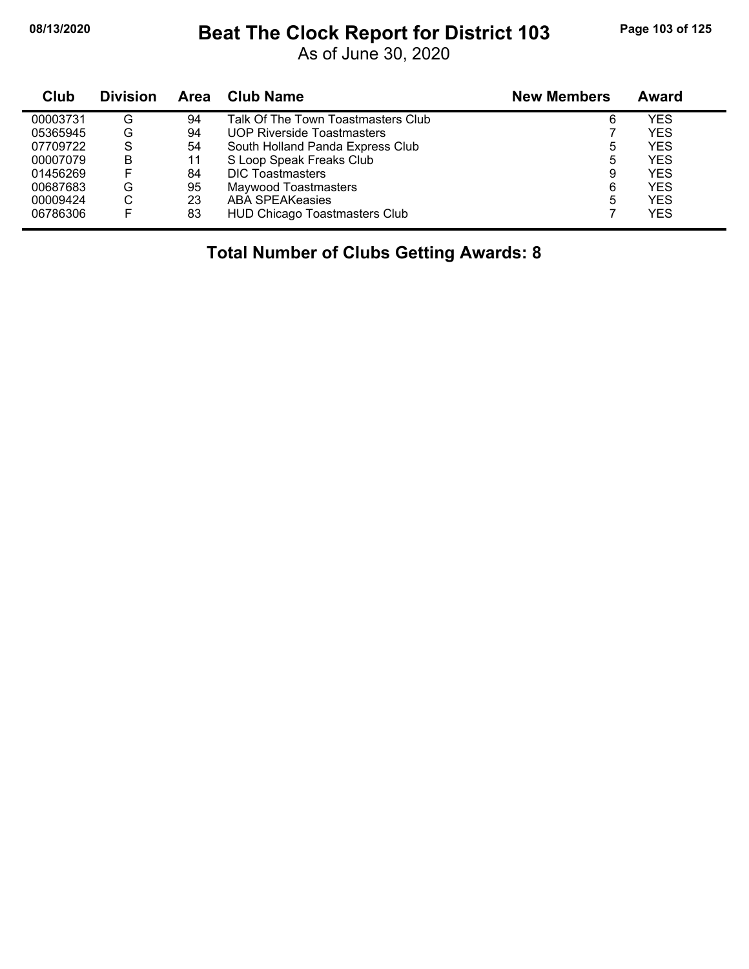## **08/13/2020 Beat The Clock Report for District 103 Page 103 of 125**

As of June 30, 2020

| Club     | <b>Division</b> | <b>Area</b> | <b>Club Name</b>                     | <b>New Members</b> | <b>Award</b> |
|----------|-----------------|-------------|--------------------------------------|--------------------|--------------|
| 00003731 | G               | 94          | Talk Of The Town Toastmasters Club   | 6                  | YES          |
| 05365945 | G               | 94          | <b>UOP Riverside Toastmasters</b>    |                    | <b>YES</b>   |
| 07709722 | S               | 54          | South Holland Panda Express Club     | 5                  | <b>YES</b>   |
| 00007079 | в               | 11          | S Loop Speak Freaks Club             | 5                  | YES          |
| 01456269 |                 | 84          | <b>DIC Toastmasters</b>              | 9                  | <b>YES</b>   |
| 00687683 | G               | 95          | Maywood Toastmasters                 | 6                  | YES          |
| 00009424 | С               | 23          | ABA SPEAKeasies                      | 5                  | <b>YES</b>   |
| 06786306 |                 | 83          | <b>HUD Chicago Toastmasters Club</b> |                    | YES          |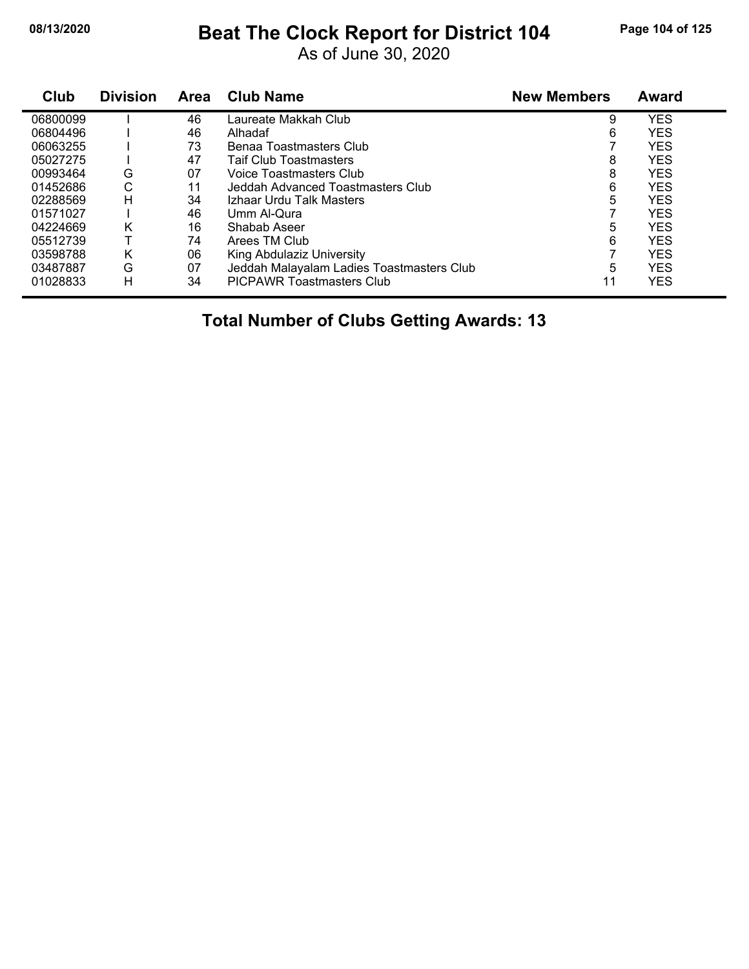#### **08/13/2020 Beat The Clock Report for District 104 Page 104 of 125**

As of June 30, 2020

| Club     | <b>Division</b> | Area | <b>Club Name</b>                          | <b>New Members</b> | Award      |
|----------|-----------------|------|-------------------------------------------|--------------------|------------|
| 06800099 |                 | 46   | Laureate Makkah Club                      | 9                  | YES        |
| 06804496 |                 | 46   | Alhadaf                                   | 6                  | <b>YES</b> |
| 06063255 |                 | 73   | Benaa Toastmasters Club                   |                    | YES        |
| 05027275 |                 | 47   | <b>Taif Club Toastmasters</b>             | 8                  | <b>YES</b> |
| 00993464 | G               | 07   | Voice Toastmasters Club                   | 8                  | YES        |
| 01452686 | С               | 11   | Jeddah Advanced Toastmasters Club         | 6                  | <b>YES</b> |
| 02288569 | H               | 34   | Izhaar Urdu Talk Masters                  | 5                  | <b>YES</b> |
| 01571027 |                 | 46   | Umm Al-Qura                               |                    | <b>YES</b> |
| 04224669 | Κ               | 16   | Shabab Aseer                              | 5                  | <b>YES</b> |
| 05512739 |                 | 74   | Arees TM Club                             | 6                  | <b>YES</b> |
| 03598788 | K               | 06   | King Abdulaziz University                 |                    | <b>YES</b> |
| 03487887 | G               | 07   | Jeddah Malayalam Ladies Toastmasters Club | 5                  | <b>YES</b> |
| 01028833 | н               | 34   | <b>PICPAWR Toastmasters Club</b>          | 11                 | <b>YES</b> |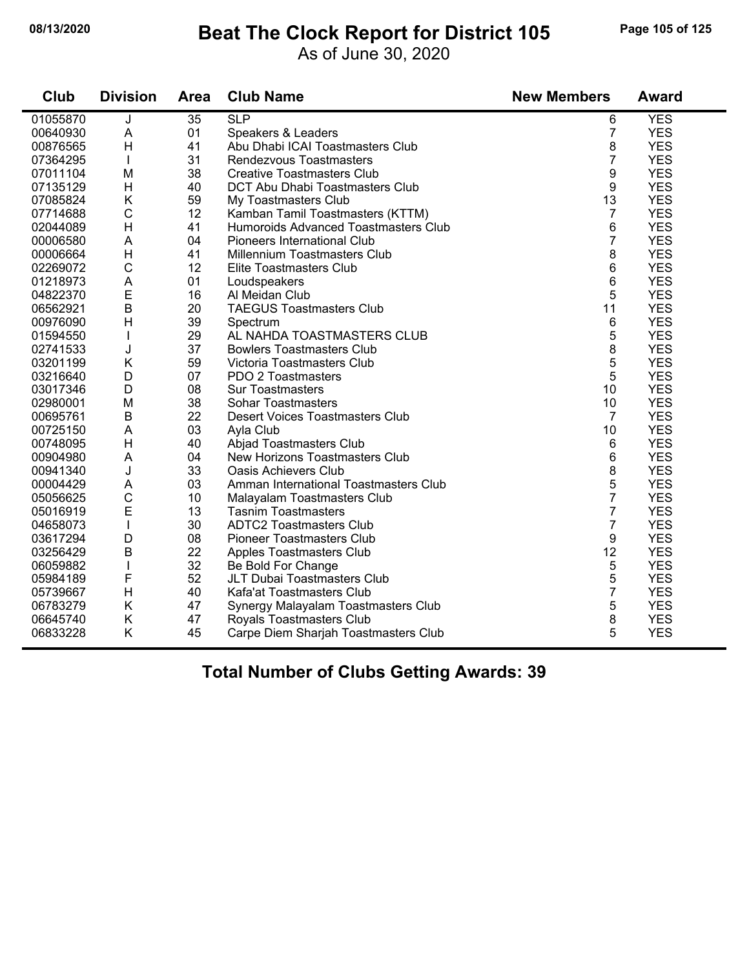#### **08/13/2020 Beat The Clock Report for District 105 Page 105 of 125**

As of June 30, 2020

| Club     | <b>Division</b> | Area | <b>Club Name</b>                       | <b>New Members</b> | <b>Award</b> |
|----------|-----------------|------|----------------------------------------|--------------------|--------------|
| 01055870 | J               | 35   | SLP                                    | 6                  | <b>YES</b>   |
| 00640930 | A               | 01   | Speakers & Leaders                     | $\overline{7}$     | <b>YES</b>   |
| 00876565 | H               | 41   | Abu Dhabi ICAI Toastmasters Club       | 8                  | <b>YES</b>   |
| 07364295 | $\mathbf{I}$    | 31   | Rendezvous Toastmasters                | 7                  | <b>YES</b>   |
| 07011104 | M               | 38   | <b>Creative Toastmasters Club</b>      | 9                  | <b>YES</b>   |
| 07135129 | H               | 40   | <b>DCT Abu Dhabi Toastmasters Club</b> | 9                  | <b>YES</b>   |
| 07085824 | K               | 59   | My Toastmasters Club                   | 13                 | <b>YES</b>   |
| 07714688 | $\mathsf{C}$    | 12   | Kamban Tamil Toastmasters (KTTM)       | $\overline{7}$     | <b>YES</b>   |
| 02044089 | H               | 41   | Humoroids Advanced Toastmasters Club   | 6                  | <b>YES</b>   |
| 00006580 | A               | 04   | Pioneers International Club            | $\overline{7}$     | <b>YES</b>   |
| 00006664 | H               | 41   | Millennium Toastmasters Club           | 8                  | <b>YES</b>   |
| 02269072 | $\mathsf{C}$    | 12   | Elite Toastmasters Club                | 6                  | <b>YES</b>   |
| 01218973 | A               | 01   | Loudspeakers                           | 6                  | <b>YES</b>   |
| 04822370 | E               | 16   | Al Meidan Club                         | 5                  | <b>YES</b>   |
| 06562921 | B               | 20   | <b>TAEGUS Toastmasters Club</b>        | 11                 | <b>YES</b>   |
| 00976090 | H               | 39   | Spectrum                               | 6                  | <b>YES</b>   |
| 01594550 | $\mathbf{I}$    | 29   | AL NAHDA TOASTMASTERS CLUB             | 5                  | <b>YES</b>   |
| 02741533 | J               | 37   | <b>Bowlers Toastmasters Club</b>       | 8                  | <b>YES</b>   |
| 03201199 | Κ               | 59   | Victoria Toastmasters Club             | 5                  | <b>YES</b>   |
| 03216640 | D               | 07   | PDO 2 Toastmasters                     | 5                  | <b>YES</b>   |
| 03017346 | D               | 08   | <b>Sur Toastmasters</b>                | 10                 | <b>YES</b>   |
| 02980001 | M               | 38   | <b>Sohar Toastmasters</b>              | 10                 | <b>YES</b>   |
| 00695761 | $\mathsf B$     | 22   | <b>Desert Voices Toastmasters Club</b> | $\overline{7}$     | <b>YES</b>   |
| 00725150 | A               | 03   | Ayla Club                              | 10                 | <b>YES</b>   |
| 00748095 | H               | 40   | Abjad Toastmasters Club                | 6                  | <b>YES</b>   |
| 00904980 | A               | 04   | New Horizons Toastmasters Club         | 6                  | <b>YES</b>   |
| 00941340 | J               | 33   | <b>Oasis Achievers Club</b>            | 8                  | <b>YES</b>   |
| 00004429 | A               | 03   | Amman International Toastmasters Club  | 5                  | <b>YES</b>   |
| 05056625 | C               | 10   | Malayalam Toastmasters Club            | 7                  | <b>YES</b>   |
| 05016919 | E               | 13   | <b>Tasnim Toastmasters</b>             | $\overline{7}$     | <b>YES</b>   |
| 04658073 | $\mathbf{I}$    | 30   | <b>ADTC2 Toastmasters Club</b>         | $\overline{7}$     | <b>YES</b>   |
| 03617294 | D               | 08   | <b>Pioneer Toastmasters Club</b>       | 9                  | <b>YES</b>   |
| 03256429 | $\mathsf B$     | 22   | Apples Toastmasters Club               | 12                 | <b>YES</b>   |
| 06059882 | $\mathbf{I}$    | 32   | Be Bold For Change                     | 5                  | <b>YES</b>   |
| 05984189 | F               | 52   | JLT Dubai Toastmasters Club            | 5                  | <b>YES</b>   |
| 05739667 | H               | 40   | Kafa'at Toastmasters Club              | $\overline{7}$     | <b>YES</b>   |
| 06783279 | K               | 47   | Synergy Malayalam Toastmasters Club    | 5                  | <b>YES</b>   |
| 06645740 | Κ               | 47   | Royals Toastmasters Club               | 8                  | <b>YES</b>   |
| 06833228 | K               | 45   | Carpe Diem Sharjah Toastmasters Club   | 5                  | <b>YES</b>   |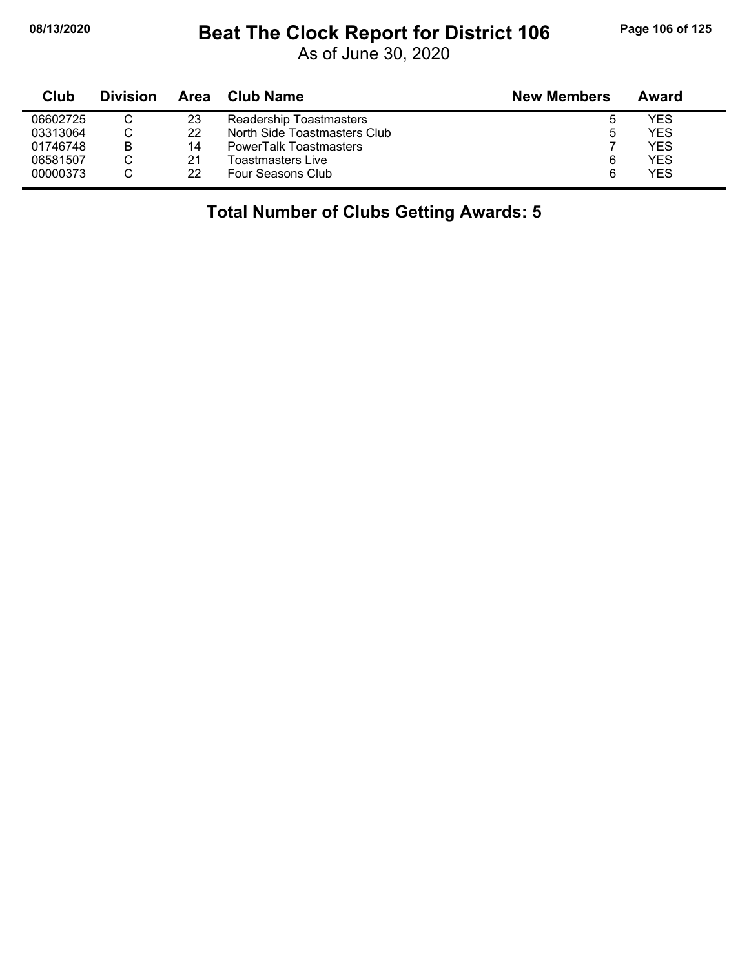#### **08/13/2020 Beat The Clock Report for District 106 Page 106 of 125**

As of June 30, 2020

| Club     | <b>Division</b> | Area | <b>Club Name</b>              | <b>New Members</b> | Award |
|----------|-----------------|------|-------------------------------|--------------------|-------|
| 06602725 |                 | 23   | Readership Toastmasters       | Ⴆ                  | YES   |
| 03313064 |                 | 22   | North Side Toastmasters Club  | ხ                  | YES   |
| 01746748 | в               | 14   | <b>PowerTalk Toastmasters</b> |                    | YES   |
| 06581507 |                 | 21   | Toastmasters Live             | 6                  | YES   |
| 00000373 |                 | 22   | Four Seasons Club             | 6                  | YES   |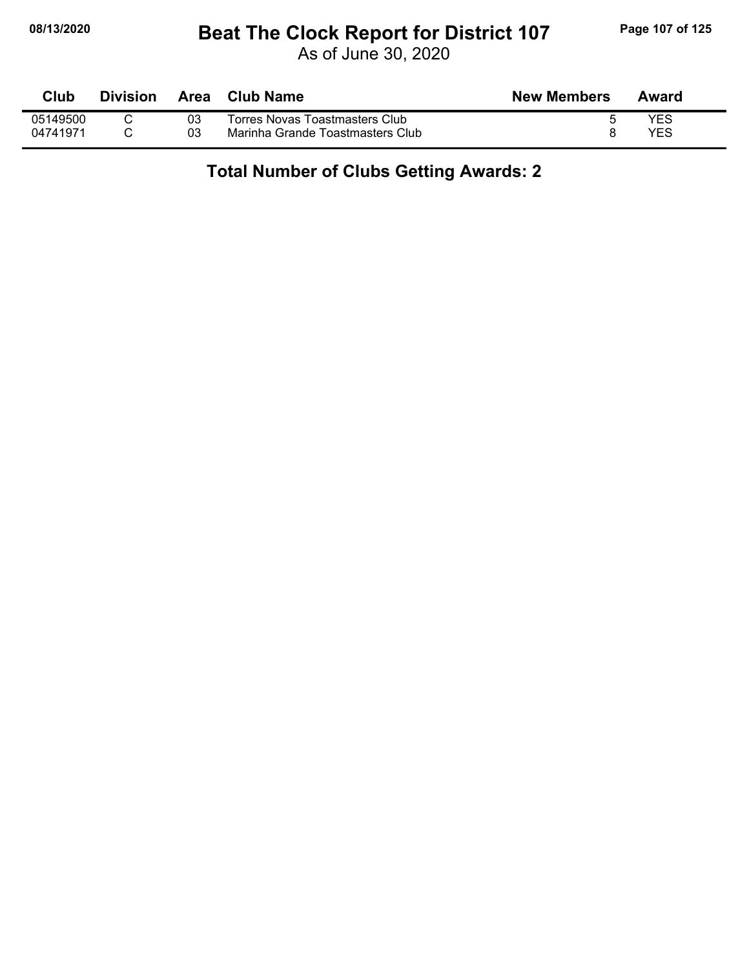#### **08/13/2020 Beat The Clock Report for District 107 Page 107 of 125**

As of June 30, 2020

| <b>Club</b> | <b>Division</b> | Area | Club Name                        | <b>New Members</b> | Award |
|-------------|-----------------|------|----------------------------------|--------------------|-------|
| 05149500    |                 | 03   | Torres Novas Toastmasters Club   |                    | YES   |
| 04741971    |                 | 03   | Marinha Grande Toastmasters Club |                    | YES   |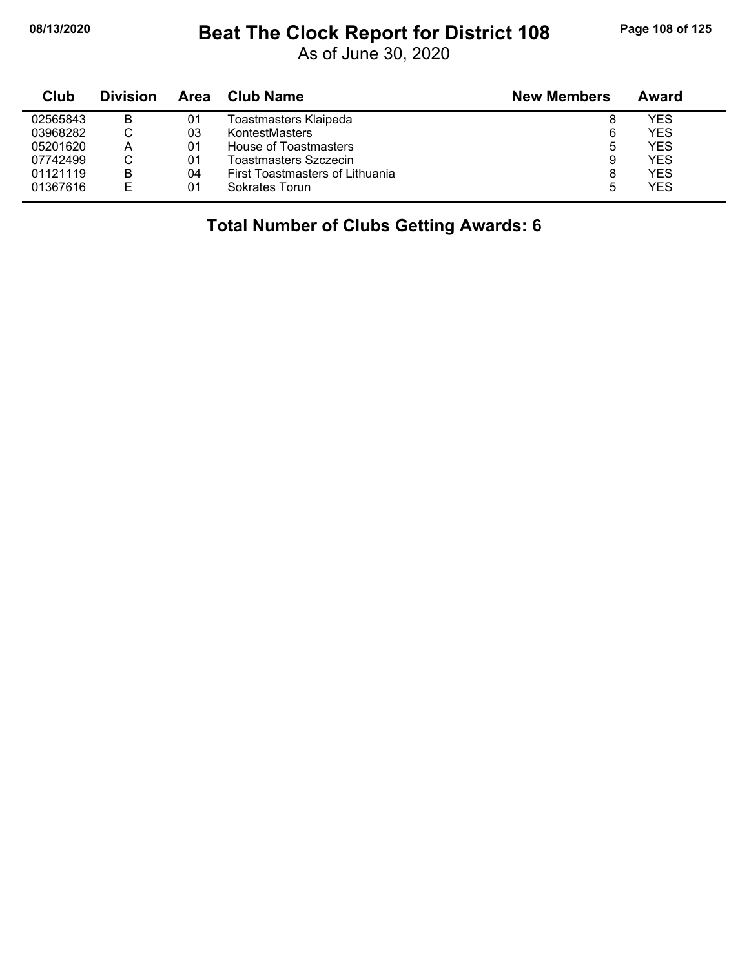j,

## **08/13/2020 Beat The Clock Report for District 108 Page 108 of 125**

As of June 30, 2020

| Club     | <b>Division</b> | Area | Club Name                       | <b>New Members</b> | Award      |
|----------|-----------------|------|---------------------------------|--------------------|------------|
| 02565843 | B               | 01   | Toastmasters Klaipeda           | 8                  | YES        |
| 03968282 |                 | 03   | KontestMasters                  | 6                  | <b>YES</b> |
| 05201620 | А               | 01   | House of Toastmasters           | 5                  | <b>YES</b> |
| 07742499 | ◡               | 01   | Toastmasters Szczecin           | 9                  | <b>YES</b> |
| 01121119 | B               | 04   | First Toastmasters of Lithuania | 8                  | YES        |
| 01367616 | F               | 01   | Sokrates Torun                  | 5                  | <b>YES</b> |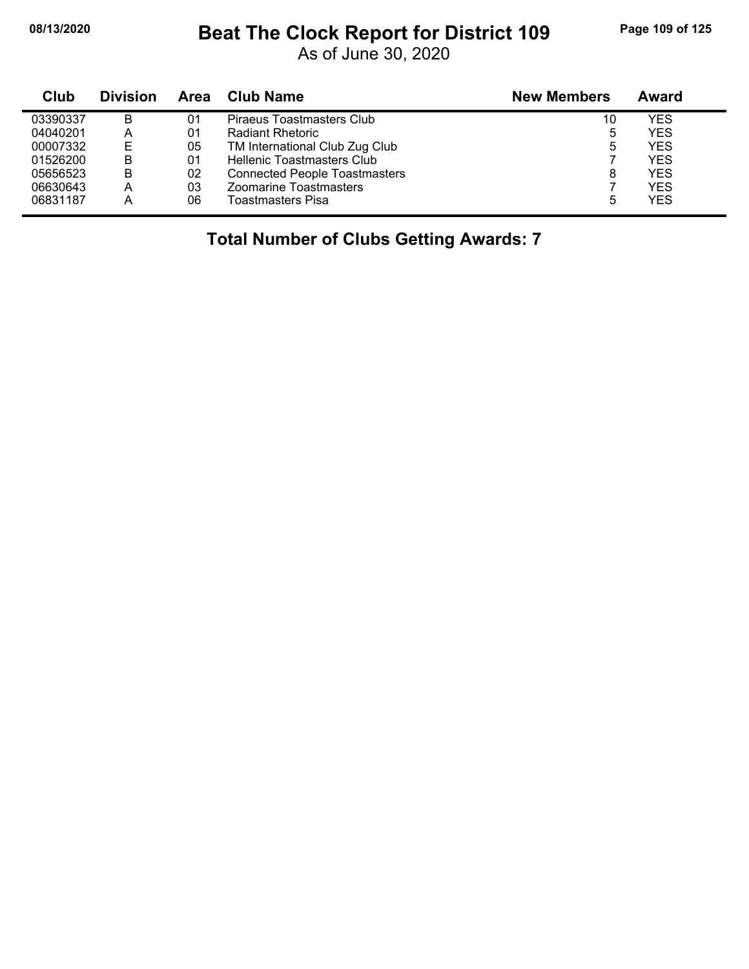#### **08/13/2020 Beat The Clock Report for District 109 Page 109 of 125**

As of June 30, 2020

| Club     | <b>Division</b> | Area | <b>Club Name</b>                     | <b>New Members</b> | Award      |
|----------|-----------------|------|--------------------------------------|--------------------|------------|
| 03390337 | в               | 01   | Piraeus Toastmasters Club            | 10                 | YES        |
| 04040201 | А               | 01   | <b>Radiant Rhetoric</b>              | 5                  | <b>YES</b> |
| 00007332 | Е               | 05   | TM International Club Zug Club       | 5                  | <b>YES</b> |
| 01526200 | B               | 01   | <b>Hellenic Toastmasters Club</b>    |                    | <b>YES</b> |
| 05656523 | B               | 02   | <b>Connected People Toastmasters</b> | 8                  | <b>YES</b> |
| 06630643 | Α               | 03   | <b>Zoomarine Toastmasters</b>        |                    | <b>YES</b> |
| 06831187 | Α               | 06   | <b>Toastmasters Pisa</b>             | 5                  | <b>YES</b> |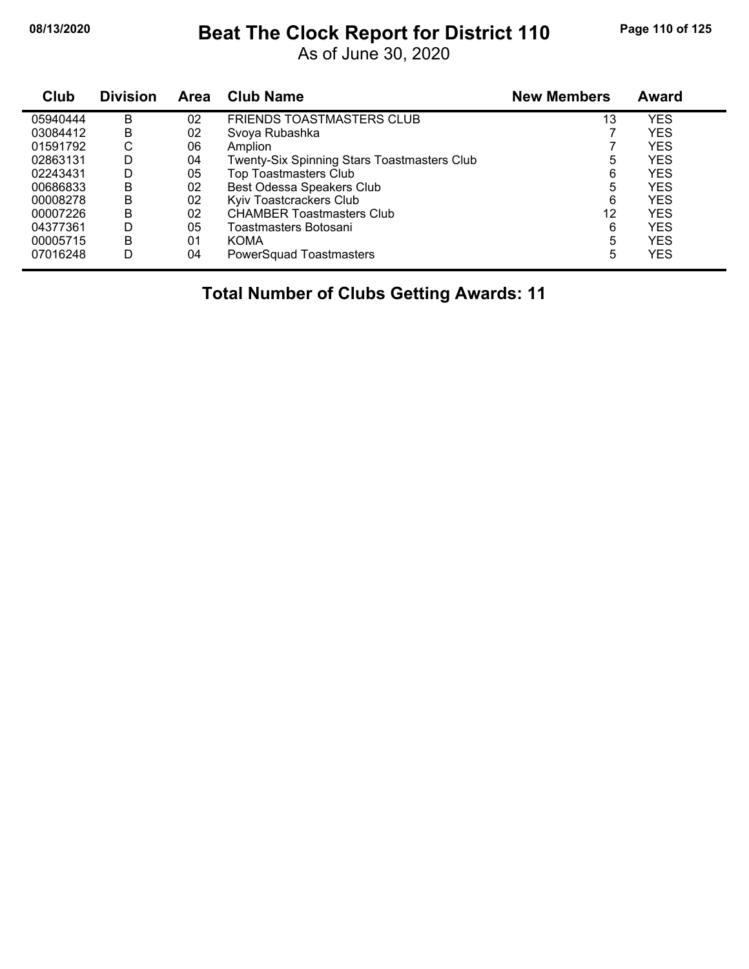#### **08/13/2020 Beat The Clock Report for District 110 Page 110 of 125**

As of June 30, 2020

| <b>Club</b> | <b>Division</b> | <b>Area</b> | <b>Club Name</b>                            | <b>New Members</b> | Award      |
|-------------|-----------------|-------------|---------------------------------------------|--------------------|------------|
| 05940444    | B               | 02          | <b>FRIENDS TOASTMASTERS CLUB</b>            | 13                 | YES        |
| 03084412    | B               | 02          | Svoya Rubashka                              |                    | YES        |
| 01591792    | С               | 06          | Amplion                                     |                    | YES        |
| 02863131    | D               | 04          | Twenty-Six Spinning Stars Toastmasters Club | 5                  | YES        |
| 02243431    | D               | 05          | <b>Top Toastmasters Club</b>                | 6                  | <b>YES</b> |
| 00686833    | B               | 02          | Best Odessa Speakers Club                   | 5                  | YES        |
| 00008278    | B               | 02          | Kyiv Toastcrackers Club                     | 6                  | YES        |
| 00007226    | B               | 02          | <b>CHAMBER Toastmasters Club</b>            | 12                 | YES        |
| 04377361    | D               | 05          | Toastmasters Botosani                       | 6                  | YES        |
| 00005715    | B               | 01          | <b>KOMA</b>                                 | 5                  | YES        |
| 07016248    | D               | 04          | PowerSquad Toastmasters                     | 5                  | YES        |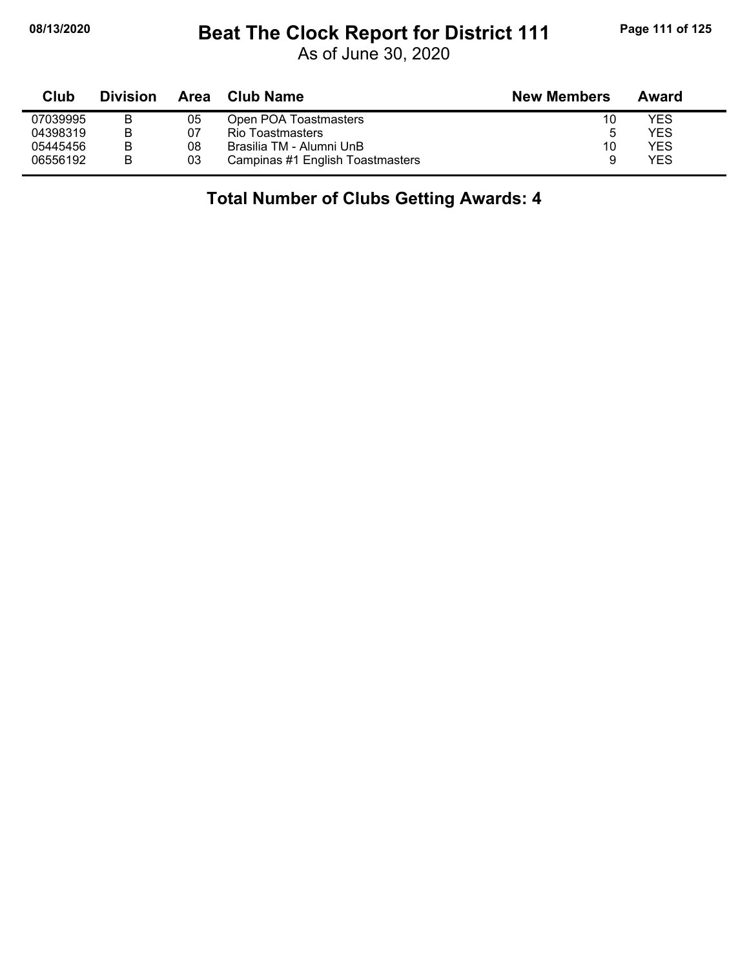#### **08/13/2020 Beat The Clock Report for District 111 Page 111 of 125**

As of June 30, 2020

| Club     | <b>Division</b> | Area | <b>Club Name</b>                 | <b>New Members</b> | Award      |  |
|----------|-----------------|------|----------------------------------|--------------------|------------|--|
| 07039995 | в               | 05   | Open POA Toastmasters            | 10                 | YES        |  |
| 04398319 | в               | 07   | Rio Toastmasters                 | ა                  | YES        |  |
| 05445456 | B               | 08   | Brasilia TM - Alumni UnB         | 10                 | <b>YES</b> |  |
| 06556192 | в               | 03   | Campinas #1 English Toastmasters |                    | <b>YES</b> |  |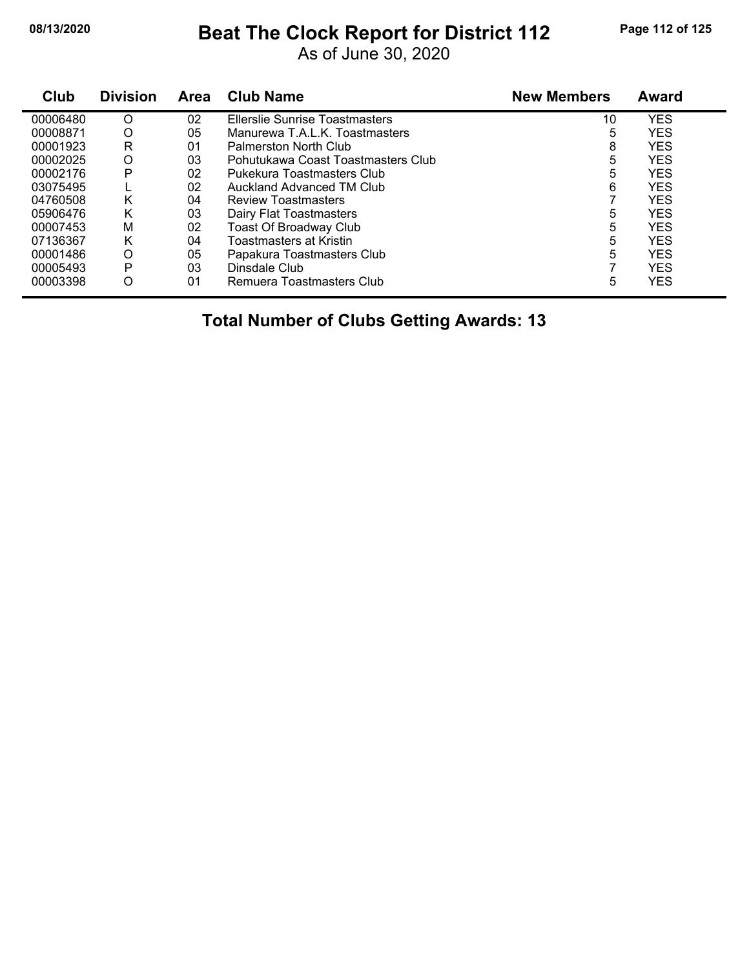#### **08/13/2020 Beat The Clock Report for District 112 Page 112 of 125**

As of June 30, 2020

| <b>Club</b> | <b>Division</b> | <b>Area</b> | <b>Club Name</b>                   | <b>New Members</b> | Award      |
|-------------|-----------------|-------------|------------------------------------|--------------------|------------|
| 00006480    | O               | 02          | Ellerslie Sunrise Toastmasters     | 10                 | <b>YES</b> |
| 00008871    | O               | 05          | Manurewa T.A.L.K. Toastmasters     | 5                  | <b>YES</b> |
| 00001923    | R               | 01          | Palmerston North Club              | 8                  | <b>YES</b> |
| 00002025    | O               | 03          | Pohutukawa Coast Toastmasters Club | 5                  | <b>YES</b> |
| 00002176    | Р               | 02          | Pukekura Toastmasters Club         | 5                  | <b>YES</b> |
| 03075495    |                 | 02          | Auckland Advanced TM Club          | 6                  | <b>YES</b> |
| 04760508    | K               | 04          | <b>Review Toastmasters</b>         |                    | <b>YES</b> |
| 05906476    | K               | 03          | Dairy Flat Toastmasters            | 5                  | <b>YES</b> |
| 00007453    | M               | 02          | <b>Toast Of Broadway Club</b>      | 5                  | <b>YES</b> |
| 07136367    | Κ               | 04          | Toastmasters at Kristin            | 5                  | <b>YES</b> |
| 00001486    | O               | 05          | Papakura Toastmasters Club         | 5                  | <b>YES</b> |
| 00005493    | P               | 03          | Dinsdale Club                      |                    | <b>YES</b> |
| 00003398    | O               | 01          | Remuera Toastmasters Club          | 5                  | <b>YES</b> |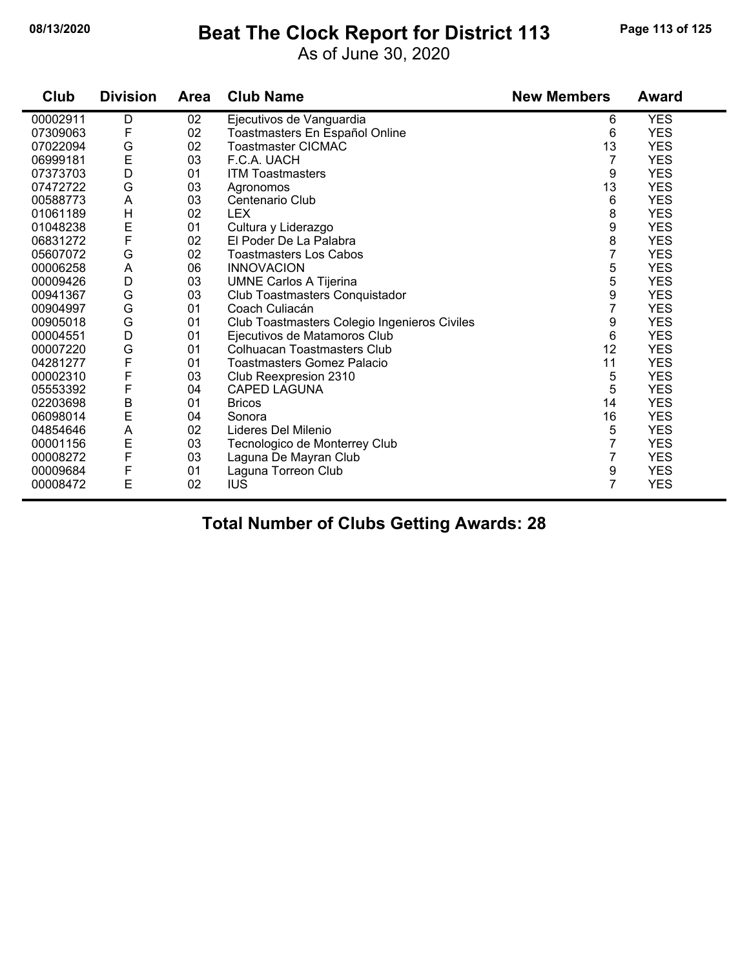# **08/13/2020 Beat The Clock Report for District 113 Page 113 of 125**

As of June 30, 2020

| Club     | <b>Division</b> | <b>Area</b> | <b>Club Name</b>               | <b>New Members</b> | Award      |
|----------|-----------------|-------------|--------------------------------|--------------------|------------|
| 00002911 | D               | 02          | Ejecutivos de Vanguardia       | 6                  | <b>YES</b> |
| 07309063 |                 | 02          | Toastmasters En Español Online | 6                  | <b>YES</b> |
| 07022094 | G               | 02          | Toastmaster CICMAC             | 13                 | <b>YES</b> |
| 06999181 | E               | 03          | F.C.A. UACH                    |                    | <b>YES</b> |
| 07373703 | D               | 01          | <b>ITM Toastmasters</b>        | 9                  | <b>YES</b> |
| 07472722 | G               | 03          | Agronomos                      | 13                 | <b>YES</b> |
| 00588773 | Α               | 03          | Centenario Club                | 6                  | <b>YES</b> |
| 01061189 | н               | 02          | <b>LEX</b>                     |                    | <b>YES</b> |
| 01048238 |                 | 01          | Cultura y Liderazgo            |                    | <b>YES</b> |
| 00001070 |                 | $\sim$      | FID. J. D. L. D. L.            | $\sim$             | $\sqrt{2}$ |

| 01061189 | н | 02 | LEX                                          | 8  | YES        |  |
|----------|---|----|----------------------------------------------|----|------------|--|
| 01048238 | Е | 01 | Cultura y Liderazgo                          | 9  | <b>YES</b> |  |
| 06831272 | F | 02 | El Poder De La Palabra                       | 8  | <b>YES</b> |  |
| 05607072 | G | 02 | Toastmasters Los Cabos                       |    | <b>YES</b> |  |
| 00006258 | A | 06 | <b>INNOVACION</b>                            | 5  | <b>YES</b> |  |
| 00009426 | D | 03 | <b>UMNE Carlos A Tijerina</b>                | 5  | <b>YES</b> |  |
| 00941367 | G | 03 | Club Toastmasters Conquistador               | 9  | <b>YES</b> |  |
| 00904997 | G | 01 | Coach Culiacán                               |    | <b>YES</b> |  |
| 00905018 | G | 01 | Club Toastmasters Colegio Ingenieros Civiles | 9  | <b>YES</b> |  |
| 00004551 | D | 01 | Ejecutivos de Matamoros Club                 | 6  | <b>YES</b> |  |
| 00007220 | G | 01 | Colhuacan Toastmasters Club                  | 12 | <b>YES</b> |  |
| 04281277 | F | 01 | Toastmasters Gomez Palacio                   | 11 | <b>YES</b> |  |
| 00002310 | F | 03 | Club Reexpresion 2310                        | 5  | <b>YES</b> |  |
| 05553392 | F | 04 | <b>CAPED LAGUNA</b>                          | 5  | <b>YES</b> |  |
| 02203698 | B | 01 | <b>Bricos</b>                                | 14 | <b>YES</b> |  |
| 06098014 | E | 04 | Sonora                                       | 16 | <b>YES</b> |  |
| 04854646 | A | 02 | Lideres Del Milenio                          | 5  | <b>YES</b> |  |
| 00001156 | E | 03 | Tecnologico de Monterrey Club                |    | <b>YES</b> |  |
| 00008272 | F | 03 | Laguna De Mayran Club                        |    | <b>YES</b> |  |
| 00009684 | F | 01 | Laguna Torreon Club                          | 9  | <b>YES</b> |  |
| 00008472 | Ε | 02 | <b>IUS</b>                                   |    | <b>YES</b> |  |
|          |   |    |                                              |    |            |  |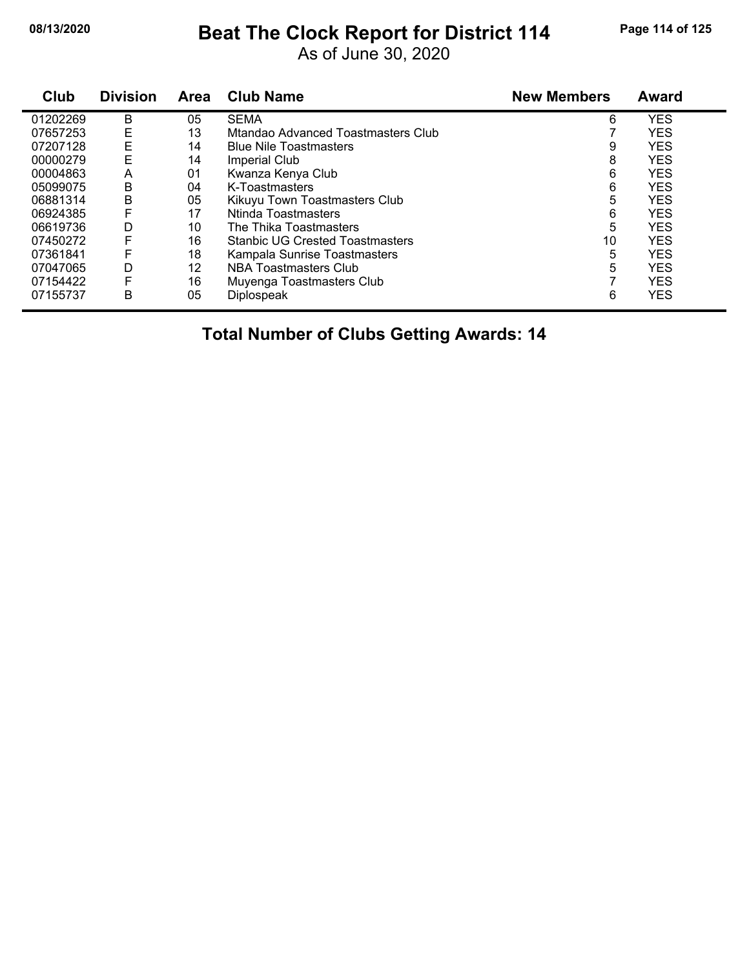### **08/13/2020 Beat The Clock Report for District 114 Page 114 of 125**

As of June 30, 2020

| Club     | <b>Division</b> | Area | <b>Club Name</b>                       | <b>New Members</b> | Award      |  |
|----------|-----------------|------|----------------------------------------|--------------------|------------|--|
| 01202269 | B               | 05   | <b>SEMA</b>                            | 6                  | <b>YES</b> |  |
| 07657253 | E               | 13   | Mtandao Advanced Toastmasters Club     |                    | <b>YES</b> |  |
| 07207128 | E               | 14   | <b>Blue Nile Toastmasters</b>          | 9                  | <b>YES</b> |  |
| 00000279 | E               | 14   | Imperial Club                          | 8                  | <b>YES</b> |  |
| 00004863 | A               | 01   | Kwanza Kenya Club                      | 6                  | <b>YES</b> |  |
| 05099075 | B               | 04   | K-Toastmasters                         | 6                  | <b>YES</b> |  |
| 06881314 | B               | 05   | Kikuyu Town Toastmasters Club          | 5                  | <b>YES</b> |  |
| 06924385 |                 | 17   | Ntinda Toastmasters                    | 6                  | <b>YES</b> |  |
| 06619736 | D               | 10   | The Thika Toastmasters                 | 5                  | <b>YES</b> |  |
| 07450272 | F               | 16   | <b>Stanbic UG Crested Toastmasters</b> | 10                 | <b>YES</b> |  |
| 07361841 |                 | 18   | Kampala Sunrise Toastmasters           | 5                  | <b>YES</b> |  |
| 07047065 | D               | 12   | NBA Toastmasters Club                  | 5                  | <b>YES</b> |  |
| 07154422 | F               | 16   | Muyenga Toastmasters Club              |                    | <b>YES</b> |  |
| 07155737 | B               | 05   | Diplospeak                             | 6                  | <b>YES</b> |  |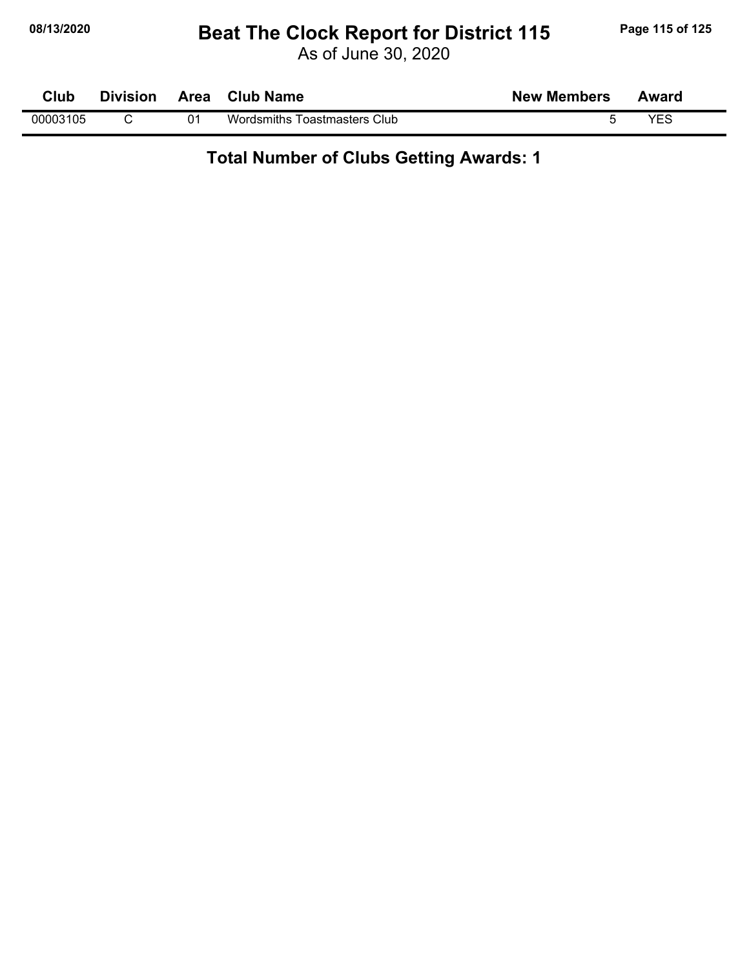#### **08/13/2020 Beat The Clock Report for District 115 Page 115 of 125**

As of June 30, 2020

| Club     | <b>Division</b> | <b>Area</b> | <b>Club Name</b>             | <b>New Members</b> | Award |  |
|----------|-----------------|-------------|------------------------------|--------------------|-------|--|
| 00003105 |                 | 01          | Wordsmiths Toastmasters Club |                    | VEC   |  |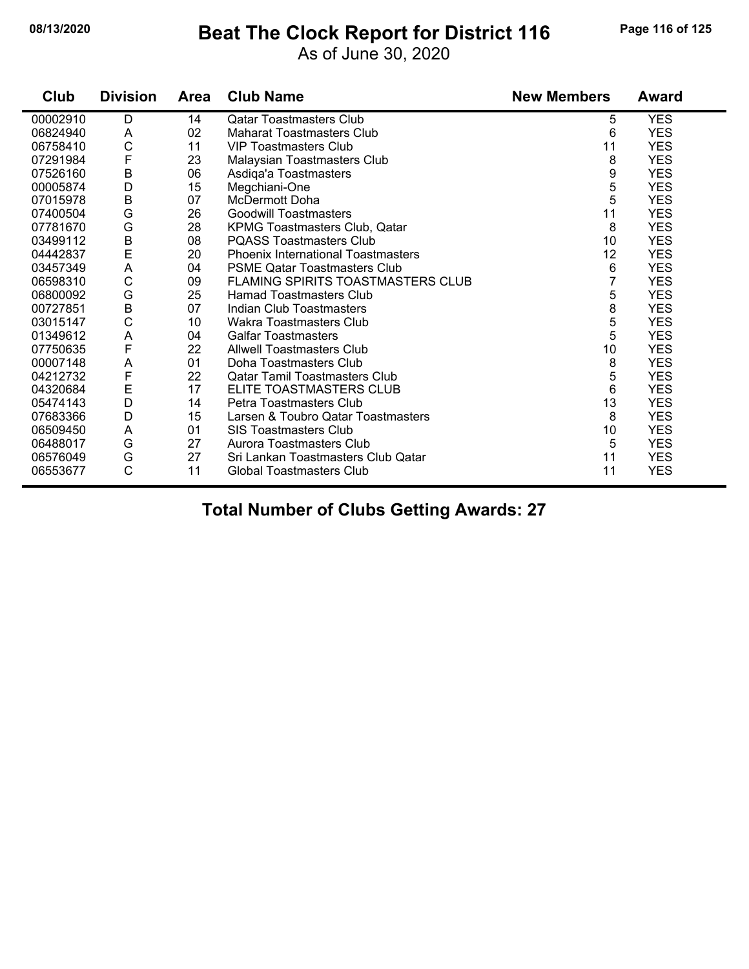#### **08/13/2020 Beat The Clock Report for District 116 Page 116 of 125**

As of June 30, 2020

| Club     | <b>Division</b> | <b>Area</b> | <b>Club Name</b>                          | <b>New Members</b> | Award      |
|----------|-----------------|-------------|-------------------------------------------|--------------------|------------|
| 00002910 | D               | 14          | <b>Qatar Toastmasters Club</b>            | 5                  | <b>YES</b> |
| 06824940 | A               | 02          | <b>Maharat Toastmasters Club</b>          | 6                  | <b>YES</b> |
| 06758410 | $\mathsf{C}$    | 11          | <b>VIP Toastmasters Club</b>              | 11                 | <b>YES</b> |
| 07291984 | F               | 23          | Malaysian Toastmasters Club               | 8                  | <b>YES</b> |
| 07526160 | $\sf B$         | 06          | Asdiga'a Toastmasters                     | 9                  | <b>YES</b> |
| 00005874 | D               | 15          | Megchiani-One                             | 5                  | <b>YES</b> |
| 07015978 | $\sf B$         | 07          | McDermott Doha                            | 5                  | <b>YES</b> |
| 07400504 | G               | 26          | <b>Goodwill Toastmasters</b>              | 11                 | <b>YES</b> |
| 07781670 | G               | 28          | <b>KPMG Toastmasters Club, Qatar</b>      | 8                  | <b>YES</b> |
| 03499112 | B               | 08          | <b>PQASS Toastmasters Club</b>            | 10                 | <b>YES</b> |
| 04442837 | $\mathsf{E}$    | 20          | <b>Phoenix International Toastmasters</b> | 12                 | <b>YES</b> |
| 03457349 | A               | 04          | <b>PSME Qatar Toastmasters Club</b>       | 6                  | <b>YES</b> |
| 06598310 | C               | 09          | <b>FLAMING SPIRITS TOASTMASTERS CLUB</b>  |                    | <b>YES</b> |
| 06800092 | G               | 25          | <b>Hamad Toastmasters Club</b>            | 5                  | <b>YES</b> |
| 00727851 | $\sf B$         | 07          | Indian Club Toastmasters                  | 8                  | <b>YES</b> |
| 03015147 | C               | 10          | Wakra Toastmasters Club                   | 5                  | <b>YES</b> |
| 01349612 | A               | 04          | <b>Galfar Toastmasters</b>                | 5                  | <b>YES</b> |
| 07750635 | $\mathsf{F}$    | 22          | <b>Allwell Toastmasters Club</b>          | 10                 | <b>YES</b> |
| 00007148 | A               | 01          | Doha Toastmasters Club                    | 8                  | <b>YES</b> |
| 04212732 | F               | 22          | <b>Qatar Tamil Toastmasters Club</b>      | 5                  | <b>YES</b> |
| 04320684 | E               | 17          | ELITE TOASTMASTERS CLUB                   | 6                  | <b>YES</b> |
| 05474143 | D               | 14          | Petra Toastmasters Club                   | 13                 | <b>YES</b> |
| 07683366 | D               | 15          | Larsen & Toubro Qatar Toastmasters        | 8                  | <b>YES</b> |
| 06509450 | A               | 01          | <b>SIS Toastmasters Club</b>              | 10                 | <b>YES</b> |
| 06488017 | G               | 27          | Aurora Toastmasters Club                  | 5                  | <b>YES</b> |
| 06576049 | G               | 27          | Sri Lankan Toastmasters Club Qatar        | 11                 | <b>YES</b> |
| 06553677 | C               | 11          | <b>Global Toastmasters Club</b>           | 11                 | <b>YES</b> |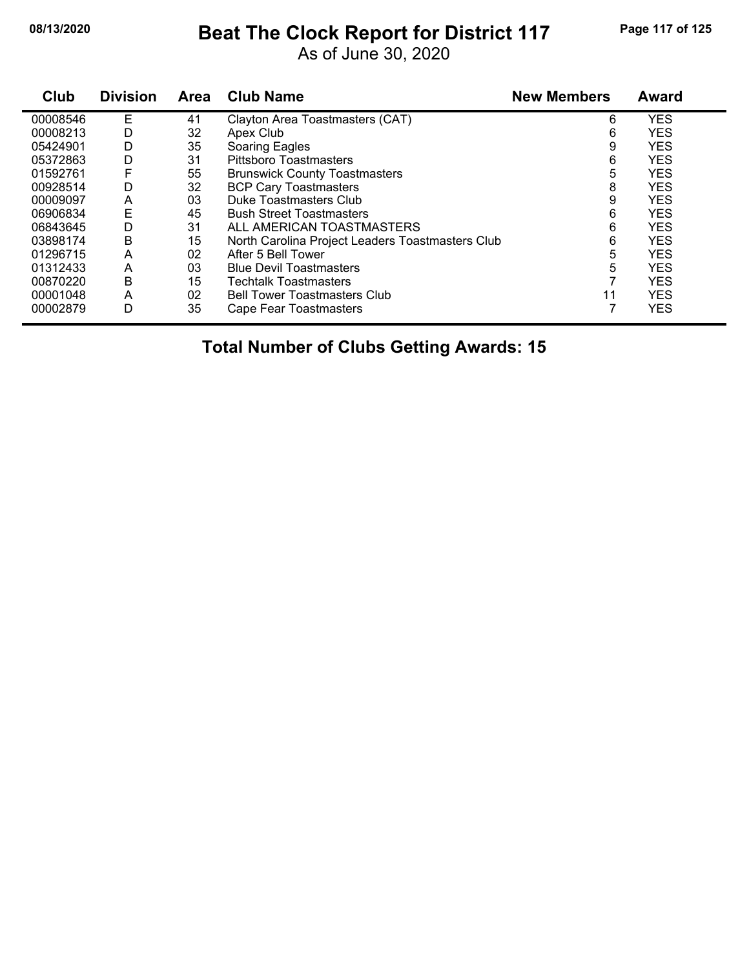#### **08/13/2020 Beat The Clock Report for District 117 Page 117 of 125**

As of June 30, 2020

| Club     | <b>Division</b> | Area | <b>Club Name</b>                                 | <b>New Members</b> | Award      |  |
|----------|-----------------|------|--------------------------------------------------|--------------------|------------|--|
| 00008546 | Е               | 41   | Clayton Area Toastmasters (CAT)                  | 6                  | <b>YES</b> |  |
| 00008213 | D               | 32   | Apex Club                                        | 6                  | <b>YES</b> |  |
| 05424901 | D               | 35   | Soaring Eagles                                   | 9                  | <b>YES</b> |  |
| 05372863 | D               | 31   | <b>Pittsboro Toastmasters</b>                    | 6                  | <b>YES</b> |  |
| 01592761 | F               | 55   | <b>Brunswick County Toastmasters</b>             | 5                  | <b>YES</b> |  |
| 00928514 | D               | 32   | <b>BCP Cary Toastmasters</b>                     | 8                  | <b>YES</b> |  |
| 00009097 | A               | 03   | Duke Toastmasters Club                           | 9                  | <b>YES</b> |  |
| 06906834 | Ε               | 45   | <b>Bush Street Toastmasters</b>                  | 6                  | <b>YES</b> |  |
| 06843645 | D               | 31   | ALL AMERICAN TOASTMASTERS                        | 6                  | <b>YES</b> |  |
| 03898174 | Β               | 15   | North Carolina Project Leaders Toastmasters Club | 6                  | <b>YES</b> |  |
| 01296715 | A               | 02   | After 5 Bell Tower                               | 5                  | <b>YES</b> |  |
| 01312433 | A               | 03   | <b>Blue Devil Toastmasters</b>                   | 5                  | <b>YES</b> |  |
| 00870220 | B               | 15   | <b>Techtalk Toastmasters</b>                     |                    | <b>YES</b> |  |
| 00001048 | A               | 02   | <b>Bell Tower Toastmasters Club</b>              | 11                 | <b>YES</b> |  |
| 00002879 | D               | 35   | Cape Fear Toastmasters                           |                    | <b>YES</b> |  |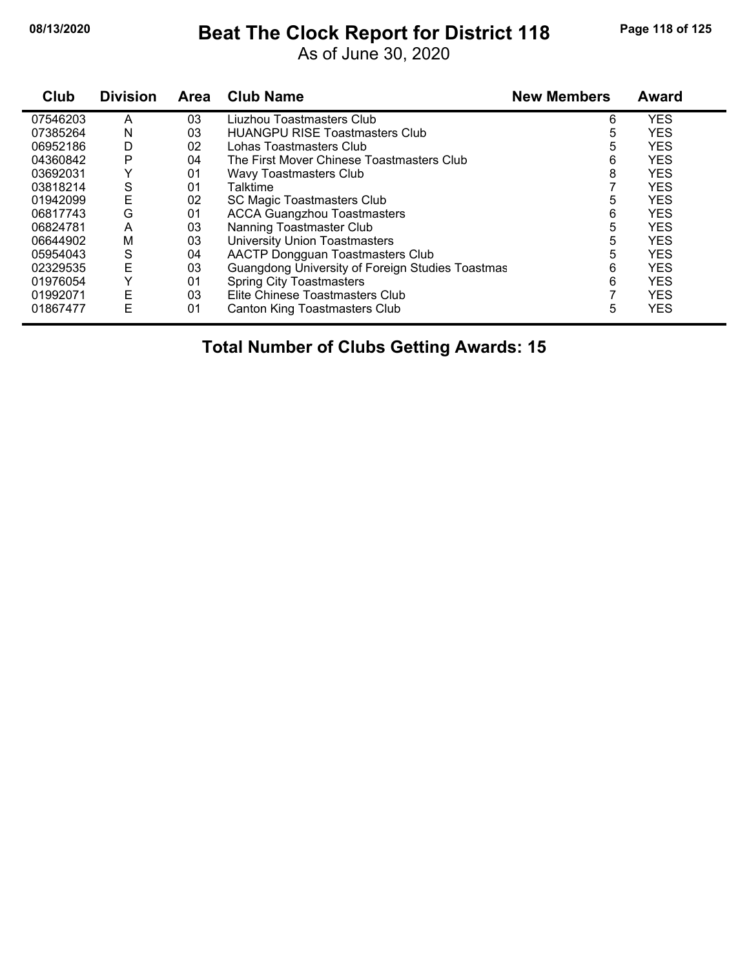#### **08/13/2020 Beat The Clock Report for District 118 Page 118 of 125**

As of June 30, 2020

| Club     | <b>Division</b> | <b>Area</b> | <b>Club Name</b>                                 | <b>New Members</b> | <b>Award</b> |
|----------|-----------------|-------------|--------------------------------------------------|--------------------|--------------|
| 07546203 | A               | 03          | Liuzhou Toastmasters Club                        | 6                  | <b>YES</b>   |
| 07385264 | N               | 03          | <b>HUANGPU RISE Toastmasters Club</b>            | 5                  | <b>YES</b>   |
| 06952186 | D               | 02          | Lohas Toastmasters Club                          | 5                  | <b>YES</b>   |
| 04360842 | P               | 04          | The First Mover Chinese Toastmasters Club        | 6                  | <b>YES</b>   |
| 03692031 |                 | 01          | Wavy Toastmasters Club                           | 8                  | <b>YES</b>   |
| 03818214 | S               | 01          | Talktime                                         |                    | <b>YES</b>   |
| 01942099 | E               | 02          | SC Magic Toastmasters Club                       | 5                  | <b>YES</b>   |
| 06817743 | G               | 01          | <b>ACCA Guangzhou Toastmasters</b>               | 6                  | <b>YES</b>   |
| 06824781 | A               | 03          | Nanning Toastmaster Club                         | 5                  | <b>YES</b>   |
| 06644902 | M               | 03          | <b>University Union Toastmasters</b>             | 5                  | <b>YES</b>   |
| 05954043 | S               | 04          | AACTP Dongguan Toastmasters Club                 | 5                  | <b>YES</b>   |
| 02329535 | E               | 03          | Guangdong University of Foreign Studies Toastmas | 6                  | <b>YES</b>   |
| 01976054 | Y               | 01          | <b>Spring City Toastmasters</b>                  | 6                  | <b>YES</b>   |
| 01992071 | E               | 03          | Elite Chinese Toastmasters Club                  |                    | <b>YES</b>   |
| 01867477 | E               | 01          | <b>Canton King Toastmasters Club</b>             | 5                  | <b>YES</b>   |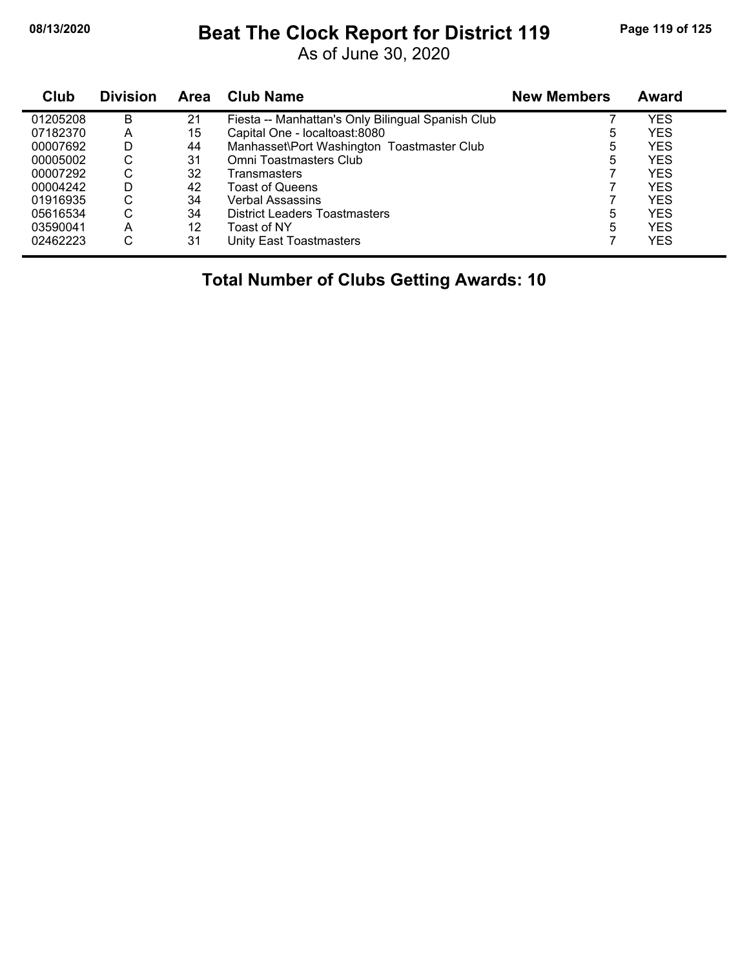#### **08/13/2020 Beat The Clock Report for District 119 Page 119 of 125**

As of June 30, 2020

| Club     | <b>Division</b> | <b>Area</b> | <b>Club Name</b>                                  | <b>New Members</b> | <b>Award</b> |
|----------|-----------------|-------------|---------------------------------------------------|--------------------|--------------|
| 01205208 | B               | 21          | Fiesta -- Manhattan's Only Bilingual Spanish Club |                    | YES          |
| 07182370 | A               | 15          | Capital One - localtoast:8080                     | 5                  | <b>YES</b>   |
| 00007692 | D               | 44          | Manhasset\Port Washington Toastmaster Club        | 5                  | <b>YES</b>   |
| 00005002 | С               | 31          | Omni Toastmasters Club                            | 5                  | <b>YES</b>   |
| 00007292 | С               | 32          | Transmasters                                      |                    | <b>YES</b>   |
| 00004242 | D               | 42          | <b>Toast of Queens</b>                            |                    | <b>YES</b>   |
| 01916935 | С               | 34          | <b>Verbal Assassins</b>                           |                    | <b>YES</b>   |
| 05616534 | С               | 34          | <b>District Leaders Toastmasters</b>              | 5                  | <b>YES</b>   |
| 03590041 | A               | 12          | Toast of NY                                       | 5                  | <b>YES</b>   |
| 02462223 | С               | 31          | Unity East Toastmasters                           |                    | <b>YES</b>   |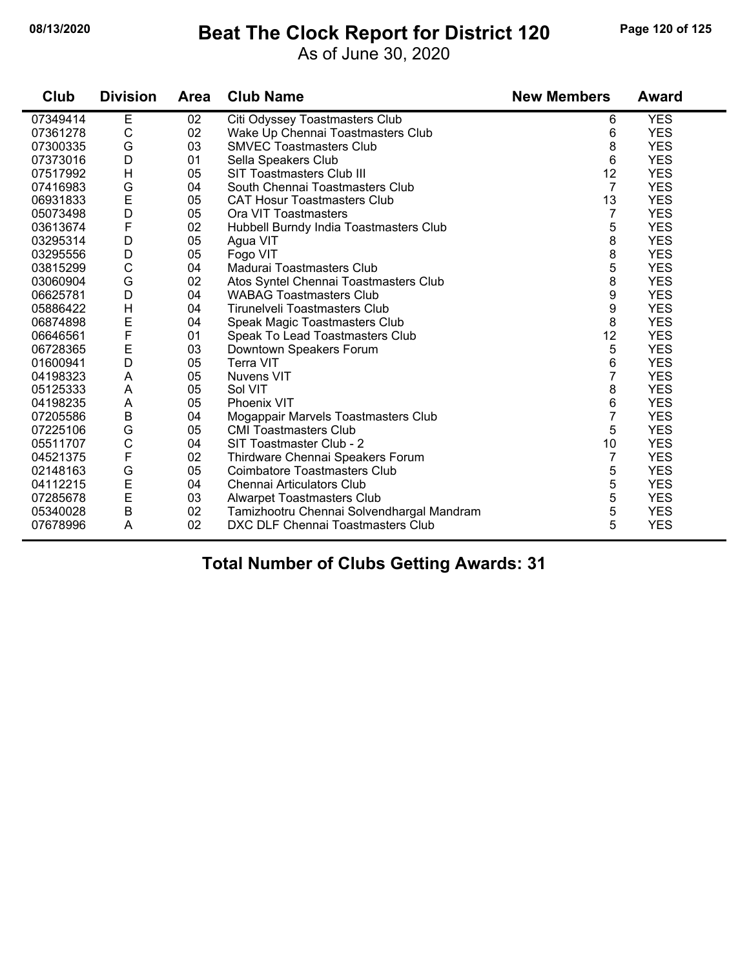### **08/13/2020 Beat The Clock Report for District 120 Page 120 of 125**

As of June 30, 2020

| 120 | Page 120 of 12 |  |  |
|-----|----------------|--|--|
|     |                |  |  |

| Club     | <b>Division</b> | <b>Area</b> | <b>Club Name</b>                          | <b>New Members</b> | <b>Award</b> |
|----------|-----------------|-------------|-------------------------------------------|--------------------|--------------|
| 07349414 | Е               | 02          | Citi Odyssey Toastmasters Club            | 6                  | <b>YES</b>   |
| 07361278 | C               | 02          | Wake Up Chennai Toastmasters Club         | 6                  | <b>YES</b>   |
| 07300335 | G               | 03          | <b>SMVEC Toastmasters Club</b>            | 8                  | <b>YES</b>   |
| 07373016 | D               | 01          | Sella Speakers Club                       | 6                  | <b>YES</b>   |
| 07517992 | Н               | 05          | <b>SIT Toastmasters Club III</b>          | 12                 | <b>YES</b>   |
| 07416983 | G               | 04          | South Chennai Toastmasters Club           | $\overline{7}$     | <b>YES</b>   |
| 06931833 | E               | 05          | <b>CAT Hosur Toastmasters Club</b>        | 13                 | <b>YES</b>   |
| 05073498 | D               | 05          | Ora VIT Toastmasters                      | $\overline{7}$     | <b>YES</b>   |
| 03613674 | F               | 02          | Hubbell Burndy India Toastmasters Club    | 5                  | <b>YES</b>   |
| 03295314 | D               | 05          | Agua VIT                                  | 8                  | <b>YES</b>   |
| 03295556 | D               | 05          | Fogo VIT                                  | 8                  | <b>YES</b>   |
| 03815299 | С               | 04          | Madurai Toastmasters Club                 | 5                  | <b>YES</b>   |
| 03060904 | G               | 02          | Atos Syntel Chennai Toastmasters Club     | 8                  | <b>YES</b>   |
| 06625781 | D               | 04          | <b>WABAG Toastmasters Club</b>            | 9                  | <b>YES</b>   |
| 05886422 | $\mathsf{H}$    | 04          | Tirunelveli Toastmasters Club             | 9                  | <b>YES</b>   |
| 06874898 | E               | 04          | Speak Magic Toastmasters Club             | 8                  | <b>YES</b>   |
| 06646561 | F               | 01          | Speak To Lead Toastmasters Club           | 12                 | <b>YES</b>   |
| 06728365 | $\mathsf E$     | 03          | Downtown Speakers Forum                   | 5                  | <b>YES</b>   |
| 01600941 | D               | 05          | <b>Terra VIT</b>                          | 6                  | <b>YES</b>   |
| 04198323 | A               | 05          | <b>Nuvens VIT</b>                         | $\overline{7}$     | <b>YES</b>   |
| 05125333 | A               | 05          | Sol VIT                                   | 8                  | <b>YES</b>   |
| 04198235 | A               | 05          | Phoenix VIT                               | 6                  | <b>YES</b>   |
| 07205586 | $\sf B$         | 04          | Mogappair Marvels Toastmasters Club       | 7                  | <b>YES</b>   |
| 07225106 | G               | 05          | <b>CMI Toastmasters Club</b>              | 5                  | <b>YES</b>   |
| 05511707 | C               | 04          | SIT Toastmaster Club - 2                  | 10                 | <b>YES</b>   |
| 04521375 | F               | 02          | Thirdware Chennai Speakers Forum          | $\overline{7}$     | <b>YES</b>   |
| 02148163 | G               | 05          | Coimbatore Toastmasters Club              | 5                  | <b>YES</b>   |
| 04112215 | E               | 04          | Chennai Articulators Club                 | 5                  | <b>YES</b>   |
| 07285678 | $\mathsf{E}$    | 03          | <b>Alwarpet Toastmasters Club</b>         | 5                  | <b>YES</b>   |
| 05340028 | $\sf B$         | 02          | Tamizhootru Chennai Solvendhargal Mandram | 5                  | <b>YES</b>   |
| 07678996 | A               | 02          | DXC DLF Chennai Toastmasters Club         | 5                  | <b>YES</b>   |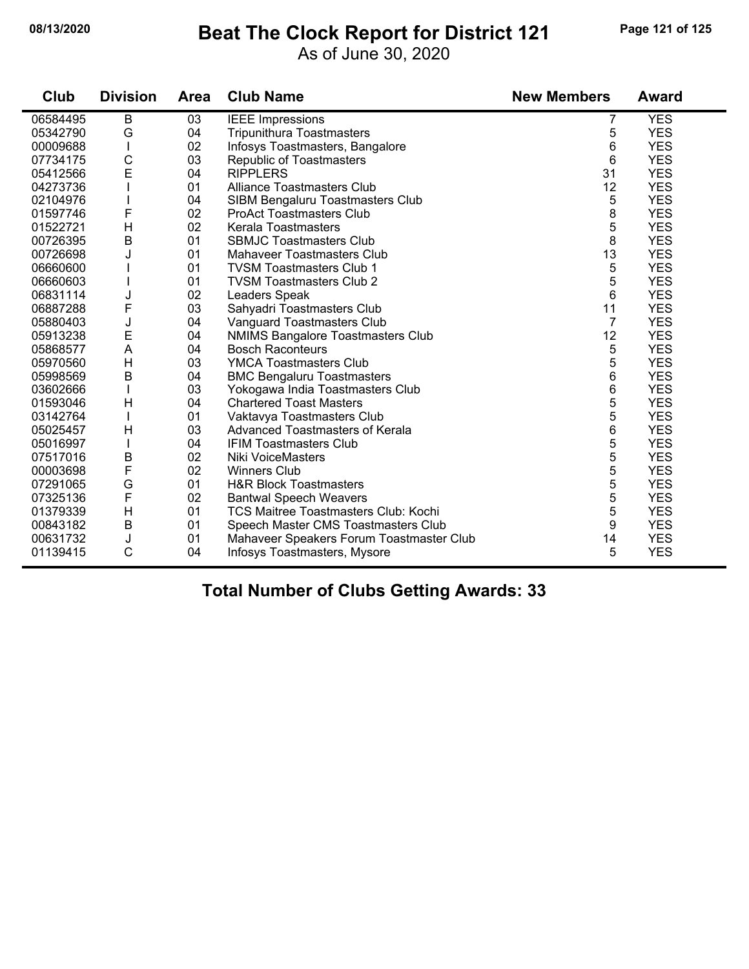#### **08/13/2020 Beat The Clock Report for District 121 Page 121 of 125**

As of June 30, 2020

| Club     | <b>Division</b> | <b>Area</b> | <b>Club Name</b>                            | <b>New Members</b> | <b>Award</b> |
|----------|-----------------|-------------|---------------------------------------------|--------------------|--------------|
| 06584495 | B               | 03          | <b>IEEE Impressions</b>                     | 7                  | <b>YES</b>   |
| 05342790 | G               | 04          | <b>Tripunithura Toastmasters</b>            | 5                  | <b>YES</b>   |
| 00009688 |                 | 02          | Infosys Toastmasters, Bangalore             | 6                  | <b>YES</b>   |
| 07734175 | $\mathsf{C}$    | 03          | <b>Republic of Toastmasters</b>             | 6                  | <b>YES</b>   |
| 05412566 | E               | 04          | <b>RIPPLERS</b>                             | 31                 | <b>YES</b>   |
| 04273736 |                 | 01          | <b>Alliance Toastmasters Club</b>           | 12                 | <b>YES</b>   |
| 02104976 |                 | 04          | SIBM Bengaluru Toastmasters Club            | 5                  | <b>YES</b>   |
| 01597746 | F               | 02          | <b>ProAct Toastmasters Club</b>             | 8                  | <b>YES</b>   |
| 01522721 | H               | 02          | <b>Kerala Toastmasters</b>                  | 5                  | <b>YES</b>   |
| 00726395 | $\overline{B}$  | 01          | <b>SBMJC Toastmasters Club</b>              | 8                  | <b>YES</b>   |
| 00726698 | J.              | 01          | <b>Mahaveer Toastmasters Club</b>           | 13                 | <b>YES</b>   |
| 06660600 |                 | 01          | <b>TVSM Toastmasters Club 1</b>             | 5                  | <b>YES</b>   |
| 06660603 |                 | 01          | <b>TVSM Toastmasters Club 2</b>             | 5                  | <b>YES</b>   |
| 06831114 | J               | 02          | Leaders Speak                               | 6                  | <b>YES</b>   |
| 06887288 | F               | 03          | Sahyadri Toastmasters Club                  | 11                 | <b>YES</b>   |
| 05880403 | J               | 04          | Vanguard Toastmasters Club                  | $\overline{7}$     | <b>YES</b>   |
| 05913238 | E               | 04          | <b>NMIMS Bangalore Toastmasters Club</b>    | 12                 | <b>YES</b>   |
| 05868577 | A               | 04          | <b>Bosch Raconteurs</b>                     | 5                  | <b>YES</b>   |
| 05970560 | H               | 03          | <b>YMCA Toastmasters Club</b>               | 5                  | <b>YES</b>   |
| 05998569 | B               | 04          | <b>BMC Bengaluru Toastmasters</b>           | 6                  | <b>YES</b>   |
| 03602666 |                 | 03          | Yokogawa India Toastmasters Club            | 6                  | <b>YES</b>   |
| 01593046 | Н               | 04          | <b>Chartered Toast Masters</b>              | 5                  | <b>YES</b>   |
| 03142764 |                 | 01          | Vaktavya Toastmasters Club                  | 5                  | <b>YES</b>   |
| 05025457 | Н               | 03          | <b>Advanced Toastmasters of Kerala</b>      | 6                  | <b>YES</b>   |
| 05016997 |                 | 04          | <b>IFIM Toastmasters Club</b>               | 5                  | <b>YES</b>   |
| 07517016 | B               | 02          | <b>Niki VoiceMasters</b>                    | 5                  | <b>YES</b>   |
| 00003698 | F               | 02          | <b>Winners Club</b>                         | 5                  | <b>YES</b>   |
| 07291065 | G               | 01          | <b>H&amp;R Block Toastmasters</b>           | 5                  | <b>YES</b>   |
| 07325136 | $\mathsf{F}$    | 02          | <b>Bantwal Speech Weavers</b>               | 5                  | <b>YES</b>   |
| 01379339 | Н               | 01          | <b>TCS Maitree Toastmasters Club: Kochi</b> | 5                  | <b>YES</b>   |
| 00843182 | $\mathsf B$     | 01          | Speech Master CMS Toastmasters Club         | 9                  | <b>YES</b>   |
| 00631732 | J               | 01          | Mahaveer Speakers Forum Toastmaster Club    | 14                 | <b>YES</b>   |
| 01139415 | C               | 04          | Infosys Toastmasters, Mysore                | 5                  | <b>YES</b>   |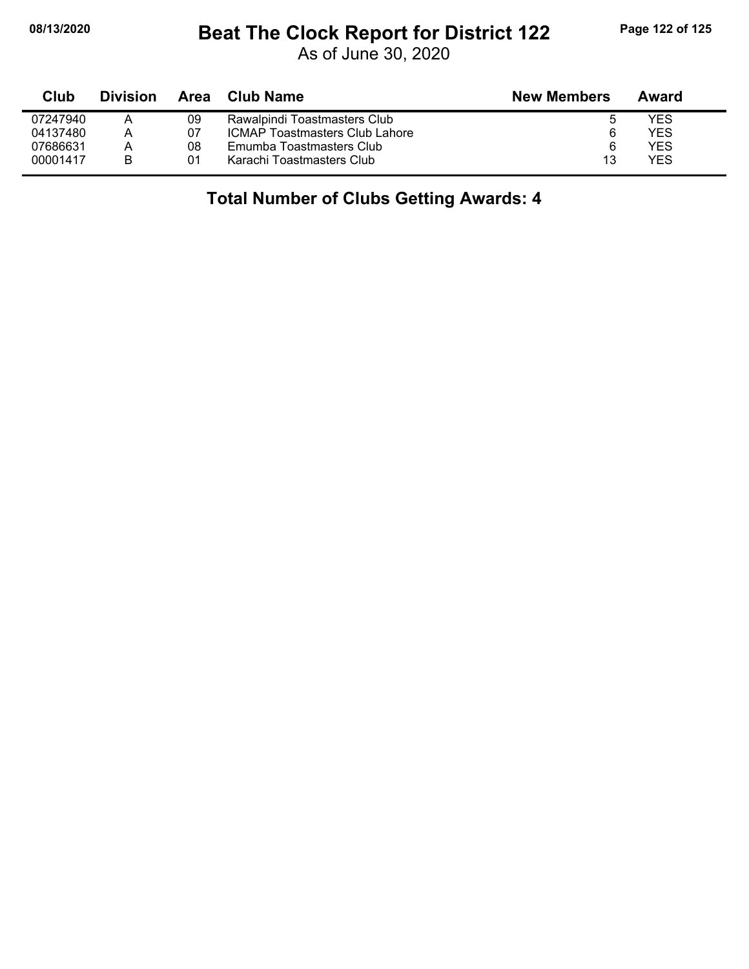### **08/13/2020 Beat The Clock Report for District 122 Page 122 of 125**

As of June 30, 2020

| Club     | <b>Division</b> | Area | Club Name                             | <b>New Members</b> | Award      |
|----------|-----------------|------|---------------------------------------|--------------------|------------|
| 07247940 |                 | 09   | Rawalpindi Toastmasters Club          | b                  | YES        |
| 04137480 |                 | 07   | <b>ICMAP Toastmasters Club Lahore</b> | 6                  | <b>YES</b> |
| 07686631 |                 | 08   | Emumba Toastmasters Club              | 6                  | <b>YES</b> |
| 00001417 | B               | 01   | Karachi Toastmasters Club             | 13                 | YES        |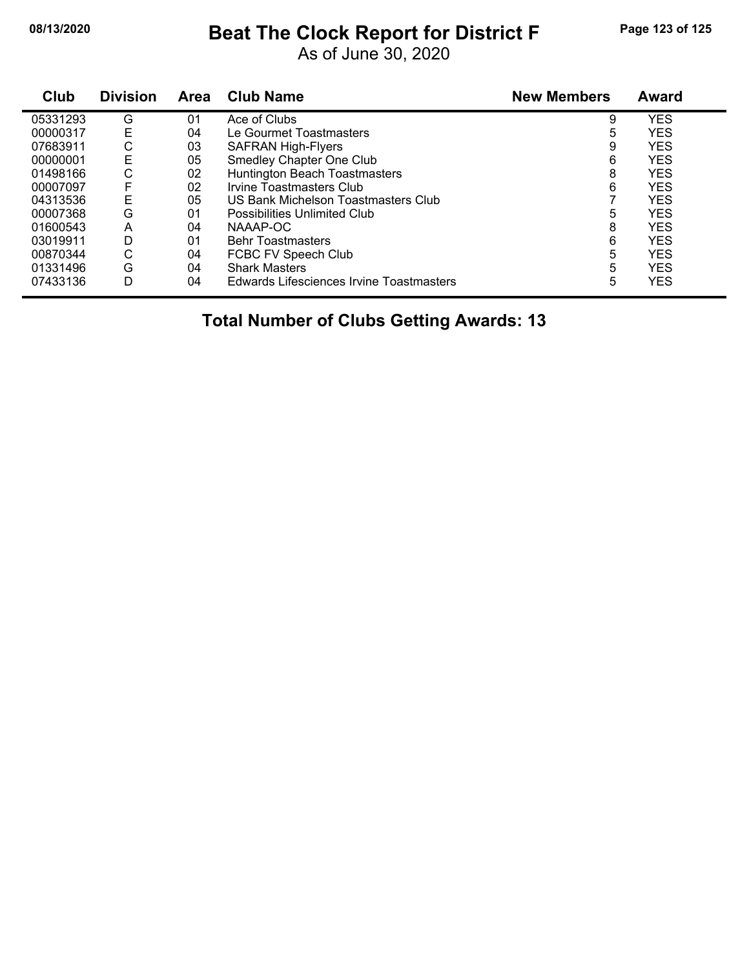### **08/13/2020 Beat The Clock Report for District F Page 123 of 125**

As of June 30, 2020

| Club     | <b>Division</b> | Area | <b>Club Name</b>                         | <b>New Members</b> | Award      |
|----------|-----------------|------|------------------------------------------|--------------------|------------|
| 05331293 | G               | 01   | Ace of Clubs                             | 9                  | <b>YES</b> |
| 00000317 | E               | 04   | Le Gourmet Toastmasters                  | 5                  | <b>YES</b> |
| 07683911 | С               | 03   | <b>SAFRAN High-Flyers</b>                | 9                  | <b>YES</b> |
| 00000001 | Ε               | 05   | Smedley Chapter One Club                 | 6                  | <b>YES</b> |
| 01498166 | С               | 02   | <b>Huntington Beach Toastmasters</b>     | 8                  | <b>YES</b> |
| 00007097 |                 | 02   | Irvine Toastmasters Club                 | 6                  | <b>YES</b> |
| 04313536 | E               | 05   | US Bank Michelson Toastmasters Club      |                    | <b>YES</b> |
| 00007368 | G               | 01   | Possibilities Unlimited Club             | 5                  | <b>YES</b> |
| 01600543 | A               | 04   | NAAAP-OC                                 | 8                  | <b>YES</b> |
| 03019911 | D               | 01   | <b>Behr Toastmasters</b>                 | 6                  | <b>YES</b> |
| 00870344 | С               | 04   | FCBC FV Speech Club                      | 5                  | <b>YES</b> |
| 01331496 | G               | 04   | <b>Shark Masters</b>                     | 5                  | <b>YES</b> |
| 07433136 | D               | 04   | Edwards Lifesciences Irvine Toastmasters | 5                  | <b>YES</b> |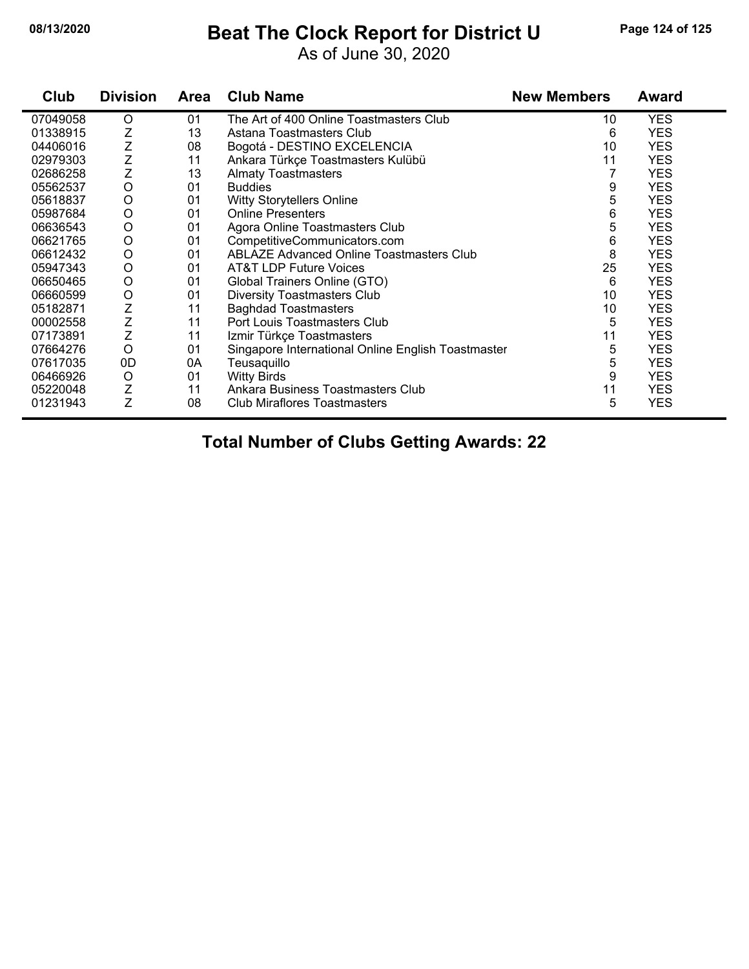## **08/13/2020 Beat The Clock Report for District U Page 124 of 125**

As of June 30, 2020

| Club     | <b>Division</b> | <b>Area</b> | <b>Club Name</b>                                   | <b>New Members</b> | <b>Award</b> |
|----------|-----------------|-------------|----------------------------------------------------|--------------------|--------------|
| 07049058 | O               | 01          | The Art of 400 Online Toastmasters Club            | 10                 | <b>YES</b>   |
| 01338915 | Z               | 13          | Astana Toastmasters Club                           | 6                  | <b>YES</b>   |
| 04406016 | Z               | 08          | Bogotá - DESTINO EXCELENCIA                        | 10                 | <b>YES</b>   |
| 02979303 | $\frac{Z}{Z}$   | 11          | Ankara Türkçe Toastmasters Kulübü                  | 11                 | <b>YES</b>   |
| 02686258 |                 | 13          | <b>Almaty Toastmasters</b>                         | 7                  | <b>YES</b>   |
| 05562537 | $\circ$         | 01          | <b>Buddies</b>                                     | 9                  | <b>YES</b>   |
| 05618837 | $\circ$         | 01          | <b>Witty Storytellers Online</b>                   | 5                  | <b>YES</b>   |
| 05987684 | $\circ$         | 01          | <b>Online Presenters</b>                           | 6                  | <b>YES</b>   |
| 06636543 | $\circ$         | 01          | Agora Online Toastmasters Club                     | 5                  | <b>YES</b>   |
| 06621765 | $\circ$         | 01          | CompetitiveCommunicators.com                       | 6                  | <b>YES</b>   |
| 06612432 | $\circ$         | 01          | <b>ABLAZE Advanced Online Toastmasters Club</b>    | 8                  | <b>YES</b>   |
| 05947343 | O               | 01          | <b>AT&amp;T LDP Future Voices</b>                  | 25                 | <b>YES</b>   |
| 06650465 | O               | 01          | Global Trainers Online (GTO)                       | 6                  | <b>YES</b>   |
| 06660599 | O               | 01          | <b>Diversity Toastmasters Club</b>                 | 10                 | <b>YES</b>   |
| 05182871 | Z               | 11          | <b>Baghdad Toastmasters</b>                        | 10                 | <b>YES</b>   |
| 00002558 | Z               | 11          | Port Louis Toastmasters Club                       | 5                  | <b>YES</b>   |
| 07173891 | Z               | 11          | Izmir Türkçe Toastmasters                          | 11                 | <b>YES</b>   |
| 07664276 | $\bigcirc$      | 01          | Singapore International Online English Toastmaster | 5                  | <b>YES</b>   |
| 07617035 | 0 <sub>D</sub>  | 0A          | Teusaquillo                                        | 5                  | <b>YES</b>   |
| 06466926 | O               | 01          | <b>Witty Birds</b>                                 | 9                  | <b>YES</b>   |
| 05220048 | Ζ               | 11          | Ankara Business Toastmasters Club                  | 11                 | <b>YES</b>   |
| 01231943 | Z               | 08          | <b>Club Miraflores Toastmasters</b>                | 5                  | <b>YES</b>   |